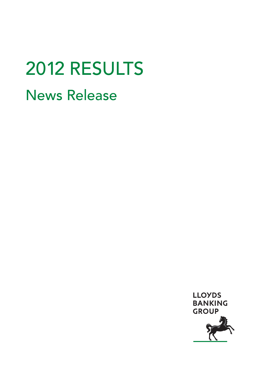# 2012 RESULTS News Release

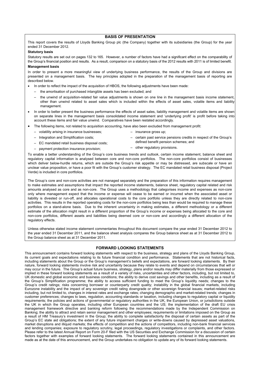## **BASIS OF PRESENTATION**

This report covers the results of Lloyds Banking Group plc (the Company) together with its subsidiaries (the Group) for the year ended 31 December 2012.

#### **Statutory basis**

Statutory results are set out on pages 132 to 165. However, a number of factors have had a significant effect on the comparability of the Group's financial position and results. As a result, comparison on a statutory basis of the 2012 results with 2011 is of limited benefit. **Management basis** 

In order to present a more meaningful view of underlying business performance, the results of the Group and divisions are presented on a management basis. The key principles adopted in the preparation of the management basis of reporting are described below.

- In order to reflect the impact of the acquisition of HBOS, the following adjustments have been made:
	- the amortisation of purchased intangible assets has been excluded; and
	- the unwind of acquisition-related fair value adjustments is shown on one line in the management basis income statement, other than unwind related to asset sales which is included within the effects of asset sales, volatile items and liability management.
- In order to better present the business performance the effects of asset sales, liability management and volatile items are shown on separate lines in the management basis consolidated income statement and 'underlying profit' is profit before taking into account these items and fair value unwind. Comparatives have been restated accordingly.
- The following items, not related to acquisition accounting, have also been excluded from management profit:
	- volatility arising in insurance businesses;
	- Integration and Simplification costs;
	- EC mandated retail business disposal costs;
- insurance gross up;
- certain past service pensions credits in respect of the Group's defined benefit pension schemes; and
- payment protection insurance provision;
- other regulatory provisions.

To enable a better understanding of the Group's core business trends and outlook, certain income statement, balance sheet and regulatory capital information is analysed between core and non-core portfolios. The non-core portfolios consist of businesses which deliver below-hurdle returns, which are outside the Group's risk appetite or may be distressed, are subscale or have an unclear value proposition, or have a poor fit with the Group's customer strategy. The EC mandated retail business disposal (Project Verde) is included in core portfolios.

The Group's core and non-core activities are not managed separately and the preparation of this information requires management to make estimates and assumptions that impact the reported income statements, balance sheet, regulatory capital related and risk amounts analysed as core and as non-core. The Group uses a methodology that categorises income and expenses as non-core only where management expect that the income or expense will cease to be earned or incurred when the associated asset or liability is divested or run-off, and allocates operational costs to the core portfolio unless they are directly related to non-core activities. This results in the reported operating costs for the non-core portfolios being less than would be required to manage these portfolios on a stand-alone basis. Due to the inherent uncertainty in making estimates, a different methodology or a different estimate of the allocation might result in a different proportion of the Group's income or expenses being allocated to the core and non-core portfolios, different assets and liabilities being deemed core or non-core and accordingly a different allocation of the regulatory effects.

Unless otherwise stated income statement commentaries throughout this document compare the year ended 31 December 2012 to the year ended 31 December 2011, and the balance sheet analysis compares the Group balance sheet as at 31 December 2012 to the Group balance sheet as at 31 December 2011.

#### **FORWARD LOOKING STATEMENTS**

This announcement contains forward looking statements with respect to the business, strategy and plans of the Lloyds Banking Group, its current goals and expectations relating to its future financial condition and performance. Statements that are not historical facts, including statements about the Group or the Group's management's beliefs and expectations, are forward looking statements. By their nature, forward looking statements involve risk and uncertainty because they relate to events and depend on circumstances that will or may occur in the future. The Group's actual future business, strategy, plans and/or results may differ materially from those expressed or implied in these forward looking statements as a result of a variety of risks, uncertainties and other factors, including, but not limited to, UK domestic and global economic and business conditions; the ability to derive cost savings and other benefits, including as a result of the Group's Simplification programme; the ability to access sufficient funding to meet the Group's liquidity needs; changes to the Group's credit ratings; risks concerning borrower or counterparty credit quality; instability in the global financial markets, including Eurozone instability and the impact of any sovereign credit rating downgrade or other sovereign financial issues; market-related risks including, but not limited to, changes in interest rates and exchange rates; changing demographic and market-related trends; changes in customer preferences; changes to laws, regulation, accounting standards or taxation, including changes to regulatory capital or liquidity requirements; the policies and actions of governmental or regulatory authorities in the UK, the European Union, or jurisdictions outside the UK in which the Group operates, including other European countries and the US; the implementation of the draft EU crisis management framework directive and banking reform following the recommendations made by the Independent Commission on Banking; the ability to attract and retain senior management and other employees; requirements or limitations imposed on the Group as a result of HM Treasury's investment in the Group; the ability to complete satisfactorily the disposal of certain assets as part of the Group's EC state aid obligations; the extent of any future impairment charges or write-downs caused by depressed asset valuations, market disruptions and illiquid markets; the effects of competition and the actions of competitors, including non-bank financial services and lending companies; exposure to regulatory scrutiny, legal proceedings, regulatory investigations or complaints, and other factors. Please refer to the latest Annual Report on Form 20-F filed with the US Securities and Exchange Commission for a discussion of certain factors together with examples of forward looking statements. The forward looking statements contained in this announcement are made as at the date of this announcement, and the Group undertakes no obligation to update any of its forward looking statements.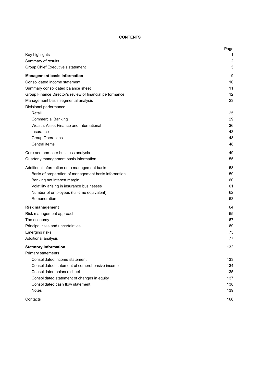# **CONTENTS**

|                                                          | Page           |
|----------------------------------------------------------|----------------|
| Key highlights                                           | 1              |
| Summary of results                                       | $\overline{2}$ |
| Group Chief Executive's statement                        | 3              |
| <b>Management basis information</b>                      | 9              |
| Consolidated income statement                            | 10             |
| Summary consolidated balance sheet                       | 11             |
| Group Finance Director's review of financial performance | 12             |
| Management basis segmental analysis                      | 23             |
| Divisional performance                                   |                |
| Retail                                                   | 25             |
| <b>Commercial Banking</b>                                | 29             |
| Wealth, Asset Finance and International                  | 36             |
| Insurance                                                | 43             |
| <b>Group Operations</b>                                  | 48             |
| Central items                                            | 48             |
| Core and non-core business analysis                      | 49             |
| Quarterly management basis information                   | 55             |
| Additional information on a management basis             | 58             |
| Basis of preparation of management basis information     | 59             |
| Banking net interest margin                              | 60             |
| Volatility arising in insurance businesses               | 61             |
| Number of employees (full-time equivalent)               | 62             |
| Remuneration                                             | 63             |
| <b>Risk management</b>                                   | 64             |
| Risk management approach                                 | 65             |
| The economy                                              | 67             |
| Principal risks and uncertainties                        | 69             |
| Emerging risks                                           | 75             |
| Additional analysis                                      | 77             |
| <b>Statutory information</b>                             | 132            |
| Primary statements                                       |                |
| Consolidated income statement                            | 133            |
| Consolidated statement of comprehensive income           | 134            |
| Consolidated balance sheet                               | 135            |
| Consolidated statement of changes in equity              | 137            |
| Consolidated cash flow statement                         | 138            |
| <b>Notes</b>                                             | 139            |
| Contacts                                                 | 166            |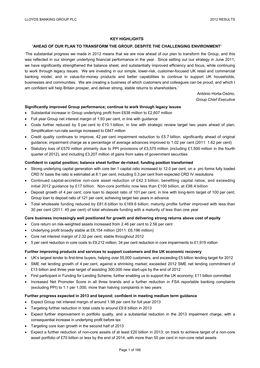## **KEY HIGHLIGHTS**

## **'AHEAD OF OUR PLAN TO TRANSFORM THE GROUP, DESPITE THE CHALLENGING ENVIRONMENT'**

'The substantial progress we made in 2012 means that we are now ahead of our plan to transform the Group, and this was reflected in our stronger underlying financial performance in the year. Since setting out our strategy in June 2011, we have significantly strengthened the balance sheet, and substantially improved efficiency and focus, while continuing to work through legacy issues. We are investing in our simple, lower-risk, customer-focused UK retail and commercial banking model, and in value-for-money products and better capabilities to continue to support UK households, businesses and communities. We are creating a business of which customers and colleagues can be proud, and which I am confident will help Britain prosper, and deliver strong, stable returns to shareholders.'

> António Horta-Osório, *Group Chief Executive*

#### **Significantly improved Group performance; continue to work through legacy issues**

- Substantial increase in Group underlying profit from £638 million to £2,607 million
- Full year Group net interest margin of 1.93 per cent, in line with guidance
- Costs further reduced by 5 per cent to £10.1 billion, in line with strategic review target two years ahead of plan; Simplification run-rate savings increased to £847 million
- Credit quality continues to improve; 42 per cent impairment reduction to £5.7 billion, significantly ahead of original guidance; impairment charge as a percentage of average advances improved to 1.02 per cent (2011: 1.62 per cent)
- Statutory loss of £570 million primarily due to PPI provisions of £3,575 million (including £1,500 million in the fourth quarter of 2012), and including £3,207 million of gains from sales of government securities

#### **Confident in capital position; balance sheet further de-risked; funding position transformed**

- Strong underlying capital generation with core tier 1 capital ratio increased to 12.0 per cent; on a pro forma fully loaded CRD IV basis the ratio is estimated at 8.1 per cent, including 0.3 per cent from expected CRD IV resolutions
- Continued capital-accretive non-core asset reduction of £42.3 billion, benefiting capital ratios, and exceeding initial 2012 guidance by £17 billion. Non-core portfolio now less than £100 billion, at £98.4 billion
- Deposit growth of 4 per cent; core loan to deposit ratio of 101 per cent, in line with long-term target of 100 per cent; Group loan to deposit ratio of 121 per cent, achieving target two years in advance
- Total wholesale funding reduced by £81.6 billion to £169.6 billion; maturity profile further improved with less than 30 per cent (2011: 45 per cent) of total wholesale funding with a maturity of less than one year

#### **Core business increasingly well positioned for growth and delivering strong returns above cost of equity**

- Core return on risk-weighted assets increased from 2.46 per cent to 2.56 per cent
- Underlying profit broadly stable at £6,154 million (2011: £6,196 million)
- Core net interest margin of 2.32 per cent; stable throughout 2012
- $\bullet$  5 per cent reduction in core costs to £9.212 million; 34 per cent reduction in core impairments to £1,919 million

#### **Further improving products and services to support customers and the UK economic recovery**

- UK's largest lender to first-time buyers, helping over 55,000 customers, and exceeding £5 billion lending target for 2012
- SME net lending growth of 4 per cent, against a shrinking market; exceeded 2012 SME net lending commitment of £13 billion and three year target of assisting 300,000 new start-ups by the end of 2012
- First participant in Funding for Lending Scheme, further enabling us to support the UK economy; £11 billion committed
- Increased Net Promoter Score in all three brands and a further reduction in FSA reportable banking complaints (excluding PPI) to 1.1 per 1,000, more than halving complaints in two years

#### **Further progress expected in 2013 and beyond; confident in meeting medium term guidance**

- Expect Group net interest margin of around 1.98 per cent for full year 2013
- Targeting further reduction in total costs to around £9.8 billion in 2013
- Expect further improvement in portfolio quality, and a substantial reduction in the 2013 impairment charge, with a consequential increase in underlying profit before tax
- Targeting core loan growth in the second half of 2013
- Expect a further reduction of non-core assets of at least £20 billion in 2013; on track to achieve target of a non-core asset portfolio of £70 billion or less by the end of 2014, with more than 50 per cent in non-core retail assets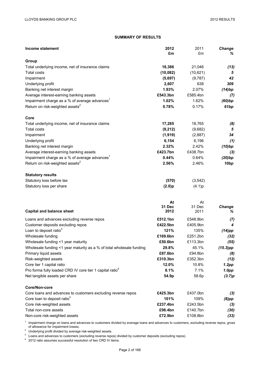# **SUMMARY OF RESULTS**

| <b>Income statement</b>                                              | 2012<br>£m   | 2011<br>£m   | Change<br>℅      |
|----------------------------------------------------------------------|--------------|--------------|------------------|
| Group                                                                |              |              |                  |
| Total underlying income, net of insurance claims                     | 18,386       | 21,046       | (13)             |
| <b>Total costs</b>                                                   | (10, 082)    | (10,621)     | 5                |
| Impairment                                                           | (5,697)      | (9,787)      | 42               |
| Underlying profit                                                    | 2,607        | 638          | 309              |
| Banking net interest margin                                          | 1.93%        | 2.07%        | (14)bp           |
| Average interest-earning banking assets                              | £543.3bn     | £585.4bn     | (7)              |
| Impairment charge as a % of average advances <sup>1</sup>            | 1.02%        | 1.62%        | (60)bp           |
| Return on risk-weighted assets <sup>2</sup>                          | 0.78%        | 0.17%        | 61bp             |
| Core                                                                 |              |              |                  |
| Total underlying income, net of insurance claims                     | 17,285       | 18,765       | (8)              |
| <b>Total costs</b>                                                   | (9,212)      | (9,682)      | 5                |
| Impairment                                                           | (1, 919)     | (2,887)      | 34               |
| Underlying profit                                                    | 6,154        | 6,196        | (1)              |
| Banking net interest margin                                          | 2.32%        | 2.42%        | (10)bp           |
| Average interest-earning banking assets                              | £423.7bn     | £438.7bn     | (3)              |
| Impairment charge as a % of average advances <sup>1</sup>            | 0.44%        | 0.64%        | (20)bp           |
| Return on risk-weighted assets <sup>2</sup>                          | 2.56%        | 2.46%        | 10 <sub>bp</sub> |
| <b>Statutory results</b>                                             |              |              |                  |
| Statutory loss before tax                                            | (570)        | (3, 542)     |                  |
| Statutory loss per share                                             | (2.0)p       | (4.1)p       |                  |
|                                                                      |              |              |                  |
|                                                                      | At<br>31 Dec | At<br>31 Dec | <b>Change</b>    |
| <b>Capital and balance sheet</b>                                     | 2012         | 2011         | %                |
| Loans and advances excluding reverse repos                           | £512.1bn     | £548.8bn     | (7)              |
| Customer deposits excluding repos                                    | £422.5bn     | £405.9bn     | 4                |
| Loan to deposit ratio <sup>3</sup>                                   | 121%         | 135%         | $(14)$ pp        |
| Wholesale funding                                                    | £169.6bn     | £251.2bn     | (32)             |
| Wholesale funding <1 year maturity                                   | £50.6bn      | £113.3bn     | (55)             |
| Wholesale funding <1 year maturity as a % of total wholesale funding | 29.8%        | 45.1%        | $(15.3)$ pp      |
| Primary liquid assets                                                | £87.6bn      | £94.8bn      | (8)              |
| Risk-weighted assets                                                 | £310.3bn     | £352.3bn     | (12)             |
| Core tier 1 capital ratio                                            | 12.0%        | 10.8%        | 1.2pp            |
| Pro forma fully loaded CRD IV core tier 1 capital ratio <sup>4</sup> | 8.1%         | 7.1%         | 1.0pp            |
| Net tangible assets per share                                        | 54.9p        | 58.6p        | (3.7)p           |
| Core/Non-core                                                        |              |              |                  |
| Core loans and advances to customers excluding reverse repos         | £425.3bn     | £437.0bn     | (3)              |
| Core loan to deposit ratio <sup>3</sup>                              | 101%         | 109%         | (8) pp           |
| Core risk-weighted assets                                            | £237.4bn     | £243.5bn     | (3)              |
| Total non-core assets                                                | £98.4bn      | £140.7bn     | (30)             |
| Non-core risk-weighted assets                                        | £72.9bn      | £108.8bn     | (33)             |

 $1$  Impairment charge on loans and advances to customers divided by average loans and advances to customers, excluding reverse repos, gross of allowance for impairment losses.<br><sup>2</sup> Underlying profit divided by average risk-weighted assets.<br><sup>3</sup> Loans and advances to customers (excluding reverse repos) divided by customer deposits (excluding repos).<br><sup>4</sup> 2012 rati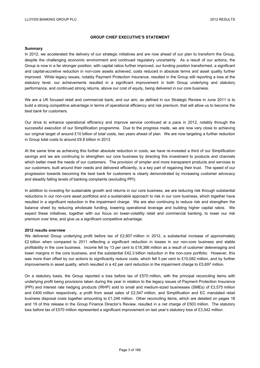## **GROUP CHIEF EXECUTIVE'S STATEMENT**

#### **Summary**

In 2012, we accelerated the delivery of our strategic initiatives and are now ahead of our plan to transform the Group, despite the challenging economic environment and continued regulatory uncertainty. As a result of our actions, the Group is now in a far stronger position, with capital ratios further improved, our funding position transformed, a significant and capital-accretive reduction in non-core assets achieved, costs reduced in absolute terms and asset quality further improved. While legacy issues, notably Payment Protection Insurance, resulted in the Group still reporting a loss at the statutory level, our achievements resulted in a significant improvement in both Group underlying and statutory performance, and continued strong returns, above our cost of equity, being delivered in our core business.

We are a UK focused retail and commercial bank, and our aim, as defined in our Strategic Review in June 2011 is to build a strong competitive advantage in terms of operational efficiency and risk premium, that will allow us to become the best bank for customers.

Our drive to enhance operational efficiency and improve service continued at a pace in 2012, notably through the successful execution of our Simplification programme. Due to the progress made, we are now very close to achieving our original target of around £10 billion of total costs, two years ahead of plan. We are now targeting a further reduction in Group total costs to around £9.8 billion in 2013.

At the same time as achieving this further absolute reduction in costs, we have re-invested a third of our Simplification savings and we are continuing to strengthen our core business by directing this investment to products and channels which better meet the needs of our customers. The provision of simpler and more transparent products and services to our customers, built around their needs and delivered efficiently, is a key part of regaining their trust. The speed of our progression towards becoming the best bank for customers is clearly demonstrated by increasing customer advocacy and steadily falling levels of banking complaints (excluding PPI).

In addition to investing for sustainable growth and returns in our core business, we are reducing risk through substantial reductions in our non-core asset portfolios and a sustainable approach to risk in our core business, which together have resulted in a significant reduction in the impairment charge. We are also continuing to reduce risk and strengthen the balance sheet by reducing wholesale funding, lowering operational leverage and building higher capital ratios. We expect these initiatives, together with our focus on lower-volatility retail and commercial banking, to lower our risk premium over time, and give us a significant competitive advantage.

#### **2012 results overview**

We delivered Group underlying profit before tax of £2,607 million in 2012, a substantial increase of approximately £2 billion when compared to 2011 reflecting a significant reduction in losses in our non-core business and stable profitability in the core business. Income fell by 13 per cent to £18,386 million as a result of customer deleveraging and lower margins in the core business, and the substantial £42.3 billion reduction in the non-core portfolio. However, this was more than offset by our actions to significantly reduce costs, which fell 5 per cent to £10,082 million, and by further improvements in asset quality, which resulted in a 42 per cent reduction in the impairment charge to £5,697 million.

On a statutory basis, the Group reported a loss before tax of £570 million, with the principal reconciling items with underlying profit being provisions taken during the year in relation to the legacy issues of Payment Protection Insurance (PPI) and interest rate hedging products (IRHP) sold to small and medium-sized businesses (SMEs) of £3,575 million and £400 million respectively, a profit from asset sales of £2,547 million, and Simplification and EC mandated retail business disposal costs together amounting to £1,246 million. Other reconciling items, which are detailed on pages 18 and 19 of this release in the Group Finance Director's Review, resulted in a net charge of £503 million. The statutory loss before tax of £570 million represented a significant improvement on last year's statutory loss of £3,542 million.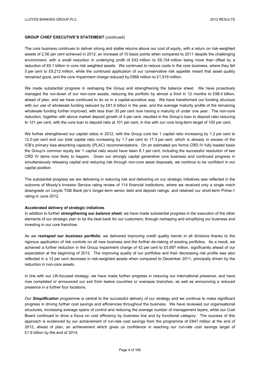The core business continues to deliver strong and stable returns above our cost of equity, with a return on risk-weighted assets of 2.56 per cent achieved in 2012, an increase of 10 basis points when compared to 2011 despite the challenging environment, with a small reduction in underlying profit of £42 million to £6,154 million being more than offset by a reduction of £6.1 billion in core risk weighted assets. We continued to reduce costs in the core business, where they fell 5 per cent to £9,212 million, while the continued application of our conservative risk appetite meant that asset quality remained good, and the core impairment charge reduced by £968 million to £1,919 million.

We made substantial progress in reshaping the Group and strengthening the balance sheet. We have proactively managed the run-down of our non-core assets, reducing the portfolio by almost a third in 12 months to £98.4 billion, ahead of plan, and we have continued to do so in a capital-accretive way. We have transformed our funding structure with our use of wholesale funding reduced by £81.6 billion in the year, and the average maturity profile of the remaining wholesale funding further improved, with less than 30 per cent now having a maturity of under one year. The non-core reduction, together with above market deposit growth of 4 per cent, resulted in the Group's loan to deposit ratio reducing to 121 per cent, with the core loan to deposit ratio at 101 per cent, in line with our core long-term target of 100 per cent.

We further strengthened our capital ratios in 2012, with the Group core tier 1 capital ratio increasing by 1.2 per cent to 12.0 per cent and our total capital ratio increasing by 1.7 per cent to 17.3 per cent, which is already in excess of the ICB's primary loss-absorbing capacity (PLAC) recommendations. On an estimated pro forma CRD IV fully loaded basis the Group's common equity tier 1 capital ratio would have been 8.1 per cent, including the successful resolution of two CRD IV items now likely to happen. Given our strongly capital generative core business and continued progress in simultaneously releasing capital and reducing risk through non-core asset disposals, we continue to be confident in our capital position.

The substantial progress we are delivering in reducing risk and delivering on our strategic initiatives was reflected in the outcome of Moody's Investor Service rating review of 114 financial institutions, where we received only a single notch downgrade on Lloyds TSB Bank plc's longer-term senior debt and deposit ratings, and retained our short-term Prime-1 rating in June 2012.

#### **Accelerated delivery of strategic initiatives**

In addition to further *strengthening our balance sheet*, we have made substantial progress in the execution of the other elements of our strategic plan to be the best bank for our customers, through reshaping and simplifying our business and investing in our core franchise.

As we *reshaped our business portfolio*, we delivered improving credit quality trends in all divisions thanks to the rigorous application of risk controls on all new business and the further de-risking of existing portfolios. As a result, we achieved a further reduction in the Group impairment charge of 42 per cent to £5,697 million, significantly ahead of our expectation at the beginning of 2012. The improving quality of our portfolios and their decreasing risk profile was also reflected in a 12 per cent decrease in risk-weighted assets when compared to December 2011, principally driven by the reduction in non-core assets.

In line with our UK-focused strategy, we have made further progress in reducing our international presence, and have now completed or announced our exit from twelve countries or overseas branches, as well as announcing a reduced presence in a further four locations.

Our *Simplification* programme is central to the successful delivery of our strategy and we continue to make significant progress in driving further cost savings and efficiencies throughout the business. We have reviewed our organisational structures, increasing average spans of control and reducing the average number of management layers, while our Cost Board continued to drive a focus on cost efficiency by business line and by functional category. The success of this approach is evidenced by our achievement of run-rate cost savings from the programme of £847 million at the end of 2012, ahead of plan, an achievement which gives us confidence in reaching our run-rate cost savings target of £1.9 billion by the end of 2014.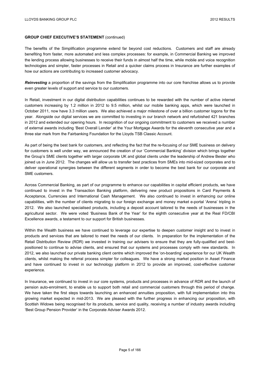The benefits of the Simplification programme extend far beyond cost reductions. Customers and staff are already benefiting from faster, more automated and less complex processes: for example, in Commercial Banking we improved the lending process allowing businesses to receive their funds in almost half the time, while mobile and voice recognition technologies and simpler, faster processes in Retail and a quicker claims process in Insurance are further examples of how our actions are contributing to increased customer advocacy.

*Reinvesting* a proportion of the savings from the Simplification programme into our core franchise allows us to provide even greater levels of support and service to our customers.

In Retail, investment in our digital distribution capabilities continues to be rewarded with the number of active internet customers increasing by 1.2 million in 2012 to 9.5 million, whilst our mobile banking apps, which were launched in October 2011, now have 3.3 million users. We also achieved a major milestone of over a billion customer logons for the year. Alongside our digital services we are committed to investing in our branch network and refurbished 421 branches in 2012 and extended our opening hours. In recognition of our ongoing commitment to customers we received a number of external awards including 'Best Overall Lender' at the Your Mortgage Awards for the eleventh consecutive year and a three star mark from the Fairbanking Foundation for the Lloyds TSB Classic Account.

As part of being the best bank for customers, and reflecting the fact that the re-focusing of our SME business on delivery for customers is well under way, we announced the creation of our 'Commercial Banking' division which brings together the Group's SME clients together with larger corporate UK and global clients under the leadership of Andrew Bester who joined us in June 2012. The changes will allow us to transfer best practices from SMEs into mid-sized corporates and to deliver operational synergies between the different segments in order to become the best bank for our corporate and SME customers.

Across Commercial Banking, as part of our programme to enhance our capabilities in capital efficient products, we have continued to invest in the Transaction Banking platform, delivering new product propositions in Card Payments & Acceptance, Currencies and International Cash Management. We also continued to invest in enhancing our online capabilities, with the number of clients migrating to our foreign exchange and money market e-portal 'Arena' tripling in 2012. We also launched specialised products, including a deposit account tailored to the needs of businesses in the agricultural sector. We were voted 'Business Bank of the Year' for the eighth consecutive year at the Real FD/CBI Excellence awards, a testament to our support for British businesses.

Within the Wealth business we have continued to leverage our expertise to deepen customer insight and to invest in products and services that are tailored to meet the needs of our clients. In preparation for the implementation of the Retail Distribution Review (RDR) we invested in training our advisers to ensure that they are fully-qualified and bestpositioned to continue to advise clients, and ensured that our systems and processes comply with new standards. In 2012, we also launched our private banking client centre which improved the 'on-boarding' experience for our UK Wealth clients, whilst making the referral process simpler for colleagues. We have a strong market position in Asset Finance and have continued to invest in our technology platform in 2012 to provide an improved, cost-effective customer experience.

In Insurance, we continued to invest in our core systems, products and processes in advance of RDR and the launch of pension auto-enrolment, to enable us to support both retail and commercial customers through this period of change. We have taken the first steps towards launching an enhanced annuities proposition, with full implementation into this growing market expected in mid-2013. We are pleased with the further progress in enhancing our proposition, with Scottish Widows being recognised for its products, service and quality, receiving a number of industry awards including 'Best Group Pension Provider' in the Corporate Adviser Awards 2012.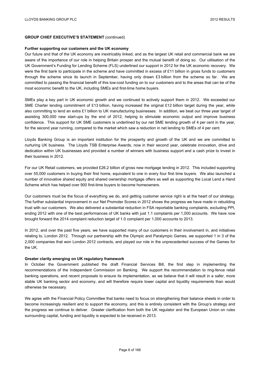#### **Further supporting our customers and the UK economy**

Our future and that of the UK economy are inextricably linked, and as the largest UK retail and commercial bank we are aware of the importance of our role in helping Britain prosper and the mutual benefit of doing so. Our utilisation of the UK Government's Funding for Lending Scheme (FLS) underlined our support in 2012 for the UK economic recovery. We were the first bank to participate in the scheme and have committed in excess of £11 billion in gross funds to customers through the scheme since its launch in September, having only drawn £3 billion from the scheme so far. We are committed to passing the financial benefit of this low-cost funding on to our customers and to the areas that can be of the most economic benefit to the UK, including SMEs and first-time home buyers.

SMEs play a key part in UK economic growth and we continued to actively support them in 2012. We exceeded our SME Charter lending commitment of £13 billion, having increased the original £12 billion target during the year, while also committing to lend an extra £1 billion to UK manufacturing businesses. In addition, we beat our three year target of assisting 300,000 new start-ups by the end of 2012, helping to stimulate economic output and improve business confidence. This support for UK SME customers is underlined by our net SME lending growth of 4 per cent in the year, for the second year running, compared to the market which saw a reduction in net lending to SMEs of 4 per cent.

Lloyds Banking Group is an important institution for the prosperity and growth of the UK and we are committed to nurturing UK business. The Lloyds TSB Enterprise Awards, now in their second year, celebrate innovation, drive and dedication within UK businesses and provided a number of winners with business support and a cash prize to invest in their business in 2012.

For our UK Retail customers, we provided £26.2 billion of gross new mortgage lending in 2012. This included supporting over 55,000 customers in buying their first home, equivalent to one in every four first time buyers. We also launched a number of innovative shared equity and shared ownership mortgage offers as well as supporting the Local Lend a Hand Scheme which has helped over 900 first-time buyers to become homeowners.

Our customers must be the focus of everything we do, and getting customer service right is at the heart of our strategy. The further substantial improvement in our Net Promoter Scores in 2012 shows the progress we have made in rebuilding trust with our customers. We also delivered a substantial reduction in FSA reportable banking complaints, excluding PPI, ending 2012 with one of the best performances of UK banks with just 1.1 complaints per 1,000 accounts. We have now brought forward the 2014 complaint reduction target of 1.0 complaint per 1,000 accounts to 2013.

In 2012, and over the past five years, we have supported many of our customers in their involvement in, and initiatives relating to, London 2012. Through our partnership with the Olympic and Paralympic Games, we supported 1 in 3 of the 2,000 companies that won London 2012 contracts, and played our role in the unprecedented success of the Games for the UK.

#### **Greater clarity emerging on UK regulatory framework**

In October the Government published the draft Financial Services Bill, the first step in implementing the recommendations of the Independent Commission on Banking. We support the recommendation to ring-fence retail banking operations, and recent proposals to ensure its implementation, as we believe that it will result in a safer, more stable UK banking sector and economy, and will therefore require lower capital and liquidity requirements than would otherwise be necessary.

We agree with the Financial Policy Committee that banks need to focus on strengthening their balance sheets in order to become increasingly resilient and to support the economy, and this is entirely consistent with the Group's strategy and the progress we continue to deliver. Greater clarification from both the UK regulator and the European Union on rules surrounding capital, funding and liquidity is expected to be received in 2013.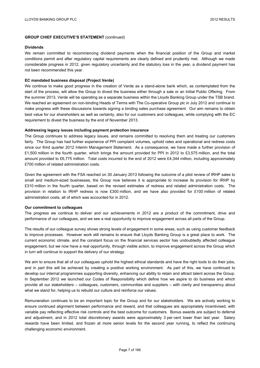#### **Dividends**

We remain committed to recommencing dividend payments when the financial position of the Group and market conditions permit and after regulatory capital requirements are clearly defined and prudently met. Although we made considerable progress in 2012, given regulatory uncertainty and the statutory loss in the year, a dividend payment has not been recommended this year.

#### **EC mandated business disposal (Project Verde)**

We continue to make good progress in the creation of Verde as a stand-alone bank which, as contemplated from the start of the process, will allow the Group to divest the business either through a sale or an Initial Public Offering. From the summer 2013, Verde will be operating as a separate business within the Lloyds Banking Group under the TSB brand. We reached an agreement on non-binding Heads of Terms with The Co-operative Group plc in July 2012 and continue to make progress with these discussions towards signing a binding sales purchase agreement. Our aim remains to obtain best value for our shareholders as well as certainty, also for our customers and colleagues, while complying with the EC requirement to divest the business by the end of November 2013.

#### **Addressing legacy issues including payment protection insurance**

The Group continues to address legacy issues, and remains committed to resolving them and treating our customers fairly. The Group has had further experience of PPI complaint volumes, uphold rates and operational and redress costs since our third quarter 2012 Interim Management Statement. As a consequence, we have made a further provision of £1,500 million in the fourth quarter, which brings the amount provided for PPI in 2012 to £3,575 million, and the total amount provided to £6,775 million. Total costs incurred to the end of 2012 were £4,344 million, including approximately £700 million of related administration costs.

Given the agreement with the FSA reached on 30 January 2013 following the outcome of a pilot review of IRHP sales to small and medium-sized businesses, the Group now believes it is appropriate to increase its provision for IRHP by £310 million in the fourth quarter, based on the revised estimates of redress and related administration costs. The provision in relation to IRHP redress is now £300 million, and we have also provided for £100 million of related administration costs, all of which was accounted for in 2012.

#### **Our commitment to colleagues**

The progress we continue to deliver and our achievements in 2012 are a product of the commitment, drive and performance of our colleagues, and we see a real opportunity to improve engagement across all parts of the Group.

The results of our colleague survey shows strong levels of engagement in some areas, such as using customer feedback to improve processes. However work still remains to ensure that Lloyds Banking Group is a great place to work. The current economic climate, and the constant focus on the financial services sector has undoubtedly affected colleague engagement, but we now have a real opportunity, through visible action, to improve engagement across the Group which in turn will continue to support the delivery of our strategy.

We aim to ensure that all of our colleagues uphold the highest ethical standards and have the right tools to do their jobs, and in part this will be achieved by creating a positive working environment. As part of this, we have continued to develop our internal programmes supporting diversity, enhancing our ability to retain and attract talent across the Group. In September 2012 we launched our Codes of Responsibility which define how we aspire to do business and which provide all our stakeholders – colleagues, customers, communities and suppliers – with clarity and transparency about what we stand for, helping us to rebuild our culture and reinforce our values.

Remuneration continues to be an important topic for the Group and for our stakeholders. We are actively working to ensure continued alignment between performance and reward, and that colleagues are appropriately incentivised, with variable pay reflecting effective risk controls and the best outcome for customers. Bonus awards are subject to deferral and adjustment, and in 2012 total discretionary awards were approximately 3 per cent lower than last year. Salary rewards have been limited, and frozen at more senior levels for the second year running, to reflect the continuing challenging economic environment.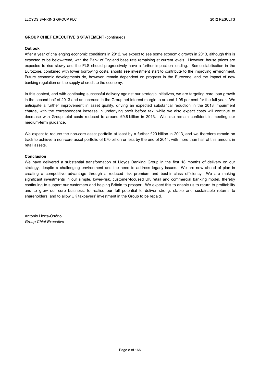#### **Outlook**

After a year of challenging economic conditions in 2012, we expect to see some economic growth in 2013, although this is expected to be below-trend, with the Bank of England base rate remaining at current levels. However, house prices are expected to rise slowly and the FLS should progressively have a further impact on lending. Some stabilisation in the Eurozone, combined with lower borrowing costs, should see investment start to contribute to the improving environment. Future economic developments do, however, remain dependent on progress in the Eurozone, and the impact of new banking regulation on the supply of credit to the economy.

In this context, and with continuing successful delivery against our strategic initiatives, we are targeting core loan growth in the second half of 2013 and an increase in the Group net interest margin to around 1.98 per cent for the full year. We anticipate a further improvement in asset quality, driving an expected substantial reduction in the 2013 impairment charge, with the correspondent increase in underlying profit before tax, while we also expect costs will continue to decrease with Group total costs reduced to around £9.8 billion in 2013. We also remain confident in meeting our medium-term guidance.

We expect to reduce the non-core asset portfolio at least by a further £20 billion in 2013, and we therefore remain on track to achieve a non-core asset portfolio of £70 billion or less by the end of 2014, with more than half of this amount in retail assets.

#### **Conclusion**

We have delivered a substantial transformation of Lloyds Banking Group in the first 18 months of delivery on our strategy, despite a challenging environment and the need to address legacy issues. We are now ahead of plan in creating a competitive advantage through a reduced risk premium and best-in-class efficiency. We are making significant investments in our simple, lower-risk, customer-focused UK retail and commercial banking model, thereby continuing to support our customers and helping Britain to prosper. We expect this to enable us to return to profitability and to grow our core business, to realise our full potential to deliver strong, stable and sustainable returns to shareholders, and to allow UK taxpayers' investment in the Group to be repaid.

António Horta-Osório *Group Chief Executive*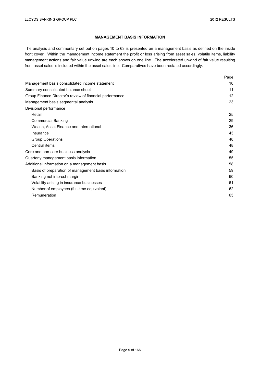## **MANAGEMENT BASIS INFORMATION**

The analysis and commentary set out on pages 10 to 63 is presented on a management basis as defined on the inside front cover. Within the management income statement the profit or loss arising from asset sales, volatile items, liability management actions and fair value unwind are each shown on one line. The accelerated unwind of fair value resulting from asset sales is included within the asset sales line. Comparatives have been restated accordingly.

|                                                          | Page |
|----------------------------------------------------------|------|
| Management basis consolidated income statement           | 10   |
| Summary consolidated balance sheet                       | 11   |
| Group Finance Director's review of financial performance | 12   |
| Management basis segmental analysis                      | 23   |
| Divisional performance                                   |      |
| Retail                                                   | 25   |
| <b>Commercial Banking</b>                                | 29   |
| Wealth, Asset Finance and International                  | 36   |
| Insurance                                                | 43   |
| <b>Group Operations</b>                                  | 48   |
| Central items                                            | 48   |
| Core and non-core business analysis                      | 49   |
| Quarterly management basis information                   | 55   |
| Additional information on a management basis             | 58   |
| Basis of preparation of management basis information     | 59   |
| Banking net interest margin                              | 60   |
| Volatility arising in insurance businesses               | 61   |
| Number of employees (full-time equivalent)               | 62   |
| Remuneration                                             | 63   |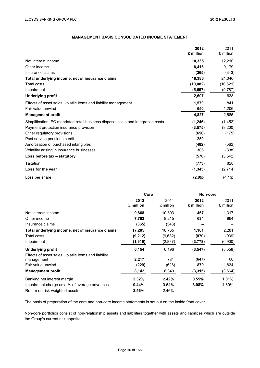# **MANAGEMENT BASIS CONSOLIDATED INCOME STATEMENT**

|                                                                                  | 2012      | 2011      |
|----------------------------------------------------------------------------------|-----------|-----------|
|                                                                                  | £ million | £ million |
| Net interest income                                                              | 10,335    | 12,210    |
| Other income                                                                     | 8,416     | 9,179     |
| Insurance claims                                                                 | (365)     | (343)     |
| Total underlying income, net of insurance claims                                 | 18,386    | 21,046    |
| Total costs                                                                      | (10, 082) | (10, 621) |
| Impairment                                                                       | (5,697)   | (9,787)   |
| <b>Underlying profit</b>                                                         | 2,607     | 638       |
| Effects of asset sales, volatile items and liability management                  | 1,570     | 841       |
| Fair value unwind                                                                | 650       | 1,206     |
| <b>Management profit</b>                                                         | 4,827     | 2,685     |
| Simplification, EC mandated retail business disposal costs and integration costs | (1, 246)  | (1, 452)  |
| Payment protection insurance provision                                           | (3, 575)  | (3,200)   |
| Other regulatory provisions                                                      | (650)     | (175)     |
| Past service pensions credit                                                     | 250       |           |
| Amortisation of purchased intangibles                                            | (482)     | (562)     |
| Volatility arising in insurance businesses                                       | 306       | (838)     |
| Loss before tax - statutory                                                      | (570)     | (3, 542)  |
| Taxation                                                                         | (773)     | 828       |
| Loss for the year                                                                | (1, 343)  | (2,714)   |
| Loss per share                                                                   | (2.0)p    | (4.1)p    |

|                                                                    | Core              |                   | Non-core          |                   |
|--------------------------------------------------------------------|-------------------|-------------------|-------------------|-------------------|
|                                                                    | 2012<br>£ million | 2011<br>£ million | 2012<br>£ million | 2011<br>£ million |
| Net interest income                                                | 9,868             | 10,893            | 467               | 1,317             |
| Other income                                                       | 7,782             | 8,215             | 634               | 964               |
| Insurance claims                                                   | (365)             | (343)             |                   |                   |
| Total underlying income, net of insurance claims                   | 17,285            | 18,765            | 1,101             | 2,281             |
| Total costs                                                        | (9,212)           | (9,682)           | (870)             | (939)             |
| Impairment                                                         | (1, 919)          | (2,887)           | (3,778)           | (6,900)           |
| <b>Underlying profit</b>                                           | 6,154             | 6,196             | (3, 547)          | (5,558)           |
| Effects of asset sales, volatile items and liability<br>management | 2,217             | 781               | (647)             | 60                |
| Fair value unwind                                                  | (229)             | (628)             | 879               | 1,834             |
| <b>Management profit</b>                                           | 8,142             | 6,349             | (3, 315)          | (3,664)           |
| Banking net interest margin                                        | 2.32%             | 2.42%             | 0.55%             | 1.01%             |
| Impairment charge as a % of average advances                       | 0.44%             | 0.64%             | 3.08%             | 4.60%             |
| Return on risk-weighted assets                                     | 2.56%             | 2.46%             |                   |                   |

The basis of preparation of the core and non-core income statements is set out on the inside front cover.

Non-core portfolios consist of non-relationship assets and liabilities together with assets and liabilities which are outside the Group's current risk appetite.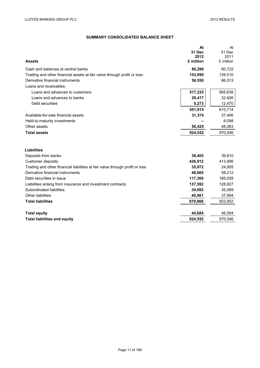# **SUMMARY CONSOLIDATED BALANCE SHEET**

|                                                                              | At<br>31 Dec      | At<br>31 Dec      |
|------------------------------------------------------------------------------|-------------------|-------------------|
| <b>Assets</b>                                                                | 2012<br>£ million | 2011<br>£ million |
| Cash and balances at central banks                                           | 80,298            | 60,722            |
| Trading and other financial assets at fair value through profit or loss      | 153,990           | 139,510           |
| Derivative financial instruments                                             | 56,550            | 66,013            |
| Loans and receivables:                                                       |                   |                   |
| Loans and advances to customers                                              | 517,225           | 565,638           |
| Loans and advances to banks                                                  | 29,417            | 32,606            |
| Debt securities                                                              | 5,273             | 12,470            |
|                                                                              | 551,915           | 610,714           |
| Available-for-sale financial assets                                          | 31,374            | 37,406            |
| Held-to-maturity investments                                                 |                   | 8,098             |
| Other assets                                                                 | 50,425            | 48,083            |
| <b>Total assets</b>                                                          | 924,552           | 970,546           |
| <b>Liabilities</b>                                                           |                   |                   |
| Deposits from banks                                                          | 38,405            | 39,810            |
| Customer deposits                                                            | 426,912           | 413,906           |
| Trading and other financial liabilities at fair value through profit or loss | 35,972            | 24,955            |
| Derivative financial instruments                                             | 48,665            | 58,212            |
| Debt securities in issue                                                     | 117,369           | 185,059           |
| Liabilities arising from insurance and investment contracts                  | 137,592           | 128,927           |
| Subordinated liabilities                                                     | 34,092            | 35,089            |
| Other liabilities                                                            | 40,861            | 37,994            |
| <b>Total liabilities</b>                                                     | 879,868           | 923,952           |
|                                                                              |                   |                   |
| <b>Total equity</b>                                                          | 44,684            | 46,594            |
| <b>Total liabilities and equity</b>                                          | 924,552           | 970,546           |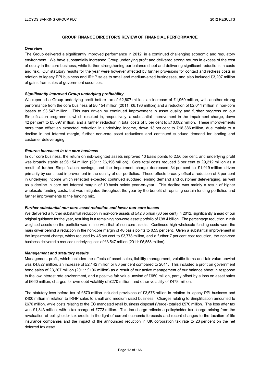#### **Overview**

The Group delivered a significantly improved performance in 2012, in a continued challenging economic and regulatory environment. We have substantially increased Group underlying profit and delivered strong returns in excess of the cost of equity in the core business, while further strengthening our balance sheet and delivering significant reductions in costs and risk. Our statutory results for the year were however affected by further provisions for contact and redress costs in relation to legacy PPI business and IRHP sales to small and medium-sized businesses, and also included £3,207 million of gains from sales of government securities.

#### *Significantly improved Group underlying profitability*

We reported a Group underlying profit before tax of £2,607 million, an increase of £1,969 million, with another strong performance from the core business at £6,154 million (2011: £6,196 million) and a reduction of £2,011 million in non-core losses to £3,547 million. This was driven by continued improvement in asset quality and further progress on our Simplification programme, which resulted in, respectively, a substantial improvement in the impairment charge, down 42 per cent to £5,697 million, and a further reduction in total costs of 5 per cent to £10,082 million. These improvements more than offset an expected reduction in underlying income, down 13 per cent to £18,386 million, due mainly to a decline in net interest margin, further non-core asset reductions and continued subdued demand for lending and customer deleveraging.

#### *Returns increased in the core business*

In our core business, the return on risk-weighted assets improved 10 basis points to 2.56 per cent, and underlying profit was broadly stable at £6,154 million (2011: £6,196 million). Core total costs reduced 5 per cent to £9,212 million as a result of further Simplification savings, and the impairment charge decreased 34 per cent to £1,919 million driven primarily by continued improvement in the quality of our portfolios. These effects broadly offset a reduction of 8 per cent in underlying income which reflected expected continued subdued lending demand and customer deleveraging, as well as a decline in core net interest margin of 10 basis points year-on-year. This decline was mainly a result of higher wholesale funding costs, but was mitigated throughout the year by the benefit of repricing certain lending portfolios and further improvements to the funding mix.

#### *Further substantial non-core asset reduction and lower non-core losses*

We delivered a further substantial reduction in non-core assets of £42.3 billion (30 per cent) in 2012, significantly ahead of our original guidance for the year, resulting in a remaining non-core asset portfolio of £98.4 billion. The percentage reduction in risk weighted assets on the portfolio was in line with that of non-core assets. Continued high wholesale funding costs were the main driver behind a reduction in the non-core margin of 46 basis points to 0.55 per cent. Given a substantial improvement in the impairment charge, which reduced by 45 per cent to £3,778 million, and a further 7 per cent cost reduction, the non-core business delivered a reduced underlying loss of £3,547 million (2011: £5,558 million).

#### *Management and statutory results*

Management profit, which includes the effects of asset sales, liability management, volatile items and fair value unwind was £4,827 million, an increase of £2,142 million or 80 per cent compared to 2011. This included a profit on government bond sales of £3,207 million (2011: £196 million) as a result of our active management of our balance sheet in response to the low interest rate environment, and a positive fair value unwind of £650 million, partly offset by a loss on asset sales of £660 million, charges for own debt volatility of £270 million, and other volatility of £478 million.

The statutory loss before tax of £570 million included provisions of £3,575 million in relation to legacy PPI business and £400 million in relation to IRHP sales to small and medium sized business. Charges relating to Simplification amounted to £676 million, while costs relating to the EC mandated retail business disposal (Verde) totalled £570 million. The loss after tax was £1,343 million, with a tax charge of £773 million. This tax charge reflects a policyholder tax charge arising from the revaluation of policyholder tax credits in the light of current economic forecasts and recent changes to the taxation of life insurance companies and the impact of the announced reduction in UK corporation tax rate to 23 per cent on the net deferred tax asset.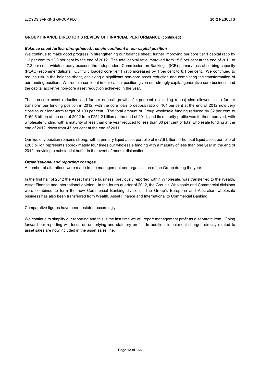#### *Balance sheet further strengthened; remain confident in our capital position*

We continue to make good progress in strengthening our balance sheet, further improving our core tier 1 capital ratio by 1.2 per cent to 12.0 per cent by the end of 2012. The total capital ratio improved from 15.6 per cent at the end of 2011 to 17.3 per cent, which already exceeds the Independent Commission on Banking's (ICB) primary loss-absorbing capacity (PLAC) recommendations. Our fully loaded core tier 1 ratio increased by 1 per cent to 8.1 per cent. We continued to reduce risk in the balance sheet, achieving a significant non-core asset reduction and completing the transformation of our funding position. We remain confident in our capital position given our strongly capital generative core business and the capital accretive non-core asset reduction achieved in the year.

The non-core asset reduction and further deposit growth of 4 per cent (excluding repos) also allowed us to further transform our funding position in 2012, with the core loan to deposit ratio of 101 per cent at the end of 2012 now very close to our long-term target of 100 per cent. The total amount of Group wholesale funding reduced by 32 per cent to £169.6 billion at the end of 2012 from £251.2 billion at the end of 2011, and its maturity profile was further improved, with wholesale funding with a maturity of less than one year reduced to less than 30 per cent of total wholesale funding at the end of 2012, down from 45 per cent at the end of 2011.

Our liquidity position remains strong, with a primary liquid asset portfolio of £87.6 billion. The total liquid asset portfolio of £205 billion represents approximately four times our wholesale funding with a maturity of less than one year at the end of 2012, providing a substantial buffer in the event of market dislocation.

#### *Organisational and reporting changes*

A number of alterations were made to the management and organisation of the Group during the year.

In the first half of 2012 the Asset Finance business, previously reported within Wholesale, was transferred to the Wealth, Asset Finance and International division. In the fourth quarter of 2012, the Group's Wholesale and Commercial divisions were combined to form the new Commercial Banking division. The Group's European and Australian wholesale business has also been transferred from Wealth, Asset Finance and International to Commercial Banking.

Comparative figures have been restated accordingly.

We continue to simplify our reporting and this is the last time we will report management profit as a separate item. Going forward our reporting will focus on underlying and statutory profit. In addition, impairment charges directly related to asset sales are now included in the asset sales line.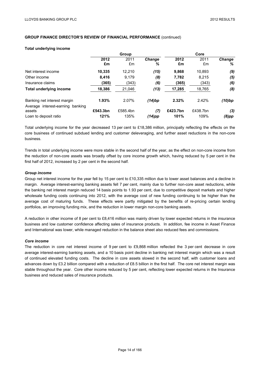#### **Total underlying income**

|                                                                    | Group      |            |                    | Core       |            |                    |
|--------------------------------------------------------------------|------------|------------|--------------------|------------|------------|--------------------|
|                                                                    | 2012<br>£m | 2011<br>£m | <b>Change</b><br>℅ | 2012<br>£m | 2011<br>£m | <b>Change</b><br>% |
| Net interest income                                                | 10,335     | 12,210     | (15)               | 9,868      | 10,893     | (9)                |
| Other income                                                       | 8,416      | 9,179      | (8)                | 7,782      | 8.215      | (5)                |
| Insurance claims                                                   | (365)      | (343)      | (6)                | (365)      | (343)      | (6)                |
| <b>Total underlying income</b>                                     | 18,386     | 21,046     | (13)               | 17,285     | 18,765     | (8)                |
| Banking net interest margin<br>Average interest-earning<br>banking | 1.93%      | 2.07%      | (14)bp             | 2.32%      | 2.42%      | (10)bp             |
| assets                                                             | £543.3bn   | £585.4bn   | (7)                | £423.7bn   | £438.7bn   | (3)                |
| Loan to deposit ratio                                              | 121%       | 135%       | (14)pp             | 101%       | 109%       | $(8)$ pp           |

Total underlying income for the year decreased 13 per cent to £18,386 million, principally reflecting the effects on the core business of continued subdued lending and customer deleveraging, and further asset reductions in the non-core business.

Trends in total underlying income were more stable in the second half of the year, as the effect on non-core income from the reduction of non-core assets was broadly offset by core income growth which, having reduced by 5 per cent in the first half of 2012, increased by 2 per cent in the second half.

#### *Group income*

Group net interest income for the year fell by 15 per cent to £10,335 million due to lower asset balances and a decline in margin. Average interest-earning banking assets fell 7 per cent, mainly due to further non-core asset reductions, while the banking net interest margin reduced 14 basis points to 1.93 per cent, due to competitive deposit markets and higher wholesale funding costs continuing into 2012, with the average cost of new funding continuing to be higher than the average cost of maturing funds. These effects were partly mitigated by the benefits of re-pricing certain lending portfolios, an improving funding mix, and the reduction in lower margin non-core banking assets.

A reduction in other income of 8 per cent to £8,416 million was mainly driven by lower expected returns in the insurance business and low customer confidence affecting sales of insurance products. In addition, fee income in Asset Finance and International was lower, while managed reduction in the balance sheet also reduced fees and commissions.

#### *Core income*

The reduction in core net interest income of 9 per cent to £9,868 million reflected the 3 per cent decrease in core average interest-earning banking assets, and a 10 basis point decline in banking net interest margin which was a result of continued elevated funding costs. The decline in core assets slowed in the second half, with customer loans and advances down by £3.2 billion compared with a reduction of £8.5 billion in the first half. The core net interest margin was stable throughout the year. Core other income reduced by 5 per cent, reflecting lower expected returns in the Insurance business and reduced sales of insurance products.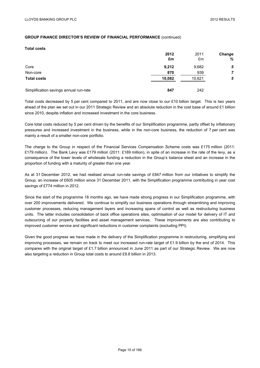#### **Total costs**

|                                        | 2012   | 2011   | <b>Change</b> |
|----------------------------------------|--------|--------|---------------|
|                                        | £m     | £m     | %             |
| Core                                   | 9,212  | 9,682  | 5             |
| Non-core                               | 870    | 939    | 7             |
| <b>Total costs</b>                     | 10,082 | 10,621 | 5             |
| Simplification savings annual run-rate | 847    | 242    |               |

Total costs decreased by 5 per cent compared to 2011, and are now close to our £10 billion target. This is two years ahead of the plan we set out in our 2011 Strategic Review and an absolute reduction in the cost base of around £1 billion since 2010, despite inflation and increased investment in the core business.

Core total costs reduced by 5 per cent driven by the benefits of our Simplification programme, partly offset by inflationary pressures and increased investment in the business, while in the non-core business, the reduction of 7 per cent was mainly a result of a smaller non-core portfolio.

The charge to the Group in respect of the Financial Services Compensation Scheme costs was £175 million (2011: £179 million). The Bank Levy was £179 million (2011: £189 million), in spite of an increase in the rate of the levy, as a consequence of the lower levels of wholesale funding a reduction in the Group's balance sheet and an increase in the proportion of funding with a maturity of greater than one year.

As at 31 December 2012, we had realised annual run-rate savings of £847 million from our initiatives to simplify the Group, an increase of £605 million since 31 December 2011, with the Simplification programme contributing in year cost savings of £774 million in 2012.

Since the start of the programme 18 months ago, we have made strong progress in our Simplification programme, with over 200 improvements delivered. We continue to simplify our business operations through streamlining and improving customer processes, reducing management layers and increasing spans of control as well as restructuring business units. The latter includes consolidation of back office operations sites, optimisation of our model for delivery of IT and outsourcing of our property facilities and asset management services. These improvements are also contributing to improved customer service and significant reductions in customer complaints (excluding PPI).

Given the good progress we have made in the delivery of the Simplification programme in restructuring, simplifying and improving processes, we remain on track to meet our increased run-rate target of £1.9 billion by the end of 2014. This compares with the original target of £1.7 billion announced in June 2011 as part of our Strategic Review. We are now also targeting a reduction in Group total costs to around £9.8 billion in 2013.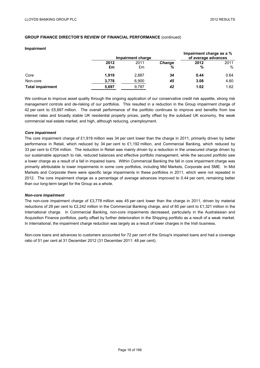#### **Impairment**

|                         |            | Impairment charge |                    | Impairment charge as a %<br>of average advances |              |
|-------------------------|------------|-------------------|--------------------|-------------------------------------------------|--------------|
|                         | 2012<br>£m | 2011<br>£m        | <b>Change</b><br>% | 2012<br>%                                       | 2011<br>$\%$ |
| Core                    | 1.919      | 2,887             | 34                 | 0.44                                            | 0.64         |
| Non-core                | 3,778      | 6,900             | 45                 | 3.08                                            | 4.60         |
| <b>Total impairment</b> | 5,697      | 9.787             | 42                 | 1.02                                            | 1.62         |

We continue to improve asset quality through the ongoing application of our conservative credit risk appetite, strong risk management controls and de-risking of our portfolios. This resulted in a reduction in the Group impairment charge of 42 per cent to £5,697 million. The overall performance of the portfolio continues to improve and benefits from low interest rates and broadly stable UK residential property prices, partly offset by the subdued UK economy, the weak commercial real estate market, and high, although reducing, unemployment.

## *Core impairment*

The core impairment charge of £1,919 million was 34 per cent lower than the charge in 2011, primarily driven by better performance in Retail, which reduced by 34 per cent to £1,192 million, and Commercial Banking, which reduced by 33 per cent to £704 million. The reduction in Retail was mainly driven by a reduction in the unsecured charge driven by our sustainable approach to risk, reduced balances and effective portfolio management, while the secured portfolio saw a lower charge as a result of a fall in impaired loans. Within Commercial Banking the fall in core impairment charge was primarily attributable to lower impairments in some core portfolios, including Mid Markets, Corporate and SME. In Mid Markets and Corporate there were specific large impairments in these portfolios in 2011, which were not repeated in 2012. The core impairment charge as a percentage of average advances improved to 0.44 per cent, remaining better than our long-term target for the Group as a whole.

#### *Non-core impairment*

The non-core impairment charge of £3,778 million was 45 per cent lower than the charge in 2011, driven by material reductions of 29 per cent to £2,242 million in the Commercial Banking charge, and of 60 per cent to £1,321 million in the International charge. In Commercial Banking, non-core impairments decreased, particularly in the Australasian and Acquisition Finance portfolios, partly offset by further deterioration in the Shipping portfolio as a result of a weak market. In International, the impairment charge reduction was largely as a result of lower charges in the Irish business.

Non-core loans and advances to customers accounted for 72 per cent of the Group's impaired loans and had a coverage ratio of 51 per cent at 31 December 2012 (31 December 2011: 48 per cent).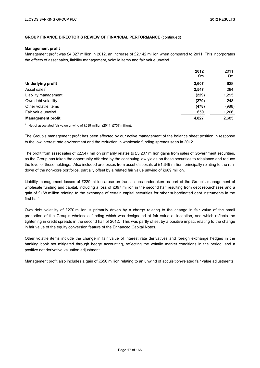#### **Management profit**

Management profit was £4,827 million in 2012, an increase of £2,142 million when compared to 2011. This incorporates the effects of asset sales, liability management, volatile items and fair value unwind.

|                          | 2012<br>£m | 2011<br>£m |
|--------------------------|------------|------------|
| <b>Underlying profit</b> | 2,607      | 638        |
| Asset sales <sup>1</sup> | 2,547      | 284        |
| Liability management     | (229)      | 1,295      |
| Own debt volatility      | (270)      | 248        |
| Other volatile items     | (478)      | (986)      |
| Fair value unwind        | 650        | 1,206      |
| <b>Management profit</b> | 4,827      | 2,685      |

<sup>1</sup> Net of associated fair value unwind of £689 million (2011: £737 million).

The Group's management profit has been affected by our active management of the balance sheet position in response to the low interest rate environment and the reduction in wholesale funding spreads seen in 2012.

The profit from asset sales of £2,547 million primarily relates to £3,207 million gains from sales of Government securities, as the Group has taken the opportunity afforded by the continuing low yields on these securities to rebalance and reduce the level of these holdings. Also included are losses from asset disposals of £1,349 million, principally relating to the rundown of the non-core portfolios, partially offset by a related fair value unwind of £689 million.

Liability management losses of £229 million arose on transactions undertaken as part of the Group's management of wholesale funding and capital, including a loss of £397 million in the second half resulting from debt repurchases and a gain of £168 million relating to the exchange of certain capital securities for other subordinated debt instruments in the first half.

Own debt volatility of £270 million is primarily driven by a charge relating to the change in fair value of the small proportion of the Group's wholesale funding which was designated at fair value at inception, and which reflects the tightening in credit spreads in the second half of 2012. This was partly offset by a positive impact relating to the change in fair value of the equity conversion feature of the Enhanced Capital Notes.

Other volatile items include the change in fair value of interest rate derivatives and foreign exchange hedges in the banking book not mitigated through hedge accounting, reflecting the volatile market conditions in the period, and a positive net derivative valuation adjustment.

Management profit also includes a gain of £650 million relating to an unwind of acquisition-related fair value adjustments.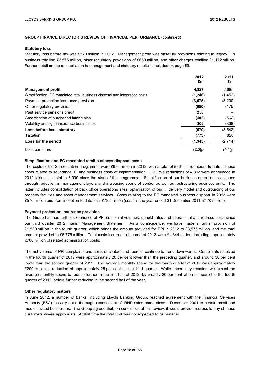#### **Statutory loss**

Statutory loss before tax was £570 million in 2012. Management profit was offset by provisions relating to legacy PPI business totalling £3,575 million, other regulatory provisions of £650 million, and other charges totalling £1,172 million. Further detail on the reconciliation to management and statutory results is included on page 59.

|                                                                            | 2012<br>£m | 2011<br>£m |
|----------------------------------------------------------------------------|------------|------------|
| <b>Management profit</b>                                                   | 4,827      | 2,685      |
| Simplification, EC mandated retail business disposal and integration costs | (1, 246)   | (1, 452)   |
| Payment protection insurance provision                                     | (3, 575)   | (3,200)    |
| Other regulatory provisions                                                | (650)      | (175)      |
| Past service pensions credit                                               | 250        |            |
| Amortisation of purchased intangibles                                      | (482)      | (562)      |
| Volatility arising in insurance businesses                                 | 306        | (838)      |
| Loss before tax - statutory                                                | (570)      | (3, 542)   |
| Taxation                                                                   | (773)      | 828        |
| Loss for the period                                                        | (1, 343)   | (2,714)    |
| Loss per share                                                             | $(2.0)$ p  | (4.1)p     |

# **Simplification and EC mandated retail business disposal costs**

The costs of the Simplification programme were £676 million in 2012, with a total of £861 million spent to date. These costs related to severance, IT and business costs of implementation. FTE role reductions of 4,892 were announced in 2012 taking the total to 6,990 since the start of the programme. Simplification of our business operations continues through reduction in management layers and increasing spans of control as well as restructuring business units. The latter includes consolidation of back office operations sites, optimisation of our IT delivery model and outsourcing of our property facilities and asset management services. Costs relating to the EC mandated business disposal in 2012 were £570 million and from inception to date total £782 million (costs in the year ended 31 December 2011: £170 million).

#### **Payment protection insurance provision**

The Group has had further experience of PPI complaint volumes, uphold rates and operational and redress costs since our third quarter 2012 Interim Management Statement. As a consequence, we have made a further provision of £1,500 million in the fourth quarter, which brings the amount provided for PPI in 2012 to £3,575 million, and the total amount provided to £6,775 million. Total costs incurred to the end of 2012 were £4,344 million, including approximately £700 million of related administration costs.

The net volume of PPI complaints and costs of contact and redress continue to trend downwards. Complaints received in the fourth quarter of 2012 were approximately 20 per cent lower than the preceding quarter, and around 30 per cent lower than the second quarter of 2012. The average monthly spend for the fourth quarter of 2012 was approximately £200 million, a reduction of approximately 25 per cent on the third quarter. While uncertainty remains, we expect the average monthly spend to reduce further in the first half of 2013, by broadly 20 per cent when compared to the fourth quarter of 2012, before further reducing in the second half of the year.

#### **Other regulatory matters**

In June 2012, a number of banks, including Lloyds Banking Group, reached agreement with the Financial Services Authority (FSA) to carry out a thorough assessment of IRHP sales made since 1 December 2001 to certain small and medium sized businesses. The Group agreed that, on conclusion of this review, it would provide redress to any of these customers where appropriate. At that time the total cost was not expected to be material.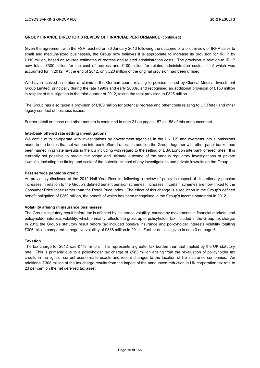Given the agreement with the FSA reached on 30 January 2013 following the outcome of a pilot review of IRHP sales to small and medium-sized businesses, the Group now believes it is appropriate to increase its provision for IRHP by £310 million, based on revised estimates of redress and related administration costs. The provision in relation to IRHP now totals £300 million for the cost of redress and £100 million for related administration costs, all of which was accounted for in 2012. At the end of 2012, only £20 million of the original provision had been utilised.

We have received a number of claims in the German courts relating to policies issued by Clerical Medical Investment Group Limited, principally during the late 1990s and early 2000s, and recognised an additional provision of £150 million in respect of this litigation in the third quarter of 2012, taking the total provision to £325 million.

The Group has also taken a provision of £100 million for potential redress and other costs relating to UK Retail and other legacy conduct of business issues.

Further detail on these and other matters is contained in note 21 on pages 157 to 158 of this announcement.

#### **Interbank offered rate setting investigations**

We continue to co-operate with investigations by government agencies in the UK, US and overseas into submissions made to the bodies that set various interbank offered rates. In addition the Group, together with other panel banks, has been named in private lawsuits in the US including with regard to the setting of BBA London interbank offered rates. It is currently not possible to predict the scope and ultimate outcome of the various regulatory investigations or private lawsuits, including the timing and scale of the potential impact of any investigations and private lawsuits on the Group.

#### **Past service pensions credit**

As previously disclosed at the 2012 Half-Year Results, following a review of policy in respect of discretionary pension increases in relation to the Group's defined benefit pension schemes, increases in certain schemes are now linked to the Consumer Price Index rather than the Retail Price Index. The effect of this change is a reduction in the Group's defined benefit obligation of £250 million, the benefit of which has been recognised in the Group's income statement in 2012.

#### **Volatility arising in insurance businesses**

The Group's statutory result before tax is affected by insurance volatility, caused by movements in financial markets, and policyholder interests volatility, which primarily reflects the gross up of policyholder tax included in the Group tax charge. In 2012 the Group's statutory result before tax included positive insurance and policyholder interests volatility totalling £306 million compared to negative volatility of £838 million in 2011. Further detail is given in note 3 on page 61.

## **Taxation**

The tax charge for 2012 was £773 million. This represents a greater tax burden than that implied by the UK statutory rate. This is primarily due to a policyholder tax charge of £583 million arising from the revaluation of policyholder tax credits in the light of current economic forecasts and recent changes to the taxation of life insurance companies. An additional £308 million of the tax charge results from the impact of the announced reduction in UK corporation tax rate to 23 per cent on the net deferred tax asset.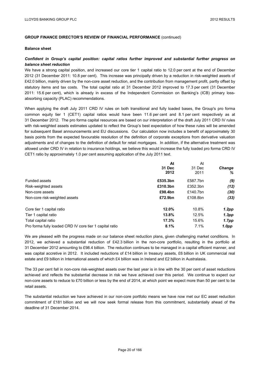#### **Balance sheet**

## *Confident in Group's capital position: capital ratios further improved and substantial further progress on balance sheet reduction*

We have a strong capital position, and increased our core tier 1 capital ratio to 12.0 per cent at the end of December 2012 (31 December 2011: 10.8 per cent). This increase was principally driven by a reduction in risk-weighted assets of £42.0 billion, mainly driven by the non-core asset reduction, and the contribution from management profit, partly offset by statutory items and tax costs. The total capital ratio at 31 December 2012 improved to 17.3 per cent (31 December 2011: 15.6 per cent), which is already in excess of the Independent Commission on Banking's (ICB) primary lossabsorbing capacity (PLAC) recommendations.

When applying the draft July 2011 CRD IV rules on both transitional and fully loaded bases, the Group's pro forma common equity tier 1 (CET1) capital ratios would have been 11.6 per cent and 8.1 per cent respectively as at 31 December 2012. The pro forma capital resources are based on our interpretation of the draft July 2011 CRD IV rules with risk-weighted assets estimates updated to reflect the Group's best expectation of how these rules will be amended for subsequent Basel announcements and EU discussions. Our calculation now includes a benefit of approximately 30 basis points from the expected favourable resolution of the definition of corporate exceptions from derivative valuation adjustments and of changes to the definition of default for retail mortgages. In addition, if the alternative treatment was allowed under CRD IV in relation to insurance holdings, we believe this would increase the fully loaded pro forma CRD IV CET1 ratio by approximately 1.0 per cent assuming application of the July 2011 text.

|                                                         | At       | At       |                   |
|---------------------------------------------------------|----------|----------|-------------------|
|                                                         | 31 Dec   | 31 Dec   | <b>Change</b>     |
|                                                         | 2012     | 2011     | ℅                 |
| <b>Funded assets</b>                                    | £535.3bn | £587.7bn | (9)               |
| Risk-weighted assets                                    | £310.3bn | £352.3bn | (12)              |
| Non-core assets                                         | £98.4bn  | £140.7bn | (30)              |
| Non-core risk-weighted assets                           | £72.9bn  | £108.8bn | (33)              |
| Core tier 1 capital ratio                               | 12.0%    | 10.8%    | $1.2$ pp          |
| Tier 1 capital ratio                                    | 13.8%    | 12.5%    | 1.3 <sub>pp</sub> |
| Total capital ratio                                     | 17.3%    | 15.6%    | 1.7 <sub>pp</sub> |
| Pro forma fully loaded CRD IV core tier 1 capital ratio | 8.1%     | 7.1%     | 1.0pp             |

We are pleased with the progress made on our balance sheet reduction plans, given challenging market conditions. In 2012, we achieved a substantial reduction of £42.3 billion in the non-core portfolio, resulting in the portfolio at 31 December 2012 amounting to £98.4 billion. The reduction continues to be managed in a capital efficient manner, and was capital accretive in 2012. It included reductions of £14 billion in treasury assets, £6 billion in UK commercial real estate and £9 billion in International assets of which £4 billion was in Ireland and £2 billion in Australasia.

The 33 per cent fall in non-core risk-weighted assets over the last year is in line with the 30 per cent of asset reductions achieved and reflects the substantial decrease in risk we have achieved over this period. We continue to expect our non-core assets to reduce to £70 billion or less by the end of 2014, at which point we expect more than 50 per cent to be retail assets.

The substantial reduction we have achieved in our non-core portfolio means we have now met our EC asset reduction commitment of £181 billion and we will now seek formal release from this commitment, substantially ahead of the deadline of 31 December 2014.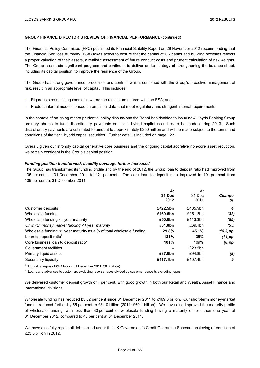The Financial Policy Committee (FPC) published its Financial Stability Report on 29 November 2012 recommending that the Financial Services Authority (FSA) takes action to ensure that the capital of UK banks and building societies reflects a proper valuation of their assets, a realistic assessment of future conduct costs and prudent calculation of risk weights. The Group has made significant progress and continues to deliver on its strategy of strengthening the balance sheet, including its capital position, to improve the resilience of the Group.

The Group has strong governance, processes and controls which, combined with the Group's proactive management of risk, result in an appropriate level of capital. This includes:

- Rigorous stress testing exercises where the results are shared with the FSA; and
- Prudent internal models, based on empirical data, that meet regulatory and stringent internal requirements

In the context of on-going macro prudential policy discussions the Board has decided to issue new Lloyds Banking Group ordinary shares to fund discretionary payments on tier 1 hybrid capital securities to be made during 2013. Such discretionary payments are estimated to amount to approximately £350 million and will be made subject to the terms and conditions of the tier 1 hybrid capital securities. Further detail is included on page 122.

Overall, given our strongly capital generative core business and the ongoing capital accretive non-core asset reduction, we remain confident in the Group's capital position.

#### *Funding position transformed; liquidity coverage further increased*

The Group has transformed its funding profile and by the end of 2012, the Group loan to deposit ratio had improved from 135 per cent at 31 December 2011 to 121 per cent. The core loan to deposit ratio improved to 101 per cent from 109 per cent at 31 December 2011.

|                                                                      | At       | At       |               |
|----------------------------------------------------------------------|----------|----------|---------------|
|                                                                      | 31 Dec   | 31 Dec   | <b>Change</b> |
|                                                                      | 2012     | 2011     | ℅             |
| Customer deposits <sup>1</sup>                                       | £422.5bn | £405.9bn | 4             |
| Wholesale funding                                                    | £169.6bn | £251.2bn | (32)          |
| Wholesale funding <1 year maturity                                   | £50.6bn  | £113.3bn | (55)          |
| Of which money market funding <1 year maturity                       | £31.0bn  | £69.1bn  | (55)          |
| Wholesale funding <1 year maturity as a % of total wholesale funding | 29.8%    | 45.1%    | $(15.3)$ pp   |
| Loan to deposit ratio $2$                                            | 121%     | 135%     | (14)pp        |
| Core business loan to deposit ratio <sup>2</sup>                     | 101%     | 109%     | $(8)$ pp      |
| Government facilities                                                |          | £23.5bn  |               |
| Primary liquid assets                                                | £87.6bn  | £94.8bn  | (8)           |
| Secondary liquidity                                                  | £117.1bn | £107.4bn | 9             |

<sup>1</sup> Excluding repos of £4.4 billion (31 December 2011: £8.0 billion).

<sup>2</sup> Loans and advances to customers excluding reverse repos divided by customer deposits excluding repos.

We delivered customer deposit growth of 4 per cent, with good growth in both our Retail and Wealth, Asset Finance and International divisions.

Wholesale funding has reduced by 32 per cent since 31 December 2011 to £169.6 billion. Our short-term money-market funding reduced further by 55 per cent to £31.0 billion (2011: £69.1 billion). We have also improved the maturity profile of wholesale funding, with less than 30 per cent of wholesale funding having a maturity of less than one year at 31 December 2012, compared to 45 per cent at 31 December 2011.

We have also fully repaid all debt issued under the UK Government's Credit Guarantee Scheme, achieving a reduction of £23.5 billion in 2012.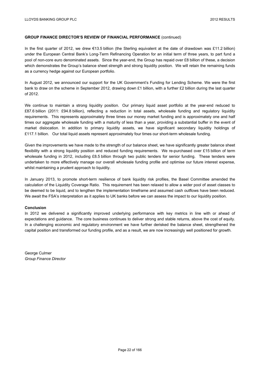In the first quarter of 2012, we drew €13.5 billion (the Sterling equivalent at the date of drawdown was £11.2 billion) under the European Central Bank's Long-Term Refinancing Operation for an initial term of three years, to part fund a pool of non-core euro denominated assets. Since the year-end, the Group has repaid over £8 billion of these, a decision which demonstrates the Group's balance sheet strength and strong liquidity position. We will retain the remaining funds as a currency hedge against our European portfolio.

In August 2012, we announced our support for the UK Government's Funding for Lending Scheme. We were the first bank to draw on the scheme in September 2012, drawing down £1 billion, with a further £2 billion during the last quarter of 2012.

We continue to maintain a strong liquidity position. Our primary liquid asset portfolio at the year-end reduced to £87.6 billion (2011: £94.8 billion), reflecting a reduction in total assets, wholesale funding and regulatory liquidity requirements. This represents approximately three times our money market funding and is approximately one and half times our aggregate wholesale funding with a maturity of less than a year, providing a substantial buffer in the event of market dislocation. In addition to primary liquidity assets, we have significant secondary liquidity holdings of £117.1 billion. Our total liquid assets represent approximately four times our short-term wholesale funding.

Given the improvements we have made to the strength of our balance sheet, we have significantly greater balance sheet flexibility with a strong liquidity position and reduced funding requirements. We re-purchased over £15 billion of term wholesale funding in 2012, including £8.5 billion through two public tenders for senior funding. These tenders were undertaken to more effectively manage our overall wholesale funding profile and optimise our future interest expense, whilst maintaining a prudent approach to liquidity.

In January 2013, to promote short-term resilience of bank liquidity risk profiles, the Basel Committee amended the calculation of the Liquidity Coverage Ratio. This requirement has been relaxed to allow a wider pool of asset classes to be deemed to be liquid, and to lengthen the implementation timeframe and assumed cash outflows have been reduced. We await the FSA's interpretation as it applies to UK banks before we can assess the impact to our liquidity position.

#### **Conclusion**

In 2012 we delivered a significantly improved underlying performance with key metrics in line with or ahead of expectations and guidance. The core business continues to deliver strong and stable returns, above the cost of equity. In a challenging economic and regulatory environment we have further derisked the balance sheet, strengthened the capital position and transformed our funding profile, and as a result, we are now increasingly well positioned for growth.

George Culmer *Group Finance Director*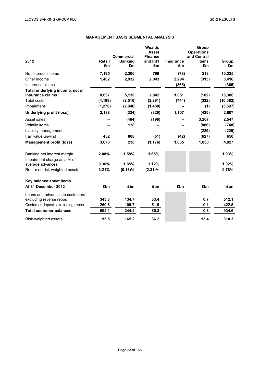# **MANAGEMENT BASIS SEGMENTAL ANALYSIS**

| 2012                                                       | <b>Retail</b><br>£m | <b>Commercial</b><br><b>Banking</b><br>£m | Wealth,<br><b>Asset</b><br><b>Finance</b><br>and Int'l<br>£m | <b>Insurance</b><br>£m | Group<br><b>Operations</b><br>and Central<br>items<br>£m | Group<br>£m |
|------------------------------------------------------------|---------------------|-------------------------------------------|--------------------------------------------------------------|------------------------|----------------------------------------------------------|-------------|
| Net interest income                                        | 7,195               | 2,206                                     | 799                                                          | (78)                   | 213                                                      | 10,335      |
| Other income                                               | 1,462               | 2,932                                     | 2,043                                                        | 2,294                  | (315)                                                    | 8,416       |
| Insurance claims                                           |                     |                                           |                                                              | (365)                  |                                                          | (365)       |
| Total underlying income, net of<br>insurance claims        | 8,657               | 5,138                                     | 2,842                                                        | 1,851                  | (102)                                                    | 18,386      |
| <b>Total costs</b>                                         | (4, 199)            | (2, 516)                                  | (2, 291)                                                     | (744)                  | (332)                                                    | (10, 082)   |
| Impairment                                                 | (1,270)             | (2,946)                                   | (1,480)                                                      |                        | (1)                                                      | (5,697)     |
| <b>Underlying profit (loss)</b>                            | 3,188               | (324)                                     | (929)                                                        | 1,107                  | (435)                                                    | 2,607       |
| Asset sales                                                |                     | (464)                                     | (196)                                                        |                        | 3,207                                                    | 2,547       |
| Volatile items                                             |                     | 138                                       |                                                              |                        | (886)                                                    | (748)       |
| Liability management                                       |                     |                                           |                                                              |                        | (229)                                                    | (229)       |
| Fair value unwind                                          | 482                 | 888                                       | (51)                                                         | (42)                   | (627)                                                    | 650         |
| <b>Management profit (loss)</b>                            | 3,670               | 238                                       | (1, 176)                                                     | 1,065                  | 1,030                                                    | 4,827       |
| Banking net interest margin<br>Impairment charge as a % of | 2.08%               | 1.58%                                     | 1.65%                                                        |                        |                                                          | 1.93%       |
| average advances                                           | 0.36%               | 1.85%                                     | 3.12%                                                        |                        |                                                          | 1.02%       |
| Return on risk-weighted assets                             | 3.21%               | $(0.18)\%$                                | $(2.31)\%$                                                   |                        |                                                          | 0.78%       |
| Key balance sheet items                                    |                     |                                           |                                                              |                        |                                                          |             |
| At 31 December 2012                                        | £bn                 | £bn                                       | £bn                                                          | £bn                    | £bn                                                      | £bn         |
| Loans and advances to customers<br>excluding reverse repos | 343.3               | 134.7                                     | 33.4                                                         |                        | 0.7                                                      | 512.1       |
| Customer deposits excluding repos                          | 260.8               | 109.7                                     | 51.9                                                         |                        | 0.1                                                      | 422.5       |
| <b>Total customer balances</b>                             | 604.1               | 244.4                                     | 85.3                                                         |                        | 0.8                                                      | 934.6       |
| Risk-weighted assets                                       | 95.5                | 165.2                                     | 36.2                                                         |                        | 13.4                                                     | 310.3       |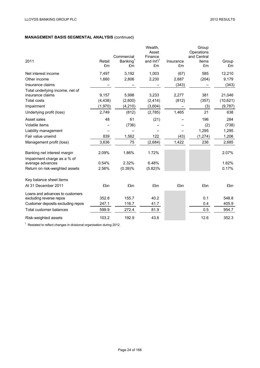# **MANAGEMENT BASIS SEGMENTAL ANALYSIS** (continued)

| 2011                                                         | Retail<br>£m   | Commercial<br>Banking <sup>1</sup><br>£m | Wealth,<br>Asset<br>Finance<br>and Int'l <sup>1</sup><br>£m | Insurance<br>£m | Group<br>Operations<br>and Central<br>items<br>£m | Group<br>£m    |
|--------------------------------------------------------------|----------------|------------------------------------------|-------------------------------------------------------------|-----------------|---------------------------------------------------|----------------|
| Net interest income                                          | 7,497          | 3,192                                    | 1,003                                                       | (67)            | 585                                               | 12,210         |
| Other income                                                 | 1,660          | 2,806                                    | 2,230                                                       | 2,687           | (204)                                             | 9,179          |
| Insurance claims                                             |                |                                          |                                                             | (343)           |                                                   | (343)          |
| Total underlying income, net of<br>insurance claims          | 9,157          | 5,998                                    | 3,233                                                       | 2,277           | 381                                               | 21,046         |
| <b>Total costs</b>                                           | (4, 438)       | (2,600)                                  | (2, 414)                                                    | (812)           | (357)                                             | (10,621)       |
| Impairment                                                   | (1,970)        | (4, 210)                                 | (3,604)                                                     |                 | (3)                                               | (9,787)        |
| Underlying profit (loss)                                     | 2,749          | (812)                                    | (2,785)                                                     | 1,465           | 21                                                | 638            |
| Asset sales                                                  | 48             | 61                                       | (21)                                                        |                 | 196                                               | 284            |
| Volatile items                                               |                | (736)                                    |                                                             |                 | (2)                                               | (738)          |
| Liability management                                         |                |                                          |                                                             |                 | 1,295                                             | 1,295          |
| Fair value unwind                                            | 839            | 1,562                                    | 122                                                         | (43)            | (1, 274)                                          | 1,206          |
| Management profit (loss)                                     | 3,636          | 75                                       | (2,684)                                                     | 1,422           | 236                                               | 2,685          |
| Banking net interest margin<br>Impairment charge as a % of   | 2.09%          | 1.86%                                    | 1.72%                                                       |                 |                                                   | 2.07%          |
| average advances                                             | 0.54%          | 2.32%                                    | 6.48%                                                       |                 |                                                   | 1.62%          |
| Return on risk-weighted assets                               | 2.56%          | (0.39)%                                  | (5.82)%                                                     |                 |                                                   | 0.17%          |
| Key balance sheet items                                      |                |                                          |                                                             |                 |                                                   |                |
| At 31 December 2011                                          | £bn            | £bn                                      | £bn                                                         | £bn             | £bn                                               | £bn            |
| Loans and advances to customers                              |                |                                          |                                                             |                 |                                                   |                |
| excluding reverse repos<br>Customer deposits excluding repos | 352.8<br>247.1 | 155.7<br>116.7                           | 40.2<br>41.7                                                |                 | 0.1<br>0.4                                        | 548.8<br>405.9 |
| Total customer balances                                      | 599.9          | 272.4                                    | 81.9                                                        |                 | 0.5                                               | 954.7          |
|                                                              |                |                                          |                                                             |                 |                                                   |                |
| Risk-weighted assets                                         | 103.2          | 192.9                                    | 43.6                                                        |                 | 12.6                                              | 352.3          |

<sup>1</sup> Restated to reflect changes in divisional organisation during 2012.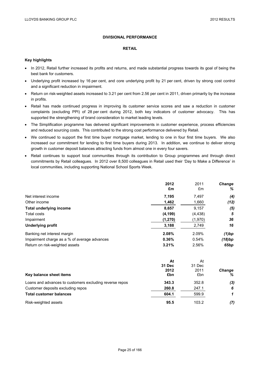## **DIVISIONAL PERFORMANCE**

#### **RETAIL**

## **Key highlights**

- In 2012, Retail further increased its profits and returns, and made substantial progress towards its goal of being the best bank for customers.
- Underlying profit increased by 16 per cent, and core underlying profit by 21 per cent, driven by strong cost control and a significant reduction in impairment.
- Return on risk-weighted assets increased to 3.21 per cent from 2.56 per cent in 2011, driven primarily by the increase in profits.
- Retail has made continued progress in improving its customer service scores and saw a reduction in customer complaints (excluding PPI) of 28 per cent during 2012, both key indicators of customer advocacy. This has supported the strengthening of brand consideration to market leading levels.
- The Simplification programme has delivered significant improvements in customer experience, process efficiencies and reduced sourcing costs. This contributed to the strong cost performance delivered by Retail.
- We continued to support the first time buyer mortgage market, lending to one in four first time buyers. We also increased our commitment for lending to first time buyers during 2013. In addition, we continue to deliver strong growth in customer deposit balances attracting funds from almost one in every four savers.
- Retail continues to support local communities through its contribution to Group programmes and through direct commitments by Retail colleagues. In 2012 over 8,500 colleagues in Retail used their 'Day to Make a Difference' in local communities, including supporting National School Sports Week.

|                                                         | 2012          | 2011     | <b>Change</b> |
|---------------------------------------------------------|---------------|----------|---------------|
|                                                         | £m            | £m       | ℅             |
| Net interest income                                     | 7,195         | 7,497    | (4)           |
| Other income                                            | 1,462         | 1,660    | (12)          |
| <b>Total underlying income</b>                          | 8,657         | 9,157    | (5)           |
| Total costs                                             | (4, 199)      | (4, 438) | 5             |
| Impairment                                              | (1, 270)      | (1,970)  | 36            |
| <b>Underlying profit</b>                                | 3,188         | 2,749    | 16            |
| Banking net interest margin                             | 2.08%         | 2.09%    | $(1)$ bp      |
| Impairment charge as a % of average advances            | 0.36%         | 0.54%    | (18)bp        |
| Return on risk-weighted assets                          | 3.21%         | 2.56%    | 65bp          |
|                                                         | At            | At       |               |
|                                                         | <b>31 Dec</b> | 31 Dec   |               |
|                                                         | 2012          | 2011     | <b>Change</b> |
| Key balance sheet items                                 | £bn           | £bn      | ℅             |
| Loans and advances to customers excluding reverse repos | 343.3         | 352.8    | (3)           |
| Customer deposits excluding repos                       | 260.8         | 247.1    | 6             |
| <b>Total customer balances</b>                          | 604.1         | 599.9    | 1             |
| Risk-weighted assets                                    | 95.5          | 103.2    | (7)           |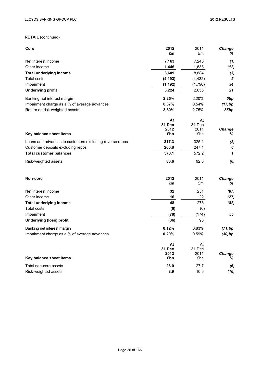# **RETAIL** (continued)

| Core                                                    | 2012        | 2011        | Change          |
|---------------------------------------------------------|-------------|-------------|-----------------|
|                                                         | £m          | £m          | ℅               |
| Net interest income                                     | 7,163       | 7,246       | (1)             |
| Other income                                            | 1,446       | 1,638       | (12)            |
| <b>Total underlying income</b>                          | 8,609       | 8,884       | (3)             |
| <b>Total costs</b>                                      | (4, 193)    | (4, 432)    | $\sqrt{5}$      |
| Impairment                                              | (1, 192)    | (1,796)     | 34              |
| <b>Underlying profit</b>                                | 3,224       | 2,656       | 21              |
| Banking net interest margin                             | 2.25%       | 2.20%       | 5 <sub>bp</sub> |
| Impairment charge as a % of average advances            | 0.37%       | 0.54%       | (17)bp          |
| Return on risk-weighted assets                          | 3.60%       | 2.75%       | 85bp            |
|                                                         | At          | At          |                 |
|                                                         | 31 Dec      | 31 Dec      |                 |
| Key balance sheet items                                 | 2012<br>£bn | 2011<br>£bn | Change<br>$\%$  |
|                                                         |             |             |                 |
| Loans and advances to customers excluding reverse repos | 317.3       | 325.1       | (2)             |
| Customer deposits excluding repos                       | 260.8       | 247.1       | 6               |
| <b>Total customer balances</b>                          | 578.1       | 572.2       | 1               |
| Risk-weighted assets                                    | 86.6        | 92.6        | (6)             |
| Non-core                                                | 2012        | 2011        | <b>Change</b>   |
|                                                         | £m          | £m          | ℅               |
| Net interest income                                     | 32          | 251         | (87)            |
| Other income                                            | 16          | 22          | (27)            |
| <b>Total underlying income</b>                          | 48          | 273         | (82)            |
| <b>Total costs</b>                                      | (6)         | (6)         |                 |
| Impairment                                              | (78)        | (174)       | 55              |
| <b>Underlying (loss) profit</b>                         | (36)        | 93          |                 |
| Banking net interest margin                             | 0.12%       | 0.83%       | (71)bp          |
| Impairment charge as a % of average advances            | 0.29%       | 0.59%       | (30)bp          |
|                                                         | At          | At          |                 |
|                                                         | 31 Dec      | 31 Dec      |                 |
| Key balance sheet items                                 | 2012<br>£bn | 2011<br>£bn | Change<br>%     |
|                                                         |             |             |                 |
| Total non-core assets                                   | 26.0        | 27.7        | (6)             |
| Risk-weighted assets                                    | 8.9         | 10.6        | (16)            |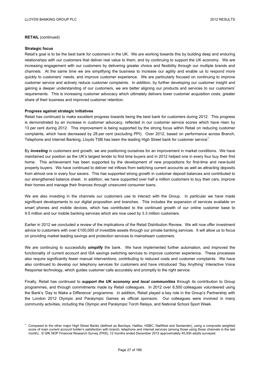#### **RETAIL** (continued)

#### **Strategic focus**

Retail's goal is to be the best bank for customers in the UK. We are working towards this by building deep and enduring relationships with our customers that deliver real value to them, and by continuing to support the UK economy. We are increasing engagement with our customers by delivering greater choice and flexibility through our multiple brands and channels. At the same time we are simplifying the business to increase our agility and enable us to respond more quickly to customers' needs, and improve customer experience. We are particularly focused on continuing to improve customer service and actively reduce customer complaints. In addition, by further developing our customer insight and gaining a deeper understanding of our customers, we are better aligning our products and services to our customers' requirements. This is increasing customer advocacy which ultimately delivers lower customer acquisition costs, greater share of their business and improved customer retention.

#### **Progress against strategic initiatives**

Retail has continued to make excellent progress towards being the best bank for customers during 2012. This progress is demonstrated by an increase in customer advocacy, reflected in our customer service scores which have risen by 13 per cent during 2012. This improvement is being supported by the strong focus within Retail on reducing customer complaints, which have decreased by 28 per cent (excluding PPI). Over 2012, based on performance across Branch, Telephone and Internet Banking, Lloyds TSB has been the leading High Street bank for customer service<sup>1</sup>.

By *investing* in customers and growth, we are positioning ourselves for an improvement in market conditions. We have maintained our position as the UK's largest lender to first time buyers and in 2012 helped one in every four buy their first home. This achievement has been supported by the development of new propositions for first-time and new-build property buyers. We have continued to deliver net inflows from switching current accounts as well as attracting deposits from almost one in every four savers. This has supported strong growth in customer deposit balances and contributed to our strengthened balance sheet. In addition, we have supported over half a million customers to buy their cars, improve their homes and manage their finances through unsecured consumer loans.

We are also investing in the channels our customers use to interact with the Group. In particular we have made significant developments to our digital proposition and branches. This includes the expansion of services available on smart phones and mobile devices, which has contributed to the continued growth of our online customer base to 9.5 million and our mobile banking services which are now used by 3.3 million customers.

Earlier in 2012 we concluded a review of the implications of the Retail Distribution Review. We will now offer investment advice to customers with over £100,000 of investible assets through our private banking services. It will allow us to focus on providing market leading savings and protection services to mainstream customers.

We are continuing to successfully *simplify* the bank. We have implemented further automation, and improved the functionality of current account and ISA savings switching services to improve customer experience. These processes also require significantly fewer manual interventions, contributing to reduced costs and customer complaints. We have also continued to develop our telephony services for customers and have introduced 'Say Anything' Interactive Voice Response technology, which guides customer calls accurately and promptly to the right service.

Finally, Retail has continued to *support the UK economy and local communities* through its contribution to Group programmes, and through commitments made by Retail colleagues. In 2012 over 8,500 colleagues volunteered using the Bank's 'Day to Make a Difference' programme. In addition, Retail played a key role in the Group's Partnership with the London 2012 Olympic and Paralympic Games as official sponsors. Our colleagues were involved in many community activities, including the Olympic and Paralympic Torch Relays, and National School Sport Week.

<sup>&</sup>lt;sup>1</sup> Compared to the other major High Street Banks (defined as Barclays, Halifax, HSBC, NatWest and Santander), using a composite weighted score of main current account holder's satisfaction with branch, telephone and internet services (among those using those channels in the last month). © GfK NOP Financial Research Survey (FRS), 12 months ended December 2012 approximately 45,000 adults surveyed.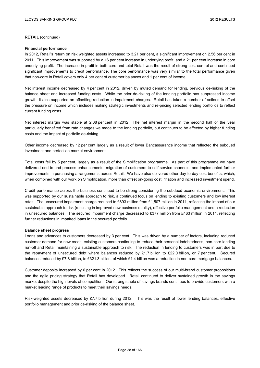#### **RETAIL** (continued)

#### **Financial performance**

In 2012, Retail's return on risk weighted assets increased to 3.21 per cent, a significant improvement on 2.56 per cent in 2011. This improvement was supported by a 16 per cent increase in underlying profit, and a 21 per cent increase in core underlying profit. The increase in profit in both core and total Retail was the result of strong cost control and continued significant improvements to credit performance. The core performance was very similar to the total performance given that non-core in Retail covers only 4 per cent of customer balances and 1 per cent of income.

Net interest income decreased by 4 per cent in 2012, driven by muted demand for lending, previous de-risking of the balance sheet and increased funding costs. While the prior de-risking of the lending portfolio has suppressed income growth, it also supported an offsetting reduction in impairment charges. Retail has taken a number of actions to offset the pressure on income which includes making strategic investments and re-pricing selected lending portfolios to reflect current funding costs.

Net interest margin was stable at 2.08 per cent in 2012. The net interest margin in the second half of the year particularly benefited from rate changes we made to the lending portfolio, but continues to be affected by higher funding costs and the impact of portfolio de-risking.

Other income decreased by 12 per cent largely as a result of lower Bancassurance income that reflected the subdued investment and protection market environment.

Total costs fell by 5 per cent, largely as a result of the Simplification programme. As part of this programme we have delivered end-to-end process enhancements, migration of customers to self-service channels, and implemented further improvements in purchasing arrangements across Retail. We have also delivered other day-to-day cost benefits, which, when combined with our work on Simplification, more than offset on-going cost inflation and increased investment spend.

Credit performance across the business continued to be strong considering the subdued economic environment. This was supported by our sustainable approach to risk, a continued focus on lending to existing customers and low interest rates. The unsecured impairment charge reduced to £893 million from £1,507 million in 2011, reflecting the impact of our sustainable approach to risk (resulting in improved new business quality), effective portfolio management and a reduction in unsecured balances. The secured impairment charge decreased to £377 million from £463 million in 2011, reflecting further reductions in impaired loans in the secured portfolio.

#### **Balance sheet progress**

Loans and advances to customers decreased by 3 per cent. This was driven by a number of factors, including reduced customer demand for new credit, existing customers continuing to reduce their personal indebtedness, non-core lending run-off and Retail maintaining a sustainable approach to risk. The reduction in lending to customers was in part due to the repayment of unsecured debt where balances reduced by £1.7 billion to £22.0 billion, or 7 per cent. Secured balances reduced by £7.8 billion, to £321.3 billion, of which £1.4 billion was a reduction in non-core mortgage balances.

Customer deposits increased by 6 per cent in 2012. This reflects the success of our multi-brand customer propositions and the agile pricing strategy that Retail has developed. Retail continued to deliver sustained growth in the savings market despite the high levels of competition. Our strong stable of savings brands continues to provide customers with a market leading range of products to meet their savings needs.

Risk-weighted assets decreased by £7.7 billion during 2012. This was the result of lower lending balances, effective portfolio management and prior de-risking of the balance sheet.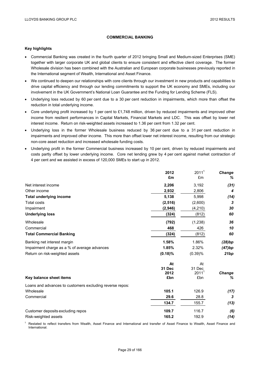## **COMMERCIAL BANKING**

#### **Key highlights**

- Commercial Banking was created in the fourth quarter of 2012 bringing Small and Medium-sized Enterprises (SME) together with larger corporate UK and global clients to ensure consistent and effective client coverage. The former Wholesale division has been combined with the Australian and European corporate businesses previously reported in the International segment of Wealth, International and Asset Finance.
- We continued to deepen our relationships with core clients through our investment in new products and capabilities to drive capital efficiency and through our lending commitments to support the UK economy and SMEs, including our involvement in the UK Government's National Loan Guarantee and the Funding for Lending Scheme (FLS).
- Underlying loss reduced by 60 per cent due to a 30 per cent reduction in impairments, which more than offset the reduction in total underlying income.
- Core underlying profit increased by 1 per cent to £1,748 million, driven by reduced impairments and improved other income from resilient performances in Capital Markets, Financial Markets and LDC. This was offset by lower net interest income. Return on risk-weighted assets increased to 1.36 per cent from 1.32 per cent.
- Underlying loss in the former Wholesale business reduced by 36 per cent due to a 31 per cent reduction in impairments and improved other income. This more than offset lower net interest income, resulting from our strategic non-core asset reduction and increased wholesale funding costs.
- Underlying profit in the former Commercial business increased by 10 per cent, driven by reduced impairments and costs partly offset by lower underlying income. Core net lending grew by 4 per cent against market contraction of 4 per cent and we assisted in excess of 120,000 SMEs to start up in 2012.

|                                                          | 2012           | $2011^1$                    | Change |
|----------------------------------------------------------|----------------|-----------------------------|--------|
|                                                          | £m             | £m                          | %      |
| Net interest income                                      | 2,206          | 3,192                       | (31)   |
| Other income                                             | 2,932          | 2,806                       | 4      |
| <b>Total underlying income</b>                           | 5,138          | 5,998                       | (14)   |
| Total costs                                              | (2,516)        | (2,600)                     | 3      |
| Impairment                                               | (2,946)        | (4, 210)                    | 30     |
| <b>Underlying loss</b>                                   | (324)          | (812)                       | 60     |
| Wholesale                                                | (792)          | (1,238)                     | 36     |
| Commercial                                               | 468            | 426                         | 10     |
| <b>Total Commercial Banking</b>                          | (324)          | (812)                       | 60     |
| Banking net interest margin                              | 1.58%          | 1.86%                       | (28)bp |
| Impairment charge as a % of average advances             | 1.85%          | 2.32%                       | (47)bp |
| Return on risk-weighted assets                           | $(0.18)\%$     | (0.39)%                     | 21bp   |
|                                                          | At             | At                          |        |
|                                                          | 31 Dec<br>2012 | 31 Dec<br>2011 <sup>1</sup> | Change |
| Key balance sheet items                                  | £bn            | £bn                         | %      |
| Loans and advances to customers excluding reverse repos: |                |                             |        |
| Wholesale                                                | 105.1          | 126.9                       | (17)   |
| Commercial                                               | 29.6           | 28.8                        | 3      |
|                                                          | 134.7          | 155.7                       | (13)   |
| Customer deposits excluding repos                        | 109.7          | 116.7                       | (6)    |
| Risk-weighted assets                                     | 165.2          | 192.9                       | (14)   |

 $<sup>1</sup>$  Restated to reflect transfers from Wealth, Asset Finance and International and transfer of Asset Finance to Wealth, Asset Finance and</sup> International.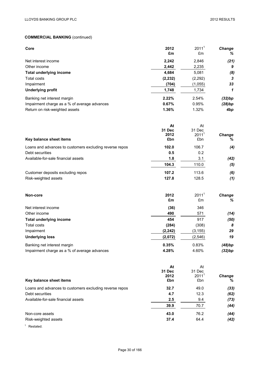| Core                                                    | 2012<br>£m     | 2011 <sup>1</sup><br>£m | <b>Change</b><br>% |
|---------------------------------------------------------|----------------|-------------------------|--------------------|
| Net interest income                                     |                | 2,846                   |                    |
| Other income                                            | 2,242<br>2,442 | 2,235                   | (21)<br>9          |
| <b>Total underlying income</b>                          | 4,684          | 5,081                   |                    |
| Total costs                                             | (2, 232)       | (2,292)                 | (8)<br>3           |
| Impairment                                              | (704)          | (1,055)                 | 33                 |
| <b>Underlying profit</b>                                | 1,748          | 1,734                   | 1                  |
| Banking net interest margin                             | 2.22%          | 2.54%                   | (32)bp             |
| Impairment charge as a % of average advances            | 0.67%          | 0.95%                   | (28)bp             |
| Return on risk-weighted assets                          | 1.36%          | 1.32%                   | 4bp                |
|                                                         | At             | At                      |                    |
|                                                         | 31 Dec         | 31 Dec                  |                    |
|                                                         | 2012           | 2011 <sup>1</sup>       | <b>Change</b>      |
| Key balance sheet items                                 | £bn            | £bn                     | %                  |
| Loans and advances to customers excluding reverse repos | 102.0          | 106.7                   | (4)                |
| Debt securities                                         | 0.5            | 0.2                     |                    |
| Available-for-sale financial assets                     | 1.8            | 3.1                     | (42)               |
|                                                         | 104.3          | 110.0                   | (5)                |
| Customer deposits excluding repos                       | 107.2          | 113.6                   | (6)                |
| Risk-weighted assets                                    | 127.8          | 128.5                   | (1)                |
| Non-core                                                | 2012           | 2011 <sup>1</sup>       | Change             |
|                                                         | £m             | £m                      | %                  |
| Net interest income                                     | (36)           | 346                     |                    |
| Other income                                            | 490            | 571                     | (14)               |
| <b>Total underlying income</b>                          | 454            | 917                     | (50)               |
| Total costs                                             | (284)          | (308)                   | 8                  |
| Impairment                                              | (2, 242)       | (3, 155)                | 29                 |
| <b>Underlying loss</b>                                  | (2,072)        | (2, 546)                | 19                 |
| Banking net interest margin                             | 0.35%          | 0.83%                   | (48)bp             |
| Impairment charge as a % of average advances            | 4.28%          | 4.60%                   | (32)bp             |
|                                                         | At             | At                      |                    |
|                                                         | 31 Dec         | 31 Dec                  |                    |

| Key balance sheet items                                 | 2012<br>£bn | 2011<br>£bn | <b>Change</b><br>% |
|---------------------------------------------------------|-------------|-------------|--------------------|
| Loans and advances to customers excluding reverse repos | 32.7        | 49.0        | (33)               |
| Debt securities                                         | 4.7         | 12.3        | (62)               |
| Available-for-sale financial assets                     | 2.5         | 9.4         | (73)               |
|                                                         | 39.9        | 70.7        | (44)               |
| Non-core assets                                         | 43.0        | 76.2        | (44)               |
| Risk-weighted assets                                    | 37.4        | 64.4        | (42)               |
| $\mathbf{A}$ and $\mathbf{A}$                           |             |             |                    |

<sup>1</sup> Restated.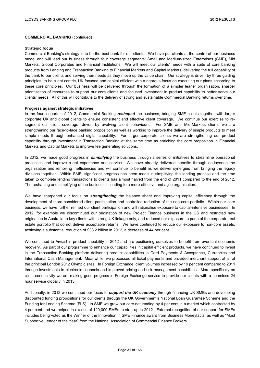#### **Strategic focus**

Commercial Banking's strategy is to be the best bank for our clients. We have put clients at the centre of our business model and will lead our business through four coverage segments: Small and Medium-sized Enterprises (SME), Mid Markets, Global Corporates and Financial Institutions. We will meet our clients' needs with a suite of core banking products from Lending and Transaction Banking to Financial Markets and Capital Markets, delivering the full capability of the bank to our clients and serving their needs as they move up the value chain. Our strategy is driven by three guiding principles; to be client centric, UK focused and capital efficient with a rigorous focus on executing our plans according to these core principles. Our business will be delivered through the formation of a simpler leaner organisation, sharper prioritisation of resources to support our core clients and focused investment in product capability to better serve our clients' needs. All of this will contribute to the delivery of strong and sustainable Commercial Banking returns over time.

#### **Progress against strategic initiatives**

In the fourth quarter of 2012, Commercial Banking *reshaped* the business, bringing SME clients together with larger corporate UK and global clients to ensure consistent and effective client coverage. We continue our exercise to resegment our client coverage, driven by evolving client behaviours. For SME and Mid-Markets clients we are strengthening our face-to-face banking proposition as well as working to improve the delivery of simple products to meet simple needs through enhanced digital capability. For larger corporate clients we are strengthening our product capability through investment in Transaction Banking at the same time as enriching the core proposition in Financial Markets and Capital Markets to improve fee generating solutions.

In 2012, we made good progress in *simplifying* the business through a series of initiatives to streamline operational processes and improve client experience and service. We have already delivered benefits through de-layering the organisation and removing inefficiencies and will continue to benefit as we deliver synergies from bringing the legacy divisions together. Within SME, significant progress has been made in simplifying the lending process and the time taken to complete lending transactions to clients has almost halved from the end of 2011 compared to the end of 2012. The reshaping and simplifying of the business is leading to a more effective and agile organisation.

We have sharpened our focus on *strengthening* the balance sheet and improving capital efficiency through the development of more considered client participation and controlled reduction of the non-core portfolio. Within our core business, we have further refined our client participation and will rationalise exposure to capital-intensive businesses. In 2012, for example we discontinued our origination of new Project Finance business in the US and restricted new origination in Australia to key clients with strong UK linkage only, and reduced our exposure to parts of the corporate real estate portfolio that do not deliver acceptable returns. We have continued to reduce our exposure to non-core assets, achieving a substantial reduction of £33.2 billion in 2012, a decrease of 44 per cent.

We continued to *invest* in product capability in 2012 and are positioning ourselves to benefit from eventual economic recovery. As part of our programme to enhance our capabilities in capital efficient products, we have continued to invest in the Transaction Banking platform delivering product capabilities in Card Payments & Acceptance, Currencies and International Cash Management. Meanwhile, we processed all ticket payments and provided merchant support at all of the principal London 2012 Olympic sites. In Foreign Exchange, client volumes increased by 19 per cent compared to 2011 through investments in electronic channels and improved pricing and risk management capabilities. More specifically on client connectivity we are making good progress in Foreign Exchange service to provide our clients with a seamless 24 hour service globally in 2013.

Additionally, in 2012 we continued our focus to *support the UK economy* through financing UK SMEs and developing discounted funding propositions for our clients through the UK Government's National Loan Guarantee Scheme and the Funding for Lending Scheme (FLS). In SME we grew our core net lending by 4 per cent in a market which contracted by 4 per cent and we helped in excess of 120,000 SMEs to start up in 2012. External recognition of our support for SMEs includes being voted as the Winner of the Innovation in SME Finance award from Business Moneyfacts, as well as "Most Supportive Lender of the Year" from the National Association of Commercial Finance Brokers.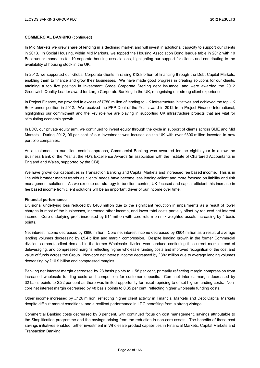In Mid Markets we grew share of lending in a declining market and will invest in additional capacity to support our clients in 2013. In Social Housing, within Mid Markets, we topped the Housing Association Bond league table in 2012 with 10 Bookrunner mandates for 10 separate housing associations, highlighting our support for clients and contributing to the availability of housing stock in the UK.

In 2012, we supported our Global Corporate clients in raising £12.8 billion of financing through the Debt Capital Markets, enabling them to finance and grow their businesses. We have made good progress in creating solutions for our clients, attaining a top five position in Investment Grade Corporate Sterling debt issuance, and were awarded the 2012 Greenwich Quality Leader award for Large Corporate Banking in the UK, recognising our strong client experience.

In Project Finance, we provided in excess of £750 million of lending to UK infrastructure initiatives and achieved the top UK Bookrunner position in 2012. We received the PPP Deal of the Year award in 2012 from Project Finance International, highlighting our commitment and the key role we are playing in supporting UK infrastructure projects that are vital for stimulating economic growth.

In LDC, our private equity arm, we continued to invest equity through the cycle in support of clients across SME and Mid Markets. During 2012, 96 per cent of our investment was focused on the UK with over £300 million invested in new portfolio companies.

As a testament to our client-centric approach, Commercial Banking was awarded for the eighth year in a row the Business Bank of the Year at the FD's Excellence Awards (in association with the Institute of Chartered Accountants in England and Wales, supported by the CBI).

We have grown our capabilities in Transaction Banking and Capital Markets and increased fee based income. This is in line with broader market trends as clients' needs have become less lending-reliant and more focused on liability and risk management solutions. As we execute our strategy to be client centric, UK focused and capital efficient this increase in fee based income from client solutions will be an important driver of our income over time.

#### **Financial performance**

Divisional underlying loss reduced by £488 million due to the significant reduction in impairments as a result of lower charges in most of the businesses, increased other income, and lower total costs partially offset by reduced net interest income. Core underlying profit increased by £14 million with core return on risk-weighted assets increasing by 4 basis points.

Net interest income decreased by £986 million. Core net interest income decreased by £604 million as a result of average lending volumes decreasing by £5.4 billion and margin compression. Despite lending growth in the former Commercial division, corporate client demand in the former Wholesale division was subdued continuing the current market trend of deleveraging, and compressed margins reflecting higher wholesale funding costs and improved recognition of the cost and value of funds across the Group. Non-core net interest income decreased by £382 million due to average lending volumes decreasing by £16.9 billion and compressed margins.

Banking net interest margin decreased by 28 basis points to 1.58 per cent, primarily reflecting margin compression from increased wholesale funding costs and competition for customer deposits. Core net interest margin decreased by 32 basis points to 2.22 per cent as there was limited opportunity for asset repricing to offset higher funding costs. Noncore net interest margin decreased by 48 basis points to 0.35 per cent, reflecting higher wholesale funding costs.

Other income increased by £126 million, reflecting higher client activity in Financial Markets and Debt Capital Markets despite difficult market conditions, and a resilient performance in LDC benefiting from a strong vintage.

Commercial Banking costs decreased by 3 per cent, with continued focus on cost management, savings attributable to the Simplification programme and the savings arising from the reduction in non-core assets. The benefits of these cost savings initiatives enabled further investment in Wholesale product capabilities in Financial Markets, Capital Markets and Transaction Banking.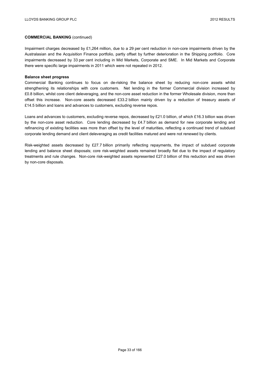Impairment charges decreased by £1,264 million, due to a 29 per cent reduction in non-core impairments driven by the Australasian and the Acquisition Finance portfolio, partly offset by further deterioration in the Shipping portfolio. Core impairments decreased by 33 per cent including in Mid Markets, Corporate and SME. In Mid Markets and Corporate there were specific large impairments in 2011 which were not repeated in 2012.

#### **Balance sheet progress**

Commercial Banking continues to focus on de-risking the balance sheet by reducing non-core assets whilst strengthening its relationships with core customers. Net lending in the former Commercial division increased by £0.8 billion, whilst core client deleveraging, and the non-core asset reduction in the former Wholesale division, more than offset this increase. Non-core assets decreased £33.2 billion mainly driven by a reduction of treasury assets of £14.5 billion and loans and advances to customers, excluding reverse repos.

Loans and advances to customers, excluding reverse repos, decreased by £21.0 billion, of which £16.3 billion was driven by the non-core asset reduction. Core lending decreased by £4.7 billion as demand for new corporate lending and refinancing of existing facilities was more than offset by the level of maturities, reflecting a continued trend of subdued corporate lending demand and client deleveraging as credit facilities matured and were not renewed by clients.

Risk-weighted assets decreased by £27.7 billion primarily reflecting repayments, the impact of subdued corporate lending and balance sheet disposals; core risk-weighted assets remained broadly flat due to the impact of regulatory treatments and rule changes. Non-core risk-weighted assets represented £27.0 billion of this reduction and was driven by non-core disposals.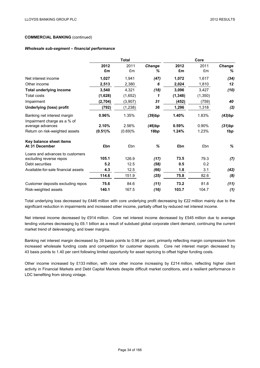## **COMMERCIAL BANKING** (continued)

### *Wholesale sub-segment* **–** *financial performance*

|                                                 | <b>Total</b> |            |             | Core       |            |                    |
|-------------------------------------------------|--------------|------------|-------------|------------|------------|--------------------|
|                                                 | 2012<br>£m   | 2011<br>£m | Change<br>℅ | 2012<br>£m | 2011<br>£m | <b>Change</b><br>℅ |
| Net interest income                             | 1,027        | 1,941      | (47)        | 1,072      | 1,617      | (34)               |
| Other income                                    | 2,513        | 2,380      | 6           | 2,024      | 1,810      | 12                 |
| <b>Total underlying income</b>                  | 3,540        | 4,321      | (18)        | 3,096      | 3,427      | (10)               |
| <b>Total costs</b>                              | (1,628)      | (1,652)    | 1           | (1, 348)   | (1,350)    |                    |
| Impairment                                      | (2,704)      | (3,907)    | 31          | (452)      | (759)      | 40                 |
| <b>Underlying (loss) profit</b>                 | (792)        | (1, 238)   | 36          | 1,296      | 1,318      | (2)                |
| Banking net interest margin                     | 0.96%        | 1.35%      | (39)bp      | 1.40%      | 1.83%      | (43)bp             |
| Impairment charge as a % of<br>average advances | 2.10%        | 2.56%      | (46)bp      | 0.59%      | 0.90%      | (31)bp             |
| Return on risk-weighted assets                  | $(0.51)\%$   | (0.69)%    | 18bp        | 1.24%      | 1.23%      | 1bp                |
| Key balance sheet items<br>At 31 December       | £bn          | £bn        | $\%$        | £bn        | £bn        | %                  |
| Loans and advances to customers                 |              |            |             |            |            |                    |
| excluding reverse repos                         | 105.1        | 126.9      | (17)        | 73.5       | 79.3       | (7)                |
| Debt securities                                 | 5.2          | 12.5       | (58)        | 0.5        | 0.2        |                    |
| Available-for-sale financial assets             | 4.3          | 12.5       | (66)        | 1.8        | 3.1        | (42)               |
|                                                 | 114.6        | 151.9      | (25)        | 75.8       | 82.6       | (8)                |
| Customer deposits excluding repos               | 75.6         | 84.6       | (11)        | 73.2       | 81.8       | (11)               |
| Risk-weighted assets                            | 140.1        | 167.5      | (16)        | 103.7      | 104.7      | (1)                |

Total underlying loss decreased by £446 million with core underlying profit decreasing by £22 million mainly due to the significant reduction in impairments and increased other income, partially offset by reduced net interest income.

Net interest income decreased by £914 million. Core net interest income decreased by £545 million due to average lending volumes decreasing by £6.1 billion as a result of subdued global corporate client demand, continuing the current market trend of deleveraging, and lower margins.

Banking net interest margin decreased by 39 basis points to 0.96 per cent, primarily reflecting margin compression from increased wholesale funding costs and competition for customer deposits. Core net interest margin decreased by 43 basis points to 1.40 per cent following limited opportunity for asset repricing to offset higher funding costs.

Other income increased by £133 million, with core other income increasing by £214 million, reflecting higher client activity in Financial Markets and Debt Capital Markets despite difficult market conditions, and a resilient performance in LDC benefiting from strong vintage.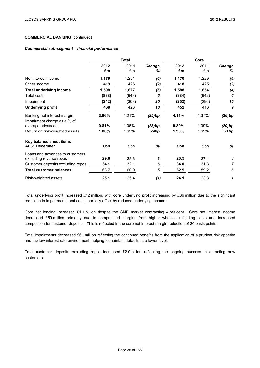## **COMMERCIAL BANKING** (continued)

### *Commercial sub-segment* **–** *financial performance*

|                                                            | <b>Total</b> |            |             | Core       |            |                |  |
|------------------------------------------------------------|--------------|------------|-------------|------------|------------|----------------|--|
|                                                            | 2012<br>£m   | 2011<br>£m | Change<br>℅ | 2012<br>£m | 2011<br>£m | Change<br>%    |  |
| Net interest income                                        | 1,179        | 1,251      | (6)         | 1,170      | 1,229      | (5)            |  |
| Other income                                               | 419          | 426        | (2)         | 418        | 425        | (2)            |  |
| <b>Total underlying income</b>                             | 1,598        | 1,677      | (5)         | 1,588      | 1,654      | (4)            |  |
| <b>Total costs</b>                                         | (888)        | (948)      | 6           | (884)      | (942)      | 6              |  |
| Impairment                                                 | (242)        | (303)      | 20          | (252)      | (296)      | 15             |  |
| <b>Underlying profit</b>                                   | 468          | 426        | 10          | 452        | 416        | 9              |  |
| Banking net interest margin<br>Impairment charge as a % of | 3.96%        | 4.21%      | (25)bp      | 4.11%      | 4.37%      | (26)bp         |  |
| average advances                                           | 0.81%        | 1.06%      | (25)bp      | 0.89%      | 1.09%      | (20)bp         |  |
| Return on risk-weighted assets                             | 1.86%        | 1.62%      | 24bp        | 1.90%      | 1.69%      | 21bp           |  |
| Key balance sheet items<br>At 31 December                  | £bn          | £bn        | ℅           | £bn        | £bn        | %              |  |
| Loans and advances to customers                            |              |            |             |            |            |                |  |
| excluding reverse repos                                    | 29.6         | 28.8       | 3           | 28.5       | 27.4       | 4              |  |
| Customer deposits excluding repos                          | 34.1         | 32.1       | 6           | 34.0       | 31.8       | $\overline{7}$ |  |
| <b>Total customer balances</b>                             | 63.7         | 60.9       | 5           | 62.5       | 59.2       | 6              |  |
| Risk-weighted assets                                       | 25.1         | 25.4       | (1)         | 24.1       | 23.8       | 1              |  |

Total underlying profit increased £42 million, with core underlying profit increasing by £36 million due to the significant reduction in impairments and costs, partially offset by reduced underlying income.

Core net lending increased £1.1 billion despite the SME market contracting 4 per cent. Core net interest income decreased £59 million primarily due to compressed margins from higher wholesale funding costs and increased competition for customer deposits. This is reflected in the core net interest margin reduction of 26 basis points.

Total impairments decreased £61 million reflecting the continued benefits from the application of a prudent risk appetite and the low interest rate environment, helping to maintain defaults at a lower level.

Total customer deposits excluding repos increased £2.0 billion reflecting the ongoing success in attracting new customers.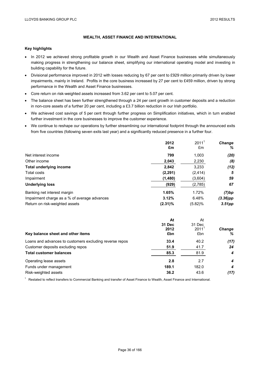## **WEALTH, ASSET FINANCE AND INTERNATIONAL**

### **Key highlights**

- In 2012 we achieved strong profitable growth in our Wealth and Asset Finance businesses while simultaneously making progress in strengthening our balance sheet, simplifying our international operating model and investing in building capability for the future.
- Divisional performance improved in 2012 with losses reducing by 67 per cent to £929 million primarily driven by lower impairments, mainly in Ireland. Profits in the core business increased by 27 per cent to £459 million, driven by strong performance in the Wealth and Asset Finance businesses.
- Core return on risk-weighted assets increased from 3.62 per cent to 5.07 per cent.
- The balance sheet has been further strengthened through a 24 per cent growth in customer deposits and a reduction in non-core assets of a further 20 per cent, including a £3.7 billion reduction in our Irish portfolio.
- We achieved cost savings of 5 per cent through further progress on Simplification initiatives, which in turn enabled further investment in the core businesses to improve the customer experience.
- We continue to reshape our operations by further streamlining our international footprint through the announced exits from five countries (following seven exits last year) and a significantly reduced presence in a further four.

|                                              | 2012       | $2011^1$   | <b>Change</b> |
|----------------------------------------------|------------|------------|---------------|
|                                              | £m         | £m         | %             |
| Net interest income                          | 799        | 1,003      | (20)          |
| Other income                                 | 2,043      | 2,230      | (8)           |
| <b>Total underlying income</b>               | 2,842      | 3,233      | (12)          |
| Total costs                                  | (2, 291)   | (2, 414)   | 5             |
| Impairment                                   | (1,480)    | (3,604)    | 59            |
| <b>Underlying loss</b>                       | (929)      | (2,785)    | 67            |
| Banking net interest margin                  | 1.65%      | 1.72%      | (7)bp         |
| Impairment charge as a % of average advances | 3.12%      | 6.48%      | (3.36)pp      |
| Return on risk-weighted assets               | $(2.31)\%$ | $(5.82)\%$ | $3.51$ pp     |

| Key balance sheet and other items                       | At<br>31 Dec<br>2012<br>£bn | At<br>31 Dec<br>$2011^1$<br>£bn | <b>Change</b><br>% |
|---------------------------------------------------------|-----------------------------|---------------------------------|--------------------|
| Loans and advances to customers excluding reverse repos | 33.4                        | 40.2                            | (17)               |
| Customer deposits excluding repos                       | 51.9                        | 41.7                            | 24                 |
| <b>Total customer balances</b>                          | 85.3                        | 81.9                            | 4                  |
| Operating lease assets                                  | 2.8                         | 2.7                             | 4                  |
| Funds under management                                  | 189.1                       | 182.0                           | 4                  |
| Risk-weighted assets                                    | 36.2                        | 43.6                            | (17)               |

<sup>1</sup> Restated to reflect transfers to Commercial Banking and transfer of Asset Finance to Wealth, Asset Finance and International.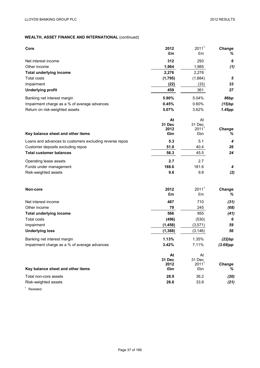| Core                                                    | 2012          | 2011 <sup>1</sup>        | Change             |
|---------------------------------------------------------|---------------|--------------------------|--------------------|
|                                                         | £m            | £m                       | %                  |
| Net interest income                                     | 312           | 293                      | 6                  |
| Other income                                            | 1,964         | 1,985                    | (1)                |
| <b>Total underlying income</b>                          | 2,276         | 2,278                    |                    |
| Total costs                                             | (1,795)       | (1,884)                  | 5                  |
| Impairment                                              | (22)          | (33)                     | 33                 |
| <b>Underlying profit</b>                                | 459           | 361                      | 27                 |
| Banking net interest margin                             | 5.90%         | 5.04%                    | 86bp               |
| Impairment charge as a % of average advances            | 0.45%         | 0.60%                    | (15)bp             |
| Return on risk-weighted assets                          | 5.07%         | 3.62%                    | 1.45pp             |
|                                                         | At            | At                       |                    |
|                                                         | <b>31 Dec</b> | 31 Dec                   |                    |
| Key balance sheet and other items                       | 2012<br>£bn   | $2011^1$<br>£bn          | Change<br>%        |
| Loans and advances to customers excluding reverse repos | 5.3           | 5.1                      | 4                  |
| Customer deposits excluding repos                       | 51.0          | 40.4                     | 26                 |
| <b>Total customer balances</b>                          | 56.3          | 45.5                     | 24                 |
| Operating lease assets                                  | 2.7           | 2.7                      |                    |
| Funds under management                                  | 188.6         | 181.6                    | 4                  |
| Risk-weighted assets                                    | 9.6           | 9.8                      | (2)                |
|                                                         |               |                          |                    |
| Non-core                                                | 2012          | 2011 <sup>1</sup>        | Change             |
|                                                         | £m            | £m                       | %                  |
| Net interest income                                     | 487           | 710                      | (31)               |
| Other income                                            | 79            | 245                      | (68)               |
| <b>Total underlying income</b>                          | 566           | 955                      | (41)               |
| <b>Total costs</b>                                      | (496)         | (530)                    | 6                  |
| Impairment                                              | (1, 458)      | (3,571)                  | 59                 |
| <b>Underlying loss</b>                                  | (1, 388)      | (3, 146)                 | 56                 |
| Banking net interest margin                             | 1.13%         | 1.35%                    | (22)bp             |
| Impairment charge as a % of average advances            | 3.42%         | 7.11%                    | $(3.69)$ pp        |
|                                                         | At            | At                       |                    |
|                                                         | 31 Dec        | 31 Dec                   |                    |
| Key balance sheet and other items                       | 2012<br>£bn   | 2011 <sup>1</sup><br>£bn | <b>Change</b><br>% |
|                                                         |               |                          |                    |
| Total non-core assets                                   | 28.9          | 36.2                     | (20)               |
| Risk-weighted assets                                    | 26.6          | 33.8                     | (21)               |
| $\mathbf{1}$<br>Restated.                               |               |                          |                    |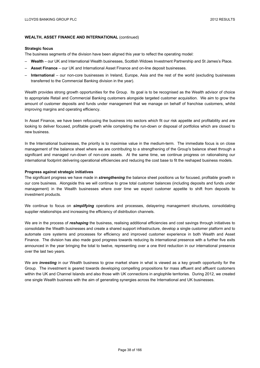#### **Strategic focus**

The business segments of the division have been aligned this year to reflect the operating model:

- **Wealth**  our UK and International Wealth businesses, Scottish Widows Investment Partnership and St James's Place.
- **Asset Finance**  our UK and International Asset Finance and on-line deposit businesses.
- **International**  our non-core businesses in Ireland, Europe, Asia and the rest of the world (excluding businesses transferred to the Commercial Banking division in the year).

Wealth provides strong growth opportunities for the Group. Its goal is to be recognised as the Wealth advisor of choice to appropriate Retail and Commercial Banking customers alongside targeted customer acquisition. We aim to grow the amount of customer deposits and funds under management that we manage on behalf of franchise customers, whilst improving margins and operating efficiency.

In Asset Finance, we have been refocusing the business into sectors which fit our risk appetite and profitability and are looking to deliver focused, profitable growth while completing the run-down or disposal of portfolios which are closed to new business.

In the International businesses, the priority is to maximise value in the medium-term. The immediate focus is on close management of the balance sheet where we are contributing to a strengthening of the Group's balance sheet through a significant and managed run-down of non-core assets. At the same time, we continue progress on rationalising our international footprint delivering operational efficiencies and reducing the cost base to fit the reshaped business models.

#### **Progress against strategic initiatives**

The significant progress we have made in *strengthening* the balance sheet positions us for focused, profitable growth in our core business. Alongside this we will continue to grow total customer balances (including deposits and funds under management) in the Wealth businesses where over time we expect customer appetite to shift from deposits to investment products.

We continue to focus on *simplifying* operations and processes, delayering management structures, consolidating supplier relationships and increasing the efficiency of distribution channels.

We are in the process of *reshaping* the business, realising additional efficiencies and cost savings through initiatives to consolidate the Wealth businesses and create a shared support infrastructure, develop a single customer platform and to automate core systems and processes for efficiency and improved customer experience in both Wealth and Asset Finance. The division has also made good progress towards reducing its international presence with a further five exits announced in the year bringing the total to twelve, representing over a one third reduction in our international presence over the last two years.

We are *investing* in our Wealth business to grow market share in what is viewed as a key growth opportunity for the Group. The investment is geared towards developing compelling propositions for mass affluent and affluent customers within the UK and Channel Islands and also those with UK connections in anglophile territories. During 2012, we created one single Wealth business with the aim of generating synergies across the International and UK businesses.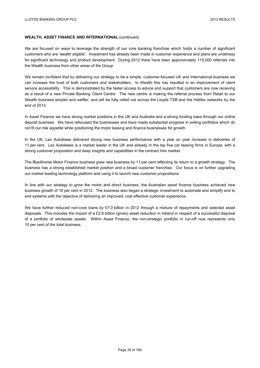We are focused on ways to leverage the strength of our core banking franchise which holds a number of significant customers who are 'wealth eligible'. Investment has already been made in customer experience and plans are underway for significant technology and product development. During 2012 there have been approximately 115,000 referrals into the Wealth business from other areas of the Group.

We remain confident that by delivering our strategy to be a simple, customer-focused UK and International business we can increase the trust of both customers and stakeholders. In Wealth this has resulted in an improvement of client service accessibility. This is demonstrated by the faster access to advice and support that customers are now receiving as a result of a new Private Banking Client Centre. The new centre is making the referral process from Retail to our Wealth business simpler and swifter, and will be fully rolled out across the Lloyds TSB and the Halifax networks by the end of 2013.

In Asset Finance we have strong market positions in the UK and Australia and a strong funding base through our online deposit business. We have refocused the businesses and have made substantial progress in exiting portfolios which do not fit our risk appetite while positioning the motor leasing and finance businesses for growth.

In the UK, Lex Autolease delivered strong new business performance with a year on year increase in deliveries of 11 per cent. Lex Autolease is a market leader in the UK and already in the top five car leasing firms in Europe, with a strong customer proposition and deep insights and capabilities in the contract hire market.

The Blackhorse Motor Finance business grew new business by 11 per cent reflecting its return to a growth strategy. The business has a strong established market position and a broad customer franchise. Our focus is on further upgrading our market leading technology platform and using it to launch new customer propositions.

In line with our strategy to grow the motor and direct business, the Australian asset finance business achieved new business growth of 16 per cent in 2012. The business also began a strategic investment to automate and simplify end to end systems with the objective of delivering an improved, cost effective customer experience.

We have further reduced non-core loans by £7.0 billion in 2012 through a mixture of repayments and selected asset disposals. This includes the impact of a £2.6 billion (gross) asset reduction in Ireland in respect of a successful disposal of a portfolio of wholesale assets. Within Asset Finance, the non-strategic portfolio in run-off now represents only 10 per cent of the total business.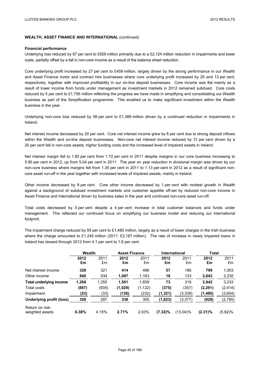#### **Financial performance**

Underlying loss reduced by 67 per cent to £929 million primarily due to a £2,124 million reduction in impairments and lower costs, partially offset by a fall in non-core income as a result of the balance sheet reduction.

Core underlying profit increased by 27 per cent to £459 million, largely driven by the strong performance in our Wealth and Asset Finance motor and contract hire businesses where core underlying profit increased by 25 and 13 per cent, respectively, together with improved profitability in our on-line deposit businesses. Core income was flat mainly as a result of lower income from funds under management as investment markets in 2012 remained subdued. Core costs reduced by 5 per cent to £1,795 million reflecting the progress we have made in simplifying and consolidating our Wealth business as part of the Simplification programme. This enabled us to make significant investment within the Wealth business in the year.

Underlying non-core loss reduced by 56 per cent to £1,388 million driven by a continued reduction in impairments in Ireland.

Net interest income decreased by 20 per cent. Core net interest income grew by 6 per cent due to strong deposit inflows within the Wealth and on-line deposit businesses. Non-core net interest income reduced by 31 per cent driven by a 20 per cent fall in non-core assets, higher funding costs and the increased level of impaired assets in Ireland.

Net interest margin fell to 1.65 per cent from 1.72 per cent in 2011 despite margins in our core business increasing to 5.90 per cent in 2012, up from 5.04 per cent in 2011. The year on year reduction in divisional margin was driven by our non-core business where margins fell from 1.35 per cent in 2011 to 1.13 per cent in 2012 as a result of significant noncore asset run-off in the year together with increased levels of impaired assets, mainly in Ireland.

Other income decreased by 8 per cent. Core other income decreased by 1 per cent with modest growth in Wealth against a background of subdued investment markets and customer appetite off-set by reduced non-core income in Asset Finance and International driven by business sales in the year and continued non-core asset run-off.

Total costs decreased by 5 per cent despite a 4 per cent increase in total customer balances and funds under management. This reflected our continued focus on simplifying our business model and reducing our international footprint.

The impairment charge reduced by 59 per cent to £1,480 million, largely as a result of lower charges in the Irish business where the charge amounted to £1,245 million (2011: £3,187 million). The rate of increase in newly impaired loans in Ireland has slowed through 2012 from 4.1 per cent to 1.6 per cent.

|                                    | Wealth     |            | <b>Asset Finance</b> |            | International |            | <b>Total</b> |            |
|------------------------------------|------------|------------|----------------------|------------|---------------|------------|--------------|------------|
|                                    | 2012<br>£m | 2011<br>£m | 2012<br>£m           | 2011<br>£m | 2012<br>£m    | 2011<br>£m | 2012<br>£m   | 2011<br>£m |
| Net interest income                | 328        | 321        | 414                  | 496        | 57            | 186        | 799          | 1,003      |
| Other income                       | 940        | 934        | 1,087                | 1,163      | 16            | 133        | 2,043        | 2,230      |
| <b>Total underlying income</b>     | 1,268      | 1,255      | 1,501                | 1,659      | 73            | 319        | 2,842        | 3,233      |
| Total costs                        | (887)      | (935)      | (1,029)              | (1, 122)   | (375)         | (357)      | (2, 291)     | (2, 414)   |
| Impairment                         | (23)       | (33)       | (136)                | (232)      | (1, 321)      | (3, 339)   | (1,480)      | (3,604)    |
| Underlying profit (loss)           | 358        | 287        | 336                  | 305        | (1,623)       | (3, 377)   | (929)        | (2,785)    |
| Return on risk-<br>weighted assets | 6.38%      | 4.15%      | 2.71%                | 2.03%      | $(7.32)\%$    | (13.04)%   | $(2.31)\%$   | $(5.82)\%$ |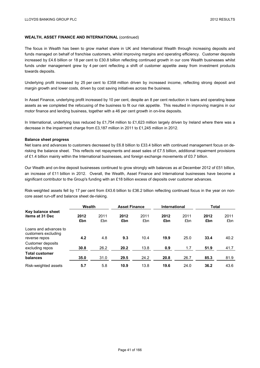The focus in Wealth has been to grow market share in UK and International Wealth through increasing deposits and funds managed on behalf of franchise customers, whilst improving margins and operating efficiency. Customer deposits increased by £4.6 billion or 18 per cent to £30.8 billion reflecting continued growth in our core Wealth businesses whilst funds under management grew by 4 per cent reflecting a shift of customer appetite away from investment products towards deposits.

Underlying profit increased by 25 per cent to £358 million driven by increased income, reflecting strong deposit and margin growth and lower costs, driven by cost saving initiatives across the business.

In Asset Finance, underlying profit increased by 10 per cent, despite an 8 per cent reduction in loans and operating lease assets as we completed the refocusing of the business to fit our risk appetite. This resulted in improving margins in our motor finance and lending business, together with a 46 per cent growth in on-line deposits.

In International, underlying loss reduced by £1,754 million to £1,623 million largely driven by Ireland where there was a decrease in the impairment charge from £3,187 million in 2011 to £1,245 million in 2012.

#### **Balance sheet progress**

Net loans and advances to customers decreased by £6.8 billion to £33.4 billion with continued management focus on derisking the balance sheet. This reflects net repayments and asset sales of £7.5 billion, additional impairment provisions of £1.4 billion mainly within the International businesses, and foreign exchange movements of £0.7 billion.

Our Wealth and on-line deposit businesses continued to grow strongly with balances as at December 2012 of £51 billion, an increase of £11 billion in 2012. Overall, the Wealth, Asset Finance and International businesses have become a significant contributor to the Group's funding with an £18 billion excess of deposits over customer advances.

Risk-weighted assets fell by 17 per cent from £43.6 billion to £36.2 billion reflecting continued focus in the year on noncore asset run-off and balance sheet de-risking.

|                                                               | Wealth      |             | <b>Asset Finance</b> |             | <b>International</b> |             | Total       |             |
|---------------------------------------------------------------|-------------|-------------|----------------------|-------------|----------------------|-------------|-------------|-------------|
| Key balance sheet<br>items at 31 Dec                          | 2012<br>£bn | 2011<br>£bn | 2012<br>£bn          | 2011<br>£bn | 2012<br>£bn          | 2011<br>£bn | 2012<br>£bn | 2011<br>£bn |
| Loans and advances to<br>customers excluding<br>reverse repos | 4.2         | 4.8         | 9.3                  | 10.4        | 19.9                 | 25.0        | 33.4        | 40.2        |
| Customer deposits<br>excluding repos                          | 30.8        | 26.2        | 20.2                 | 13.8        | 0.9                  | 1.7         | 51.9        | 41.7        |
| <b>Total customer</b><br>balances                             | 35.0        | 31.0        | 29.5                 | 24.2        | 20.8                 | 26.7        | 85.3        | 81.9        |
| Risk-weighted assets                                          | 5.7         | 5.8         | 10.9                 | 13.8        | 19.6                 | 24.0        | 36.2        | 43.6        |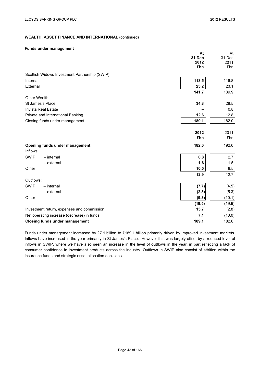## **WEALTH, ASSET FINANCE AND INTERNATIONAL** (continued)

## **Funds under management**

|                                               | At     | At     |
|-----------------------------------------------|--------|--------|
|                                               | 31 Dec | 31 Dec |
|                                               | 2012   | 2011   |
|                                               | £bn    | £bn    |
| Scottish Widows Investment Partnership (SWIP) |        |        |
| Internal                                      | 118.5  | 116.8  |
| External                                      | 23.2   | 23.1   |
|                                               | 141.7  | 139.9  |
| Other Wealth:                                 |        |        |
| St James's Place                              | 34.8   | 28.5   |
| <b>Invista Real Estate</b>                    |        | 0.8    |
| Private and International Banking             | 12.6   | 12.8   |
| Closing funds under management                | 189.1  | 182.0  |
|                                               |        |        |
|                                               | 2012   | 2011   |
|                                               | £bn    | £bn    |
| Opening funds under management                | 182.0  | 192.0  |
| Inflows:                                      |        |        |
| <b>SWIP</b><br>$-$ internal                   | 0.8    | 2.7    |
| $-$ external                                  | 1.6    | 1.5    |
| Other                                         | 10.5   | 8.5    |
|                                               | 12.9   | 12.7   |
| Outflows:                                     |        |        |
| <b>SWIP</b><br>$-$ internal                   | (7.7)  | (4.5)  |
| - external                                    | (2.5)  | (5.3)  |
| Other                                         | (9.3)  | (10.1) |
|                                               | (19.5) | (19.9) |
| Investment return, expenses and commission    | 13.7   | (2.8)  |
| Net operating increase (decrease) in funds    | 7.1    | (10.0) |
| <b>Closing funds under management</b>         | 189.1  | 182.0  |

Funds under management increased by £7.1 billion to £189.1 billion primarily driven by improved investment markets. Inflows have increased in the year primarily in St James's Place. However this was largely offset by a reduced level of inflows in SWIP, where we have also seen an increase in the level of outflows in the year, in part reflecting a lack of consumer confidence in investment products across the industry. Outflows in SWIP also consist of attrition within the insurance funds and strategic asset allocation decisions.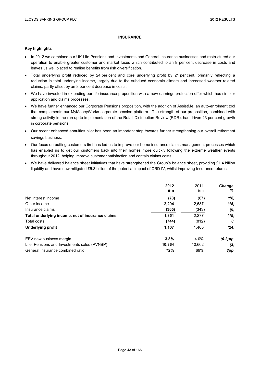## **INSURANCE**

### **Key highlights**

- In 2012 we combined our UK Life Pensions and Investments and General Insurance businesses and restructured our operation to enable greater customer and market focus which contributed to an 8 per cent decrease in costs and leaves us well placed to realise benefits from risk diversification.
- Total underlying profit reduced by 24 per cent and core underlying profit by 21 per cent, primarily reflecting a reduction in total underlying income, largely due to the subdued economic climate and increased weather related claims, partly offset by an 8 per cent decrease in costs.
- We have invested in extending our life insurance proposition with a new earnings protection offer which has simpler application and claims processes.
- We have further enhanced our Corporate Pensions proposition, with the addition of AssistMe, an auto-enrolment tool that complements our MyMoneyWorks corporate pension platform. The strength of our proposition, combined with strong activity in the run up to implementation of the Retail Distribution Review (RDR), has driven 23 per cent growth in corporate pensions.
- Our recent enhanced annuities pilot has been an important step towards further strengthening our overall retirement savings business.
- Our focus on putting customers first has led us to improve our home insurance claims management processes which has enabled us to get our customers back into their homes more quickly following the extreme weather events throughout 2012, helping improve customer satisfaction and contain claims costs.
- $\bullet$  We have delivered balance sheet initiatives that have strengthened the Group's balance sheet, providing £1.4 billion liquidity and have now mitigated £5.3 billion of the potential impact of CRD IV, whilst improving Insurance returns.

|                                                  | 2012   | 2011   | <b>Change</b> |
|--------------------------------------------------|--------|--------|---------------|
|                                                  | £m     | £m     | ℅             |
| Net interest income                              | (78)   | (67)   | (16)          |
| Other income                                     | 2,294  | 2,687  | (15)          |
| Insurance claims                                 | (365)  | (343)  | (6)           |
| Total underlying income, net of insurance claims | 1,851  | 2.277  | (19)          |
| Total costs                                      | (744)  | (812)  | 8             |
| Underlying profit                                | 1,107  | 1,465  | (24)          |
| EEV new business margin                          | 3.8%   | 4.0%   | $(0.2)$ pp    |
| Life, Pensions and Investments sales (PVNBP)     | 10.364 | 10,662 | (3)           |
| General Insurance combined ratio                 | 72%    | 69%    | 3pp           |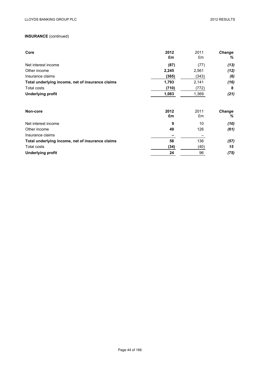| Core                                             | 2012<br>£m | 2011<br>£m | Change<br>℅ |
|--------------------------------------------------|------------|------------|-------------|
| Net interest income                              | (87)       | (77)       | (13)        |
| Other income                                     | 2,245      | 2,561      | (12)        |
| Insurance claims                                 | (365)      | (343)      | (6)         |
| Total underlying income, net of insurance claims | 1,793      | 2,141      | (16)        |
| Total costs                                      | (710)      | (772)      | 8           |
| <b>Underlying profit</b>                         | 1,083      | 1,369      | (21)        |
| Non-core                                         | 2012       | 2011       | Change      |
|                                                  | £m         | £m         | %           |
| Net interest income                              | 9          | 10         | (10)        |
| Other income                                     | 49         | 126        | (61)        |
| Insurance claims                                 |            |            |             |
| Total underlying income, net of insurance claims | 58         | 136        | (57)        |
| <b>Total costs</b>                               | (34)       | (40)       | 15          |
| Underlying profit                                | 24         | 96         | (75)        |
|                                                  |            |            |             |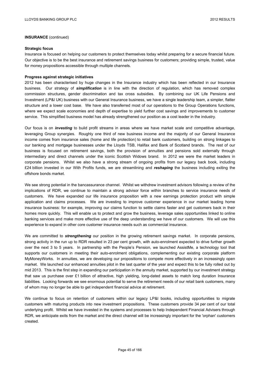#### **Strategic focus**

Insurance is focused on helping our customers to protect themselves today whilst preparing for a secure financial future. Our objective is to be the best insurance and retirement savings business for customers; providing simple, trusted, value for money propositions accessible through multiple channels.

### **Progress against strategic initiatives**

2012 has been characterised by huge changes in the Insurance industry which has been reflected in our Insurance business. Our strategy of *simplification* is in line with the direction of regulation, which has removed complex commission structures, gender discrimination and tax cross subsidies. By combining our UK Life Pensions and Investment (LP&I UK) business with our General Insurance business, we have a single leadership team, a simpler, flatter structure and a lower cost base. We have also transferred most of our operations to the Group Operations functions, where we expect scale economies and depth of expertise to yield further cost savings and improvements to customer service. This simplified business model has already strengthened our position as a cost leader in the industry.

Our focus is on *investing* to build profit streams in areas where we have market scale and competitive advantage, leveraging Group synergies. Roughly one third of new business income and the majority of our General Insurance income comes from insurance sales (home and life protection) to retail bank customers, building on strong linkages to our banking and mortgage businesses under the Lloyds TSB, Halifax and Bank of Scotland brands. The rest of our business is focused on retirement savings, both the provision of annuities and pensions sold externally through intermediary and direct channels under the iconic Scottish Widows brand. In 2012 we were the market leaders in corporate pensions. Whilst we also have a strong stream of ongoing profits from our legacy back book, including £24 billion invested in our With Profits funds, we are streamlining and *reshaping* the business including exiting the offshore bonds market.

We see strong potential in the bancassurance channel. Whilst we withdrew investment advisors following a review of the implications of RDR, we continue to maintain a strong advisor force within branches to service insurance needs of customers. We have expanded our life insurance proposition with a new earnings protection product with simple application and claims processes. We are investing to improve customer experience in our market leading home insurance business: for example, improving our claims function to settle claims faster and get customers back in their homes more quickly. This will enable us to protect and grow the business, leverage sales opportunities linked to online banking services and make more effective use of the deep understanding we have of our customers. We will use this experience to expand in other core customer insurance needs such as commercial insurance.

We are committed to *strengthening* our position in the growing retirement savings market. In corporate pensions, strong activity in the run up to RDR resulted in 23 per cent growth, with auto-enrolment expected to drive further growth over the next 3 to 5 years. In partnership with the People's Pension, we launched AssistMe, a technology tool that supports our customers in meeting their auto-enrolment obligations, complementing our existing corporate platform MyMoneyWorks. In annuities, we are developing our propositions to compete more effectively in an increasingly open market. We launched our enhanced annuities pilot in the last quarter of the year and expect this to be fully rolled out by mid 2013. This is the first step in expanding our participation in the annuity market, supported by our investment strategy that saw us purchase over £1 billion of attractive, high yielding, long-dated assets to match long duration Insurance liabilities. Looking forwards we see enormous potential to serve the retirement needs of our retail bank customers, many of whom may no longer be able to get independent financial advice at retirement.

We continue to focus on retention of customers within our legacy LP&I books, including opportunities to migrate customers with maturing products into new investment propositions. These customers provide 34 per cent of our total underlying profit. Whilst we have invested in the systems and processes to help Independent Financial Advisers through RDR, we anticipate exits from the market and the direct channel will be increasingly important for the 'orphan' customers created.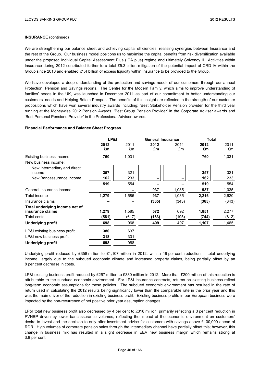We are strengthening our balance sheet and achieving capital efficiencies, realising synergies between Insurance and the rest of the Group. Our business model positions us to maximise the capital benefits from risk diversification available under the proposed Individual Capital Assessment Plus (ICA plus) regime and ultimately Solvency II. Activities within Insurance during 2012 contributed further to a total £5.3 billion mitigation of the potential impact of CRD IV within the Group since 2010 and enabled £1.4 billion of excess liquidity within Insurance to be provided to the Group.

We have developed a deep understanding of the protection and savings needs of our customers through our annual Protection, Pension and Savings reports. The Centre for the Modern Family, which aims to improve understanding of families' needs in the UK, was launched in December 2011 as part of our commitment to better understanding our customers' needs and Helping Britain Prosper. The benefits of this insight are reflected in the strength of our customer propositions which have won several industry awards including; 'Best Stakeholder Pension provider' for the third year running at the Moneywise 2012 Pension Awards, 'Best Group Pension Provider' in the Corporate Adviser awards and 'Best Personal Pensions Provider' in the Professional Adviser awards.

## **Financial Performance and Balance Sheet Progress**

|                                | LP&I  |       |       | <b>General Insurance</b> |       | <b>Total</b> |  |
|--------------------------------|-------|-------|-------|--------------------------|-------|--------------|--|
|                                | 2012  | 2011  | 2012  | 2011                     | 2012  | 2011         |  |
|                                | £m    | £m    | £m    | £m                       | £m    | £m           |  |
| Existing business income       | 760   | 1,031 |       |                          | 760   | 1,031        |  |
| New business income:           |       |       |       |                          |       |              |  |
| New Intermediary and direct    |       |       |       |                          |       |              |  |
| income                         | 357   | 321   |       |                          | 357   | 321          |  |
| New Bancassurance income       | 162   | 233   | -     |                          | 162   | 233          |  |
|                                | 519   | 554   |       |                          | 519   | 554          |  |
| General Insurance income       |       |       | 937   | 1,035                    | 937   | 1,035        |  |
| Total income                   | 1,279 | 1,585 | 937   | 1,035                    | 2,216 | 2,620        |  |
| Insurance claims               |       |       | (365) | (343)                    | (365) | (343)        |  |
| Total underlying income net of |       |       |       |                          |       |              |  |
| insurance claims               | 1,279 | 1,585 | 572   | 692                      | 1,851 | 2,277        |  |
| Total costs                    | (581) | (617) | (163) | (195)                    | (744) | (812)        |  |
| Underlying profit              | 698   | 968   | 409   | 497                      | 1,107 | 1,465        |  |
| LP&I existing business profit  | 380   | 637   |       |                          |       |              |  |
| LP&I new business profit       | 318   | 331   |       |                          |       |              |  |
| <b>Underlying profit</b>       | 698   | 968   |       |                          |       |              |  |

Underlying profit reduced by £358 million to £1,107 million in 2012, with a 19 per cent reduction in total underlying income, largely due to the subdued economic climate and increased property claims, being partially offset by an 8 per cent decrease in costs.

LP&I existing business profit reduced by £257 million to £380 million in 2012. More than £200 million of this reduction is attributable to the subdued economic environment. For LP&I insurance contracts, returns on existing business reflect long-term economic assumptions for these policies. The subdued economic environment has resulted in the rate of return used in calculating the 2012 results being significantly lower than the comparable rate in the prior year and this was the main driver of the reduction in existing business profit. Existing business profits in our European business were impacted by the non-recurrence of net positive prior year assumption changes.

LP&I total new business profit also decreased by 4 per cent to £318 million, primarily reflecting a 3 per cent reduction in PVNBP driven by lower bancassurance volumes, reflecting the impact of the economic environment on customers' desire to invest and the decision to only offer investment advice for customers with savings above £100,000 ahead of RDR. High volumes of corporate pension sales through the intermediary channel have partially offset this; however, this change in business mix has resulted in a slight decrease in EEV new business margin which remains strong at 3.8 per cent.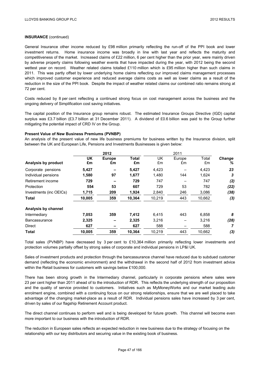General Insurance other income reduced by £98 million primarily reflecting the run-off of the PPI book and lower investment returns. Home insurance income was broadly in line with last year and reflects the maturity and competitiveness of the market. Increased claims of £22 million, 6 per cent higher than the prior year, were mainly driven by adverse property claims following weather events that have impacted during the year, with 2012 being the second wettest year on record. Weather related claims totalled £110 million which is £95 million higher than such claims in 2011. This was partly offset by lower underlying home claims reflecting our improved claims management processes which improved customer experience and reduced average claims costs as well as lower claims as a result of the reduction in the size of the PPI book. Despite the impact of weather related claims our combined ratio remains strong at 72 per cent.

Costs reduced by 8 per cent reflecting a continued strong focus on cost management across the business and the ongoing delivery of Simplification cost saving initiatives.

The capital position of the Insurance group remains robust. The estimated Insurance Groups Directive (IGD) capital surplus was £3.7 billion (£3.7 billion at 31 December 2011). A dividend of £0.6 billion was paid to the Group further mitigating the potential impact of CRD IV on the Group.

### **Present Value of New Business Premiums (PVNBP)**

An analysis of the present value of new life business premiums for business written by the Insurance division, split between the UK and European Life, Pensions and Investments Businesses is given below:

| <b>UK</b> | <b>Europe</b> | <b>Total</b> | UK     | Europe | Total  | <b>Change</b> |
|-----------|---------------|--------------|--------|--------|--------|---------------|
| £m        | £m            | £m           | £m     | £m     | £m     | ℅             |
| 5,427     |               | 5,427        | 4,423  |        | 4,423  | 23            |
| 1,580     | 97            | 1,677        | 1,480  | 144    | 1,624  | 3             |
| 729       |               | 729          | 747    |        | 747    | (2)           |
| 554       | 53            | 607          | 729    | 53     | 782    | (22)          |
| 1,715     | 209           | 1,924        | 2,840  | 246    | 3,086  | (38)          |
| 10,005    | 359           | 10,364       | 10,219 | 443    | 10,662 | (3)           |
|           |               |              |        |        |        |               |
| 7,053     | 359           | 7,412        | 6,415  | 443    | 6,858  | 8             |
| 2,325     |               | 2,325        | 3,216  |        | 3,216  | (28)          |
| 627       |               | 627          | 588    |        | 588    | 7             |
| 10,005    | 359           | 10,364       | 10,219 | 443    | 10,662 | (3)           |
|           |               |              | 2012   |        | 2011   |               |

Total sales (PVNBP) have decreased by 3 per cent to £10,364 million primarily reflecting lower investments and protection volumes partially offset by strong sales of corporate and individual pensions in LP&I UK.

Sales of investment products and protection through the bancassurance channel have reduced due to subdued customer demand (reflecting the economic environment) and the withdrawal in the second half of 2012 from investment advice within the Retail business for customers with savings below £100,000.

There has been strong growth in the Intermediary channel, particularly in corporate pensions where sales were 23 per cent higher than 2011 ahead of to the introduction of RDR. This reflects the underlying strength of our proposition and the quality of service provided to customers. Initiatives such as MyMoneyWorks and our market leading auto enrolment engine, combined with a continuing focus on our strong relationships, ensure that we are well placed to take advantage of the changing market-place as a result of RDR. Individual pensions sales have increased by 3 per cent, driven by sales of our flagship Retirement Account product.

The direct channel continues to perform well and is being developed for future growth. This channel will become even more important to our business with the introduction of RDR.

The reduction in European sales reflects an expected reduction in new business due to the strategy of focusing on the relationship with our key distributors and securing value in the existing book of business.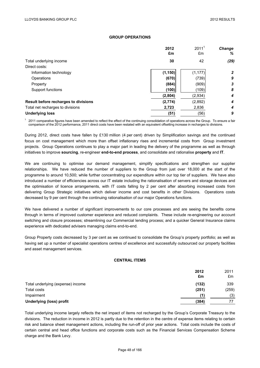### **GROUP OPERATIONS**

|                                      | 2012<br>£m | 2011 <sup>1</sup><br>£m | <b>Change</b><br>% |
|--------------------------------------|------------|-------------------------|--------------------|
| Total underlying income              | 30         | 42                      | (29)               |
| Direct costs:                        |            |                         |                    |
| Information technology               | (1, 150)   | (1, 177)                | $\overline{2}$     |
| Operations                           | (670)      | (739)                   | 9                  |
| Property                             | (884)      | (909)                   | 3                  |
| Support functions                    | (100)      | (109)                   | 8                  |
|                                      | (2,804)    | (2,934)                 | 4                  |
| Result before recharges to divisions | (2,774)    | (2,892)                 | 4                  |
| Total net recharges to divisions     | 2,723      | 2,836                   | 4                  |
| <b>Underlying loss</b>               | (51)       | (56)                    | 9                  |

 $1$  2011 comparative figures have been amended to reflect the effect of the continuing consolidation of operations across the Group. To ensure a fair comparison of the 2012 performance, 2011 direct costs have been restated with an equivalent offsetting increase in recharges to divisions.

During 2012, direct costs have fallen by £130 million (4 per cent) driven by Simplification savings and the continued focus on cost management which more than offset inflationary rises and incremental costs from Group investment projects. Group Operations continues to play a major part in leading the delivery of the programme as well as through initiatives to improve **sourcing**, re-engineer **end-to-end process**, and consolidate and rationalise **property** and **IT**.

We are continuing to optimise our demand management, simplify specifications and strengthen our supplier relationships. We have reduced the number of suppliers to the Group from just over 18,000 at the start of the programme to around 10,500; while further concentrating our expenditure within our top tier of suppliers. We have also introduced a number of efficiencies across our IT estate including the rationalisation of servers and storage devices and the optimisation of licence arrangements, with IT costs falling by 2 per cent after absorbing increased costs from delivering Group Strategic initiatives which deliver income and cost benefits in other Divisions. Operations costs decreased by 9 per cent through the continuing rationalisation of our major Operations functions.

We have delivered a number of significant improvements to our core processes and are seeing the benefits come through in terms of improved customer experience and reduced complaints. These include re-engineering our account switching and closure processes; streamlining our Commercial lending process; and a quicker General Insurance claims experience with dedicated advisers managing claims end-to-end.

Group Property costs decreased by 3 per cent as we continued to consolidate the Group's property portfolio; as well as having set up a number of specialist operations centres of excellence and successfully outsourced our property facilities and asset management services.

## **CENTRAL ITEMS**

|                                   | 2012<br>£m | 2011<br>£m |
|-----------------------------------|------------|------------|
| Total underlying (expense) income | (132)      | 339        |
| Total costs                       | (251)      | (259)      |
| Impairment                        | (1)        | (3)        |
| <b>Underlying (loss) profit</b>   | (384)      | 77         |

Total underlying income largely reflects the net impact of items not recharged by the Group's Corporate Treasury to the divisions. The reduction in income in 2012 is partly due to the retention in the centre of expense items relating to certain risk and balance sheet management actions, including the run-off of prior year actions. Total costs include the costs of certain central and head office functions and corporate costs such as the Financial Services Compensation Scheme charge and the Bank Levy.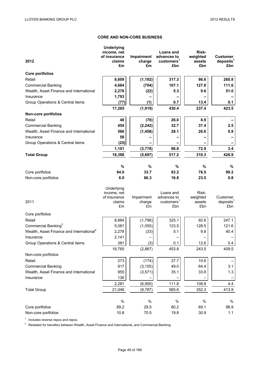## **CORE AND NON-CORE BUSINESS**

| 2012                                                 | <b>Underlying</b><br>income, net<br>of insurance<br>claims<br>£m | Impairment<br>charge<br>£m | Loans and<br>advances to<br>customers <sup>1</sup><br>£bn | Risk-<br>weighted<br>assets<br>£bn | <b>Customer</b><br>deposits <sup>1</sup><br>£bn |
|------------------------------------------------------|------------------------------------------------------------------|----------------------------|-----------------------------------------------------------|------------------------------------|-------------------------------------------------|
| <b>Core portfolios</b>                               |                                                                  |                            |                                                           |                                    |                                                 |
| Retail                                               | 8,609                                                            | (1, 192)                   | 317.3                                                     | 86.6                               | 260.8                                           |
| <b>Commercial Banking</b>                            | 4,684                                                            | (704)                      | 107.1                                                     | 127.8                              | 111.6                                           |
| Wealth, Asset Finance and International              | 2,276                                                            | (22)                       | 5.3                                                       | 9.6                                | 51.0                                            |
| Insurance                                            | 1,793                                                            |                            |                                                           |                                    |                                                 |
| Group Operations & Central items                     | (77)                                                             | (1)                        | 0.7                                                       | 13.4                               | 0.1                                             |
|                                                      | 17,285                                                           | (1, 919)                   | 430.4                                                     | 237.4                              | 423.5                                           |
| <b>Non-core portfolios</b>                           |                                                                  |                            |                                                           |                                    |                                                 |
| Retail                                               | 48                                                               | (78)                       | 26.0                                                      | 8.9                                |                                                 |
| <b>Commercial Banking</b>                            | 454                                                              | (2, 242)                   | 32.7                                                      | 37.4                               | 2.5                                             |
| Wealth, Asset Finance and International              | 566                                                              | (1, 458)                   | 28.1                                                      | 26.6                               | 0.9                                             |
| Insurance                                            | 58                                                               |                            |                                                           |                                    |                                                 |
| Group Operations & Central items                     | (25)                                                             |                            |                                                           |                                    |                                                 |
|                                                      | 1,101                                                            | (3,778)                    | 86.8                                                      | 72.9                               | 3.4                                             |
| <b>Total Group</b>                                   | 18,386                                                           | (5,697)                    | 517.2                                                     | 310.3                              | 426.9                                           |
|                                                      |                                                                  |                            |                                                           |                                    |                                                 |
|                                                      | %                                                                | $\%$                       | $\%$                                                      | %                                  | %                                               |
| Core portfolios                                      | 94.0                                                             | 33.7                       | 83.2                                                      | 76.5                               | 99.2                                            |
| Non-core portfolios                                  | 6.0                                                              | 66.3                       | 16.8                                                      | 23.5                               | 0.8                                             |
| 2011                                                 | Underlying<br>income, net<br>of insurance<br>claims<br>£m        | Impairment<br>charge<br>£m | Loans and<br>advances to<br>customers <sup>1</sup><br>£bn | Risk-<br>weighted<br>assets<br>£bn | Customer<br>deposits <sup>1</sup><br>£bn        |
| Core portfolios                                      |                                                                  |                            |                                                           |                                    |                                                 |
| Retail                                               | 8,884                                                            | (1,796)                    | 325.1                                                     | 92.6                               | 247.1                                           |
| Commercial Banking <sup>2</sup>                      | 5,081                                                            | (1,055)                    | 123.5                                                     | 128.5                              | 121.6                                           |
| Wealth, Asset Finance and International <sup>2</sup> | 2,278                                                            | (33)                       | 5.1                                                       | 9.8                                | 40.4                                            |
| Insurance                                            | 2,141                                                            |                            |                                                           |                                    |                                                 |
| Group Operations & Central items                     | 381                                                              | (3)                        | 0.1                                                       | 12.6                               | 0.4                                             |
|                                                      | 18,765                                                           | (2,887)                    | 453.8                                                     | 243.5                              | 409.5                                           |
| Non-core portfolios                                  |                                                                  |                            |                                                           |                                    |                                                 |
| Retail                                               | 273                                                              | (174)                      | 27.7                                                      | 10.6                               |                                                 |
| <b>Commercial Banking</b>                            | 917                                                              | (3, 155)                   | 49.0                                                      | 64.4                               | 3.1                                             |
| Wealth, Asset Finance and International              | 955                                                              | (3, 571)                   | 35.1                                                      | 33.8                               | 1.3                                             |
| Insurance                                            | 136                                                              |                            |                                                           |                                    |                                                 |
|                                                      | 2,281                                                            | (6,900)                    | 111.8                                                     | 108.8                              | 4.4                                             |
| <b>Total Group</b>                                   | 21,046                                                           | (9,787)                    | 565.6                                                     | 352.3                              | 413.9                                           |
|                                                      |                                                                  |                            |                                                           |                                    |                                                 |
|                                                      | $\%$                                                             | $\%$                       | $\%$                                                      | $\%$                               | $\%$                                            |
|                                                      |                                                                  |                            |                                                           |                                    |                                                 |
| Core portfolios                                      | 89.2                                                             | 29.5                       | 80.2                                                      | 69.1                               | 98.9                                            |

 $1$  Includes reverse repos and repos.

 $2<sup>2</sup>$  Restated for transfers between Wealth, Asset Finance and International, and Commercial Banking.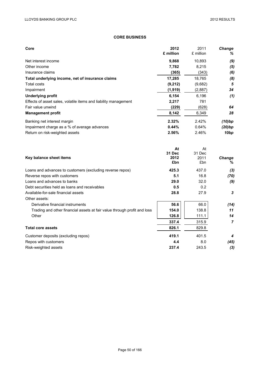# **CORE BUSINESS**

| Core                                                                     | 2012<br>£ million | 2011<br>£ million | Change<br>℅             |
|--------------------------------------------------------------------------|-------------------|-------------------|-------------------------|
| Net interest income                                                      | 9,868             | 10,893            | (9)                     |
| Other income                                                             | 7,782             | 8,215             | (5)                     |
| Insurance claims                                                         | (365)             | (343)             | (6)                     |
| Total underlying income, net of insurance claims                         | 17,285            | 18,765            | (8)                     |
| Total costs                                                              | (9, 212)          | (9,682)           | $\overline{\mathbf{5}}$ |
| Impairment                                                               | (1, 919)          | (2,887)           | 34                      |
| <b>Underlying profit</b>                                                 | 6,154             | 6,196             | (1)                     |
| Effects of asset sales, volatile items and liability management          | 2,217             | 781               |                         |
| Fair value unwind                                                        | (229)             | (628)             | 64                      |
| <b>Management profit</b>                                                 | 8,142             | 6,349             | 28                      |
| Banking net interest margin                                              | 2.32%             | 2.42%             | (10)bp                  |
| Impairment charge as a % of average advances                             | 0.44%             | 0.64%             | (20)bp                  |
| Return on risk-weighted assets                                           | 2.56%             | 2.46%             | 10 <sub>bp</sub>        |
|                                                                          | At                | At                |                         |
|                                                                          | 31 Dec<br>2012    | 31 Dec<br>2011    | Change                  |
| Key balance sheet items                                                  | £bn               | £bn               | ℅                       |
| Loans and advances to customers (excluding reverse repos)                | 425.3             | 437.0             | (3)                     |
| Reverse repos with customers                                             | 5.1               | 16.8              | (70)                    |
| Loans and advances to banks                                              | 29.0              | 32.0              | (9)                     |
| Debt securities held as loans and receivables                            | 0.5               | 0.2               |                         |
| Available-for-sale financial assets                                      | 28.8              | 27.9              | 3                       |
| Other assets:                                                            |                   |                   |                         |
| Derivative financial instruments                                         | 56.6              | 66.0              | (14)                    |
| Trading and other financial assets at fair value through profit and loss | 154.0             | 138.8             | 11                      |
| Other                                                                    | 126.8             | 111.1             | 14                      |
|                                                                          | 337.4             | 315.9             | $\overline{7}$          |
| <b>Total core assets</b>                                                 | 826.1             | 829.8             |                         |
| Customer deposits (excluding repos)                                      | 419.1             | 401.5             | 4                       |
| Repos with customers                                                     | 4.4               | 8.0               | (45)                    |
| Risk-weighted assets                                                     | 237.4             | 243.5             | (3)                     |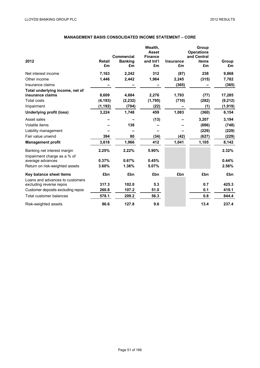# **MANAGEMENT BASIS CONSOLIDATED INCOME STATEMENT – CORE**

| 2012                                                       | <b>Retail</b><br>£m | Commercial<br><b>Banking</b><br>£m | Wealth,<br><b>Asset</b><br><b>Finance</b><br>and Int'l<br>£m | <b>Insurance</b><br>£m | Group<br><b>Operations</b><br>and Central<br><b>items</b><br>£m | Group<br>£m |
|------------------------------------------------------------|---------------------|------------------------------------|--------------------------------------------------------------|------------------------|-----------------------------------------------------------------|-------------|
| Net interest income                                        | 7,163               | 2,242                              | 312                                                          | (87)                   | 238                                                             | 9,868       |
| Other income                                               | 1,446               | 2,442                              | 1,964                                                        | 2,245                  | (315)                                                           | 7,782       |
| Insurance claims                                           |                     |                                    |                                                              | (365)                  |                                                                 | (365)       |
| Total underlying income, net of                            |                     |                                    |                                                              |                        |                                                                 |             |
| insurance claims                                           | 8,609               | 4,684                              | 2,276                                                        | 1,793                  | (77)                                                            | 17,285      |
| <b>Total costs</b>                                         | (4, 193)            | (2, 232)                           | (1,795)                                                      | (710)                  | (282)                                                           | (9, 212)    |
| Impairment                                                 | (1, 192)            | (704)                              | (22)                                                         |                        | (1)                                                             | (1, 919)    |
| <b>Underlying profit (loss)</b>                            | 3,224               | 1,748                              | 459                                                          | 1,083                  | (360)                                                           | 6,154       |
| Asset sales                                                |                     |                                    | (13)                                                         |                        | 3,207                                                           | 3,194       |
| Volatile items                                             |                     | 138                                |                                                              |                        | (886)                                                           | (748)       |
| Liability management                                       |                     |                                    |                                                              |                        | (229)                                                           | (229)       |
| Fair value unwind                                          | 394                 | 80                                 | (34)                                                         | (42)                   | (627)                                                           | (229)       |
| <b>Management profit</b>                                   | 3,618               | 1,966                              | 412                                                          | 1,041                  | 1,105                                                           | 8,142       |
| Banking net interest margin<br>Impairment charge as a % of | 2.25%               | 2.22%                              | 5.90%                                                        |                        |                                                                 | 2.32%       |
| average advances                                           | 0.37%               | 0.67%                              | 0.45%                                                        |                        |                                                                 | 0.44%       |
| Return on risk-weighted assets                             | 3.60%               | 1.36%                              | 5.07%                                                        |                        |                                                                 | 2.56%       |
| Key balance sheet items<br>Loans and advances to customers | £bn                 | £bn                                | £bn                                                          | £bn                    | £bn                                                             | £bn         |
| excluding reverse repos                                    | 317.3               | 102.0                              | 5.3                                                          |                        | 0.7                                                             | 425.3       |
| Customer deposits excluding repos                          | 260.8               | 107.2                              | 51.0                                                         |                        | 0.1                                                             | 419.1       |
| Total customer balances                                    | 578.1               | 209.2                              | 56.3                                                         |                        | 0.8                                                             | 844.4       |
| Risk-weighted assets                                       | 86.6                | 127.8                              | 9.6                                                          |                        | 13.4                                                            | 237.4       |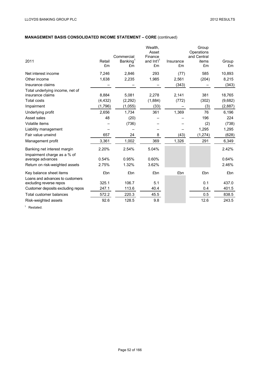# **MANAGEMENT BASIS CONSOLIDATED INCOME STATEMENT – CORE** (continued)

| 2011                                                       | Retail<br>£m | Commercial<br>Banking <sup>1</sup><br>£m | Wealth,<br>Asset<br>Finance<br>and Int'l <sup>1</sup><br>£m | Insurance<br>£m | Group<br>Operations<br>and Central<br>items<br>£m | Group<br>£m |
|------------------------------------------------------------|--------------|------------------------------------------|-------------------------------------------------------------|-----------------|---------------------------------------------------|-------------|
| Net interest income                                        | 7,246        | 2,846                                    | 293                                                         | (77)            | 585                                               | 10,893      |
| Other income                                               | 1,638        | 2,235                                    | 1,985                                                       | 2,561           | (204)                                             | 8,215       |
| Insurance claims                                           |              |                                          |                                                             | (343)           |                                                   | (343)       |
| Total underlying income, net of                            |              |                                          |                                                             |                 |                                                   |             |
| insurance claims                                           | 8,884        | 5,081                                    | 2,278                                                       | 2,141           | 381                                               | 18,765      |
| <b>Total costs</b>                                         | (4, 432)     | (2, 292)                                 | (1,884)                                                     | (772)           | (302)                                             | (9,682)     |
| Impairment                                                 | (1,796)      | (1,055)                                  | (33)                                                        |                 | (3)                                               | (2,887)     |
| Underlying profit                                          | 2,656        | 1,734                                    | 361                                                         | 1,369           | 76                                                | 6,196       |
| Asset sales                                                | 48           | (20)                                     |                                                             |                 | 196                                               | 224         |
| Volatile items                                             |              | (736)                                    |                                                             |                 | (2)                                               | (738)       |
| Liability management                                       |              |                                          |                                                             |                 | 1,295                                             | 1,295       |
| Fair value unwind                                          | 657          | 24                                       | 8                                                           | (43)            | (1, 274)                                          | (628)       |
| Management profit                                          | 3,361        | 1,002                                    | 369                                                         | 1,326           | 291                                               | 6,349       |
| Banking net interest margin<br>Impairment charge as a % of | 2.20%        | 2.54%                                    | 5.04%                                                       |                 |                                                   | 2.42%       |
| average advances                                           | 0.54%        | 0.95%                                    | 0.60%                                                       |                 |                                                   | 0.64%       |
| Return on risk-weighted assets                             | 2.75%        | 1.32%                                    | 3.62%                                                       |                 |                                                   | 2.46%       |
| Key balance sheet items                                    | £bn          | £bn                                      | £bn                                                         | £bn             | £bn                                               | £bn         |
| Loans and advances to customers                            |              |                                          |                                                             |                 |                                                   |             |
| excluding reverse repos                                    | 325.1        | 106.7                                    | 5.1                                                         |                 | 0.1                                               | 437.0       |
| Customer deposits excluding repos                          | 247.1        | 113.6                                    | 40.4                                                        |                 | 0.4                                               | 401.5       |
| Total customer balances                                    | 572.2        | 220.3                                    | 45.5                                                        |                 | 0.5                                               | 838.5       |
| Risk-weighted assets                                       | 92.6         | 128.5                                    | 9.8                                                         |                 | 12.6                                              | 243.5       |

<sup>1</sup> Restated.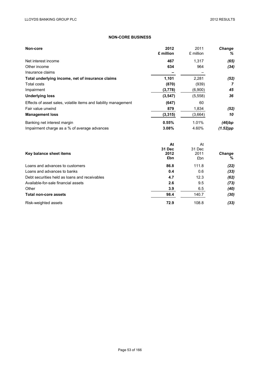# **NON-CORE BUSINESS**

| Non-core                                                        | 2012<br>£ million | 2011<br>£ million | <b>Change</b><br>% |
|-----------------------------------------------------------------|-------------------|-------------------|--------------------|
| Net interest income                                             | 467               | 1.317             | (65)               |
| Other income                                                    | 634               | 964               | (34)               |
| Insurance claims                                                |                   |                   |                    |
| Total underlying income, net of insurance claims                | 1,101             | 2,281             | (52)               |
| Total costs                                                     | (870)             | (939)             | 7                  |
| Impairment                                                      | (3,778)           | (6,900)           | 45                 |
| <b>Underlying loss</b>                                          | (3, 547)          | (5,558)           | 36                 |
| Effects of asset sales, volatile items and liability management | (647)             | 60                |                    |
| Fair value unwind                                               | 879               | 1,834             | (52)               |
| <b>Management loss</b>                                          | (3, 315)          | (3,664)           | 10                 |
| Banking net interest margin                                     | 0.55%             | 1.01%             | (46)bp             |
| Impairment charge as a % of average advances                    | 3.08%             | 4.60%             | $(1.52)$ pp        |

| Key balance sheet items                       | At<br>31 Dec<br>2012<br>£bn | At<br>31 Dec<br>2011<br>£bn | <b>Change</b><br>% |
|-----------------------------------------------|-----------------------------|-----------------------------|--------------------|
| Loans and advances to customers               | 86.8                        | 111.8                       | (22)               |
| Loans and advances to banks                   | 0.4                         | 0.6                         | (33)               |
| Debt securities held as loans and receivables | 4.7                         | 12.3                        | (62)               |
| Available-for-sale financial assets           | 2.6                         | 9.5                         | (73)               |
| Other                                         | 3.9                         | 6.5                         | (40)               |
| Total non-core assets                         | 98.4                        | 140.7                       | (30)               |
| Risk-weighted assets                          | 72.9                        | 108.8                       | (33)               |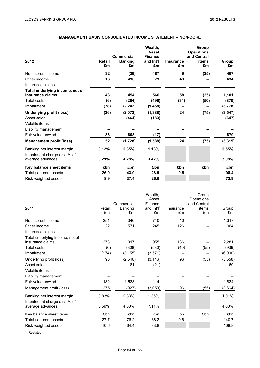# **MANAGEMENT BASIS CONSOLIDATED INCOME STATEMENT – NON-CORE**

|                                                            |        |                              | Wealth,                     |                  | Group                            |          |
|------------------------------------------------------------|--------|------------------------------|-----------------------------|------------------|----------------------------------|----------|
|                                                            |        |                              | <b>Asset</b>                |                  | <b>Operations</b><br>and Central |          |
| 2012                                                       | Retail | Commercial<br><b>Banking</b> | <b>Finance</b><br>and Int'l | <b>Insurance</b> | items                            | Group    |
|                                                            | £m     | £m                           | £m                          | £m               | £m                               | £m       |
| Net interest income                                        | 32     | (36)                         | 487                         | 9                | (25)                             | 467      |
| Other income                                               | 16     | 490                          | 79                          | 49               |                                  | 634      |
| Insurance claims                                           |        |                              |                             |                  |                                  |          |
| Total underlying income, net of                            |        |                              |                             |                  |                                  |          |
| insurance claims                                           | 48     | 454                          | 566                         | 58               | (25)                             | 1,101    |
| Total costs                                                | (6)    | (284)                        | (496)                       | (34)             | (50)                             | (870)    |
| Impairment                                                 | (78)   | (2, 242)                     | (1, 458)                    | -                |                                  | (3,778)  |
| Underlying profit (loss)                                   | (36)   | (2,072)                      | (1, 388)                    | 24               | (75)                             | (3, 547) |
| Asset sales                                                |        | (464)                        | (183)                       |                  |                                  | (647)    |
| Volatile items                                             |        |                              |                             |                  |                                  |          |
| Liability management                                       |        |                              |                             |                  |                                  |          |
| Fair value unwind                                          | 88     | 808                          | (17)                        |                  |                                  | 879      |
| <b>Management profit (loss)</b>                            | 52     | (1,728)                      | (1,588)                     | 24               | (75)                             | (3, 315) |
| Banking net interest margin<br>Impairment charge as a % of | 0.12%  | 0.35%                        | 1.13%                       |                  |                                  | 0.55%    |
| average advances                                           | 0.29%  | 4.28%                        | 3.42%                       |                  |                                  | 3.08%    |
| Key balance sheet items                                    | £bn    | £bn                          | £bn                         | £bn              | £bn                              | £bn      |
| Total non-core assets                                      | 26.0   | 43.0                         | 28.9                        | 0.5              |                                  | 98.4     |
| Risk-weighted assets                                       | 8.9    | 37.4                         | 26.6                        |                  |                                  | 72.9     |

|                                                            |              | Commercial                 | Wealth,<br>Asset<br>Finance  |                 | Group<br>Operations<br>and Central |             |
|------------------------------------------------------------|--------------|----------------------------|------------------------------|-----------------|------------------------------------|-------------|
| 2011                                                       | Retail<br>£m | Banking <sup>1</sup><br>£m | and Int'l <sup>1</sup><br>£m | Insurance<br>£m | items<br>£m                        | Group<br>£m |
| Net interest income                                        | 251          | 346                        | 710                          | 10              |                                    | 1,317       |
| Other income                                               | 22           | 571                        | 245                          | 126             |                                    | 964         |
| Insurance claims                                           |              |                            |                              |                 |                                    |             |
| Total underlying income, net of<br>insurance claims        | 273          | 917                        | 955                          | 136             |                                    | 2,281       |
| <b>Total costs</b>                                         | (6)          | (308)                      | (530)                        | (40)            | (55)                               | (939)       |
| Impairment                                                 | (174)        | (3, 155)                   | (3, 571)                     |                 |                                    | (6,900)     |
| Underlying profit (loss)                                   | 93           | (2, 546)                   | (3, 146)                     | 96              | (55)                               | (5, 558)    |
| Asset sales                                                |              | 81                         | (21)                         |                 |                                    | 60          |
| Volatile items                                             |              |                            |                              |                 |                                    |             |
| Liability management                                       |              |                            |                              |                 |                                    |             |
| Fair value unwind                                          | 182          | 1,538                      | 114                          |                 |                                    | 1,834       |
| Management profit (loss)                                   | 275          | (927)                      | (3,053)                      | 96              | (55)                               | (3,664)     |
| Banking net interest margin<br>Impairment charge as a % of | 0.83%        | 0.83%                      | 1.35%                        |                 |                                    | 1.01%       |
| average advances                                           | 0.59%        | 4.60%                      | 7.11%                        |                 |                                    | 4.60%       |
| Key balance sheet items                                    | £bn          | £bn                        | £bn                          | £bn             | £bn                                | £bn         |
| Total non-core assets                                      | 27.7         | 76.2                       | 36.2                         | 0.6             |                                    | 140.7       |
| Risk-weighted assets                                       | 10.6         | 64.4                       | 33.8                         |                 |                                    | 108.8       |

<sup>1</sup> Restated.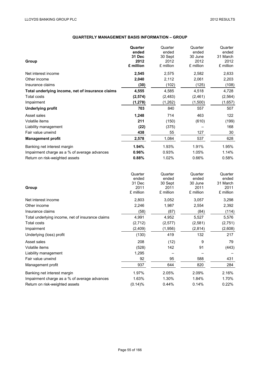# **QUARTERLY MANAGEMENT BASIS INFORMATION – GROUP**

|                                                  | Quarter   | Quarter   | Quarter   | Quarter   |
|--------------------------------------------------|-----------|-----------|-----------|-----------|
|                                                  | ended     | ended     | ended     | ended     |
|                                                  | 31 Dec    | 30 Sept   | 30 June   | 31 March  |
| Group                                            | 2012      | 2012      | 2012      | 2012      |
|                                                  | £ million | £ million | £ million | £ million |
| Net interest income                              | 2,545     | 2,575     | 2,582     | 2,633     |
| Other income                                     | 2,040     | 2,112     | 2,061     | 2,203     |
| Insurance claims                                 | (30)      | (102)     | (125)     | (108)     |
| Total underlying income, net of insurance claims | 4,555     | 4,585     | 4,518     | 4,728     |
| <b>Total costs</b>                               | (2,574)   | (2, 483)  | (2, 461)  | (2, 564)  |
| Impairment                                       | (1, 278)  | (1, 262)  | (1,500)   | (1,657)   |
| <b>Underlying profit</b>                         | 703       | 840       | 557       | 507       |
| Asset sales                                      | 1,248     | 714       | 463       | 122       |
| Volatile items                                   | 211       | (150)     | (610)     | (199)     |
| Liability management                             | (22)      | (375)     |           | 168       |
| Fair value unwind                                | 438       | 55        | 127       | 30        |
| <b>Management profit</b>                         | 2,578     | 1,084     | 537       | 628       |
| Banking net interest margin                      | 1.94%     | 1.93%     | 1.91%     | 1.95%     |
| Impairment charge as a % of average advances     | 0.96%     | 0.93%     | 1.05%     | 1.14%     |
| Return on risk-weighted assets                   | 0.88%     | 1.02%     | 0.66%     | 0.58%     |
|                                                  | Quarter   | Quarter   | Quarter   | Quarter   |
|                                                  | ended     | ended     | ended     | ended     |
|                                                  | 31 Dec    | 30 Sept   | 30 June   | 31 March  |
| Group                                            | 2011      | 2011      | 2011      | 2011      |
|                                                  | £ million | £ million | £ million | £ million |
|                                                  | 0.000     | 0.052     | 0.057     | 0.000     |

| Net interest income                              | 2,803   | 3,052    | 3,057   | 3,298   |
|--------------------------------------------------|---------|----------|---------|---------|
| Other income                                     | 2,246   | 1,987    | 2,554   | 2,392   |
| Insurance claims                                 | (58)    | (87)     | (84)    | (114)   |
| Total underlying income, net of insurance claims | 4,991   | 4,952    | 5,527   | 5,576   |
| Total costs                                      | (2,712) | (2, 577) | (2,581) | (2,751) |
| Impairment                                       | (2,409) | (1,956)  | (2,814) | (2,608) |
| Underlying (loss) profit                         | (130)   | 419      | 132     | 217     |
| Asset sales                                      | 208     | (12)     | 9       | 79      |
| Volatile items                                   | (528)   | 142      | 91      | (443)   |
| Liability management                             | 1,295   |          |         |         |
| Fair value unwind                                | 92      | 95       | 588     | 431     |
| Management profit                                | 937     | 644      | 820     | 284     |
| Banking net interest margin                      | 1.97%   | 2.05%    | 2.09%   | 2.16%   |
| Impairment charge as a % of average advances     | 1.63%   | 1.30%    | 1.84%   | 1.70%   |
| Return on risk-weighted assets                   | (0.14)% | 0.44%    | 0.14%   | 0.22%   |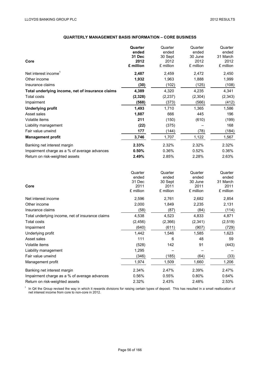# **QUARTERLY MANAGEMENT BASIS INFORMATION – CORE BUSINESS**

|                                                  | Quarter   | Quarter   | Quarter   | Quarter   |
|--------------------------------------------------|-----------|-----------|-----------|-----------|
|                                                  | ended     | ended     | ended     | ended     |
|                                                  | 31 Dec    | 30 Sept   | 30 June   | 31 March  |
| Core                                             | 2012      | 2012      | 2012      | 2012      |
|                                                  | £ million | £ million | £ million | £ million |
| Net interest income <sup>1</sup>                 | 2,487     | 2,459     | 2,472     | 2,450     |
| Other income                                     | 1,932     | 1,963     | 1,888     | 1,999     |
| Insurance claims                                 | (30)      | (102)     | (125)     | (108)     |
| Total underlying income, net of insurance claims | 4,389     | 4,320     | 4,235     | 4,341     |
| <b>Total costs</b>                               | (2,328)   | (2,237)   | (2,304)   | (2, 343)  |
| Impairment                                       | (568)     | (373)     | (566)     | (412)     |
| <b>Underlying profit</b>                         | 1,493     | 1,710     | 1,365     | 1,586     |
| Asset sales                                      | 1,887     | 666       | 445       | 196       |
| Volatile items                                   | 211       | (150)     | (610)     | (199)     |
| Liability management                             | (22)      | (375)     |           | 168       |
| Fair value unwind                                | 177       | (144)     | (78)      | (184)     |
| <b>Management profit</b>                         | 3,746     | 1,707     | 1,122     | 1,567     |
| Banking net interest margin                      | 2.33%     | 2.32%     | 2.32%     | 2.32%     |
| Impairment charge as a % of average advances     | 0.50%     | 0.36%     | 0.52%     | 0.36%     |
| Return on risk-weighted assets                   | 2.49%     | 2.85%     | 2.28%     | 2.63%     |
|                                                  | Quarter   | Quarter   | Quarter   | Quarter   |
|                                                  | ended     | ended     | ended     | ended     |
|                                                  | 31 Dec    | 30 Sept   | 30 June   | 31 March  |
| Core                                             | 2011      | 2011      | 2011      | 2011      |
|                                                  | £ million | £ million | £ million | £ million |

| Net interest income                              | 2,596    | 2,761   | 2,682   | 2,854   |
|--------------------------------------------------|----------|---------|---------|---------|
| Other income                                     | 2,000    | 1,849   | 2,235   | 2,131   |
| Insurance claims                                 | (58)     | (87)    | (84)    | (114)   |
| Total underlying income, net of insurance claims | 4,538    | 4,523   | 4,833   | 4,871   |
| <b>Total costs</b>                               | (2, 456) | (2,366) | (2,341) | (2,519) |
| Impairment                                       | (640)    | (611)   | (907)   | (729)   |
| Underlying profit                                | 1,442    | 1,546   | 1,585   | 1,623   |
| Asset sales                                      | 111      | 6       | 48      | 59      |
| Volatile items                                   | (528)    | 142     | 91      | (443)   |
| Liability management                             | 1,295    |         |         |         |
| Fair value unwind                                | (346)    | (185)   | (64)    | (33)    |
| Management profit                                | 1,974    | 1,509   | 1,660   | 1,206   |
| Banking net interest margin                      | 2.34%    | 2.47%   | 2.39%   | 2.47%   |
| Impairment charge as a % of average advances     | 0.56%    | 0.55%   | 0.80%   | 0.64%   |
| Return on risk-weighted assets                   | 2.32%    | 2.43%   | 2.48%   | 2.53%   |

 $1$  In Q4 the Group revised the way in which it rewards divisions for raising certain types of deposit. This has resulted in a small reallocation of net interest income from core to non-core in 2012.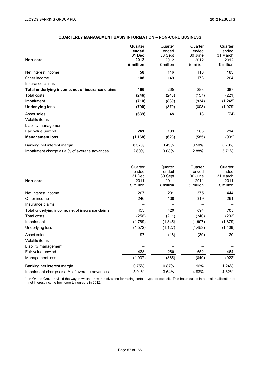Liability management

## **QUARTERLY MANAGEMENT BASIS INFORMATION – NON-CORE BUSINESS**

| Non-core                                         | Quarter<br>ended<br>31 Dec<br>2012<br>£ million | Quarter<br>ended<br>30 Sept<br>2012<br>£ million | Quarter<br>ended<br>30 June<br>2012<br>£ million | Quarter<br>ended<br>31 March<br>2012<br>£ million |
|--------------------------------------------------|-------------------------------------------------|--------------------------------------------------|--------------------------------------------------|---------------------------------------------------|
| Net interest income <sup>1</sup>                 | 58                                              | 116                                              | 110                                              | 183                                               |
| Other income                                     | 108                                             | 149                                              | 173                                              | 204                                               |
| Insurance claims                                 |                                                 |                                                  |                                                  |                                                   |
| Total underlying income, net of insurance claims | 166                                             | 265                                              | 283                                              | 387                                               |
| Total costs                                      | (246)                                           | (246)                                            | (157)                                            | (221)                                             |
| Impairment                                       | (710)                                           | (889)                                            | (934)                                            | (1, 245)                                          |
| <b>Underlying loss</b>                           | (790)                                           | (870)                                            | (808)                                            | (1,079)                                           |
| Asset sales                                      | (639)                                           | 48                                               | 18                                               | (74)                                              |
| Volatile items                                   |                                                 |                                                  |                                                  |                                                   |
| Liability management                             |                                                 |                                                  |                                                  |                                                   |
| Fair value unwind                                | 261                                             | 199                                              | 205                                              | 214                                               |
| <b>Management loss</b>                           | (1, 168)                                        | (623)                                            | (585)                                            | (939)                                             |
| Banking net interest margin                      | 0.37%                                           | 0.49%                                            | 0.50%                                            | 0.70%                                             |
| Impairment charge as a % of average advances     | 2.80%                                           | 3.08%                                            | 2.88%                                            | 3.71%                                             |
| Non-core                                         | Quarter<br>ended<br>31 Dec<br>2011<br>£ million | Quarter<br>ended<br>30 Sept<br>2011<br>£ million | Quarter<br>ended<br>30 June<br>2011<br>£ million | Quarter<br>ended<br>31 March<br>2011<br>£ million |
| Net interest income                              | 207                                             | 291                                              | 375                                              | 444                                               |
| Other income                                     | 246                                             | 138                                              | 319                                              | 261                                               |
| Insurance claims                                 |                                                 |                                                  |                                                  |                                                   |
| Total underlying income, net of insurance claims | 453                                             | 429                                              | 694                                              | 705                                               |
| <b>Total costs</b>                               | (256)                                           | (211)                                            | (240)                                            | (232)                                             |
| Impairment                                       | (1,769)                                         | (1, 345)                                         | (1,907)                                          | (1,879)                                           |
| Underlying loss                                  | (1, 572)                                        | (1, 127)                                         | (1, 453)                                         | (1,406)                                           |
| Asset sales                                      | 97                                              | (18)                                             | (39)                                             | 20                                                |
| Volatile items                                   |                                                 |                                                  |                                                  |                                                   |

Fair value unwind 164 Management loss (1,037) (865) (840) (922) Banking net interest margin 1.24% 0.75% 0.87% 1.16% 1.24% Impairment charge as a % of average advances 6.01% 3.64% 4.93% 4.82%

 $1$  In Q4 the Group revised the way in which it rewards divisions for raising certain types of deposit. This has resulted in a small reallocation of net interest income from core to non-core in 2012.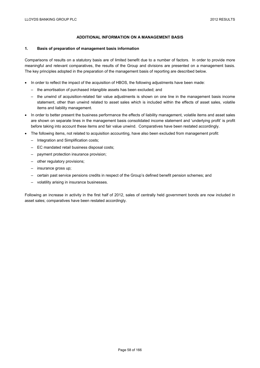## **ADDITIONAL INFORMATION ON A MANAGEMENT BASIS**

### **1. Basis of preparation of management basis information**

Comparisons of results on a statutory basis are of limited benefit due to a number of factors. In order to provide more meaningful and relevant comparatives, the results of the Group and divisions are presented on a management basis. The key principles adopted in the preparation of the management basis of reporting are described below.

- In order to reflect the impact of the acquisition of HBOS, the following adjustments have been made:
	- the amortisation of purchased intangible assets has been excluded; and
	- the unwind of acquisition-related fair value adjustments is shown on one line in the management basis income statement, other than unwind related to asset sales which is included within the effects of asset sales, volatile items and liability management.
- In order to better present the business performance the effects of liability management, volatile items and asset sales are shown on separate lines in the management basis consolidated income statement and 'underlying profit' is profit before taking into account these items and fair value unwind. Comparatives have been restated accordingly.
- The following items, not related to acquisition accounting, have also been excluded from management profit:
	- Integration and Simplification costs;
	- EC mandated retail business disposal costs;
	- payment protection insurance provision;
	- other regulatory provisions;
	- insurance gross up;
	- certain past service pensions credits in respect of the Group's defined benefit pension schemes; and
	- volatility arising in insurance businesses.

Following an increase in activity in the first half of 2012, sales of centrally held government bonds are now included in asset sales; comparatives have been restated accordingly.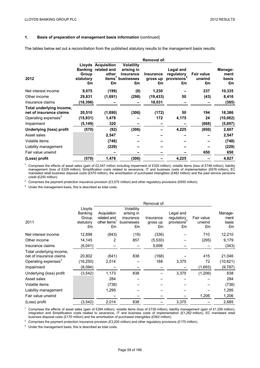## **1. Basis of preparation of management basis information** (continued)

The tables below set out a reconciliation from the published statutory results to the management basis results:

|                                                                                        |                                            |                                                                               |                                                                  | <b>Removal of:</b>          |                                                          |                                   |                                |
|----------------------------------------------------------------------------------------|--------------------------------------------|-------------------------------------------------------------------------------|------------------------------------------------------------------|-----------------------------|----------------------------------------------------------|-----------------------------------|--------------------------------|
| 2012                                                                                   | <b>Banking</b><br>Group<br>statutory<br>£m | <b>Lloyds Acquisition</b><br>related and<br>other<br>items <sup>1</sup><br>£m | <b>Volatility</b><br>arising in<br>insurance<br>businesses<br>£m | Insurance<br>gross up<br>£m | Legal and<br>regulatory<br>provisions <sup>2</sup><br>£m | <b>Fair value</b><br>unwind<br>£m | Manage-<br>ment<br>basis<br>£m |
| Net interest income                                                                    | 9,075                                      | (199)                                                                         | (8)                                                              | 1,230                       |                                                          | 237                               | 10,335                         |
| Other income                                                                           | 29,831                                     | (1,691)                                                                       | (298)                                                            | (19, 433)                   | 50                                                       | (43)                              | 8,416                          |
| Insurance claims                                                                       | (18,396)                                   |                                                                               |                                                                  | 18,031                      |                                                          |                                   | (365)                          |
| Total underlying income,<br>net of insurance claims<br>Operating expenses <sup>3</sup> | 20,510<br>(15, 931)                        | (1,890)<br>1,478                                                              | (306)                                                            | (172)<br>172                | 50<br>4,175                                              | 194<br>24                         | 18,386<br>(10, 082)            |
| Impairment                                                                             | (5,149)                                    | 320                                                                           |                                                                  |                             |                                                          | (868)                             | (5,697)                        |
| Underlying (loss) profit                                                               | (570)                                      | (92)                                                                          | (306)                                                            |                             | 4,225                                                    | (650)                             | 2,607                          |
| Asset sales                                                                            |                                            | 2,547                                                                         |                                                                  |                             |                                                          |                                   | 2,547                          |
| Volatile items                                                                         |                                            | (748)                                                                         |                                                                  |                             |                                                          |                                   | (748)                          |
| Liability management                                                                   |                                            | (229)                                                                         |                                                                  |                             |                                                          |                                   | (229)                          |
| Fair value unwind                                                                      |                                            |                                                                               |                                                                  |                             |                                                          | 650                               | 650                            |
| (Loss) profit                                                                          | (570)                                      | 1,478                                                                         | (306)                                                            |                             | 4,225                                                    |                                   | 4,827                          |

<sup>1</sup> Comprises the effects of asset sales (gain of £2,547 million including impairment of £320 million), volatile items (loss of £748 million), liability management (loss of £229 million), Simplification costs related to severance, IT and business costs of implementation (£676 million), EC mandated retail business disposal costs (£570 million), the amortisation of purchased intangibles (£482 million) and the past service pensions credit (£250 million).

<sup>2</sup> Comprises the payment protection insurance provision (£3,575 million) and other regulatory provisions (£650 million).

<sup>3</sup> Under the management basis, this is described as total costs.

|                                 |                 |                    |                  | Removal of:    |                               |              |             |
|---------------------------------|-----------------|--------------------|------------------|----------------|-------------------------------|--------------|-------------|
|                                 | Lloyds          |                    | Volatility       |                |                               |              |             |
|                                 | <b>Banking</b>  | Acquisition        | arising in       |                | Legal and                     |              | Manage-     |
|                                 | Group           | related and        | insurance        | Insurance      | regulatory                    | Fair value   | ment        |
| 2011                            | statutory<br>£m | other items'<br>£m | businesses<br>£m | gross up<br>£m | provisions <sup>2</sup><br>£m | unwind<br>£m | basis<br>£m |
| Net interest income             | 12,698          | (843)              | (19)             | (336)          |                               | 710          | 12,210      |
| Other income                    | 14,145          | 2                  | 857              | (5,530)        |                               | (295)        | 9,179       |
| Insurance claims                | (6,041)         |                    |                  | 5,698          |                               |              | (343)       |
| Total underlying income,        |                 |                    |                  |                |                               |              |             |
| net of insurance claims         | 20,802          | (841)              | 838              | (168)          |                               | 415          | 21,046      |
| Operating expenses <sup>3</sup> | (16, 250)       | 2,014              |                  | 168            | 3,375                         | 72           | (10, 621)   |
| Impairment                      | (8,094)         |                    |                  |                |                               | (1,693)      | (9,787)     |
| Underlying (loss) profit        | (3, 542)        | 1,173              | 838              |                | 3,375                         | (1,206)      | 638         |
| Asset sales                     |                 | 284                |                  |                |                               |              | 284         |
| Volatile items                  |                 | (738)              |                  |                |                               |              | (738)       |
| Liability management            |                 | 1,295              |                  |                |                               |              | 1,295       |
| Fair value unwind               |                 |                    |                  |                |                               | 1,206        | 1,206       |
| (Loss) profit                   | (3.542)         | 2,014              | 838              |                | 3,375                         |              | 2,685       |

<sup>1</sup> Comprises the effects of asset sales (gain of £284 million), volatile items (loss of £738 million), liability management (gain of £1,295 million), integration and Simplification costs related to severance, IT and business costs of implementation (£1,282 million), EC mandated retail business disposal costs (£170 million) and the amortisation of purchased intangibles (£562 million).

<sup>2</sup> Comprises the payment protection insurance provision (£3,200 million) and other regulatory provisions (£175 million).

 $3\sigma$  Under the management basis, this is described as total costs.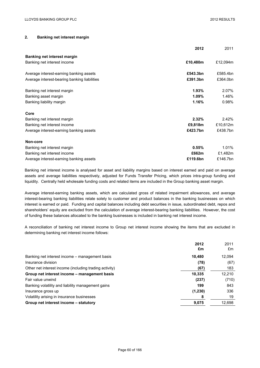## **2. Banking net interest margin**

|                                              | 2012     | 2011     |
|----------------------------------------------|----------|----------|
| <b>Banking net interest margin</b>           |          |          |
| Banking net interest income                  | £10,480m | £12,094m |
| Average interest-earning banking assets      | £543.3bn | £585.4bn |
| Average interest-bearing banking liabilities | £391.3bn | £364.0bn |
| Banking net interest margin                  | 1.93%    | 2.07%    |
| Banking asset margin                         | $1.09\%$ | 1.46%    |
| Banking liability margin                     | 1.16%    | 0.98%    |
| Core                                         |          |          |
| Banking net interest margin                  | 2.32%    | 2.42%    |
| Banking net interest income                  | £9,818m  | £10,612m |
| Average interest-earning banking assets      | £423.7bn | £438.7bn |
| Non-core                                     |          |          |
| Banking net interest margin                  | 0.55%    | 1.01%    |
| Banking net interest income                  | £662m    | £1,482m  |
| Average interest-earning banking assets      | £119.6bn | £146.7bn |

Banking net interest income is analysed for asset and liability margins based on interest earned and paid on average assets and average liabilities respectively, adjusted for Funds Transfer Pricing, which prices intra-group funding and liquidity. Centrally held wholesale funding costs and related items are included in the Group banking asset margin.

Average interest-earning banking assets, which are calculated gross of related impairment allowances, and average interest-bearing banking liabilities relate solely to customer and product balances in the banking businesses on which interest is earned or paid. Funding and capital balances including debt securities in issue, subordinated debt, repos and shareholders' equity are excluded from the calculation of average interest-bearing banking liabilities. However, the cost of funding these balances allocated to the banking businesses is included in banking net interest income.

A reconciliation of banking net interest income to Group net interest income showing the items that are excluded in determining banking net interest income follows:

|                                                        | 2012    | 2011   |
|--------------------------------------------------------|---------|--------|
|                                                        | £m      | £m     |
| Banking net interest income – management basis         | 10.480  | 12,094 |
| Insurance division                                     | (78)    | (67)   |
| Other net interest income (including trading activity) | (67)    | 183    |
| Group net interest income - management basis           | 10,335  | 12,210 |
| Fair value unwind                                      | (237)   | (710)  |
| Banking volatility and liability management gains      | 199     | 843    |
| Insurance gross up                                     | (1,230) | 336    |
| Volatility arising in insurance businesses             | 8       | 19     |
| Group net interest income – statutory                  | 9,075   | 12,698 |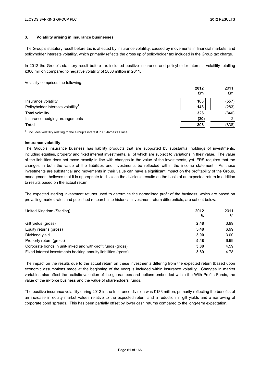## **3. Volatility arising in insurance businesses**

The Group's statutory result before tax is affected by insurance volatility, caused by movements in financial markets, and policyholder interests volatility, which primarily reflects the gross up of policyholder tax included in the Group tax charge.

In 2012 the Group's statutory result before tax included positive insurance and policyholder interests volatility totalling £306 million compared to negative volatility of £838 million in 2011.

Volatility comprises the following:

|                                                | 2012<br>£m | 2011<br>£m |
|------------------------------------------------|------------|------------|
| Insurance volatility                           | 183        | (557)      |
| Policyholder interests volatility <sup>1</sup> | 143        | (283)      |
| <b>Total volatility</b>                        | 326        | (840)      |
| Insurance hedging arrangements                 | (20)       | ◠          |
| <b>Total</b>                                   | 306        | (838)      |

 $1$  Includes volatility relating to the Group's interest in St James's Place.

### **Insurance volatility**

The Group's insurance business has liability products that are supported by substantial holdings of investments, including equities, property and fixed interest investments, all of which are subject to variations in their value. The value of the liabilities does not move exactly in line with changes in the value of the investments, yet IFRS requires that the changes in both the value of the liabilities and investments be reflected within the income statement. As these investments are substantial and movements in their value can have a significant impact on the profitability of the Group, management believes that it is appropriate to disclose the division's results on the basis of an expected return in addition to results based on the actual return.

The expected sterling investment returns used to determine the normalised profit of the business, which are based on prevailing market rates and published research into historical investment return differentials, are set out below:

| United Kingdom (Sterling)                                      | 2012 | 2011 |
|----------------------------------------------------------------|------|------|
|                                                                | %    | $\%$ |
| Gilt yields (gross)                                            | 2.48 | 3.99 |
| Equity returns (gross)                                         | 5.48 | 6.99 |
| Dividend yield                                                 | 3.00 | 3.00 |
| Property return (gross)                                        | 5.48 | 6.99 |
| Corporate bonds in unit-linked and with-profit funds (gross)   | 3.08 | 4.59 |
| Fixed interest investments backing annuity liabilities (gross) | 3.89 | 4.78 |

The impact on the results due to the actual return on these investments differing from the expected return (based upon economic assumptions made at the beginning of the year) is included within insurance volatility. Changes in market variables also affect the realistic valuation of the guarantees and options embedded within the With Profits Funds, the value of the in-force business and the value of shareholders' funds.

The positive insurance volatility during 2012 in the Insurance division was £183 million, primarily reflecting the benefits of an increase in equity market values relative to the expected return and a reduction in gilt yields and a narrowing of corporate bond spreads. This has been partially offset by lower cash returns compared to the long-term expectation.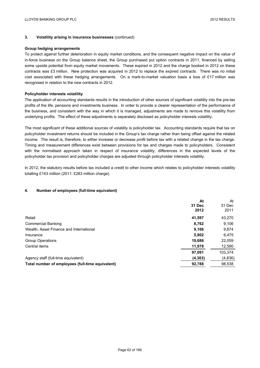### **3. Volatility arising in insurance businesses** (continued)

### **Group hedging arrangements**

To protect against further deterioration in equity market conditions, and the consequent negative impact on the value of in-force business on the Group balance sheet, the Group purchased put option contracts in 2011, financed by selling some upside potential from equity market movements. These expired in 2012 and the charge booked in 2012 on these contracts was £3 million. New protection was acquired in 2012 to replace the expired contracts. There was no initial cost associated with these hedging arrangements. On a mark-to-market valuation basis a loss of £17 million was recognised in relation to the new contracts in 2012.

### **Policyholder interests volatility**

The application of accounting standards results in the introduction of other sources of significant volatility into the pre-tax profits of the life, pensions and investments business. In order to provide a clearer representation of the performance of the business, and consistent with the way in which it is managed, adjustments are made to remove this volatility from underlying profits. The effect of these adjustments is separately disclosed as policyholder interests volatility.

The most significant of these additional sources of volatility is policyholder tax. Accounting standards require that tax on policyholder investment returns should be included in the Group's tax charge rather than being offset against the related income. The result is, therefore, to either increase or decrease profit before tax with a related change in the tax charge. Timing and measurement differences exist between provisions for tax and charges made to policyholders. Consistent with the normalised approach taken in respect of insurance volatility, differences in the expected levels of the policyholder tax provision and policyholder charges are adjusted through policyholder interests volatility.

In 2012, the statutory results before tax included a credit to other income which relates to policyholder interests volatility totalling £143 million (2011: £283 million charge).

## **4. Number of employees (full-time equivalent)**

|                                                  | At<br>31 Dec<br>2012 | At<br>31 Dec<br>2011 |
|--------------------------------------------------|----------------------|----------------------|
| Retail                                           | 41.597               | 43,270               |
| <b>Commercial Banking</b>                        | 8,762                | 9,106                |
| Wealth, Asset Finance and International          | 9,166                | 9,874                |
| Insurance                                        | 5,902                | 6.475                |
| <b>Group Operations</b>                          | 19,686               | 22,059               |
| Central items                                    | 11,978               | 12,590               |
|                                                  | 97,091               | 103,374              |
| Agency staff (full-time equivalent)              | (4, 303)             | (4, 836)             |
| Total number of employees (full-time equivalent) | 92,788               | 98,538               |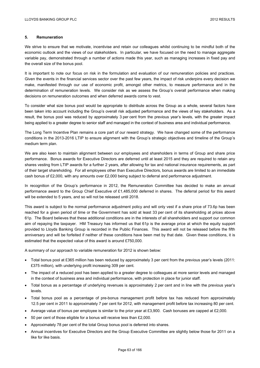## **5. Remuneration**

We strive to ensure that we motivate, incentivise and retain our colleagues whilst continuing to be mindful both of the economic outlook and the views of our stakeholders. In particular, we have focused on the need to manage aggregate variable pay, demonstrated through a number of actions made this year, such as managing increases in fixed pay and the overall size of the bonus pool.

It is important to note our focus on risk in the formulation and evaluation of our remuneration policies and practices. Given the events in the financial services sector over the past few years, the impact of risk underpins every decision we make, manifested through our use of economic profit, amongst other metrics, to measure performance and in the determination of remuneration levels. We consider risk as we assess the Group's overall performance when making decisions on remuneration outcomes and when deferred awards come to vest.

To consider what size bonus pool would be appropriate to distribute across the Group as a whole, several factors have been taken into account including the Group's overall risk adjusted performance and the views of key stakeholders. As a result, the bonus pool was reduced by approximately 3 per cent from the previous year's levels, with the greater impact being applied to a greater degree to senior staff and managed in the context of business area and individual performance.

The Long Term Incentive Plan remains a core part of our reward strategy. We have changed some of the performance conditions in the 2013-2016 LTIP to ensure alignment with the Group's strategic objectives and timeline of the Group's medium term plan.

We are also keen to maintain alignment between our employees and shareholders in terms of Group and share price performance. Bonus awards for Executive Directors are deferred until at least 2015 and they are required to retain any shares vesting from LTIP awards for a further 2 years, after allowing for tax and national insurance requirements, as part of their target shareholding. For all employees other than Executive Directors, bonus awards are limited to an immediate cash bonus of £2,000, with any amounts over £2,000 being subject to deferral and performance adjustment.

In recognition of the Group's performance in 2012, the Remuneration Committee has decided to make an annual performance award to the Group Chief Executive of £1,485,000 deferred in shares. The deferral period for this award will be extended to 5 years, and so will not be released until 2018.

This award is subject to the normal performance adjustment policy and will only vest if a share price of 73.6p has been reached for a given period of time or the Government has sold at least 33 per cent of its shareholding at prices above 61p. The Board believes that these additional conditions are in the interests of all shareholders and support our common aim of repaying the taxpayer. HM Treasury has informed us that 61p is the average price at which the equity support provided to Lloyds Banking Group is recorded in the Public Finances. This award will not be released before the fifth anniversary and will be forfeited if neither of these conditions have been met by that date. Given these conditions, it is estimated that the expected value of this award is around £750,000.

A summary of our approach to variable remuneration for 2012 is shown below:

- Total bonus pool at £365 million has been reduced by approximately 3 per cent from the previous year's levels (2011: £375 million), with underlying profit increasing 309 per cent.
- The impact of a reduced pool has been applied to a greater degree to colleagues at more senior levels and managed in the context of business area and individual performance, with protection in place for junior staff.
- Total bonus as a percentage of underlying revenues is approximately 2 per cent and in line with the previous year's levels.
- Total bonus pool as a percentage of pre-bonus management profit before tax has reduced from approximately 12.5 per cent in 2011 to approximately 7 per cent for 2012, with management profit before tax increasing 80 per cent.
- Average value of bonus per employee is similar to the prior year at £3,900. Cash bonuses are capped at £2,000.
- 50 per cent of those eligible for a bonus will receive less than £2,000.
- Approximately 78 per cent of the total Group bonus pool is deferred into shares.
- Annual incentives for Executive Directors and the Group Executive Committee are slightly below those for 2011 on a like for like basis.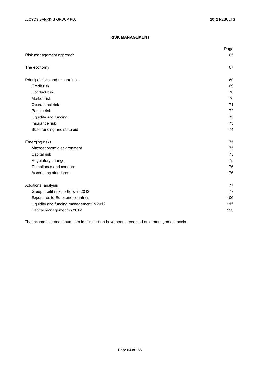# **RISK MANAGEMENT**

|                                          | Page |
|------------------------------------------|------|
| Risk management approach                 | 65   |
| The economy                              | 67   |
| Principal risks and uncertainties        | 69   |
| Credit risk                              | 69   |
| Conduct risk                             | 70   |
| Market risk                              | 70   |
| Operational risk                         | 71   |
| People risk                              | 72   |
| Liquidity and funding                    | 73   |
| Insurance risk                           | 73   |
| State funding and state aid              | 74   |
| Emerging risks                           | 75   |
| Macroeconomic environment                | 75   |
| Capital risk                             | 75   |
| Regulatory change                        | 75   |
| Compliance and conduct                   | 76   |
| Accounting standards                     | 76   |
| Additional analysis                      | 77   |
| Group credit risk portfolio in 2012      | 77   |
| Exposures to Eurozone countries          | 106  |
| Liquidity and funding management in 2012 | 115  |
| Capital management in 2012               | 123  |

The income statement numbers in this section have been presented on a management basis.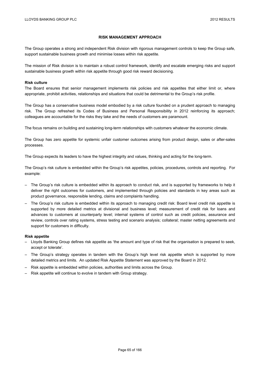### **RISK MANAGEMENT APPROACH**

The Group operates a strong and independent Risk division with rigorous management controls to keep the Group safe, support sustainable business growth and minimise losses within risk appetite.

The mission of Risk division is to maintain a robust control framework, identify and escalate emerging risks and support sustainable business growth within risk appetite through good risk reward decisioning.

### **Risk culture**

The Board ensures that senior management implements risk policies and risk appetites that either limit or, where appropriate, prohibit activities, relationships and situations that could be detrimental to the Group's risk profile.

The Group has a conservative business model embodied by a risk culture founded on a prudent approach to managing risk. The Group refreshed its Codes of Business and Personal Responsibility in 2012 reinforcing its approach; colleagues are accountable for the risks they take and the needs of customers are paramount.

The focus remains on building and sustaining long-term relationships with customers whatever the economic climate.

The Group has zero appetite for systemic unfair customer outcomes arising from product design, sales or after-sales processes.

The Group expects its leaders to have the highest integrity and values, thinking and acting for the long-term.

The Group's risk culture is embedded within the Group's risk appetites, policies, procedures, controls and reporting. For example:

- The Group's risk culture is embedded within its approach to conduct risk, and is supported by frameworks to help it deliver the right outcomes for customers, and implemented through policies and standards in key areas such as product governance, responsible lending, claims and complaints handling.
- The Group's risk culture is embedded within its approach to managing credit risk: Board level credit risk appetite is supported by more detailed metrics at divisional and business level; measurement of credit risk for loans and advances to customers at counterparty level; internal systems of control such as credit policies, assurance and review, controls over rating systems, stress testing and scenario analysis; collateral; master netting agreements and support for customers in difficulty.

#### **Risk appetite**

- Lloyds Banking Group defines risk appetite as 'the amount and type of risk that the organisation is prepared to seek, accept or tolerate'.
- The Group's strategy operates in tandem with the Group's high level risk appetite which is supported by more detailed metrics and limits. An updated Risk Appetite Statement was approved by the Board in 2012.
- Risk appetite is embedded within policies, authorities and limits across the Group.
- Risk appetite will continue to evolve in tandem with Group strategy.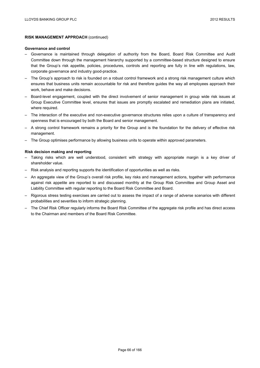## **RISK MANAGEMENT APPROACH** (continued)

### **Governance and control**

- Governance is maintained through delegation of authority from the Board, Board Risk Committee and Audit Committee down through the management hierarchy supported by a committee-based structure designed to ensure that the Group's risk appetite, policies, procedures, controls and reporting are fully in line with regulations, law, corporate governance and industry good-practice.
- The Group's approach to risk is founded on a robust control framework and a strong risk management culture which ensures that business units remain accountable for risk and therefore guides the way all employees approach their work, behave and make decisions.
- Board-level engagement, coupled with the direct involvement of senior management in group wide risk issues at Group Executive Committee level, ensures that issues are promptly escalated and remediation plans are initiated, where required.
- The interaction of the executive and non-executive governance structures relies upon a culture of transparency and openness that is encouraged by both the Board and senior management.
- A strong control framework remains a priority for the Group and is the foundation for the delivery of effective risk management.
- The Group optimises performance by allowing business units to operate within approved parameters.

### **Risk decision making and reporting**

- Taking risks which are well understood, consistent with strategy with appropriate margin is a key driver of shareholder value.
- Risk analysis and reporting supports the identification of opportunities as well as risks.
- An aggregate view of the Group's overall risk profile, key risks and management actions, together with performance against risk appetite are reported to and discussed monthly at the Group Risk Committee and Group Asset and Liability Committee with regular reporting to the Board Risk Committee and Board.
- Rigorous stress testing exercises are carried out to assess the impact of a range of adverse scenarios with different probabilities and severities to inform strategic planning.
- The Chief Risk Officer regularly informs the Board Risk Committee of the aggregate risk profile and has direct access to the Chairman and members of the Board Risk Committee.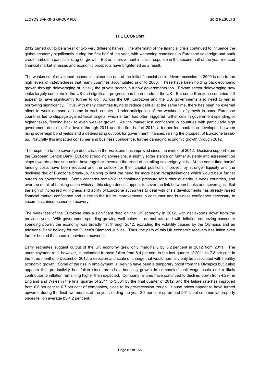### **THE ECONOMY**

2012 turned out to be a year of two very different halves. The aftermath of the financial crisis continued to influence the global economy significantly during the first half of the year, with worsening conditions in Eurozone sovereign and bank credit markets a particular drag on growth. But an improvement in crisis response in the second half of the year reduced financial market stresses and economic prospects have brightened as a result.

The weakness of developed economies since the end of the initial financial crisis-driven recession in 2009 is due to the high levels of indebtedness that many countries accumulated prior to 2008. These have been holding back economic growth through deleveraging of initially the private sector, but now governments too. Private sector deleveraging now looks largely complete in the US and significant progress has been made in the UK. But some Eurozone countries still appear to have significantly further to go. Across the UK, Eurozone and the US, governments also need to rein in borrowing significantly. Thus, with many countries trying to reduce debt all at the same time, there has been no external offset to weak demand at home in each country. Under-anticipation of the weakness of growth in some Eurozone countries led to slippage against fiscal targets, which in turn has often triggered further cuts in government spending or higher taxes, feeding back to even weaker growth. As the market lost confidence in countries with particularly high government debt or deficit levels through 2011 and the first half of 2012, a further feedback loop developed between rising sovereign bond yields and a deteriorating outlook for government finances, raising the prospect of Eurozone breakup. Naturally this impacted consumer and business confidence, further damaging economic growth through 2012.

The response to the sovereign debt crisis in the Eurozone has improved since the middle of 2012. Decisive support from the European Central Bank (ECB) to struggling sovereigns, a slightly softer stance on further austerity and agreement on steps towards a banking union have together reversed the trend of spiralling sovereign vields. At the same time banks' funding costs have been reduced and the outlook for their capital positions improved by stronger liquidity and the declining risk of Eurozone break-up, helping to limit the need for more bank recapitalisations which would be a further burden on governments. Some concerns remain over continued pressure for further austerity in weak countries, and over the detail of banking union which at this stage doesn't appear to sever the link between banks and sovereigns. But the sign of increased willingness and ability of Eurozone authorities to deal with crisis developments has already raised financial market confidence and is key to the future improvements in consumer and business confidence necessary to secure sustained economic recovery.

The weakness of the Eurozone was a significant drag on the UK economy in 2012, with net exports down from the previous year. With government spending growing well below its normal rate and with inflation squeezing consumer spending power, the economy was broadly flat through 2012, excluding the volatility caused by the Olympics and an additional Bank holiday for the Queen's Diamond Jubilee. Thus, the path of this UK economic recovery has fallen even further behind that seen in previous recoveries.

Early estimates suggest output of the UK economy grew only marginally by 0.2 per cent in 2012 from 2011. The unemployment rate, however, is estimated to have fallen from 8.4 per cent in the last quarter of 2011 to 7.8 per cent in the three months to December 2012, a direction and scale of change that would normally only be associated with healthy economic growth. Some of the rise in employment is likely to have been a temporary boost from the Olympics but it also appears that productivity has fallen since pre-crisis, boosting growth in companies' unit wage costs and a likely contributor to inflation remaining higher than expected. Company failures have continued to decline, down from 4,294 in England and Wales in the final quarter of 2011 to 3,834 by the final quarter of 2012, and the failure rate has improved from 0.8 per cent to 0.7 per cent of companies, close to its pre-recession trough. House prices appear to have turned upwards during the final two months of the year, ending the year 2.3 per cent up on end 2011, but commercial property prices fell on average by 4.2 per cent.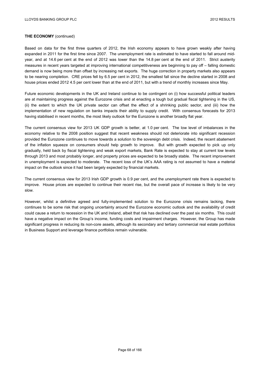### **THE ECONOMY** (continued)

Based on data for the first three quarters of 2012, the Irish economy appears to have grown weakly after having expanded in 2011 for the first time since 2007. The unemployment rate is estimated to have started to fall around midyear, and at 14.6 per cent at the end of 2012 was lower than the 14.8 per cent at the end of 2011. Strict austerity measures in recent years targeted at improving international competitiveness are beginning to pay off – falling domestic demand is now being more than offset by increasing net exports. The huge correction in property markets also appears to be nearing completion. CRE prices fell by 6.5 per cent in 2012, the smallest fall since the decline started in 2008 and house prices ended 2012 4.5 per cent lower than at the end of 2011, but with a trend of monthly increases since May.

Future economic developments in the UK and Ireland continue to be contingent on (i) how successful political leaders are at maintaining progress against the Eurozone crisis and at enacting a tough but gradual fiscal tightening in the US, (ii) the extent to which the UK private sector can offset the effect of a shrinking public sector, and (iii) how the implementation of new regulation on banks impacts their ability to supply credit. With consensus forecasts for 2013 having stabilised in recent months, the most likely outlook for the Eurozone is another broadly flat year.

The current consensus view for 2013 UK GDP growth is better, at 1.0 per cent. The low level of imbalances in the economy relative to the 2008 position suggest that recent weakness should not deteriorate into significant recession provided the Eurozone continues to move towards a solution to the sovereign debt crisis. Indeed, the recent abatement of the inflation squeeze on consumers should help growth to improve. But with growth expected to pick up only gradually, held back by fiscal tightening and weak export markets, Bank Rate is expected to stay at current low levels through 2013 and most probably longer, and property prices are expected to be broadly stable. The recent improvement in unemployment is expected to moderate. The recent loss of the UK's AAA rating is not assumed to have a material impact on the outlook since it had been largely expected by financial markets.

The current consensus view for 2013 Irish GDP growth is 0.9 per cent, and the unemployment rate there is expected to improve. House prices are expected to continue their recent rise, but the overall pace of increase is likely to be very slow.

However, whilst a definitive agreed and fully-implemented solution to the Eurozone crisis remains lacking, there continues to be some risk that ongoing uncertainty around the Eurozone economic outlook and the availability of credit could cause a return to recession in the UK and Ireland, albeit that risk has declined over the past six months. This could have a negative impact on the Group's income, funding costs and impairment charges. However, the Group has made significant progress in reducing its non-core assets, although its secondary and tertiary commercial real estate portfolios in Business Support and leverage finance portfolios remain vulnerable.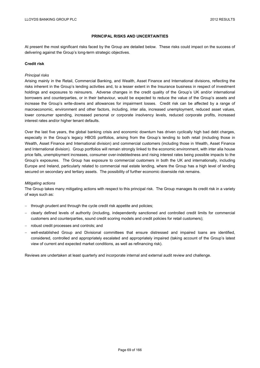## **PRINCIPAL RISKS AND UNCERTAINTIES**

At present the most significant risks faced by the Group are detailed below. These risks could impact on the success of delivering against the Group's long-term strategic objectives.

### **Credit risk**

### *Principal risks*

Arising mainly in the Retail, Commercial Banking, and Wealth, Asset Finance and International divisions, reflecting the risks inherent in the Group's lending activities and, to a lesser extent in the Insurance business in respect of investment holdings and exposures to reinsurers. Adverse changes in the credit quality of the Group's UK and/or international borrowers and counterparties, or in their behaviour, would be expected to reduce the value of the Group's assets and increase the Group's write-downs and allowances for impairment losses. Credit risk can be affected by a range of macroeconomic, environment and other factors, including, inter alia, increased unemployment, reduced asset values, lower consumer spending, increased personal or corporate insolvency levels, reduced corporate profits, increased interest rates and/or higher tenant defaults.

Over the last five years, the global banking crisis and economic downturn has driven cyclically high bad debt charges, especially in the Group's legacy HBOS portfolios, arising from the Group's lending to both retail (including those in Wealth, Asset Finance and International division) and commercial customers (including those in Wealth, Asset Finance and International division). Group portfolios will remain strongly linked to the economic environment, with inter alia house price falls, unemployment increases, consumer over-indebtedness and rising interest rates being possible impacts to the Group's exposures. The Group has exposure to commercial customers in both the UK and internationally, including Europe and Ireland, particularly related to commercial real estate lending, where the Group has a high level of lending secured on secondary and tertiary assets. The possibility of further economic downside risk remains.

#### *Mitigating actions*

The Group takes many mitigating actions with respect to this principal risk. The Group manages its credit risk in a variety of ways such as:

- through prudent and through the cycle credit risk appetite and policies;
- clearly defined levels of authority (including, independently sanctioned and controlled credit limits for commercial customers and counterparties, sound credit scoring models and credit policies for retail customers);
- robust credit processes and controls; and
- well-established Group and Divisional committees that ensure distressed and impaired loans are identified, considered, controlled and appropriately escalated and appropriately impaired (taking account of the Group's latest view of current and expected market conditions, as well as refinancing risk).

Reviews are undertaken at least quarterly and incorporate internal and external audit review and challenge.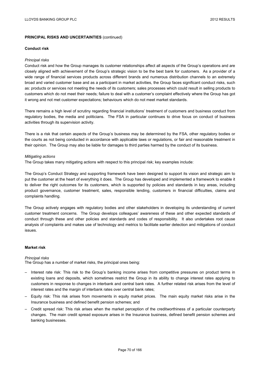### **Conduct risk**

## *Principal risks*

Conduct risk and how the Group manages its customer relationships affect all aspects of the Group's operations and are closely aligned with achievement of the Group's strategic vision to be the best bank for customers. As a provider of a wide range of financial services products across different brands and numerous distribution channels to an extremely broad and varied customer base and as a participant in market activities, the Group faces significant conduct risks, such as: products or services not meeting the needs of its customers; sales processes which could result in selling products to customers which do not meet their needs; failure to deal with a customer's complaint effectively where the Group has got it wrong and not met customer expectations; behaviours which do not meet market standards.

There remains a high level of scrutiny regarding financial institutions' treatment of customers and business conduct from regulatory bodies, the media and politicians. The FSA in particular continues to drive focus on conduct of business activities through its supervision activity.

There is a risk that certain aspects of the Group's business may be determined by the FSA, other regulatory bodies or the courts as not being conducted in accordance with applicable laws or regulations, or fair and reasonable treatment in their opinion. The Group may also be liable for damages to third parties harmed by the conduct of its business.

### *Mitigating actions*

The Group takes many mitigating actions with respect to this principal risk; key examples include:

The Group's Conduct Strategy and supporting framework have been designed to support its vision and strategic aim to put the customer at the heart of everything it does. The Group has developed and implemented a framework to enable it to deliver the right outcomes for its customers, which is supported by policies and standards in key areas, including product governance, customer treatment, sales, responsible lending, customers in financial difficulties, claims and complaints handling.

The Group actively engages with regulatory bodies and other stakeholders in developing its understanding of current customer treatment concerns. The Group develops colleagues' awareness of these and other expected standards of conduct through these and other policies and standards and codes of responsibility. It also undertakes root cause analysis of complaints and makes use of technology and metrics to facilitate earlier detection and mitigations of conduct issues.

# **Market risk**

## *Principal risks*

The Group has a number of market risks, the principal ones being:

- Interest rate risk: This risk to the Group's banking income arises from competitive pressures on product terms in existing loans and deposits, which sometimes restrict the Group in its ability to change interest rates applying to customers in response to changes in interbank and central bank rates. A further related risk arises from the level of interest rates and the margin of interbank rates over central bank rates;
- Equity risk: This risk arises from movements in equity market prices. The main equity market risks arise in the Insurance business and defined benefit pension schemes; and
- Credit spread risk: This risk arises when the market perception of the creditworthiness of a particular counterparty changes. The main credit spread exposure arises in the Insurance business, defined benefit pension schemes and banking businesses.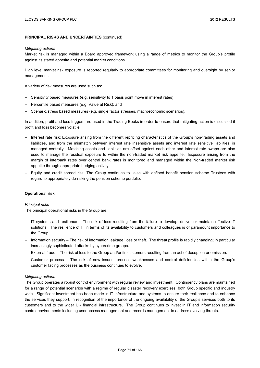#### *Mitigating actions*

Market risk is managed within a Board approved framework using a range of metrics to monitor the Group's profile against its stated appetite and potential market conditions.

High level market risk exposure is reported regularly to appropriate committees for monitoring and oversight by senior management.

A variety of risk measures are used such as:

- Sensitivity based measures (e.g. sensitivity to 1 basis point move in interest rates);
- Percentile based measures (e.g. Value at Risk); and
- Scenario/stress based measures (e.g. single factor stresses, macroeconomic scenarios).

In addition, profit and loss triggers are used in the Trading Books in order to ensure that mitigating action is discussed if profit and loss becomes volatile.

- Interest rate risk: Exposure arising from the different repricing characteristics of the Group's non-trading assets and liabilities, and from the mismatch between interest rate insensitive assets and interest rate sensitive liabilities, is managed centrally. Matching assets and liabilities are offset against each other and interest rate swaps are also used to manage the residual exposure to within the non-traded market risk appetite. Exposure arising from the margin of interbank rates over central bank rates is monitored and managed within the Non-traded market risk appetite through appropriate hedging activity.
- Equity and credit spread risk: The Group continues to liaise with defined benefit pension scheme Trustees with regard to appropriately de-risking the pension scheme portfolio.

## **Operational risk**

#### *Principal risks*

The principal operational risks in the Group are:

- IT systems and resilience The risk of loss resulting from the failure to develop, deliver or maintain effective IT solutions. The resilience of IT in terms of its availability to customers and colleagues is of paramount importance to the Group.
- Information security The risk of information leakage, loss or theft. The threat profile is rapidly changing; in particular increasingly sophisticated attacks by cybercrime groups.
- External fraud The risk of loss to the Group and/or its customers resulting from an act of deception or omission.
- Customer process The risk of new issues, process weaknesses and control deficiencies within the Group's customer facing processes as the business continues to evolve.

## *Mitigating actions*

The Group operates a robust control environment with regular review and investment. Contingency plans are maintained for a range of potential scenarios with a regime of regular disaster recovery exercises, both Group specific and industry wide. Significant investment has been made in IT infrastructure and systems to ensure their resilience and to enhance the services they support, in recognition of the importance of the ongoing availability of the Group's services both to its customers and to the wider UK financial infrastructure. The Group continues to invest in IT and information security control environments including user access management and records management to address evolving threats.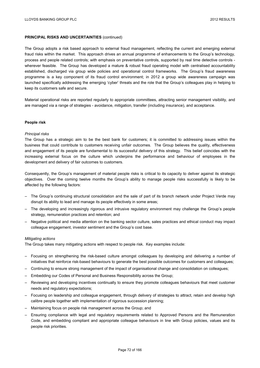The Group adopts a risk based approach to external fraud management, reflecting the current and emerging external fraud risks within the market. This approach drives an annual programme of enhancements to the Group's technology, process and people related controls; with emphasis on preventative controls, supported by real time detective controls wherever feasible. The Group has developed a mature & robust fraud operating model with centralised accountability established, discharged via group wide policies and operational control frameworks. The Group's fraud awareness programme is a key component of its fraud control environment; in 2012 a group wide awareness campaign was launched specifically addressing the emerging 'cyber' threats and the role that the Group's colleagues play in helping to keep its customers safe and secure.

Material operational risks are reported regularly to appropriate committees, attracting senior management visibility, and are managed via a range of strategies - avoidance, mitigation, transfer (including insurance), and acceptance.

## **People risk**

### *Principal risks*

The Group has a strategic aim to be the best bank for customers; it is committed to addressing issues within the business that could contribute to customers receiving unfair outcomes. The Group believes the quality, effectiveness and engagement of its people are fundamental to its successful delivery of this strategy. This belief coincides with the increasing external focus on the culture which underpins the performance and behaviour of employees in the development and delivery of fair outcomes to customers.

Consequently, the Group's management of material people risks is critical to its capacity to deliver against its strategic objectives. Over the coming twelve months the Group's ability to manage people risks successfully is likely to be affected by the following factors:

- The Group's continuing structural consolidation and the sale of part of its branch network under Project Verde may disrupt its ability to lead and manage its people effectively in some areas;
- The developing and increasingly rigorous and intrusive regulatory environment may challenge the Group's people strategy, remuneration practices and retention; and
- Negative political and media attention on the banking sector culture, sales practices and ethical conduct may impact colleague engagement, investor sentiment and the Group's cost base.

#### *Mitigating actions*

The Group takes many mitigating actions with respect to people risk. Key examples include:

- Focusing on strengthening the risk-based culture amongst colleagues by developing and delivering a number of initiatives that reinforce risk-based behaviours to generate the best possible outcomes for customers and colleagues;
- Continuing to ensure strong management of the impact of organisational change and consolidation on colleagues;
- Embedding our Codes of Personal and Business Responsibility across the Group;
- Reviewing and developing incentives continually to ensure they promote colleagues behaviours that meet customer needs and regulatory expectations;
- Focusing on leadership and colleague engagement, through delivery of strategies to attract, retain and develop high calibre people together with implementation of rigorous succession planning;
- Maintaining focus on people risk management across the Group; and
- Ensuring compliance with legal and regulatory requirements related to Approved Persons and the Remuneration Code, and embedding compliant and appropriate colleague behaviours in line with Group policies, values and its people risk priorities.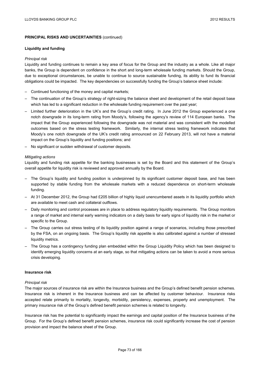### **Liquidity and funding**

### *Principal risk*

Liquidity and funding continues to remain a key area of focus for the Group and the industry as a whole. Like all major banks, the Group is dependent on confidence in the short and long-term wholesale funding markets. Should the Group, due to exceptional circumstances, be unable to continue to source sustainable funding, its ability to fund its financial obligations could be impacted. The key dependencies on successfully funding the Group's balance sheet include:

- Continued functioning of the money and capital markets;
- The continuation of the Group's strategy of right-sizing the balance sheet and development of the retail deposit base which has led to a significant reduction in the wholesale funding requirement over the past year;
- Limited further deterioration in the UK's and the Group's credit rating. In June 2012 the Group experienced a one notch downgrade in its long-term rating from Moody's, following the agency's review of 114 European banks. The impact that the Group experienced following the downgrade was not material and was consistent with the modelled outcomes based on the stress testing framework. Similarly, the internal stress testing framework indicates that Moody's one notch downgrade of the UK's credit rating announced on 22 February 2013, will not have a material impact on the Group's liquidity and funding positions; and
- No significant or sudden withdrawal of customer deposits.

## *Mitigating actions*

Liquidity and funding risk appetite for the banking businesses is set by the Board and this statement of the Group's overall appetite for liquidity risk is reviewed and approved annually by the Board.

- The Group's liquidity and funding position is underpinned by its significant customer deposit base, and has been supported by stable funding from the wholesale markets with a reduced dependence on short-term wholesale funding.
- At 31 December 2012, the Group had £205 billion of highly liquid unencumbered assets in its liquidity portfolio which are available to meet cash and collateral outflows.
- Daily monitoring and control processes are in place to address regulatory liquidity requirements. The Group monitors a range of market and internal early warning indicators on a daily basis for early signs of liquidity risk in the market or specific to the Group.
- The Group carries out stress testing of its liquidity position against a range of scenarios, including those prescribed by the FSA, on an ongoing basis. The Group's liquidity risk appetite is also calibrated against a number of stressed liquidity metrics.
- The Group has a contingency funding plan embedded within the Group Liquidity Policy which has been designed to identify emerging liquidity concerns at an early stage, so that mitigating actions can be taken to avoid a more serious crisis developing.

#### **Insurance risk**

#### *Principal risk*

The major sources of insurance risk are within the Insurance business and the Group's defined benefit pension schemes. Insurance risk is inherent in the Insurance business and can be affected by customer behaviour. Insurance risks accepted relate primarily to mortality, longevity, morbidity, persistency, expenses, property and unemployment. The primary insurance risk of the Group's defined benefit pension schemes is related to longevity.

Insurance risk has the potential to significantly impact the earnings and capital position of the Insurance business of the Group. For the Group's defined benefit pension schemes, insurance risk could significantly increase the cost of pension provision and impact the balance sheet of the Group.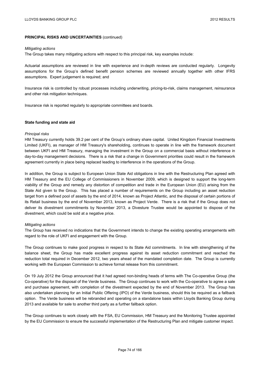#### *Mitigating actions*

The Group takes many mitigating actions with respect to this principal risk, key examples include:

Actuarial assumptions are reviewed in line with experience and in-depth reviews are conducted regularly. Longevity assumptions for the Group's defined benefit pension schemes are reviewed annually together with other IFRS assumptions. Expert judgement is required; and

Insurance risk is controlled by robust processes including underwriting, pricing-to-risk, claims management, reinsurance and other risk mitigation techniques.

Insurance risk is reported regularly to appropriate committees and boards.

## **State funding and state aid**

### *Principal risks*

HM Treasury currently holds 39.2 per cent of the Group's ordinary share capital. United Kingdom Financial Investments Limited (UKFI), as manager of HM Treasury's shareholding, continues to operate in line with the framework document between UKFI and HM Treasury, managing the investment in the Group on a commercial basis without interference in day-to-day management decisions. There is a risk that a change in Government priorities could result in the framework agreement currently in place being replaced leading to interference in the operations of the Group.

In addition, the Group is subject to European Union State Aid obligations in line with the Restructuring Plan agreed with HM Treasury and the EU College of Commissioners in November 2009, which is designed to support the long-term viability of the Group and remedy any distortion of competition and trade in the European Union (EU) arising from the State Aid given to the Group. This has placed a number of requirements on the Group including an asset reduction target from a defined pool of assets by the end of 2014, known as Project Atlantic, and the disposal of certain portions of its Retail business by the end of November 2013, known as Project Verde. There is a risk that if the Group does not deliver its divestment commitments by November 2013, a Divesture Trustee would be appointed to dispose of the divestment, which could be sold at a negative price.

## *Mitigating actions*

The Group has received no indications that the Government intends to change the existing operating arrangements with regard to the role of UKFI and engagement with the Group.

The Group continues to make good progress in respect to its State Aid commitments. In line with strengthening of the balance sheet, the Group has made excellent progress against its asset reduction commitment and reached the reduction total required in December 2012, two years ahead of the mandated completion date. The Group is currently working with the European Commission to achieve formal release from this commitment.

On 19 July 2012 the Group announced that it had agreed non-binding heads of terms with The Co-operative Group (the Co-operative) for the disposal of the Verde business. The Group continues to work with the Co-operative to agree a sale and purchase agreement, with completion of the divestment expected by the end of November 2013. The Group has also undertaken planning for an Initial Public Offering (IPO) of the Verde business, should this be required as a fallback option. The Verde business will be rebranded and operating on a standalone basis within Lloyds Banking Group during 2013 and available for sale to another third party as a further fallback option.

The Group continues to work closely with the FSA, EU Commission, HM Treasury and the Monitoring Trustee appointed by the EU Commission to ensure the successful implementation of the Restructuring Plan and mitigate customer impact.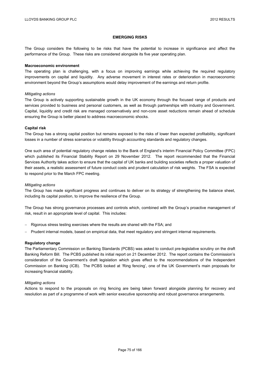## **EMERGING RISKS**

The Group considers the following to be risks that have the potential to increase in significance and affect the performance of the Group. These risks are considered alongside its five year operating plan.

#### **Macroeconomic environment**

The operating plan is challenging, with a focus on improving earnings while achieving the required regulatory improvements on capital and liquidity. Any adverse movement in interest rates or deterioration in macroeconomic environment beyond the Group's assumptions would delay improvement of the earnings and return profile.

### *Mitigating actions*

The Group is actively supporting sustainable growth in the UK economy through the focused range of products and services provided to business and personal customers, as well as through partnerships with industry and Government. Capital, liquidity and credit risk are managed conservatively and non-core asset reductions remain ahead of schedule ensuring the Group is better placed to address macroeconomic shocks.

### **Capital risk**

The Group has a strong capital position but remains exposed to the risks of lower than expected profitability, significant losses in a number of stress scenarios or volatility through accounting standards and regulatory changes.

One such area of potential regulatory change relates to the Bank of England's interim Financial Policy Committee (FPC) which published its Financial Stability Report on 29 November 2012. The report recommended that the Financial Services Authority takes action to ensure that the capital of UK banks and building societies reflects a proper valuation of their assets, a realistic assessment of future conduct costs and prudent calculation of risk weights. The FSA is expected to respond prior to the March FPC meeting.

### *Mitigating actions*

The Group has made significant progress and continues to deliver on its strategy of strengthening the balance sheet, including its capital position, to improve the resilience of the Group.

The Group has strong governance processes and controls which, combined with the Group's proactive management of risk, result in an appropriate level of capital. This includes:

- Rigorous stress testing exercises where the results are shared with the FSA; and
- Prudent internal models, based on empirical data, that meet regulatory and stringent internal requirements.

#### **Regulatory change**

The Parliamentary Commission on Banking Standards (PCBS) was asked to conduct pre-legislative scrutiny on the draft Banking Reform Bill. The PCBS published its initial report on 21 December 2012. The report contains the Commission's consideration of the Government's draft legislation which gives effect to the recommendations of the Independent Commission on Banking (ICB). The PCBS looked at 'Ring fencing', one of the UK Government's main proposals for increasing financial stability.

## *Mitigating actions*

Actions to respond to the proposals on ring fencing are being taken forward alongside planning for recovery and resolution as part of a programme of work with senior executive sponsorship and robust governance arrangements.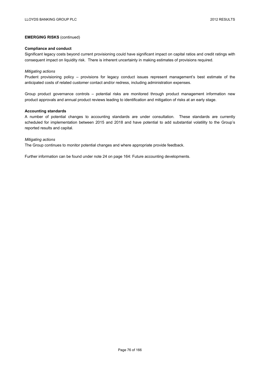## **EMERGING RISKS** (continued)

### **Compliance and conduct**

Significant legacy costs beyond current provisioning could have significant impact on capital ratios and credit ratings with consequent impact on liquidity risk. There is inherent uncertainty in making estimates of provisions required.

### *Mitigating actions*

Prudent provisioning policy – provisions for legacy conduct issues represent management's best estimate of the anticipated costs of related customer contact and/or redress, including administration expenses.

Group product governance controls – potential risks are monitored through product management information new product approvals and annual product reviews leading to identification and mitigation of risks at an early stage.

### **Accounting standards**

A number of potential changes to accounting standards are under consultation. These standards are currently scheduled for implementation between 2015 and 2018 and have potential to add substantial volatility to the Group's reported results and capital.

### *Mitigating actions*

The Group continues to monitor potential changes and where appropriate provide feedback.

Further information can be found under note 24 on page 164: Future accounting developments.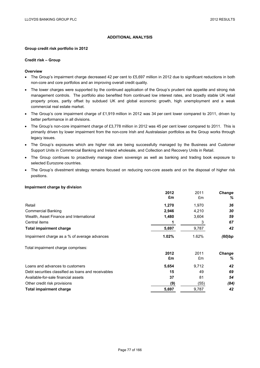# **ADDITIONAL ANALYSIS**

### **Group credit risk portfolio in 2012**

### **Credit risk – Group**

## **Overview**

- The Group's impairment charge decreased 42 per cent to £5,697 million in 2012 due to significant reductions in both non-core and core portfolios and an improving overall credit quality.
- The lower charges were supported by the continued application of the Group's prudent risk appetite and strong risk management controls. The portfolio also benefited from continued low interest rates, and broadly stable UK retail property prices, partly offset by subdued UK and global economic growth, high unemployment and a weak commercial real estate market.
- The Group's core impairment charge of £1,919 million in 2012 was 34 per cent lower compared to 2011, driven by better performance in all divisions.
- The Group's non-core impairment charge of £3,778 million in 2012 was 45 per cent lower compared to 2011. This is primarily driven by lower impairment from the non-core Irish and Australasian portfolios as the Group works through legacy issues.
- The Group's exposures which are higher risk are being successfully managed by the Business and Customer Support Units in Commercial Banking and Ireland wholesale, and Collection and Recovery Units in Retail.
- The Group continues to proactively manage down sovereign as well as banking and trading book exposure to selected Eurozone countries.
- The Group's divestment strategy remains focused on reducing non-core assets and on the disposal of higher risk positions.

## **Impairment charge by division**

|                                                     | 2012  | 2011  | <b>Change</b> |
|-----------------------------------------------------|-------|-------|---------------|
|                                                     | £m    | £m    | ℅             |
| Retail                                              | 1,270 | 1,970 | 36            |
| <b>Commercial Banking</b>                           | 2,946 | 4,210 | 30            |
| Wealth, Asset Finance and International             | 1,480 | 3,604 | 59            |
| Central items                                       |       | 3     | 67            |
| <b>Total impairment charge</b>                      | 5,697 | 9,787 | 42            |
| Impairment charge as a % of average advances        | 1.02% | 1.62% | (60)bp        |
| Total impairment charge comprises:                  |       |       |               |
|                                                     | 2012  | 2011  | Change        |
|                                                     | £m    | £m    | %             |
| Loans and advances to customers                     | 5,654 | 9,712 | 42            |
| Debt securities classified as loans and receivables | 15    | 49    | 69            |
| Available-for-sale financial assets                 | 37    | 81    | 54            |
| Other credit risk provisions                        | (9)   | (55)  | (84)          |
| <b>Total impairment charge</b>                      | 5,697 | 9,787 | 42            |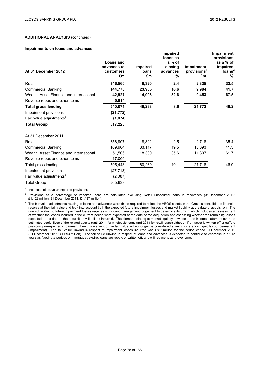**Impaired**

# **ADDITIONAL ANALYSIS** (continued)

### **Impairments on loans and advances**

|                                         |                  |             | Impaired      |                               | <b>Impairment</b>       |
|-----------------------------------------|------------------|-------------|---------------|-------------------------------|-------------------------|
|                                         |                  |             | loans as      |                               | provisions              |
|                                         | <b>Loans and</b> |             | a % of        |                               | as a % of               |
|                                         | advances to      | Impaired    | closing       | Impairment                    | impaired                |
| At 31 December 2012                     | customers<br>£m  | loans<br>£m | advances<br>% | provisions <sup>1</sup><br>£m | loans <sup>2</sup><br>% |
|                                         |                  |             |               |                               |                         |
| Retail                                  | 346,560          | 8,320       | 2.4           | 2,335                         | 32.5                    |
| <b>Commercial Banking</b>               | 144,770          | 23,965      | 16.6          | 9,984                         | 41.7                    |
| Wealth, Asset Finance and International | 42,927           | 14,008      | 32.6          | 9,453                         | 67.5                    |
| Reverse repos and other items           | 5,814            |             |               |                               |                         |
| <b>Total gross lending</b>              | 540,071          | 46,293      | 8.6           | 21,772                        | 48.2                    |
| Impairment provisions                   | (21, 772)        |             |               |                               |                         |
| Fair value adjustments <sup>3</sup>     | (1,074)          |             |               |                               |                         |
| <b>Total Group</b>                      | 517,225          |             |               |                               |                         |
| At 31 December 2011                     |                  |             |               |                               |                         |
| Retail                                  | 356.907          | 8,822       | 2.5           | 2,718                         | 35.4                    |
| <b>Commercial Banking</b>               | 169,964          | 33,117      | 19.5          | 13,693                        | 41.3                    |
| Wealth, Asset Finance and International | 51,506           | 18,330      | 35.6          | 11,307                        | 61.7                    |
| Reverse repos and other items           | 17,066           |             |               |                               |                         |
| Total gross lending                     | 595,443          | 60,269      | 10.1          | 27,718                        | 46.9                    |
| Impairment provisions                   | (27, 718)        |             |               |                               |                         |
| Fair value adjustments <sup>3</sup>     | (2,087)          |             |               |                               |                         |
| <b>Total Group</b>                      | 565,638          |             |               |                               |                         |

<sup>1</sup> Includes collective unimpaired provisions.

<sup>2</sup> Provisions as a percentage of impaired loans are calculated excluding Retail unsecured loans in recoveries (31 December 2012: £1,129 million; 31 December 2011: £1,137 million).

 $3$  The fair value adjustments relating to loans and advances were those required to reflect the HBOS assets in the Group's consolidated financial records at their fair value and took into account both the expected future impairment losses and market liquidity at the date of acquisition. The unwind relating to future impairment losses requires significant management judgement to determine its timing which includes an assessment of whether the losses incurred in the current period were expected at the date of the acquisition and assessing whether the remaining losses expected at the date of the acquisition will still be incurred. The element relating to market liquidity unwinds to the income statement over the estimated useful lives of the related assets (until 2014 for wholesale loans and 2018 for retail loans) although if an asset is written off or suffers previously unexpected impairment then this element of the fair value will no longer be considered a timing difference (liquidity) but permanent (impairment). The fair value unwind in respect of impairment losses incurred was £868 million for the period ended 31 December 2012 (31 December 2011: £1,693 million). The fair value unwind in respect of loans and advances is expected to continue to decrease in future years as fixed-rate periods on mortgages expire, loans are repaid or written off, and will reduce to zero over time.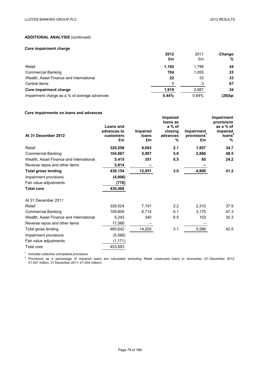## **Core impairment charge**

|                                              | 2012<br>£m | 2011<br>£m | <b>Change</b><br>% |
|----------------------------------------------|------------|------------|--------------------|
| Retail                                       | 1,192      | 1.796      | 34                 |
| <b>Commercial Banking</b>                    | 704        | 1,055      | 33                 |
| Wealth, Asset Finance and International      | 22         | 33         | 33                 |
| Central items                                |            |            | 67                 |
| Core impairment charge                       | 1.919      | 2,887      | 34                 |
| Impairment charge as a % of average advances | 0.44%      | 0.64%      | (20)bp             |

# **Core impairments on loans and advances**

|                                         |                                 |          | <b>Impaired</b>   |                         | <b>Impairment</b>     |
|-----------------------------------------|---------------------------------|----------|-------------------|-------------------------|-----------------------|
|                                         |                                 |          | loans as          |                         | provisions            |
|                                         | <b>Loans and</b><br>advances to | Impaired | a % of<br>closing | Impairment              | as a % of<br>impaired |
| At 31 December 2012                     | customers                       | loans    | advances          | provisions <sup>1</sup> | loans <sup>2</sup>    |
|                                         | £m                              | £m       | %                 | £m                      | %                     |
| Retail                                  | 320,058                         | 6,693    | 2.1               | 1,957                   | 34.7                  |
| <b>Commercial Banking</b>               | 104,867                         | 5,907    | 5.6               | 2,866                   | 48.5                  |
| Wealth. Asset Finance and International | 5,415                           | 351      | 6.5               | 85                      | 24.2                  |
| Reverse repos and other items           | 5,814                           |          |                   |                         |                       |
| <b>Total gross lending</b>              | 436,154                         | 12,951   | 3.0               | 4,908                   | 41.2                  |
| Impairment provisions                   | (4,908)                         |          |                   |                         |                       |
| Fair value adjustments                  | (778)                           |          |                   |                         |                       |
| <b>Total core</b>                       | 430,468                         |          |                   |                         |                       |
| At 31 December 2011                     |                                 |          |                   |                         |                       |
| Retail                                  | 328,524                         | 7,151    | 2.2               | 2,310                   | 37.9                  |
| <b>Commercial Banking</b>               | 109,809                         | 6,714    | 6.1               | 3,175                   | 47.3                  |
| Wealth, Asset Finance and International | 5,243                           | 340      | 6.5               | 103                     | 30.3                  |
| Reverse repos and other items           | 17,066                          |          |                   |                         |                       |
| Total gross lending                     | 460,642                         | 14,205   | 3.1               | 5,588                   | 42.5                  |
| Impairment provisions                   | (5,588)                         |          |                   |                         |                       |
| Fair value adjustments                  | (1, 171)                        |          |                   |                         |                       |
| Total core                              | 453,883                         |          |                   |                         |                       |

<sup>1</sup> Includes collective unimpaired provisions.<br><sup>2</sup> Provisions as a percentage of impaired loans are calculated excluding Retail unsecured loans in recoveries (31 December 2012: £1,047 million; 31 December 2011: £1,054 million).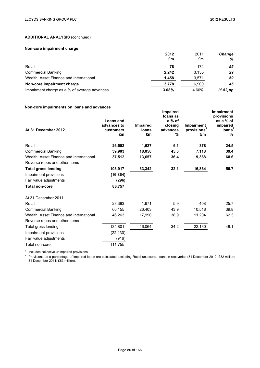## **Non-core impairment charge**

|                                              | 2012<br>£m | 2011<br>£m | <b>Change</b><br>% |
|----------------------------------------------|------------|------------|--------------------|
| Retail                                       | 78         | 174        | 55                 |
| <b>Commercial Banking</b>                    | 2.242      | 3.155      | 29                 |
| Wealth, Asset Finance and International      | 1.458      | 3,571      | 59                 |
| Non-core impairment charge                   | 3,778      | 6.900      | 45                 |
| Impairment charge as a % of average advances | 3.08%      | 4.60%      | $(1.52)$ pp        |

## **Non-core impairments on loans and advances**

| At 31 December 2012                     | <b>Loans and</b><br>advances to<br>customers<br>£m | <b>Impaired</b><br>loans<br>£m | Impaired<br>loans as<br>a % of<br>closing<br>advances<br>% | <b>Impairment</b><br>provisions <sup>1</sup><br>£m | <b>Impairment</b><br>provisions<br>as a % of<br>impaired<br>loans <sup>2</sup><br>% |
|-----------------------------------------|----------------------------------------------------|--------------------------------|------------------------------------------------------------|----------------------------------------------------|-------------------------------------------------------------------------------------|
| Retail                                  | 26,502                                             | 1,627                          | 6.1                                                        | 378                                                | 24.5                                                                                |
| <b>Commercial Banking</b>               | 39,903                                             | 18,058                         | 45.3                                                       | 7,118                                              | 39.4                                                                                |
| Wealth, Asset Finance and International | 37,512                                             | 13,657                         | 36.4                                                       | 9,368                                              | 68.6                                                                                |
| Reverse repos and other items           |                                                    |                                |                                                            |                                                    |                                                                                     |
| <b>Total gross lending</b>              | 103,917                                            | 33,342                         | 32.1                                                       | 16,864                                             | 50.7                                                                                |
| Impairment provisions                   | (16, 864)                                          |                                |                                                            |                                                    |                                                                                     |
| Fair value adjustments                  | (296)                                              |                                |                                                            |                                                    |                                                                                     |
| <b>Total non-core</b>                   | 86,757                                             |                                |                                                            |                                                    |                                                                                     |
| At 31 December 2011                     |                                                    |                                |                                                            |                                                    |                                                                                     |
| Retail                                  | 28,383                                             | 1,671                          | 5.9                                                        | 408                                                | 25.7                                                                                |
| <b>Commercial Banking</b>               | 60,155                                             | 26,403                         | 43.9                                                       | 10,518                                             | 39.8                                                                                |
| Wealth, Asset Finance and International | 46,263                                             | 17,990                         | 38.9                                                       | 11,204                                             | 62.3                                                                                |
| Reverse repos and other items           |                                                    |                                |                                                            |                                                    |                                                                                     |
| Total gross lending                     | 134,801                                            | 46,064                         | 34.2                                                       | 22,130                                             | 48.1                                                                                |
| Impairment provisions                   | (22, 130)                                          |                                |                                                            |                                                    |                                                                                     |
| Fair value adjustments                  | (916)                                              |                                |                                                            |                                                    |                                                                                     |
| Total non-core                          | 111,755                                            |                                |                                                            |                                                    |                                                                                     |

<sup>1</sup> Includes collective unimpaired provisions.

<sup>2</sup> Provisions as a percentage of impaired loans are calculated excluding Retail unsecured loans in recoveries (31 December 2012: £82 million; 31 December 2011: £83 million).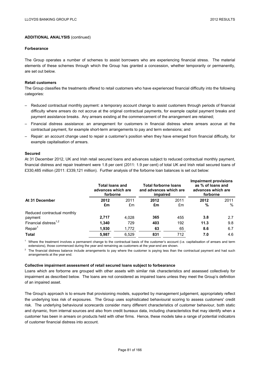### **Forbearance**

The Group operates a number of schemes to assist borrowers who are experiencing financial stress. The material elements of these schemes through which the Group has granted a concession, whether temporarily or permanently, are set out below.

## **Retail customers**

The Group classifies the treatments offered to retail customers who have experienced financial difficulty into the following categories:

- Reduced contractual monthly payment: a temporary account change to assist customers through periods of financial difficulty where arrears do not accrue at the original contractual payments, for example capital payment breaks and payment assistance breaks. Any arrears existing at the commencement of the arrangement are retained;
- Financial distress assistance: an arrangement for customers in financial distress where arrears accrue at the contractual payment, for example short-term arrangements to pay and term extensions; and
- Repair: an account change used to repair a customer's position when they have emerged from financial difficulty, for example capitalisation of arrears.

### **Secured**

At 31 December 2012, UK and Irish retail secured loans and advances subject to reduced contractual monthly payment, financial distress and repair treatment were 1.8 per cent (2011: 1.9 per cent) of total UK and Irish retail secured loans of £330,485 million (2011: £339,121 million). Further analysis of the forborne loan balances is set out below:

|                                        | <b>Total loans and</b><br>advances which are<br>forborne |            | <b>Total forborne loans</b><br>and advances which are<br>impaired |            | <b>Impairment provisions</b><br>as % of loans and<br>advances which are<br>forborne |           |
|----------------------------------------|----------------------------------------------------------|------------|-------------------------------------------------------------------|------------|-------------------------------------------------------------------------------------|-----------|
| At 31 December                         | 2012<br>£m                                               | 2011<br>£m | 2012<br>£m                                                        | 2011<br>£m | 2012<br>%                                                                           | 2011<br>% |
| Reduced contractual monthly<br>payment | 2.717                                                    | 4,028      | 365                                                               | 455        | 3.8                                                                                 | 2.7       |
| Financial distress <sup>1,2</sup>      | 1.340                                                    | 729        | 403                                                               | 192        | 11.3                                                                                | 9.8       |
| Repair <sup>1</sup>                    | 1,930                                                    | 1,772      | 63                                                                | 65         | 8.6                                                                                 | 6.7       |
| <b>Total</b>                           | 5.987                                                    | 6.529      | 831                                                               | 712        | 7.0                                                                                 | 4.6       |

 $<sup>1</sup>$  Where the treatment involves a permanent change to the contractual basis of the customer's account (i.e. capitalisation of arrears and term</sup> extensions), those commenced during the year and remaining as customers at the year-end are shown.

 $2$  The financial distress balance include arrangements to pay where the customer is paying less than the contractual payment and had such arrangements at the year end.

### **Collective impairment assessment of retail secured loans subject to forbearance**

Loans which are forborne are grouped with other assets with similar risk characteristics and assessed collectively for impairment as described below. The loans are not considered as impaired loans unless they meet the Group's definition of an impaired asset.

The Group's approach is to ensure that provisioning models, supported by management judgement, appropriately reflect the underlying loss risk of exposures. The Group uses sophisticated behavioural scoring to assess customers' credit risk. The underlying behavioural scorecards consider many different characteristics of customer behaviour, both static and dynamic, from internal sources and also from credit bureaux data, including characteristics that may identify when a customer has been in arrears on products held with other firms. Hence, these models take a range of potential indicators of customer financial distress into account.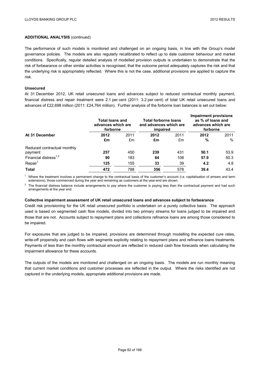The performance of such models is monitored and challenged on an ongoing basis, in line with the Group's model governance policies. The models are also regularly recalibrated to reflect up to date customer behaviour and market conditions. Specifically, regular detailed analysis of modelled provision outputs is undertaken to demonstrate that the risk of forbearance or other similar activities is recognised, that the outcome period adequately captures the risk and that the underlying risk is appropriately reflected. Where this is not the case, additional provisions are applied to capture the risk.

## **Unsecured**

At 31 December 2012, UK retail unsecured loans and advances subject to reduced contractual monthly payment, financial distress and repair treatment were 2.1 per cent (2011: 3.2 per cent) of total UK retail unsecured loans and advances of £22,698 million (2011: £24,764 million). Further analysis of the forborne loan balances is set out below:

|                                        | <b>Total loans and</b><br>advances which are<br>forborne |            | <b>Total forborne loans</b><br>and advances which are<br>impaired |            | <b>Impairment provisions</b><br>as % of loans and<br>advances which are<br>forborne |           |
|----------------------------------------|----------------------------------------------------------|------------|-------------------------------------------------------------------|------------|-------------------------------------------------------------------------------------|-----------|
| At 31 December                         | 2012<br>£m                                               | 2011<br>£m | 2012<br>£m                                                        | 2011<br>£m | 2012<br>%                                                                           | 2011<br>% |
| Reduced contractual monthly<br>payment | 257                                                      | 450        | 239                                                               | 431        | 50.1                                                                                | 53.9      |
| Financial distress <sup>1,2</sup>      | 90                                                       | 183        | 84                                                                | 108        | 57.9                                                                                | 50.3      |
| Repair <sup>1</sup>                    | 125                                                      | 155        | 33                                                                | 39         | 4.2                                                                                 | 4.8       |
| <b>Total</b>                           | 472                                                      | 788        | 356                                                               | 578        | 39.4                                                                                | 43.4      |

 $<sup>1</sup>$  Where the treatment involves a permanent change to the contractual basis of the customer's account (i.e. capitalisation of arrears and term</sup> extensions), those commenced during the year and remaining as customers at the year-end are shown.

 $2$  The financial distress balance include arrangements to pay where the customer is paying less than the contractual payment and had such arrangements at the year end.

## **Collective impairment assessment of UK retail unsecured loans and advances subject to forbearance**

Credit risk provisioning for the UK retail unsecured portfolio is undertaken on a purely collective basis. The approach used is based on segmented cash flow models, divided into two primary streams for loans judged to be impaired and those that are not. Accounts subject to repayment plans and collections refinance loans are among those considered to be impaired.

For exposures that are judged to be impaired, provisions are determined through modelling the expected cure rates, write-off propensity and cash flows with segments explicitly relating to repayment plans and refinance loans treatments. Payments of less than the monthly contractual amount are reflected in reduced cash flow forecasts when calculating the impairment allowance for these accounts.

The outputs of the models are monitored and challenged on an ongoing basis. The models are run monthly meaning that current market conditions and customer processes are reflected in the output. Where the risks identified are not captured in the underlying models, appropriate additional provisions are made.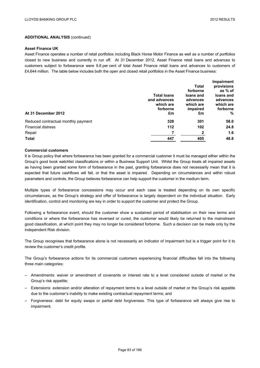### **Asset Finance UK**

Asset Finance operates a number of retail portfolios including Black Horse Motor Finance as well as a number of portfolios closed to new business and currently in run off. At 31 December 2012, Asset Finance retail loans and advances to customers subject to forbearance were 9.6 per cent of total Asset Finance retail loans and advances to customers of £4,644 million. The table below includes both the open and closed retail portfolios in the Asset Finance business:

|                                     |                    |              | <b>Impairment</b> |
|-------------------------------------|--------------------|--------------|-------------------|
|                                     |                    | <b>Total</b> | provisions        |
|                                     |                    | forborne     | as % of           |
|                                     | <b>Total loans</b> | loans and    | loans and         |
|                                     | and advances       | advances     | advances          |
|                                     | which are          | which are    | which are         |
|                                     | forborne           | impaired     | forborne          |
| At 31 December 2012                 | £m                 | £m           | %                 |
| Reduced contractual monthly payment | 328                | 301          | 58.0              |
| <b>Financial distress</b>           | 112                | 102          | 24.8              |
| Repair                              |                    |              | 1.6               |
| <b>Total</b>                        | 447                | 405          | 48.8              |

## **Commercial customers**

It is Group policy that where forbearance has been granted for a commercial customer it must be managed either within the Group's good book watchlist classifications or within a Business Support Unit. Whilst the Group treats all impaired assets as having been granted some form of forbearance in the past, granting forbearance does not necessarily mean that it is expected that future cashflows will fall, or that the asset is impaired. Depending on circumstances and within robust parameters and controls, the Group believes forbearance can help support the customer in the medium term.

Multiple types of forbearance concessions may occur and each case is treated depending on its own specific circumstances, as the Group's strategy and offer of forbearance is largely dependent on the individual situation. Early identification, control and monitoring are key in order to support the customer and protect the Group.

Following a forbearance event, should the customer show a sustained period of stabilisation on their new terms and conditions or where the forbearance has reversed or cured, the customer would likely be returned to the mainstream good classification, at which point they may no longer be considered forborne. Such a decision can be made only by the independent Risk division.

The Group recognises that forbearance alone is not necessarily an indicator of impairment but is a trigger point for it to review the customer's credit profile.

The Group's forbearance actions for its commercial customers experiencing financial difficulties fall into the following three main categories:

- Amendments: waiver or amendment of covenants or interest rate to a level considered outside of market or the Group's risk appetite;
- Extensions: extension and/or alteration of repayment terms to a level outside of market or the Group's risk appetite due to the customer's inability to make existing contractual repayment terms; and
- Forgiveness: debt for equity swaps or partial debt forgiveness. This type of forbearance will always give rise to impairment.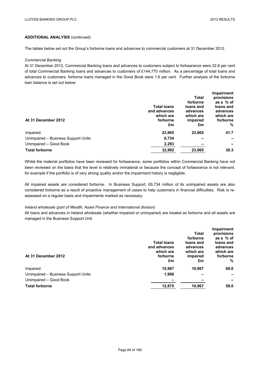The tables below set out the Group's forborne loans and advances to commercial customers at 31 December 2012.

### *Commercial Banking*

At 31 December 2012, Commercial Banking loans and advances to customers subject to forbearance were 22.8 per cent of total Commercial Banking loans and advances to customers of £144,770 million. As a percentage of total loans and advances to customers, forborne loans managed in the Good Book were 1.6 per cent. Further analysis of the forborne loan balance is set out below:

|                                     |                    |              | <b>Impairment</b> |
|-------------------------------------|--------------------|--------------|-------------------|
|                                     |                    | <b>Total</b> | provisions        |
|                                     |                    | forborne     | as a % of         |
|                                     | <b>Total loans</b> | loans and    | loans and         |
|                                     | and advances       | advances     | advances          |
|                                     | which are          | which are    | which are         |
| At 31 December 2012                 | forborne           | impaired     | forborne          |
|                                     | £m                 | £m           | %                 |
| Impaired                            | 23.965             | 23,965       | 41.7              |
| Unimpaired - Business Support Units | 6,734              |              |                   |
| Unimpaired - Good Book              | 2,293              | -            |                   |
| <b>Total forborne</b>               | 32.992             | 23.965       | 30.3              |

Whilst the material portfolios have been reviewed for forbearance, some portfolios within Commercial Banking have not been reviewed on the basis that the level is relatively immaterial or because the concept of forbearance is not relevant, for example if the portfolio is of very strong quality and/or the impairment history is negligible.

All impaired assets are considered forborne. In Business Support, £6,734 million of its unimpaired assets are also considered forborne as a result of proactive management of cases to help customers in financial difficulties. Risk is reassessed on a regular basis and impairments marked as necessary.

## *Ireland wholesale (part of Wealth, Asset Finance and International division)*

All loans and advances in Ireland wholesale (whether impaired or unimpaired) are treated as forborne and all assets are managed in the Business Support Unit.

|                    |           | <b>Impairment</b> |
|--------------------|-----------|-------------------|
|                    | Total     | provisions        |
|                    | forborne  | as a % of         |
| <b>Total loans</b> | loans and | loans and         |
| and advances       | advances  | advances          |
|                    |           | which are         |
| forborne           | impaired  | forborne          |
| £m                 | £m        | %                 |
| 10,967             | 10,967    | 68.0              |
| 1,908              |           |                   |
|                    |           | -                 |
| 12,875             | 10,967    | 58.0              |
|                    | which are | which are         |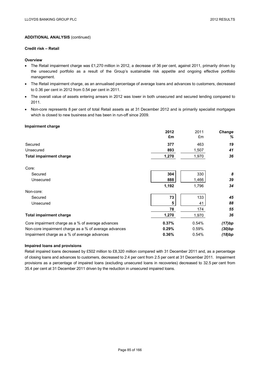## **Credit risk – Retail**

## **Overview**

- The Retail impairment charge was £1,270 million in 2012, a decrease of 36 per cent, against 2011, primarily driven by the unsecured portfolio as a result of the Group's sustainable risk appetite and ongoing effective portfolio management.
- The Retail impairment charge, as an annualised percentage of average loans and advances to customers, decreased to 0.36 per cent in 2012 from 0.54 per cent in 2011.
- The overall value of assets entering arrears in 2012 was lower in both unsecured and secured lending compared to 2011.
- Non-core represents 8 per cent of total Retail assets as at 31 December 2012 and is primarily specialist mortgages which is closed to new business and has been in run-off since 2009.

### **Impairment charge**

|                                                       | 2012  | 2011  | Change |
|-------------------------------------------------------|-------|-------|--------|
|                                                       | £m    | £m    | %      |
| Secured                                               | 377   | 463   | 19     |
| Unsecured                                             | 893   | 1,507 | 41     |
| <b>Total impairment charge</b>                        | 1,270 | 1,970 | 36     |
| Core:                                                 |       |       |        |
| Secured                                               | 304   | 330   | 8      |
| Unsecured                                             | 888   | 1,466 | 39     |
|                                                       | 1,192 | 1,796 | 34     |
| Non-core:                                             |       |       |        |
| Secured                                               | 73    | 133   | 45     |
| Unsecured                                             | 5     | 41    | 88     |
|                                                       | 78    | 174   | 55     |
| <b>Total impairment charge</b>                        | 1,270 | 1,970 | 36     |
| Core impairment charge as a % of average advances     | 0.37% | 0.54% | (17)bp |
| Non-core impairment charge as a % of average advances | 0.29% | 0.59% | (30)bp |
| Impairment charge as a % of average advances          | 0.36% | 0.54% | (18)bp |

## **Impaired loans and provisions**

Retail impaired loans decreased by £502 million to £8,320 million compared with 31 December 2011 and, as a percentage of closing loans and advances to customers, decreased to 2.4 per cent from 2.5 per cent at 31 December 2011. Impairment provisions as a percentage of impaired loans (excluding unsecured loans in recoveries) decreased to 32.5 per cent from 35.4 per cent at 31 December 2011 driven by the reduction in unsecured impaired loans.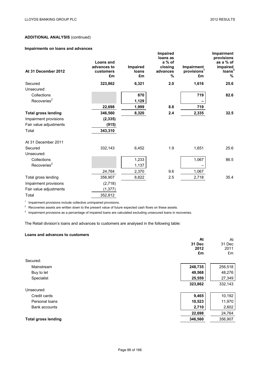# **Impairments on loans and advances**

| At 31 December 2012        | Loans and<br>advances to<br>customers<br>£m | Impaired<br>loans<br>£m | Impaired<br>loans as<br>a % of<br>closing<br>advances<br>% | Impairment<br>provisions <sup>1</sup><br>£m | <b>Impairment</b><br>provisions<br>as a % of<br>impaired<br>loans <sup>3</sup><br>$\%$ |
|----------------------------|---------------------------------------------|-------------------------|------------------------------------------------------------|---------------------------------------------|----------------------------------------------------------------------------------------|
| Secured                    | 323,862                                     | 6,321                   | 2.0                                                        | 1,616                                       | 25.6                                                                                   |
| Unsecured:                 |                                             |                         |                                                            |                                             |                                                                                        |
| Collections                |                                             | 870                     |                                                            | 719                                         | 82.6                                                                                   |
| Recoveries <sup>2</sup>    |                                             | 1,129                   |                                                            |                                             |                                                                                        |
|                            | 22,698                                      | 1,999                   | 8.8                                                        | 719                                         |                                                                                        |
| <b>Total gross lending</b> | 346,560                                     | 8,320                   | 2.4                                                        | 2,335                                       | 32.5                                                                                   |
| Impairment provisions      | (2, 335)                                    |                         |                                                            |                                             |                                                                                        |
| Fair value adjustments     | (915)                                       |                         |                                                            |                                             |                                                                                        |
| Total                      | 343,310                                     |                         |                                                            |                                             |                                                                                        |
| At 31 December 2011        |                                             |                         |                                                            |                                             |                                                                                        |
| Secured<br>Unsecured:      | 332,143                                     | 6,452                   | 1.9                                                        | 1,651                                       | 25.6                                                                                   |
| Collections                |                                             | 1,233                   |                                                            | 1,067                                       | 86.5                                                                                   |
| Recoveries <sup>2</sup>    |                                             | 1,137                   |                                                            |                                             |                                                                                        |
|                            | 24,764                                      | 2,370                   | 9.6                                                        | 1,067                                       |                                                                                        |
| Total gross lending        | 356,907                                     | 8,822                   | 2.5                                                        | 2,718                                       | 35.4                                                                                   |
| Impairment provisions      | (2,718)                                     |                         |                                                            |                                             |                                                                                        |
| Fair value adjustments     | (1, 377)                                    |                         |                                                            |                                             |                                                                                        |
| Total                      | 352,812                                     |                         |                                                            |                                             |                                                                                        |

 $1$  Impairment provisions include collective unimpaired provisions.

<sup>2</sup> Recoveries assets are written down to the present value of future expected cash flows on these assets.

<sup>3</sup> Impairment provisions as a percentage of impaired loans are calculated excluding unsecured loans in recoveries.

The Retail division's loans and advances to customers are analysed in the following table:

# **Loans and advances to customers**

| 31 Dec<br>2012<br>£m<br>Secured:<br>248,735<br>Mainstream | 31 Dec<br>2011<br>£m |
|-----------------------------------------------------------|----------------------|
|                                                           |                      |
|                                                           |                      |
|                                                           |                      |
|                                                           |                      |
|                                                           | 256,518              |
| Buy to let<br>49,568                                      | 48,276               |
| Specialist<br>25,559                                      | 27,349               |
| 323,862                                                   | 332,143              |
| Unsecured:                                                |                      |
| 9,465<br>Credit cards                                     | 10,192               |
| Personal loans<br>10,523                                  | 11,970               |
| <b>Bank accounts</b><br>2,710                             | 2,602                |
| 22,698                                                    | 24,764               |
| 346,560<br><b>Total gross lending</b>                     | 356,907              |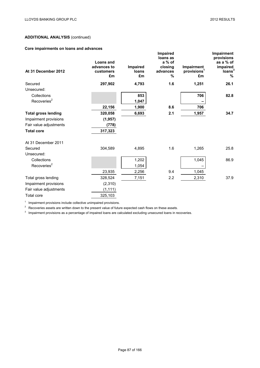# **Core impairments on loans and advances**

|                            |                                                    |                         | Impaired                                       |                                             | Impairment                                                     |
|----------------------------|----------------------------------------------------|-------------------------|------------------------------------------------|---------------------------------------------|----------------------------------------------------------------|
| At 31 December 2012        | <b>Loans and</b><br>advances to<br>customers<br>£m | Impaired<br>loans<br>£m | loans as<br>a % of<br>closing<br>advances<br>% | Impairment<br>provisions <sup>1</sup><br>£m | provisions<br>as a % of<br>impaired<br>loans <sup>3</sup><br>% |
| Secured                    | 297,902                                            | 4,793                   | 1.6                                            | 1,251                                       | 26.1                                                           |
| Unsecured:                 |                                                    |                         |                                                |                                             |                                                                |
| Collections                |                                                    | 853                     |                                                | 706                                         | 82.8                                                           |
| Recoveries <sup>2</sup>    |                                                    | 1,047                   |                                                |                                             |                                                                |
|                            | 22,156                                             | 1,900                   | 8.6                                            | 706                                         |                                                                |
| <b>Total gross lending</b> | 320,058                                            | 6,693                   | 2.1                                            | 1,957                                       | 34.7                                                           |
| Impairment provisions      | (1, 957)                                           |                         |                                                |                                             |                                                                |
| Fair value adjustments     | (778)                                              |                         |                                                |                                             |                                                                |
| <b>Total core</b>          | 317,323                                            |                         |                                                |                                             |                                                                |
| At 31 December 2011        |                                                    |                         |                                                |                                             |                                                                |
| Secured<br>Unsecured:      | 304,589                                            | 4,895                   | 1.6                                            | 1,265                                       | 25.8                                                           |
| Collections                |                                                    | 1,202                   |                                                | 1,045                                       | 86.9                                                           |
| Recoveries <sup>2</sup>    |                                                    | 1,054                   |                                                |                                             |                                                                |
|                            | 23,935                                             | 2,256                   | 9.4                                            | 1,045                                       |                                                                |
| Total gross lending        | 328,524                                            | 7,151                   | 2.2                                            | 2,310                                       | 37.9                                                           |
| Impairment provisions      | (2,310)                                            |                         |                                                |                                             |                                                                |
| Fair value adjustments     | (1, 111)                                           |                         |                                                |                                             |                                                                |
| <b>Total core</b>          | 325,103                                            |                         |                                                |                                             |                                                                |

<sup>1</sup> Impairment provisions include collective unimpaired provisions.

<sup>2</sup> Recoveries assets are written down to the present value of future expected cash flows on these assets.

<sup>3</sup> Impairment provisions as a percentage of impaired loans are calculated excluding unsecured loans in recoveries.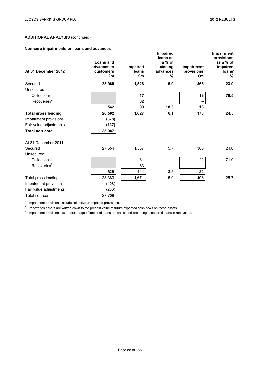# **Non-core impairments on loans and advances**

| At 31 December 2012        | <b>Loans and</b><br>advances to<br>customers<br>£m | Impaired<br>loans<br>£m | Impaired<br>loans as<br>a % of<br>closing<br>advances<br>% | Impairment<br>provisions <sup>1</sup><br>£m | Impairment<br>provisions<br>as a % of<br>impaired<br>loans <sup>3</sup><br>% |
|----------------------------|----------------------------------------------------|-------------------------|------------------------------------------------------------|---------------------------------------------|------------------------------------------------------------------------------|
| Secured                    | 25,960                                             | 1,528                   | 5.9                                                        | 365                                         | 23.9                                                                         |
| Unsecured:                 |                                                    |                         |                                                            |                                             |                                                                              |
| Collections                |                                                    | 17                      |                                                            | 13                                          | 76.5                                                                         |
| Recoveries <sup>2</sup>    |                                                    | 82                      |                                                            |                                             |                                                                              |
|                            | 542                                                | 99                      | 18.3                                                       | 13                                          |                                                                              |
| <b>Total gross lending</b> | 26,502                                             | 1,627                   | 6.1                                                        | 378                                         | 24.5                                                                         |
| Impairment provisions      | (378)                                              |                         |                                                            |                                             |                                                                              |
| Fair value adjustments     | (137)                                              |                         |                                                            |                                             |                                                                              |
| <b>Total non-core</b>      | 25,987                                             |                         |                                                            |                                             |                                                                              |
| At 31 December 2011        |                                                    |                         |                                                            |                                             |                                                                              |
| Secured                    | 27,554                                             | 1,557                   | 5.7                                                        | 386                                         | 24.8                                                                         |
| Unsecured:                 |                                                    |                         |                                                            |                                             |                                                                              |
| Collections                |                                                    | 31                      |                                                            | 22                                          | 71.0                                                                         |
| Recoveries <sup>2</sup>    |                                                    | 83                      |                                                            |                                             |                                                                              |
|                            | 829                                                | 114                     | 13.8                                                       | 22                                          |                                                                              |
| Total gross lending        | 28,383                                             | 1,671                   | 5.9                                                        | 408                                         | 25.7                                                                         |
| Impairment provisions      | (408)                                              |                         |                                                            |                                             |                                                                              |
| Fair value adjustments     | (266)                                              |                         |                                                            |                                             |                                                                              |
| Total non-core             | 27,709                                             |                         |                                                            |                                             |                                                                              |

<sup>1</sup> Impairment provisions include collective unimpaired provisions.

<sup>2</sup> Recoveries assets are written down to the present value of future expected cash flows on these assets.

<sup>3</sup> Impairment provisions as a percentage of impaired loans are calculated excluding unsecured loans in recoveries.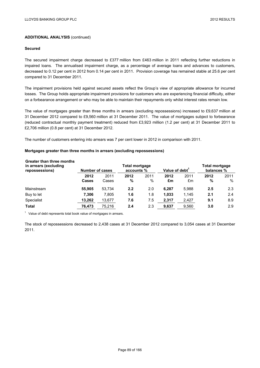### **Secured**

The secured impairment charge decreased to £377 million from £463 million in 2011 reflecting further reductions in impaired loans. The annualised impairment charge, as a percentage of average loans and advances to customers, decreased to 0.12 per cent in 2012 from 0.14 per cent in 2011. Provision coverage has remained stable at 25.6 per cent compared to 31 December 2011.

The impairment provisions held against secured assets reflect the Group's view of appropriate allowance for incurred losses. The Group holds appropriate impairment provisions for customers who are experiencing financial difficulty, either on a forbearance arrangement or who may be able to maintain their repayments only whilst interest rates remain low.

The value of mortgages greater than three months in arrears (excluding repossessions) increased to £9,637 million at 31 December 2012 compared to £9,560 million at 31 December 2011. The value of mortgages subject to forbearance (reduced contractual monthly payment treatment) reduced from £3,923 million (1.2 per cent) at 31 December 2011 to £2,706 million (0.8 per cent) at 31 December 2012.

The number of customers entering into arrears was 7 per cent lower in 2012 in comparison with 2011.

## **Mortgages greater than three months in arrears (excluding repossessions)**

| Greater than three months<br>in arrears (excluding<br>repossessions) | Total mortgage<br>Number of cases<br>accounts % |               |           | Value of debt <sup>1</sup> |            | <b>Total mortgage</b><br>balances % |           |           |
|----------------------------------------------------------------------|-------------------------------------------------|---------------|-----------|----------------------------|------------|-------------------------------------|-----------|-----------|
|                                                                      | 2012<br><b>Cases</b>                            | 2011<br>Cases | 2012<br>% | 2011<br>%                  | 2012<br>£m | 2011<br>£m                          | 2012<br>% | 2011<br>% |
| Mainstream                                                           | 55,905                                          | 53,734        | 2.2       | 2.0                        | 6.287      | 5,988                               | 2.5       | 2.3       |
| Buy to let                                                           | 7,306                                           | 7,805         | 1.6       | 1.8                        | 1,033      | 1,145                               | 2.1       | 2.4       |
| Specialist                                                           | 13,262                                          | 13,677        | 7.6       | 7.5                        | 2,317      | 2,427                               | 9.1       | 8.9       |
| <b>Total</b>                                                         | 76.473                                          | 75.216        | 2.4       | 2.3                        | 9.637      | 9.560                               | 3.0       | 2.9       |

 $1$  Value of debt represents total book value of mortgages in arrears.

The stock of repossessions decreased to 2,438 cases at 31 December 2012 compared to 3,054 cases at 31 December 2011.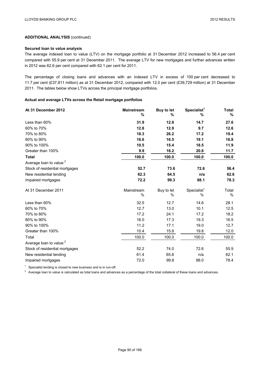## **Secured loan to value analysis**

The average indexed loan to value (LTV) on the mortgage portfolio at 31 December 2012 increased to 56.4 per cent compared with 55.9 per cent at 31 December 2011. The average LTV for new mortgages and further advances written in 2012 was 62.6 per cent compared with 62.1 per cent for 2011.

The percentage of closing loans and advances with an indexed LTV in excess of 100 per cent decreased to 11.7 per cent (£37,811 million) as at 31 December 2012, compared with 12.0 per cent (£39,729 million) at 31 December 2011. The tables below show LTVs across the principal mortgage portfolios.

## **Actual and average LTVs across the Retail mortgage portfolios**

| At 31 December 2012                 | <b>Mainstream</b><br>% | <b>Buy to let</b><br>% | Specialist <sup>1</sup><br>% | <b>Total</b><br>% |
|-------------------------------------|------------------------|------------------------|------------------------------|-------------------|
| Less than 60%                       | 31.9                   | 12.8                   | 14.7                         | 27.6              |
| 60% to 70%                          | 12.8                   | 12.9                   | 9.7                          | 12.6              |
| 70% to 80%                          | 18.3                   | 26.2                   | 17.2                         | 19.4              |
| 80% to 90%                          | 16.6                   | 16.5                   | 19.1                         | 16.8              |
| 90% to 100%                         | 10.5                   | 15.4                   | 18.5                         | 11.9              |
| Greater than 100%                   | 9.9                    | 16.2                   | 20.8                         | 11.7              |
| <b>Total</b>                        | 100.0                  | 100.0                  | 100.0                        | 100.0             |
| Average loan to value: <sup>2</sup> |                        |                        |                              |                   |
| Stock of residential mortgages      | 52.7                   | 73.6                   | 72.6                         | 56.4              |
| New residential lending             | 62.3                   | 64.5                   | n/a                          | 62.6              |
| Impaired mortgages                  | 72.2                   | 99.3                   | 88.1                         | 78.3              |
| At 31 December 2011                 | Mainstream<br>%        | Buy to let<br>%        | Specialist <sup>1</sup><br>% | Total<br>%        |
| Less than 60%                       | 32.5                   | 12.7                   | 14.6                         | 28.1              |
| 60% to 70%                          | 12.7                   | 13.0                   | 10.1                         | 12.5              |
| 70% to 80%                          | 17.2                   | 24.1                   | 17.2                         | 18.2              |
| 80% to 90%                          | 16.0                   | 17.3                   | 19.3                         | 16.5              |
| 90% to 100%                         | 11.2                   | 17.1                   | 19.0                         | 12.7              |
| Greater than 100%                   | 10.4                   | 15.8                   | 19.8                         | 12.0              |
| Total                               | 100.0                  | 100.0                  | 100.0                        | 100.0             |
| Average loan to value: <sup>2</sup> |                        |                        |                              |                   |
| Stock of residential mortgages      | 52.2                   | 74.0                   | 72.6                         | 55.9              |
| New residential lending             | 61.4                   | 65.8                   | n/a                          | 62.1              |
| Impaired mortgages                  | 72.0                   | 99.8                   | 88.0                         | 78.4              |

 $1$  Specialist lending is closed to new business and is in run-off.

<sup>2</sup> Average loan to value is calculated as total loans and advances as a percentage of the total collateral of these loans and advances.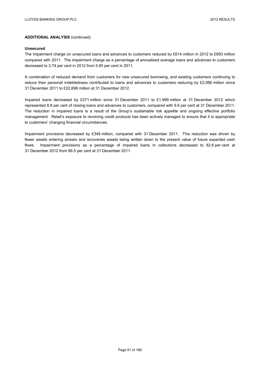### **Unsecured**

The impairment charge on unsecured loans and advances to customers reduced by £614 million in 2012 to £893 million compared with 2011. The impairment charge as a percentage of annualised average loans and advances to customers decreased to 3.74 per cent in 2012 from 5.65 per cent in 2011.

A combination of reduced demand from customers for new unsecured borrowing, and existing customers continuing to reduce their personal indebtedness contributed to loans and advances to customers reducing by £2,066 million since 31 December 2011 to £22,698 million at 31 December 2012.

Impaired loans decreased by £371 million since 31 December 2011 to £1,999 million at 31 December 2012 which represented 8.8 per cent of closing loans and advances to customers, compared with 9.6 per cent at 31 December 2011. The reduction in impaired loans is a result of the Group's sustainable risk appetite and ongoing effective portfolio management. Retail's exposure to revolving credit products has been actively managed to ensure that it is appropriate to customers' changing financial circumstances.

Impairment provisions decreased by £348 million, compared with 31 December 2011. This reduction was driven by fewer assets entering arrears and recoveries assets being written down to the present value of future expected cash flows. Impairment provisions as a percentage of impaired loans in collections decreased to 82.6 per cent at 31 December 2012 from 86.5 per cent at 31 December 2011.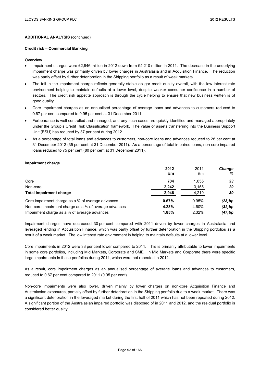### **Credit risk – Commercial Banking**

### **Overview**

- Impairment charges were £2,946 million in 2012 down from £4,210 million in 2011. The decrease in the underlying impairment charge was primarily driven by lower charges in Australasia and in Acquisition Finance. The reduction was partly offset by further deterioration in the Shipping portfolio as a result of weak markets.
- The fall in the impairment charge reflects generally stable obligor credit quality overall, with the low interest rate environment helping to maintain defaults at a lower level, despite weaker consumer confidence in a number of sectors. The credit risk appetite approach is through the cycle helping to ensure that new business written is of good quality.
- Core impairment charges as an annualised percentage of average loans and advances to customers reduced to 0.67 per cent compared to 0.95 per cent at 31 December 2011.
- Forbearance is well controlled and managed, and any such cases are quickly identified and managed appropriately under the Group's Credit Risk Classification framework. The value of assets transferring into the Business Support Unit (BSU) has reduced by 37 per cent during 2012.
- As a percentage of total loans and advances to customers, non-core loans and advances reduced to 28 per cent at 31 December 2012 (35 per cent at 31 December 2011). As a percentage of total impaired loans, non-core impaired loans reduced to 75 per cent (80 per cent at 31 December 2011).

### **Impairment charge**

|                                                       | 2012  | 2011  | <b>Change</b> |
|-------------------------------------------------------|-------|-------|---------------|
|                                                       | £m    | £m    | %             |
| Core                                                  | 704   | 1.055 | 33            |
| Non-core                                              | 2,242 | 3,155 | 29            |
| Total impairment charge                               | 2.946 | 4,210 | 30            |
| Core impairment charge as a % of average advances     | 0.67% | 0.95% | (28)bp        |
| Non-core impairment charge as a % of average advances | 4.28% | 4.60% | (32)bp        |
| Impairment charge as a % of average advances          | 1.85% | 2.32% | (47)bp        |

Impairment charges have decreased 30 per cent compared with 2011 driven by lower charges in Australasia and leveraged lending in Acquisition Finance, which was partly offset by further deterioration in the Shipping portfolios as a result of a weak market. The low interest rate environment is helping to maintain defaults at a lower level.

Core impairments in 2012 were 33 per cent lower compared to 2011. This is primarily attributable to lower impairments in some core portfolios, including Mid Markets, Corporate and SME. In Mid Markets and Corporate there were specific large impairments in these portfolios during 2011, which were not repeated in 2012.

As a result, core impairment charges as an annualised percentage of average loans and advances to customers, reduced to 0.67 per cent compared to 2011 (0.95 per cent).

Non-core impairments were also lower, driven mainly by lower charges on non-core Acquisition Finance and Australasian exposures, partially offset by further deterioration in the Shipping portfolio due to a weak market. There was a significant deterioration in the leveraged market during the first half of 2011 which has not been repeated during 2012. A significant portion of the Australasian impaired portfolio was disposed of in 2011 and 2012, and the residual portfolio is considered better quality.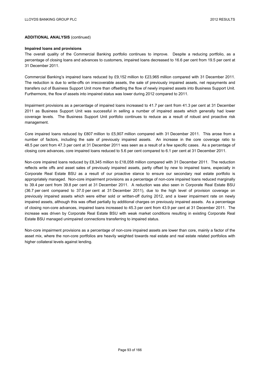#### **Impaired loans and provisions**

The overall quality of the Commercial Banking portfolio continues to improve. Despite a reducing portfolio, as a percentage of closing loans and advances to customers, impaired loans decreased to 16.6 per cent from 19.5 per cent at 31 December 2011.

Commercial Banking's impaired loans reduced by £9,152 million to £23,965 million compared with 31 December 2011. The reduction is due to write-offs on irrecoverable assets, the sale of previously impaired assets, net repayments and transfers out of Business Support Unit more than offsetting the flow of newly impaired assets into Business Support Unit. Furthermore, the flow of assets into impaired status was lower during 2012 compared to 2011.

Impairment provisions as a percentage of impaired loans increased to 41.7 per cent from 41.3 per cent at 31 December 2011 as Business Support Unit was successful in selling a number of impaired assets which generally had lower coverage levels. The Business Support Unit portfolio continues to reduce as a result of robust and proactive risk management.

Core impaired loans reduced by £807 million to £5,907 million compared with 31 December 2011. This arose from a number of factors, including the sale of previously impaired assets. An increase in the core coverage ratio to 48.5 per cent from 47.3 per cent at 31 December 2011 was seen as a result of a few specific cases. As a percentage of closing core advances, core impaired loans reduced to 5.6 per cent compared to 6.1 per cent at 31 December 2011.

Non-core impaired loans reduced by £8,345 million to £18,058 million compared with 31 December 2011. The reduction reflects write offs and asset sales of previously impaired assets, partly offset by new to impaired loans, especially in Corporate Real Estate BSU as a result of our proactive stance to ensure our secondary real estate portfolio is appropriately managed. Non-core impairment provisions as a percentage of non-core impaired loans reduced marginally to 39.4 per cent from 39.8 per cent at 31 December 2011. A reduction was also seen in Corporate Real Estate BSU (36.7 per cent compared to 37.0 per cent at 31 December 2011), due to the high level of provision coverage on previously impaired assets which were either sold or written-off during 2012, and a lower impairment rate on newly impaired assets, although this was offset partially by additional charges on previously impaired assets. As a percentage of closing non-core advances, impaired loans increased to 45.3 per cent from 43.9 per cent at 31 December 2011. The increase was driven by Corporate Real Estate BSU with weak market conditions resulting in existing Corporate Real Estate BSU managed unimpaired connections transferring to impaired status.

Non-core impairment provisions as a percentage of non-core impaired assets are lower than core, mainly a factor of the asset mix, where the non-core portfolios are heavily weighted towards real estate and real estate related portfolios with higher collateral levels against lending.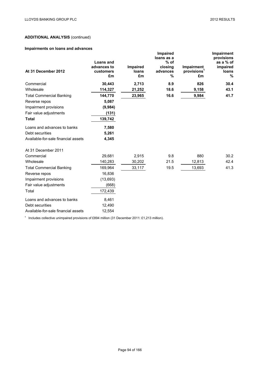# **Impairments on loans and advances**

| At 31 December 2012                 | <b>Loans and</b><br>advances to<br>customers<br>£m | Impaired<br>loans<br>£m | Impaired<br>loans as a<br>$%$ of<br>closing<br>advances<br>% | <b>Impairment</b><br>provisions <sup>1</sup><br>£m | Impairment<br>provisions<br>as a % of<br>impaired<br>loans<br>% |
|-------------------------------------|----------------------------------------------------|-------------------------|--------------------------------------------------------------|----------------------------------------------------|-----------------------------------------------------------------|
| Commercial                          | 30,443                                             | 2,713                   | 8.9                                                          | 826                                                | 30.4                                                            |
| Wholesale                           | 114,327                                            | 21,252                  | 18.6                                                         | 9,158                                              | 43.1                                                            |
| <b>Total Commercial Banking</b>     | 144,770                                            | 23,965                  | 16.6                                                         | 9,984                                              | 41.7                                                            |
| Reverse repos                       | 5,087                                              |                         |                                                              |                                                    |                                                                 |
| Impairment provisions               | (9,984)                                            |                         |                                                              |                                                    |                                                                 |
| Fair value adjustments              | (131)                                              |                         |                                                              |                                                    |                                                                 |
| <b>Total</b>                        | 139,742                                            |                         |                                                              |                                                    |                                                                 |
| Loans and advances to banks         | 7,580                                              |                         |                                                              |                                                    |                                                                 |
| Debt securities                     | 5,261                                              |                         |                                                              |                                                    |                                                                 |
| Available-for-sale financial assets | 4,345                                              |                         |                                                              |                                                    |                                                                 |
| At 31 December 2011                 |                                                    |                         |                                                              |                                                    |                                                                 |
| Commercial                          | 29,681                                             | 2,915                   | 9.8                                                          | 880                                                | 30.2                                                            |
| Wholesale                           | 140,283                                            | 30,202                  | 21.5                                                         | 12,813                                             | 42.4                                                            |
| <b>Total Commercial Banking</b>     | 169,964                                            | 33,117                  | 19.5                                                         | 13,693                                             | 41.3                                                            |
| Reverse repos                       | 16,836                                             |                         |                                                              |                                                    |                                                                 |
| Impairment provisions               | (13,693)                                           |                         |                                                              |                                                    |                                                                 |
| Fair value adjustments              | (668)                                              |                         |                                                              |                                                    |                                                                 |
| Total                               | 172,439                                            |                         |                                                              |                                                    |                                                                 |
| Loans and advances to banks         | 8,461                                              |                         |                                                              |                                                    |                                                                 |
| Debt securities                     | 12,490                                             |                         |                                                              |                                                    |                                                                 |
| Available-for-sale financial assets | 12,554                                             |                         |                                                              |                                                    |                                                                 |

<sup>1</sup> Includes collective unimpaired provisions of £894 million (31 December 2011: £1,213 million).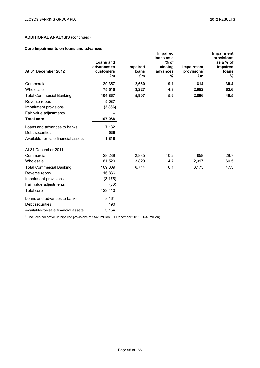# **Core Impairments on loans and advances**

| At 31 December 2012                 | <b>Loans and</b><br>advances to<br>customers<br>£m | Impaired<br>loans<br>£m | <b>Impaired</b><br>loans as a<br>$%$ of<br>closing<br>advances<br>% | Impairment<br>provisions <sup>1</sup><br>£m | Impairment<br>provisions<br>as a % of<br>impaired<br>loans<br>% |
|-------------------------------------|----------------------------------------------------|-------------------------|---------------------------------------------------------------------|---------------------------------------------|-----------------------------------------------------------------|
| Commercial                          | 29,357                                             | 2,680                   | 9.1                                                                 | 814                                         | 30.4                                                            |
| Wholesale                           | 75,510                                             | 3,227                   | 4.3                                                                 | 2,052                                       | 63.6                                                            |
| <b>Total Commercial Banking</b>     | 104,867                                            | 5,907                   | 5.6                                                                 | 2,866                                       | 48.5                                                            |
| Reverse repos                       | 5,087                                              |                         |                                                                     |                                             |                                                                 |
| Impairment provisions               | (2,866)                                            |                         |                                                                     |                                             |                                                                 |
| Fair value adjustments              |                                                    |                         |                                                                     |                                             |                                                                 |
| <b>Total core</b>                   | 107,088                                            |                         |                                                                     |                                             |                                                                 |
| Loans and advances to banks         | 7,132                                              |                         |                                                                     |                                             |                                                                 |
| Debt securities                     | 536                                                |                         |                                                                     |                                             |                                                                 |
| Available-for-sale financial assets | 1,818                                              |                         |                                                                     |                                             |                                                                 |
| At 31 December 2011                 |                                                    |                         |                                                                     |                                             |                                                                 |
| Commercial                          | 28,289                                             | 2,885                   | 10.2                                                                | 858                                         | 29.7                                                            |
| Wholesale                           | 81,520                                             | 3,829                   | 4.7                                                                 | 2,317                                       | 60.5                                                            |
| <b>Total Commercial Banking</b>     | 109,809                                            | 6,714                   | 6.1                                                                 | 3,175                                       | 47.3                                                            |
| Reverse repos                       | 16,836                                             |                         |                                                                     |                                             |                                                                 |
| Impairment provisions               | (3, 175)                                           |                         |                                                                     |                                             |                                                                 |
| Fair value adjustments              | (60)                                               |                         |                                                                     |                                             |                                                                 |
| <b>Total core</b>                   | 123,410                                            |                         |                                                                     |                                             |                                                                 |
| Loans and advances to banks         | 8,161                                              |                         |                                                                     |                                             |                                                                 |
| Debt securities                     | 190                                                |                         |                                                                     |                                             |                                                                 |
| Available-for-sale financial assets | 3,154                                              |                         |                                                                     |                                             |                                                                 |

<sup>1</sup> Includes collective unimpaired provisions of £545 million (31 December 2011: £637 million).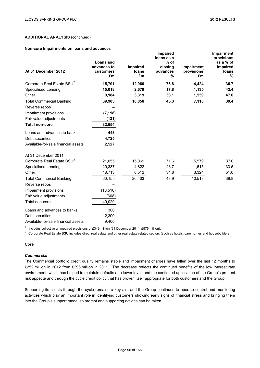**Impairment**

# **ADDITIONAL ANALYSIS** (continued)

### **Non-core Impairments on loans and advances**

| At 31 December 2012                    | <b>Loans and</b><br>advances to<br>customers<br>£m | Impaired<br>loans<br>£m | mparreu<br>loans as a<br>$%$ of<br>closing<br>advances<br>% | Impairment<br>provisions <sup>1</sup><br>£m | mpamment<br>provisions<br>as a % of<br>impaired<br>loans<br>% |
|----------------------------------------|----------------------------------------------------|-------------------------|-------------------------------------------------------------|---------------------------------------------|---------------------------------------------------------------|
| Corporate Real Estate BSU <sup>2</sup> | 15,701                                             | 12,060                  | 76.8                                                        | 4,424                                       | 36.7                                                          |
| <b>Specialised Lending</b>             | 15,018                                             | 2,679                   | 17.8                                                        | 1,135                                       | 42.4                                                          |
| Other                                  | 9,184                                              | 3,319                   | 36.1                                                        | 1,559                                       | 47.0                                                          |
| <b>Total Commercial Banking</b>        | 39,903                                             | 18,058                  | 45.3                                                        | 7,118                                       | 39.4                                                          |
| Reverse repos                          |                                                    |                         |                                                             |                                             |                                                               |
| Impairment provisions                  | (7, 118)                                           |                         |                                                             |                                             |                                                               |
| Fair value adjustments                 | (131)                                              |                         |                                                             |                                             |                                                               |
| <b>Total non-core</b>                  | 32,654                                             |                         |                                                             |                                             |                                                               |
| Loans and advances to banks            | 448                                                |                         |                                                             |                                             |                                                               |
| Debt securities                        | 4,725                                              |                         |                                                             |                                             |                                                               |
| Available-for-sale financial assets    | 2,527                                              |                         |                                                             |                                             |                                                               |
| At 31 December 2011                    |                                                    |                         |                                                             |                                             |                                                               |
| Corporate Real Estate BSU <sup>2</sup> | 21,055                                             | 15,069                  | 71.6                                                        | 5,579                                       | 37.0                                                          |
| <b>Specialised Lending</b>             | 20,387                                             | 4,822                   | 23.7                                                        | 1,615                                       | 33.5                                                          |
| Other                                  | 18,713                                             | 6,512                   | 34.8                                                        | 3,324                                       | 51.0                                                          |
| <b>Total Commercial Banking</b>        | 60,155                                             | 26,403                  | 43.9                                                        | 10,518                                      | 39.8                                                          |
| Reverse repos                          |                                                    |                         |                                                             |                                             |                                                               |
| Impairment provisions                  | (10, 518)                                          |                         |                                                             |                                             |                                                               |
| Fair value adjustments                 | (608)                                              |                         |                                                             |                                             |                                                               |
| Total non-core                         | 49,029                                             |                         |                                                             |                                             |                                                               |
| Loans and advances to banks            | 300                                                |                         |                                                             |                                             |                                                               |
| Debt securities                        | 12,300                                             |                         |                                                             |                                             |                                                               |
| Available-for-sale financial assets    | 9,400                                              |                         |                                                             |                                             |                                                               |

**Impaired**

<sup>1</sup> Includes collective unimpaired provisions of £349 million (31 December 2011: £576 million).

 $2$  Corporate Real Estate BSU includes direct real estate and other real estate related sectors (such as hotels, care homes and housebuilders).

## **Core**

# *Commercial*

The Commercial portfolio credit quality remains stable and impairment charges have fallen over the last 12 months to £252 million in 2012 from £296 million in 2011. The decrease reflects the continued benefits of the low interest rate environment, which has helped to maintain defaults at a lower level, and the continued application of the Group's prudent risk appetite and through the cycle credit policy that has proven itself appropriate for both customers and the Group.

Supporting its clients through the cycle remains a key aim and the Group continues to operate control and monitoring activities which play an important role in identifying customers showing early signs of financial stress and bringing them into the Group's support model so prompt and supporting actions can be taken.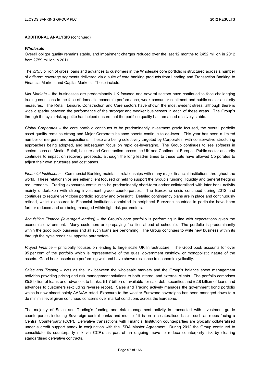### *Wholesale*

Overall obligor quality remains stable, and impairment charges reduced over the last 12 months to £452 million in 2012 from £759 million in 2011.

The £75.5 billion of gross loans and advances to customers in the Wholesale core portfolio is structured across a number of different coverage segments delivered via a suite of core banking products from Lending and Transaction Banking to Financial Markets and Capital Markets. These include:

*Mid Markets* – the businesses are predominantly UK focused and several sectors have continued to face challenging trading conditions in the face of domestic economic performance, weak consumer sentiment and public sector austerity measures. The Retail, Leisure, Construction and Care sectors have shown the most evident stress, although there is wide disparity between the performance of the stronger and weaker businesses in each of these areas. The Group's through the cycle risk appetite has helped ensure that the portfolio quality has remained relatively stable.

*Global Corporates* – the core portfolio continues to be predominantly investment grade focused, the overall portfolio asset quality remains strong and Major Corporate balance sheets continue to de-lever. This year has seen a limited number of mergers and acquisitions. These are being selectively targeted by Corporates, with conservative structuring approaches being adopted, and subsequent focus on rapid de-leveraging. The Group continues to see softness in sectors such as Media, Retail, Leisure and Construction across the UK and Continental Europe. Public sector austerity continues to impact on recovery prospects, although the long lead-in times to these cuts have allowed Corporates to adjust their own structures and cost bases.

*Financial Institutions* – Commercial Banking maintains relationships with many major financial institutions throughout the world. These relationships are either client focused or held to support the Group's funding, liquidity and general hedging requirements. Trading exposures continue to be predominantly short-term and/or collateralised with inter bank activity mainly undertaken with strong investment grade counterparties. The Eurozone crisis continued during 2012 and continues to require very close portfolio scrutiny and oversight. Detailed contingency plans are in place and continuously refined, whilst exposures to Financial Institutions domiciled in peripheral Eurozone countries in particular have been further reduced and are being managed within tight risk parameters.

*Acquisition Finance (leveraged lending)* – the Group's core portfolio is performing in line with expectations given the economic environment. Many customers are prepaying facilities ahead of schedule. The portfolio is predominantly within the good book business and all such loans are performing. The Group continues to write new business within its through the cycle credit risk appetite parameters.

*Project Finance* – principally focuses on lending to large scale UK Infrastructure. The Good book accounts for over 95 per cent of the portfolio which is representative of the quasi government cashflow or monopolistic nature of the assets. Good book assets are performing well and have shown resilience to economic cyclicality.

*Sales and Trading* – acts as the link between the wholesale markets and the Group's balance sheet management activities providing pricing and risk management solutions to both internal and external clients. The portfolio comprises £5.8 billion of loans and advances to banks, £1.7 billion of available-for-sale debt securities and £2.8 billion of loans and advances to customers (excluding reverse repos). Sales and Trading actively manages the government bond portfolio which is now almost solely AAA/AA rated. Exposure to the weaker Eurozone sovereigns has been managed down to a de minimis level given continued concerns over market conditions across the Eurozone.

The majority of Sales and Trading's funding and risk management activity is transacted with investment grade counterparties including Sovereign central banks and much of it is on a collateralised basis, such as repos facing a Central Counterparty (CCP). Derivative transactions with Financial Institution counterparties are typically collateralised under a credit support annex in conjunction with the ISDA Master Agreement. During 2012 the Group continued to consolidate its counterparty risk via CCP's as part of an ongoing move to reduce counterparty risk by clearing standardised derivative contracts.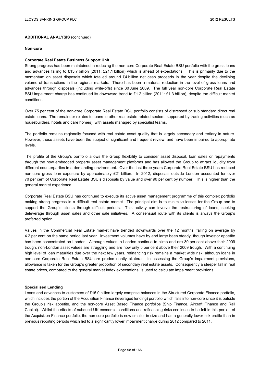#### **Non-core**

## **Corporate Real Estate Business Support Unit**

Strong progress has been maintained in reducing the non-core Corporate Real Estate BSU portfolio with the gross loans and advances falling to £15.7 billion (2011: £21.1 billion) which is ahead of expectations. This is primarily due to the momentum on asset disposals which totalled around £4 billion net cash proceeds in the year despite the declining volume of transactions in the regional markets. There has been a material reduction in the level of gross loans and advances through disposals (including write-offs) since 30 June 2009. The full year non-core Corporate Real Estate BSU impairment charge has continued its downward trend to £1.2 billion (2011: £1.3 billion), despite the difficult market conditions.

Over 75 per cent of the non-core Corporate Real Estate BSU portfolio consists of distressed or sub standard direct real estate loans. The remainder relates to loans to other real estate related sectors, supported by trading activities (such as housebuilders, hotels and care homes), with assets managed by specialist teams.

The portfolio remains regionally focused with real estate asset quality that is largely secondary and tertiary in nature. However, these assets have been the subject of significant and frequent review, and have been impaired to appropriate levels.

The profile of the Group's portfolio allows the Group flexibility to consider asset disposal, loan sales or repayments through the now embedded property asset management platforms and has allowed the Group to attract liquidity from different counterparties in a demanding environment. Over the last three years Corporate Real Estate BSU has reduced non-core gross loan exposure by approximately £21 billion. In 2012, disposals outside London accounted for over 70 per cent of Corporate Real Estate BSU's disposals by value and over 90 per cent by number. This is higher than the general market experience.

Corporate Real Estate BSU has continued to execute its active asset management programme of this complex portfolio making strong progress in a difficult real estate market. The principal aim is to minimise losses for the Group and to support the Group's clients through difficult periods. This activity can involve the restructuring of loans, seeking deleverage through asset sales and other sale initiatives. A consensual route with its clients is always the Group's preferred option.

Values in the Commercial Real Estate market have trended downwards over the 12 months, falling on average by 4.2 per cent on the same period last year. Investment volumes have by and large been steady, though investor appetite has been concentrated on London. Although values in London continue to climb and are 39 per cent above their 2009 trough, non-London asset values are struggling and are now only 5 per cent above their 2009 trough. With a continuing high level of loan maturities due over the next few years, refinancing risk remains a market wide risk, although loans in non-core Corporate Real Estate BSU are predominantly bilateral. In assessing the Group's impairment provisions, allowance is taken for the Group's greater proportion of secondary real estate assets. Consequently a steeper fall in real estate prices, compared to the general market index expectations, is used to calculate impairment provisions.

## **Specialised Lending**

Loans and advances to customers of £15.0 billion largely comprise balances in the Structured Corporate Finance portfolio, which includes the portion of the Acquisition Finance (leveraged lending) portfolio which falls into non-core since it is outside the Group's risk appetite, and the non-core Asset Based Finance portfolios (Ship Finance, Aircraft Finance and Rail Capital). Whilst the effects of subdued UK economic conditions and refinancing risks continues to be felt in this portion of the Acquisition Finance portfolio, the non-core portfolio is now smaller in size and has a generally lower risk profile than in previous reporting periods which led to a significantly lower impairment charge during 2012 compared to 2011.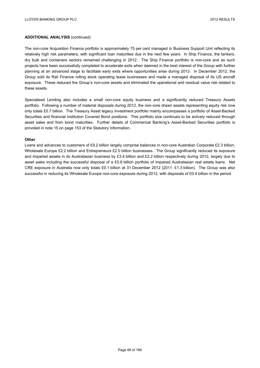The non-core Acquisition Finance portfolio is approximately 75 per cent managed in Business Support Unit reflecting its relatively high risk parameters, with significant loan maturities due in the next few years. In Ship Finance, the tankers, dry bulk and containers sectors remained challenging in 2012. The Ship Finance portfolio is non-core and as such projects have been successfully completed to accelerate exits when deemed in the best interest of the Group with further planning at an advanced stage to facilitate early exits where opportunities arise during 2013. In December 2012, the Group sold its Rail Finance rolling stock operating lease businesses and made a managed disposal of its US aircraft exposure. These reduced the Group's non-core assets and eliminated the operational and residual value risk related to these assets.

Specialised Lending also includes a small non-core equity business and a significantly reduced Treasury Assets portfolio. Following a number of material disposals during 2012, the non-core drawn assets representing equity risk now only totals £0.7 billion. The Treasury Asset legacy investment portfolio mainly encompasses a portfolio of Asset-Backed Securities and financial institution Covered Bond positions. This portfolio size continues to be actively reduced through asset sales and from bond maturities. Further details of Commercial Banking's Asset-Backed Securities portfolio is provided in note 15 on page 153 of the Statutory Information.

### **Other**

Loans and advances to customers of £9.2 billion largely comprise balances in non-core Australian Corporate £2.3 billion, Wholesale Europe £2.2 billion and Entrepreneurs £2.0 billion businesses. The Group significantly reduced its exposure and impaired assets in its Australasian business by £3.4 billion and £2.2 billion respectively during 2012, largely due to asset sales including the successful disposal of a £0.8 billion portfolio of impaired Australasian real estate loans. Net CRE exposure in Australia now only totals £0.1 billion at 31 December 2012 (2011: £1.3 billion). The Group was also successful in reducing its Wholesale Europe non-core exposure during 2012, with disposals of £0.4 billion in the period.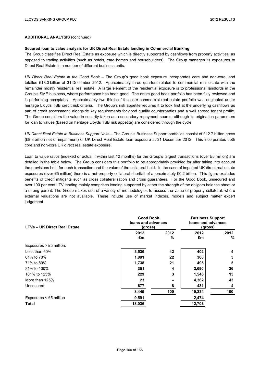### **Secured loan to value analysis for UK Direct Real Estate lending in Commercial Banking**

The Group classifies Direct Real Estate as exposure which is directly supported by cashflows from property activities, as opposed to trading activities (such as hotels, care homes and housebuilders). The Group manages its exposures to Direct Real Estate in a number of different business units.

*UK Direct Real Estate in the Good Book* – The Group's good book exposure incorporates core and non-core, and totalled £18.0 billion at 31 December 2012. Approximately three quarters related to commercial real estate with the remainder mostly residential real estate. A large element of the residential exposure is to professional landlords in the Group's SME business, where performance has been good. The entire good book portfolio has been fully reviewed and is performing acceptably. Approximately two thirds of the core commercial real estate portfolio was originated under heritage Lloyds TSB credit risk criteria. The Group's risk appetite requires it to look first at the underlying cashflows as part of credit assessment, alongside key requirements for good quality counterparties and a well spread tenant profile. The Group considers the value in security taken as a secondary repayment source, although its origination parameters for loan to values (based on heritage Lloyds TSB risk appetite) are considered through the cycle.

UK Direct Real Estate in Business Support Units - The Group's Business Support portfolios consist of £12.7 billion gross (£8.8 billion net of impairment) of UK Direct Real Estate loan exposure at 31 December 2012. This incorporates both core and non-core UK direct real estate exposure.

Loan to value ratios (indexed or actual if within last 12 months) for the Group's largest transactions (over £5 million) are detailed in the table below. The Group considers this portfolio to be appropriately provided for after taking into account the provisions held for each transaction and the value of the collateral held. In the case of impaired UK direct real estate exposures (over £5 million) there is a net property collateral shortfall of approximately £0.2 billion. This figure excludes benefits of credit mitigants such as cross collateralisation and cross guarantees. For the Good Book, unsecured and over 100 per cent LTV lending mainly comprises lending supported by either the strength of the obligors balance sheet or a strong parent. The Group makes use of a variety of methodologies to assess the value of property collateral, where external valuations are not available. These include use of market indexes, models and subject matter expert judgement.

| <b>LTVs - UK Direct Real Estate</b> | <b>Good Book</b><br>loans and advances<br>(gross) |           | <b>Business Support</b><br>loans and advances<br>(gross) |              |
|-------------------------------------|---------------------------------------------------|-----------|----------------------------------------------------------|--------------|
|                                     | 2012<br>£m                                        | 2012<br>% | 2012<br>£m                                               | 2012<br>$\%$ |
| Exposures > £5 million:             |                                                   |           |                                                          |              |
| Less than 60%                       | 3,536                                             | 42        | 402                                                      | 4            |
| 61% to 70%                          | 1,891                                             | 22        | 308                                                      | 3            |
| 71% to 80%                          | 1,738                                             | 21        | 495                                                      | 5            |
| 81% to 100%                         | 351                                               | 4         | 2,690                                                    | 26           |
| 101% to 125%                        | 229                                               | 3         | 1,546                                                    | 15           |
| More than 125%                      | 23                                                |           | 4,362                                                    | 43           |
| Unsecured                           | 677                                               | 8         | 431                                                      | 4            |
|                                     | 8,445                                             | 100       | 10,234                                                   | 100          |
| Exposures < £5 million              | 9,591                                             |           | 2,474                                                    |              |
| Total                               | 18,036                                            |           | 12,708                                                   |              |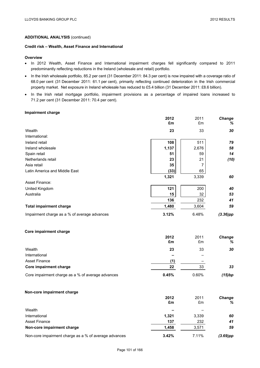## **Credit risk – Wealth, Asset Finance and International**

### **Overview**

- In 2012 Wealth, Asset Finance and International impairment charges fell significantly compared to 2011 predominantly reflecting reductions in the Ireland (wholesale and retail) portfolio.
- In the Irish wholesale portfolio, 85.2 per cent (31 December 2011: 84.3 per cent) is now impaired with a coverage ratio of 68.0 per cent (31 December 2011: 61.1 per cent), primarily reflecting continued deterioration in the Irish commercial property market. Net exposure in Ireland wholesale has reduced to £5.4 billion (31 December 2011: £8.6 billion).
- In the Irish retail mortgage portfolio, impairment provisions as a percentage of impaired loans increased to 71.2 per cent (31 December 2011: 70.4 per cent).

## **Impairment charge**

|                                                   | 2012<br>£m | 2011<br>£m     | Change<br>$\%$ |
|---------------------------------------------------|------------|----------------|----------------|
| Wealth                                            | 23         | 33             | 30             |
| International:                                    |            |                |                |
| Ireland retail                                    | 108        | 511            | 79             |
| Ireland wholesale                                 | 1,137      | 2,676          | 58             |
| Spain retail                                      | 51         | 59             | 14             |
| Netherlands retail                                | 23         | 21             | (10)           |
| Asia retail                                       | 35         | $\overline{7}$ |                |
| Latin America and Middle East                     | (33)       | 65             |                |
|                                                   | 1,321      | 3,339          | 60             |
| Asset Finance:                                    |            |                |                |
| United Kingdom                                    | 121        | 200            | 40             |
| Australia                                         | 15         | 32             | 53             |
|                                                   | 136        | 232            | 41             |
| <b>Total impairment charge</b>                    | 1,480      | 3,604          | 59             |
| Impairment charge as a % of average advances      | 3.12%      | 6.48%          | $(3.36)$ pp    |
| Core impairment charge                            |            |                |                |
|                                                   | 2012<br>£m | 2011<br>£m     | Change<br>%    |
| Wealth                                            | 23         | 33             | 30             |
| International                                     |            |                |                |
| <b>Asset Finance</b>                              | (1)        |                |                |
| Core impairment charge                            | 22         | 33             | 33             |
| Core impairment charge as a % of average advances | 0.45%      | 0.60%          | (15)bp         |
| Non-core impairment charge                        |            |                |                |
|                                                   | 2012       | 2011           | <b>Change</b>  |
|                                                   | £m         | £m             | %              |
| Wealth                                            |            |                |                |
| International                                     | 1,321      | 3,339          | 60             |
| <b>Asset Finance</b>                              | 137        | 232            | 41             |
| Non-core impairment charge                        | 1,458      | 3,571          | 59             |
|                                                   |            |                |                |

Non-core impairment charge as a % of average advances **3.42%** 7.11% *(3.69)pp*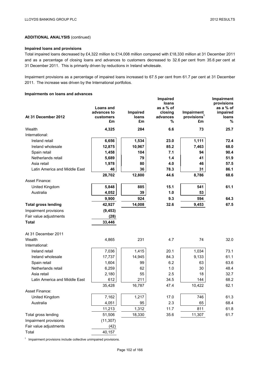## **Impaired loans and provisions**

Total impaired loans decreased by £4,322 million to £14,008 million compared with £18,330 million at 31 December 2011 and as a percentage of closing loans and advances to customers decreased to 32.6 per cent from 35.6 per cent at 31 December 2011. This is primarily driven by reductions in Ireland wholesale.

Impairment provisions as a percentage of impaired loans increased to 67.5 per cent from 61.7 per cent at 31 December 2011. The increase was driven by the International portfolios.

## **Impairments on loans and advances**

| At 31 December 2012           | <b>Loans and</b><br>advances to<br><b>customers</b><br>£m | Impaired<br><b>loans</b><br>£m | Impaired<br>loans<br>as a % of<br>closing<br>advances<br>% | Impairment<br>provisions <sup>1</sup><br>£m | Impairment<br>provisions<br>as a % of<br>impaired<br><b>loans</b><br>% |
|-------------------------------|-----------------------------------------------------------|--------------------------------|------------------------------------------------------------|---------------------------------------------|------------------------------------------------------------------------|
| Wealth                        | 4,325                                                     | 284                            | 6.6                                                        | 73                                          | 25.7                                                                   |
| International:                |                                                           |                                |                                                            |                                             |                                                                        |
| Ireland retail                | 6,656                                                     | 1,534                          | 23.0                                                       | 1,111                                       | 72.4                                                                   |
| Ireland wholesale             | 12,875                                                    | 10,967                         | 85.2                                                       | 7,463                                       | 68.0                                                                   |
| Spain retail                  | 1,458                                                     | 104                            | 7.1                                                        | 94                                          | 90.4                                                                   |
| Netherlands retail            | 5,689                                                     | 79                             | 1.4                                                        | 41                                          | 51.9                                                                   |
| Asia retail                   | 1,978                                                     | 80                             | 4.0                                                        | 46                                          | 57.5                                                                   |
| Latin America and Middle East | 46                                                        | 36                             | 78.3                                                       | 31                                          | 86.1                                                                   |
|                               | 28,702                                                    | 12,800                         | 44.6                                                       | 8,786                                       | 68.6                                                                   |
| Asset Finance:                |                                                           |                                |                                                            |                                             |                                                                        |
| United Kingdom                | 5,848                                                     | 885                            | 15.1                                                       | 541                                         | 61.1                                                                   |
| Australia                     | 4,052                                                     | 39                             | 1.0                                                        | 53                                          |                                                                        |
|                               | 9,900                                                     | 924                            | 9.3                                                        | 594                                         | 64.3                                                                   |
| <b>Total gross lending</b>    | 42,927                                                    | 14,008                         | 32.6                                                       | 9,453                                       | 67.5                                                                   |
| Impairment provisions         | (9, 453)                                                  |                                |                                                            |                                             |                                                                        |
| Fair value adjustments        | (28)                                                      |                                |                                                            |                                             |                                                                        |
| <b>Total</b>                  | 33,446                                                    |                                |                                                            |                                             |                                                                        |
| At 31 December 2011           |                                                           |                                |                                                            |                                             |                                                                        |
| Wealth                        | 4,865                                                     | 231                            | 4.7                                                        | 74                                          | 32.0                                                                   |
| International:                |                                                           |                                |                                                            |                                             |                                                                        |
| Ireland retail                | 7,036                                                     | 1,415                          | 20.1                                                       | 1,034                                       | 73.1                                                                   |
| Ireland wholesale             | 17,737                                                    | 14,945                         | 84.3                                                       | 9,133                                       | 61.1                                                                   |
| Spain retail                  | 1,604                                                     | 99                             | 6.2                                                        | 63                                          | 63.6                                                                   |
| Netherlands retail            | 6,259                                                     | 62                             | 1.0                                                        | 30                                          | 48.4                                                                   |
| Asia retail                   | 2,180                                                     | 55                             | 2.5                                                        | 18                                          | 32.7                                                                   |
| Latin America and Middle East | 612                                                       | 211                            | 34.5                                                       | 144                                         | 68.2                                                                   |
|                               | 35,428                                                    | 16,787                         | 47.4                                                       | 10,422                                      | 62.1                                                                   |
| Asset Finance:                |                                                           |                                |                                                            |                                             |                                                                        |
| United Kingdom                | 7,162                                                     | 1,217                          | 17.0                                                       | 746                                         | 61.3                                                                   |
| Australia                     | 4,051                                                     | 95                             | 2.3                                                        | 65                                          | 68.4                                                                   |
|                               | 11,213                                                    | 1,312                          | 11.7                                                       | 811                                         | 61.8                                                                   |
| Total gross lending           | 51,506                                                    | 18,330                         | 35.6                                                       | 11,307                                      | 61.7                                                                   |
| Impairment provisions         | (11, 307)                                                 |                                |                                                            |                                             |                                                                        |
| Fair value adjustments        | (42)                                                      |                                |                                                            |                                             |                                                                        |
| Total                         | 40,157                                                    |                                |                                                            |                                             |                                                                        |

<sup>1</sup> Impairment provisions include collective unimpaired provisions.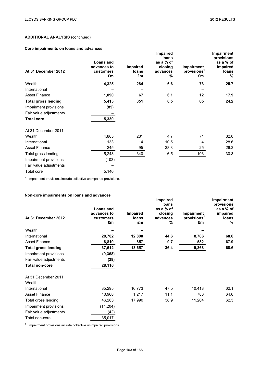# **Core impairments on loans and advances**

| At 31 December 2012        | Loans and<br>advances to<br>customers<br>£m | <b>Impaired</b><br>loans<br>£m | <b>Impaired</b><br>loans<br>as a % of<br>closing<br>advances<br>% | <b>Impairment</b><br>provisions <sup>1</sup><br>£m | Impairment<br>provisions<br>as a % of<br>impaired<br>loans<br>% |
|----------------------------|---------------------------------------------|--------------------------------|-------------------------------------------------------------------|----------------------------------------------------|-----------------------------------------------------------------|
| Wealth                     | 4,325                                       | 284                            | 6.6                                                               | 73                                                 | 25.7                                                            |
| International              |                                             |                                |                                                                   |                                                    |                                                                 |
| <b>Asset Finance</b>       | 1,090                                       | 67                             | 6.1                                                               | $12 \,$                                            | 17.9                                                            |
| <b>Total gross lending</b> | 5,415                                       | 351                            | 6.5                                                               | 85                                                 | 24.2                                                            |
| Impairment provisions      | (85)                                        |                                |                                                                   |                                                    |                                                                 |
| Fair value adjustments     |                                             |                                |                                                                   |                                                    |                                                                 |
| <b>Total core</b>          | 5,330                                       |                                |                                                                   |                                                    |                                                                 |
| At 31 December 2011        |                                             |                                |                                                                   |                                                    |                                                                 |
| Wealth                     | 4,865                                       | 231                            | 4.7                                                               | 74                                                 | 32.0                                                            |
| International              | 133                                         | 14                             | 10.5                                                              | 4                                                  | 28.6                                                            |
| <b>Asset Finance</b>       | 245                                         | 95                             | 38.8                                                              | 25                                                 | 26.3                                                            |
| Total gross lending        | 5,243                                       | 340                            | 6.5                                                               | 103                                                | 30.3                                                            |
| Impairment provisions      | (103)                                       |                                |                                                                   |                                                    |                                                                 |
| Fair value adjustments     |                                             |                                |                                                                   |                                                    |                                                                 |
| Total core                 | 5,140                                       |                                |                                                                   |                                                    |                                                                 |

<sup>1</sup> Impairment provisions include collective unimpaired provisions.

# **Non-core impairments on loans and advances**

|                            |                                             |                         | Impaired                                       |                                             | <b>Impairment</b>                                    |
|----------------------------|---------------------------------------------|-------------------------|------------------------------------------------|---------------------------------------------|------------------------------------------------------|
| At 31 December 2012        | Loans and<br>advances to<br>customers<br>£m | Impaired<br>loans<br>£m | loans<br>as a % of<br>closing<br>advances<br>% | Impairment<br>provisions <sup>1</sup><br>£m | provisions<br>as a % of<br>impaired<br>loans<br>$\%$ |
| Wealth                     |                                             |                         |                                                |                                             |                                                      |
| International              | 28,702                                      | 12,800                  | 44.6                                           | 8,786                                       | 68.6                                                 |
| <b>Asset Finance</b>       | 8,810                                       | 857                     | 9.7                                            | 582                                         | 67.9                                                 |
| <b>Total gross lending</b> | 37,512                                      | 13,657                  | 36.4                                           | 9,368                                       | 68.6                                                 |
| Impairment provisions      | (9, 368)                                    |                         |                                                |                                             |                                                      |
| Fair value adjustments     | (28)                                        |                         |                                                |                                             |                                                      |
| <b>Total non-core</b>      | 28,116                                      |                         |                                                |                                             |                                                      |
| At 31 December 2011        |                                             |                         |                                                |                                             |                                                      |
| Wealth                     |                                             |                         |                                                |                                             |                                                      |
| International              | 35,295                                      | 16,773                  | 47.5                                           | 10,418                                      | 62.1                                                 |
| <b>Asset Finance</b>       | 10,968                                      | 1,217                   | 11.1                                           | 786                                         | 64.6                                                 |
| Total gross lending        | 46,263                                      | 17,990                  | 38.9                                           | 11,204                                      | 62.3                                                 |
| Impairment provisions      | (11, 204)                                   |                         |                                                |                                             |                                                      |
| Fair value adjustments     | (42)                                        |                         |                                                |                                             |                                                      |
| Total non-core             | 35,017                                      |                         |                                                |                                             |                                                      |

<sup>1</sup> Impairment provisions include collective unimpaired provisions.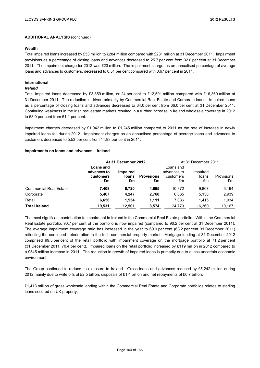### **Wealth**

Total impaired loans increased by £53 million to £284 million compared with £231 million at 31 December 2011. Impairment provisions as a percentage of closing loans and advances decreased to 25.7 per cent from 32.0 per cent at 31 December 2011. The impairment charge for 2012 was £23 million. The impairment charge, as an annualised percentage of average loans and advances to customers, decreased to 0.51 per cent compared with 0.67 per cent in 2011.

## **International**

## *Ireland*

Total impaired loans decreased by £3,859 million, or 24 per cent to £12,501 million compared with £16,360 million at 31 December 2011. The reduction is driven primarily by Commercial Real Estate and Corporate loans. Impaired loans as a percentage of closing loans and advances decreased to 64.0 per cent from 66.0 per cent at 31 December 2011. Continuing weakness in the Irish real estate markets resulted in a further increase in Ireland wholesale coverage in 2012 to 68.0 per cent from 61.1 per cent.

Impairment charges decreased by £1,942 million to £1,245 million compared to 2011 as the rate of increase in newly impaired loans fell during 2012. Impairment charges as an annualised percentage of average loans and advances to customers decreased to 5.53 per cent from 11.93 per cent in 2011.

### **Impairments on loans and advances – Ireland**

|                               | At 31 December 2012                         |                                |                         | At 31 December 2011                         |                         |                  |
|-------------------------------|---------------------------------------------|--------------------------------|-------------------------|---------------------------------------------|-------------------------|------------------|
|                               | Loans and<br>advances to<br>customers<br>£m | <b>Impaired</b><br>loans<br>£m | <b>Provisions</b><br>£m | Loans and<br>advances to<br>customers<br>£m | Impaired<br>loans<br>£m | Provisions<br>£m |
| <b>Commercial Real Estate</b> | 7,408                                       | 6,720                          | 4,695                   | 10.872                                      | 9,807                   | 6,194            |
| Corporate                     | 5,467                                       | 4.247                          | 2,768                   | 6,865                                       | 5.138                   | 2,939            |
| Retail                        | 6,656                                       | 1,534                          | 1,111                   | 7,036                                       | 1,415                   | 1,034            |
| <b>Total Ireland</b>          | 19,531                                      | 12.501                         | 8,574                   | 24,773                                      | 16.360                  | 10.167           |

The most significant contribution to impairment in Ireland is the Commercial Real Estate portfolio. Within the Commercial Real Estate portfolio, 90.7 per cent of the portfolio is now impaired (compared to 90.2 per cent at 31 December 2011). The average impairment coverage ratio has increased in the year to 69.9 per cent (63.2 per cent 31 December 2011) reflecting the continued deterioration in the Irish commercial property market. Mortgage lending at 31 December 2012 comprised 99.5 per cent of the retail portfolio with impairment coverage on the mortgage portfolio at 71.2 per cent (31 December 2011: 70.4 per cent). Impaired loans on the retail portfolio increased by £119 million in 2012 compared to a £545 million increase in 2011. The reduction in growth of impaired loans is primarily due to a less uncertain economic environment.

The Group continued to reduce its exposure to Ireland. Gross loans and advances reduced by £5,242 million during 2012 mainly due to write offs of £2.5 billion, disposals of £1.4 billion and net repayments of £0.7 billion.

£1,413 million of gross wholesale lending within the Commercial Real Estate and Corporate portfolios relates to sterling loans secured on UK property.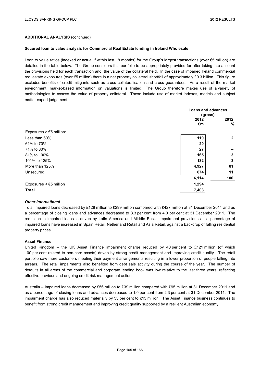#### **Secured loan to value analysis for Commercial Real Estate lending in Ireland Wholesale**

Loan to value ratios (indexed or actual if within last 18 months) for the Group's largest transactions (over €5 million) are detailed in the table below. The Group considers this portfolio to be appropriately provided for after taking into account the provisions held for each transaction and, the value of the collateral held. In the case of impaired Ireland commercial real estate exposures (over €5 million) there is a net property collateral shortfall of approximately £0.3 billion. This figure excludes benefits of credit mitigants such as cross collateralisation and cross guarantees. As a result of the market environment, market-based information on valuations is limited. The Group therefore makes use of a variety of methodologies to assess the value of property collateral. These include use of market indexes, models and subject matter expert judgement.

|                                                  | <b>Loans and advances</b><br>(gross) |                |
|--------------------------------------------------|--------------------------------------|----------------|
|                                                  | 2012                                 | 2012           |
|                                                  | £m                                   | %              |
| Exposures $> \text{\ensuremath{\in}} 5$ million: |                                      |                |
| Less than 60%                                    | 119                                  | $\overline{2}$ |
| 61% to 70%                                       | 20                                   |                |
| 71% to 80%                                       | 27                                   |                |
| 81% to 100%                                      | 165                                  | 3              |
| 101% to 125%                                     | 182                                  | 3              |
| More than 125%                                   | 4,927                                | 81             |
| Unsecured                                        | 674                                  | 11             |
|                                                  | 6,114                                | 100            |
| Exposures $\leq$ $\leq$ 5 million                | 1,294                                |                |
| <b>Total</b>                                     | 7,408                                |                |

#### *Other International*

Total impaired loans decreased by £128 million to £299 million compared with £427 million at 31 December 2011 and as a percentage of closing loans and advances decreased to 3.3 per cent from 4.0 per cent at 31 December 2011. The reduction in impaired loans is driven by Latin America and Middle East. Impairment provisions as a percentage of impaired loans have increased in Spain Retail, Netherland Retail and Asia Retail, against a backdrop of falling residential property prices.

#### **Asset Finance**

United Kingdom – the UK Asset Finance impairment charge reduced by 40 per cent to £121 million (of which 100 per cent related to non-core assets) driven by strong credit management and improving credit quality. The retail portfolio saw more customers meeting their payment arrangements resulting in a lower proportion of people falling into arrears. The retail impairments also benefited from debt sale activity during the course of the year. The number of defaults in all areas of the commercial and corporate lending book was low relative to the last three years, reflecting effective previous and ongoing credit risk management actions.

Australia – Impaired loans decreased by £56 million to £39 million compared with £95 million at 31 December 2011 and as a percentage of closing loans and advances decreased to 1.0 per cent from 2.3 per cent at 31 December 2011. The impairment charge has also reduced materially by 53 per cent to £15 million. The Asset Finance business continues to benefit from strong credit management and improving credit quality supported by a resilient Australian economy.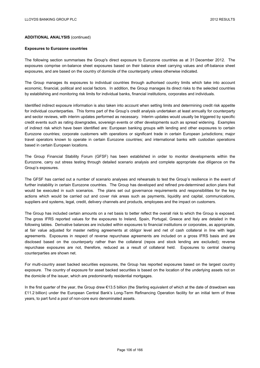#### **Exposures to Eurozone countries**

The following section summarises the Group's direct exposure to Eurozone countries as at 31 December 2012. The exposures comprise on-balance sheet exposures based on their balance sheet carrying values and off-balance sheet exposures, and are based on the country of domicile of the counterparty unless otherwise indicated.

The Group manages its exposures to individual countries through authorised country limits which take into account economic, financial, political and social factors. In addition, the Group manages its direct risks to the selected countries by establishing and monitoring risk limits for individual banks, financial institutions, corporates and individuals.

Identified indirect exposure information is also taken into account when setting limits and determining credit risk appetite for individual counterparties. This forms part of the Group's credit analysis undertaken at least annually for counterparty and sector reviews, with interim updates performed as necessary. Interim updates would usually be triggered by specific credit events such as rating downgrades, sovereign events or other developments such as spread widening. Examples of indirect risk which have been identified are: European banking groups with lending and other exposures to certain Eurozone countries; corporate customers with operations or significant trade in certain European jurisdictions; major travel operators known to operate in certain Eurozone countries; and international banks with custodian operations based in certain European locations.

The Group Financial Stability Forum (GFSF) has been established in order to monitor developments within the Eurozone, carry out stress testing through detailed scenario analysis and complete appropriate due diligence on the Group's exposures.

The GFSF has carried out a number of scenario analyses and rehearsals to test the Group's resilience in the event of further instability in certain Eurozone countries. The Group has developed and refined pre-determined action plans that would be executed in such scenarios. The plans set out governance requirements and responsibilities for the key actions which would be carried out and cover risk areas such as payments, liquidity and capital, communications, suppliers and systems, legal, credit, delivery channels and products, employees and the impact on customers.

The Group has included certain amounts on a net basis to better reflect the overall risk to which the Group is exposed. The gross IFRS reported values for the exposures to Ireland, Spain, Portugal, Greece and Italy are detailed in the following tables. Derivative balances are included within exposures to financial institutions or corporates, as appropriate, at fair value adjusted for master netting agreements at obligor level and net of cash collateral in line with legal agreements. Exposures in respect of reverse repurchase agreements are included on a gross IFRS basis and are disclosed based on the counterparty rather than the collateral (repos and stock lending are excluded); reverse repurchase exposures are not, therefore, reduced as a result of collateral held. Exposures to central clearing counterparties are shown net.

For multi-country asset backed securities exposures, the Group has reported exposures based on the largest country exposure. The country of exposure for asset backed securities is based on the location of the underlying assets not on the domicile of the issuer, which are predominantly residential mortgages.

In the first quarter of the year, the Group drew €13.5 billion (the Sterling equivalent of which at the date of drawdown was £11.2 billion) under the European Central Bank's Long-Term Refinancing Operation facility for an initial term of three years, to part fund a pool of non-core euro denominated assets.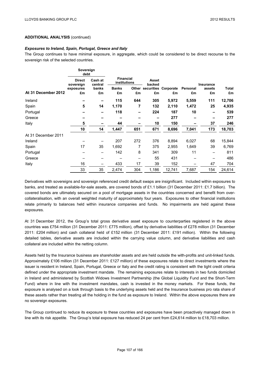#### *Exposures to Ireland, Spain, Portugal, Greece and Italy*

The Group continues to have minimal exposure, in aggregate, which could be considered to be direct recourse to the sovereign risk of the selected countries.

|                     | Sovereign<br>debt          |                          |                                  |     |                 |                            |          |           |        |
|---------------------|----------------------------|--------------------------|----------------------------------|-----|-----------------|----------------------------|----------|-----------|--------|
|                     | <b>Direct</b><br>sovereign | Cash at<br>central       | <b>Financial</b><br>institutions |     | Asset<br>backed |                            |          | Insurance |        |
|                     | exposures                  | banks                    | <b>Banks</b>                     |     |                 | Other securities Corporate | Personal | assets    | Total  |
| At 31 December 2012 | £m                         | £m                       | £m                               | £m  | £m              | £m                         | £m       | £m        | £m     |
| Ireland             |                            | $\overline{\phantom{0}}$ | 115                              | 644 | 305             | 5,972                      | 5,559    | 111       | 12,706 |
| Spain               | 5                          | 14                       | 1,170                            | 7   | 132             | 2,110                      | 1,472    | 25        | 4,935  |
| Portugal            |                            | $\overline{\phantom{0}}$ | 118                              |     | 224             | 187                        | 10       | -         | 539    |
| Greece              |                            |                          |                                  |     |                 | 277                        | -        | -         | 277    |
| Italy               | 5                          |                          | 44                               |     | 10              | 150                        |          | 37        | 246    |
|                     | 10                         | 14                       | 1,447                            | 651 | 671             | 8,696                      | 7,041    | 173       | 18,703 |
| At 31 December 2011 |                            |                          |                                  |     |                 |                            |          |           |        |
| Ireland             |                            |                          | 207                              | 272 | 376             | 8,894                      | 6,027    | 68        | 15,844 |
| Spain               | 17                         | 35                       | 1,692                            | 7   | 375             | 2,955                      | 1,649    | 39        | 6,769  |
| Portugal            |                            |                          | 142                              | 8   | 341             | 309                        | 11       | —         | 811    |
| Greece              |                            |                          |                                  |     | 55              | 431                        |          |           | 486    |
| Italy               | 16                         | —                        | 433                              | 17  | 39              | 152                        |          | 47        | 704    |
|                     | 33                         | 35                       | 2,474                            | 304 | 1,186           | 12,741                     | 7,687    | 154       | 24,614 |

Derivatives with sovereigns and sovereign referenced credit default swaps are insignificant. Included within exposures to banks, and treated as available-for-sale assets, are covered bonds of £1.1 billion (31 December 2011: £1.7 billion). The covered bonds are ultimately secured on a pool of mortgage assets in the countries concerned and benefit from overcollateralisation, with an overall weighted maturity of approximately four years. Exposures to other financial institutions relate primarily to balances held within insurance companies and funds. No impairments are held against these exposures.

At 31 December 2012, the Group's total gross derivative asset exposure to counterparties registered in the above countries was £754 million (31 December 2011: £775 million), offset by derivative liabilities of £278 million (31 December 2011: £204 million) and cash collateral held of £152 million (31 December 2011: £191 million). Within the following detailed tables, derivative assets are included within the carrying value column, and derivative liabilities and cash collateral are included within the netting column.

Assets held by the Insurance business are shareholder assets and are held outside the with-profits and unit-linked funds. Approximately £106 million (31 December 2011: £127 million) of these exposures relate to direct investments where the issuer is resident in Ireland, Spain, Portugal, Greece or Italy and the credit rating is consistent with the tight credit criteria defined under the appropriate investment mandate. The remaining exposures relate to interests in two funds domiciled in Ireland and administered by Scottish Widows Investment Partnership (the Global Liquidity Fund and the Short-Term Fund) where in line with the investment mandates, cash is invested in the money markets. For these funds, the exposure is analysed on a look through basis to the underlying assets held and the Insurance business pro rata share of these assets rather than treating all the holding in the fund as exposure to Ireland. Within the above exposures there are no sovereign exposures.

The Group continued to reduce its exposure to these countries and exposures have been proactively managed down in line with its risk appetite. The Group's total exposure has reduced 24 per cent from £24,614 million to £18,703 million.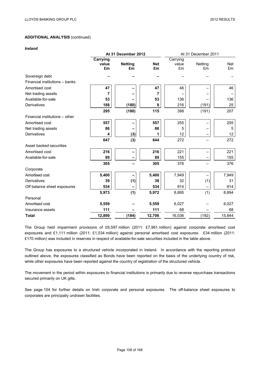*Ireland*

|                                |                          | At 31 December 2012 |            | At 31 December 2011 |         |            |  |
|--------------------------------|--------------------------|---------------------|------------|---------------------|---------|------------|--|
|                                | <b>Carrying</b><br>value | <b>Netting</b>      | <b>Net</b> | Carrying<br>value   | Netting | <b>Net</b> |  |
|                                | £m                       | £m                  | £m         | £m                  | £m      | £m         |  |
| Sovereign debt                 |                          |                     |            |                     |         |            |  |
| Financial institutions - banks |                          |                     |            |                     |         |            |  |
| Amortised cost                 | 47                       |                     | 47         | 46                  |         | 46         |  |
| Net trading assets             | 7                        |                     | 7          |                     |         |            |  |
| Available-for-sale             | 53                       |                     | 53         | 136                 |         | 136        |  |
| Derivatives                    | 188                      | (180)               | 8          | 216                 | (191)   | 25         |  |
|                                | 295                      | (180)               | 115        | 398                 | (191)   | 207        |  |
| Financial institutions - other |                          |                     |            |                     |         |            |  |
| Amortised cost                 | 557                      |                     | 557        | 255                 |         | 255        |  |
| Net trading assets             | 86                       |                     | 86         | 5                   |         | 5          |  |
| Derivatives                    | 4                        | (3)                 | 1          | 12                  |         | 12         |  |
|                                | 647                      | (3)                 | 644        | 272                 |         | 272        |  |
| Asset backed securities        |                          |                     |            |                     |         |            |  |
| Amortised cost                 | 216                      |                     | 216        | 221                 |         | 221        |  |
| Available-for-sale             | 89                       |                     | 89         | 155                 |         | 155        |  |
|                                | 305                      |                     | 305        | 376                 |         | 376        |  |
| Corporate                      |                          |                     |            |                     |         |            |  |
| Amortised cost                 | 5,400                    |                     | 5,400      | 7,949               |         | 7,949      |  |
| Derivatives                    | 39                       | (1)                 | 38         | 32                  | (1)     | 31         |  |
| Off balance sheet exposures    | 534                      |                     | 534        | 914                 |         | 914        |  |
|                                | 5,973                    | (1)                 | 5,972      | 8,895               | (1)     | 8,894      |  |
| Personal                       |                          |                     |            |                     |         |            |  |
| Amortised cost                 | 5,559                    |                     | 5,559      | 6,027               |         | 6,027      |  |
| Insurance assets               | 111                      |                     | 111        | 68                  |         | 68         |  |
| <b>Total</b>                   | 12,890                   | (184)               | 12,706     | 16,036              | (192)   | 15,844     |  |

The Group held impairment provisions of £6,597 million (2011: £7,961 million) against corporate amortised cost exposures and £1,111 million (2011: £1,034 million) against personal amortised cost exposures. £34 million (2011: £170 million) was included in reserves in respect of available-for-sale securities included in the table above.

The Group has exposures to a structured vehicle incorporated in Ireland. In accordance with the reporting protocol outlined above, the exposures classified as Bonds have been reported on the basis of the underlying country of risk, while other exposures have been reported against the country of registration of the structured vehicle.

The movement in the period within exposures to financial institutions is primarily due to reverse repurchase transactions secured primarily on UK gilts.

See page 104 for further details on Irish corporate and personal exposures. The off-balance sheet exposures to corporates are principally undrawn facilities.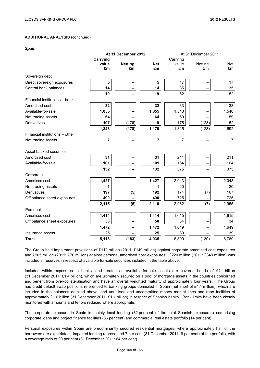*Spain* 

|                                |                         | At 31 December 2012  |                         | At 31 December 2011     |               |                |  |
|--------------------------------|-------------------------|----------------------|-------------------------|-------------------------|---------------|----------------|--|
|                                | Carrying<br>value<br>£m | <b>Netting</b><br>£m | <b>Net</b><br>£m        | Carrying<br>value<br>£m | Netting<br>£m | Net<br>£m      |  |
| Sovereign debt                 |                         |                      |                         |                         |               |                |  |
| Direct sovereign exposures     | 5                       |                      | 5                       | 17                      |               | 17             |  |
| Central bank balances          | 14                      |                      | 14                      | 35                      |               | 35             |  |
|                                | 19                      |                      | 19                      | 52                      |               | 52             |  |
| Financial institutions - banks |                         |                      |                         |                         |               |                |  |
| Amortised cost                 | 32                      |                      | 32                      | 33                      |               | 33             |  |
| Available-for-sale             | 1,055                   |                      | 1,055                   | 1,548                   |               | 1,548          |  |
| Net trading assets             | 64                      |                      | 64                      | 59                      |               | 59             |  |
| Derivatives                    | 197                     | (178)                | 19                      | 175                     | (123)         | 52             |  |
|                                | 1,348                   | (178)                | 1,170                   | 1,815                   | (123)         | 1,692          |  |
| Financial institutions - other |                         |                      |                         |                         |               |                |  |
| Net trading assets             | $\overline{7}$          |                      | $\overline{\mathbf{r}}$ | $\overline{7}$          |               | $\overline{7}$ |  |
| Asset backed securities        |                         |                      |                         |                         |               |                |  |
| Amortised cost                 | 31                      |                      | 31                      | 211                     |               | 211            |  |
| Available-for-sale             | 101                     |                      | 101                     | 164                     |               | 164            |  |
|                                | 132                     |                      | 132                     | 375                     |               | 375            |  |
| Corporate                      |                         |                      |                         |                         |               |                |  |
| Amortised cost                 | 1,427                   |                      | 1,427                   | 2,043                   |               | 2,043          |  |
| Net trading assets             | 1                       |                      | 1                       | 20                      |               | 20             |  |
| <b>Derivatives</b>             | 197                     | (5)                  | 192                     | 174                     | (7)           | 167            |  |
| Off balance sheet exposures    | 490                     |                      | 490                     | 725                     |               | 725            |  |
|                                | 2,115                   | (5)                  | 2,110                   | 2,962                   | (7)           | 2,955          |  |
| Personal                       |                         |                      |                         |                         |               |                |  |
| Amortised cost                 | 1,414                   |                      | 1,414                   | 1,615                   |               | 1,615          |  |
| Off balance sheet exposures    | 58                      |                      | 58                      | 34                      |               | 34             |  |
|                                | 1,472                   |                      | 1,472                   | 1,649                   |               | 1,649          |  |
| Insurance assets               | 25                      |                      | 25                      | 39                      |               | 39             |  |
| <b>Total</b>                   | 5,118                   | (183)                | 4,935                   | 6,899                   | (130)         | 6,769          |  |

The Group held impairment provisions of £112 million (2011: £149 million) against corporate amortised cost exposures and £105 million (2011: £70 million) against personal amortised cost exposures. £220 million (2011: £349 million) was included in reserves in respect of available-for-sale securities included in the table above.

Included within exposures to banks, and treated as available-for-sale assets are covered bonds of £1.1 billion (31 December 2011: £1.4 billion), which are ultimately secured on a pool of mortgage assets in the countries concerned and benefit from over-collateralisation and have an overall weighted maturity of approximately four years. The Group has credit default swap positions referenced to banking groups domiciled in Spain (net short of £4.1 million), which are included in the balances detailed above, and unutilised and uncommitted money market lines and repo facilities of approximately £1.0 billion (31 December 2011: £1.1 billion) in respect of Spanish banks. Bank limits have been closely monitored with amounts and tenors reduced where appropriate.

The corporate exposure in Spain is mainly local lending (82 per cent of the total Spanish exposures) comprising corporate loans and project finance facilities (86 per cent) and commercial real estate portfolio (14 per cent).

Personal exposures within Spain are predominantly secured residential mortgages, where approximately half of the borrowers are expatriates. Impaired lending represented 7 per cent (31 December 2011: 6 per cent) of the portfolio, with a coverage ratio of 90 per cent (31 December 2011: 64 per cent).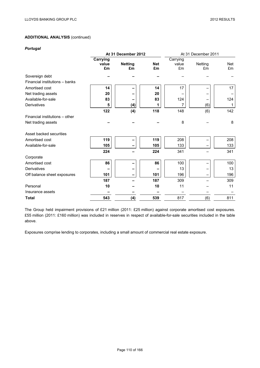### *Portugal*

|                                |          | At 31 December 2012 |            |          | At 31 December 2011 |            |  |  |
|--------------------------------|----------|---------------------|------------|----------|---------------------|------------|--|--|
|                                | Carrying |                     |            | Carrying |                     |            |  |  |
|                                | value    | <b>Netting</b>      | <b>Net</b> | value    | Netting             | <b>Net</b> |  |  |
|                                | £m       | £m                  | £m         | £m       | £m                  | £m         |  |  |
| Sovereign debt                 |          |                     |            |          |                     |            |  |  |
| Financial institutions - banks |          |                     |            |          |                     |            |  |  |
| Amortised cost                 | 14       |                     | 14         | 17       |                     | 17         |  |  |
| Net trading assets             | 20       |                     | 20         |          |                     |            |  |  |
| Available-for-sale             | 83       |                     | 83         | 124      |                     | 124        |  |  |
| Derivatives                    | 5        | (4)                 | 1          | 7        | (6)                 | 1          |  |  |
|                                | 122      | (4)                 | 118        | 148      | (6)                 | 142        |  |  |
| Financial institutions - other |          |                     |            |          |                     |            |  |  |
| Net trading assets             |          |                     |            | 8        |                     | 8          |  |  |
| Asset backed securities        |          |                     |            |          |                     |            |  |  |
| Amortised cost                 | 119      |                     | 119        | 208      |                     | 208        |  |  |
| Available-for-sale             | 105      |                     | 105        | 133      |                     | 133        |  |  |
|                                | 224      |                     | 224        | 341      |                     | 341        |  |  |
| Corporate                      |          |                     |            |          |                     |            |  |  |
| Amortised cost                 | 86       |                     | 86         | 100      |                     | 100        |  |  |
| <b>Derivatives</b>             |          |                     |            | 13       |                     | 13         |  |  |
| Off balance sheet exposures    | 101      |                     | 101        | 196      |                     | 196        |  |  |
|                                | 187      |                     | 187        | 309      |                     | 309        |  |  |
| Personal                       | 10       |                     | 10         | 11       |                     | 11         |  |  |
| Insurance assets               |          |                     |            |          |                     |            |  |  |
| <b>Total</b>                   | 543      | (4)                 | 539        | 817      | (6)                 | 811        |  |  |

The Group held impairment provisions of £21 million (2011: £25 million) against corporate amortised cost exposures. £55 million (2011: £160 million) was included in reserves in respect of available-for-sale securities included in the table above.

Exposures comprise lending to corporates, including a small amount of commercial real estate exposure.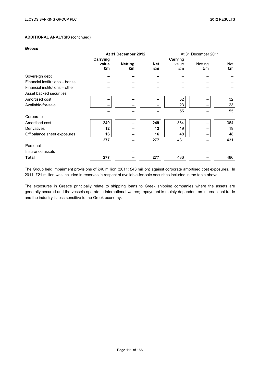#### *Greece*

|                                |          | At 31 December 2012 |            | At 31 December 2011 |         |     |  |
|--------------------------------|----------|---------------------|------------|---------------------|---------|-----|--|
|                                | Carrying |                     |            | Carrying            |         |     |  |
|                                | value    | <b>Netting</b>      | <b>Net</b> | value               | Netting | Net |  |
|                                | £m       | £m                  | £m         | £m                  | £m      | £m  |  |
| Sovereign debt                 |          |                     |            |                     |         |     |  |
| Financial institutions - banks |          |                     |            |                     |         |     |  |
| Financial institutions - other |          |                     |            |                     |         |     |  |
| Asset backed securities        |          |                     |            |                     |         |     |  |
| Amortised cost                 |          |                     |            | 32                  |         | 32  |  |
| Available-for-sale             |          |                     |            | 23                  |         | 23  |  |
|                                |          |                     |            | 55                  |         | 55  |  |
| Corporate                      |          |                     |            |                     |         |     |  |
| Amortised cost                 | 249      |                     | 249        | 364                 |         | 364 |  |
| <b>Derivatives</b>             | 12       |                     | 12         | 19                  |         | 19  |  |
| Off balance sheet exposures    | 16       |                     | 16         | 48                  |         | 48  |  |
|                                | 277      |                     | 277        | 431                 |         | 431 |  |
| Personal                       |          |                     |            |                     |         |     |  |
| Insurance assets               |          |                     |            |                     |         |     |  |
| Total                          | 277      |                     | 277        | 486                 |         | 486 |  |

The Group held impairment provisions of £40 million (2011: £43 million) against corporate amortised cost exposures. In 2011, £21 million was included in reserves in respect of available-for-sale securities included in the table above.

The exposures in Greece principally relate to shipping loans to Greek shipping companies where the assets are generally secured and the vessels operate in international waters; repayment is mainly dependent on international trade and the industry is less sensitive to the Greek economy.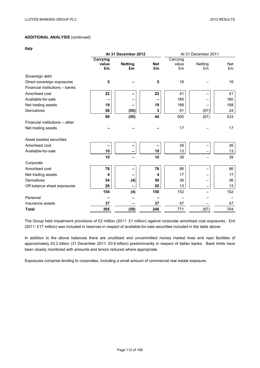*Italy* 

|                                |          | At 31 December 2012 |            | At 31 December 2011 |         |            |  |
|--------------------------------|----------|---------------------|------------|---------------------|---------|------------|--|
|                                | Carrying |                     |            | Carrying            |         |            |  |
|                                | value    | <b>Netting</b>      | <b>Net</b> | value               | Netting | <b>Net</b> |  |
|                                | £m       | £m                  | £m         | £m                  | £m      | Em         |  |
| Sovereign debt                 |          |                     |            |                     |         |            |  |
| Direct sovereign exposures     | 5        |                     | 5          | 16                  |         | 16         |  |
| Financial institutions - banks |          |                     |            |                     |         |            |  |
| Amortised cost                 | 22       |                     | 22         | 41                  |         | 41         |  |
| Available-for-sale             |          |                     |            | 180                 |         | 180        |  |
| Net trading assets             | 19       |                     | 19         | 188                 |         | 188        |  |
| Derivatives                    | 58       | (55)                | 3          | 91                  | (67)    | 24         |  |
|                                | 99       | (55)                | 44         | 500                 | (67)    | 433        |  |
| Financial institutions - other |          |                     |            |                     |         |            |  |
| Net trading assets             |          |                     |            | 17                  |         | 17         |  |
| Asset backed securities        |          |                     |            |                     |         |            |  |
| Amortised cost                 |          | -                   |            | 26                  |         | 26         |  |
| Available-for-sale             | 10       |                     | 10         | 13                  |         | 13         |  |
|                                | 10       |                     | 10         | 39                  |         | 39         |  |
| Corporate                      |          |                     |            |                     |         |            |  |
| Amortised cost                 | 76       |                     | 76         | 86                  |         | 86         |  |
| Net trading assets             | 4        |                     | 4          | 17                  |         | 17         |  |
| <b>Derivatives</b>             | 54       | (4)                 | 50         | 36                  |         | 36         |  |
| Off balance sheet exposures    | 20       |                     | 20         | 13                  |         | 13         |  |
|                                | 154      | (4)                 | 150        | 152                 |         | 152        |  |
| Personal                       |          |                     |            |                     |         |            |  |
| Insurance assets               | 37       |                     | 37         | 47                  |         | 47         |  |
| <b>Total</b>                   | 305      | (59)                | 246        | 771                 | (67)    | 704        |  |

The Group held impairment provisions of £2 million (2011: £1 million) against corporate amortised cost exposures. £nil (2011: £17 million) was included in reserves in respect of available-for-sale securities included in the table above.

In addition to the above balances there are unutilised and uncommitted money market lines and repo facilities of approximately £0.2 billion (31 December 2011: £0.6 billion) predominantly in respect of Italian banks. Bank limits have been closely monitored with amounts and tenors reduced where appropriate.

Exposures comprise lending to corporates, including a small amount of commercial real estate exposure.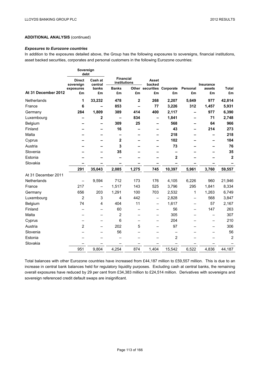### *Exposures to Eurozone countries*

In addition to the exposures detailed above, the Group has the following exposures to sovereigns, financial institutions, asset backed securities, corporates and personal customers in the following Eurozone countries:

|                     | Sovereign<br>debt          |                    |                                  |              |                          |                            |                          |                          |                         |
|---------------------|----------------------------|--------------------|----------------------------------|--------------|--------------------------|----------------------------|--------------------------|--------------------------|-------------------------|
|                     | <b>Direct</b><br>sovereign | Cash at<br>central | <b>Financial</b><br>institutions |              | Asset<br>backed          |                            |                          | <b>Insurance</b>         |                         |
|                     | exposures                  | banks              | <b>Banks</b>                     |              |                          | Other securities Corporate | Personal                 | assets                   | Total                   |
| At 31 December 2012 | £m                         | £m                 | £m                               | £m           | £m                       | £m                         | £m                       | £m                       | £m                      |
| Netherlands         | 1                          | 33,232             | 478                              | $\mathbf{2}$ | 268                      | 2,207                      | 5,649                    | 977                      | 42,814                  |
| France              | 6                          |                    | 853                              |              | 77                       | 3,226                      | 312                      | 1,457                    | 5,931                   |
| Germany             | 284                        | 1,809              | 389                              | 414          | 400                      | 2,117                      | -                        | 977                      | 6,390                   |
| Luxembourg          |                            | 2                  | $\overline{\phantom{m}}$         | 834          | $\overline{\phantom{0}}$ | 1,841                      | -                        | 71                       | 2,748                   |
| Belgium             |                            |                    | 309                              | 25           |                          | 568                        |                          | 64                       | 966                     |
| Finland             |                            |                    | 16                               |              |                          | 43                         |                          | 214                      | 273                     |
| Malta               |                            |                    |                                  |              |                          | 218                        |                          |                          | 218                     |
| Cyprus              |                            |                    | 2                                |              |                          | 102                        |                          |                          | 104                     |
| Austria             |                            |                    | 3                                |              |                          | 73                         |                          |                          | 76                      |
| Slovenia            |                            |                    | 35                               |              |                          |                            |                          |                          | 35                      |
| Estonia             |                            |                    |                                  |              |                          | $\mathbf 2$                |                          |                          | $\overline{\mathbf{2}}$ |
| Slovakia            |                            |                    |                                  |              |                          |                            |                          |                          |                         |
|                     | 291                        | 35,043             | 2,085                            | 1,275        | 745                      | 10,397                     | 5,961                    | 3,760                    | 59,557                  |
| At 31 December 2011 |                            |                    |                                  |              |                          |                            |                          |                          |                         |
| Netherlands         | $\qquad \qquad -$          | 9,594              | 712                              | 173          | 176                      | 4,105                      | 6,226                    | 960                      | 21,946                  |
| France              | 217                        | —                  | 1,517                            | 143          | 525                      | 3,796                      | 295                      | 1,841                    | 8,334                   |
| Germany             | 656                        | 203                | 1,291                            | 100          | 703                      | 2,532                      | 1                        | 1,263                    | 6,749                   |
| Luxembourg          | $\overline{2}$             | 3                  | 4                                | 442          | $\qquad \qquad$          | 2,828                      | $\overline{\phantom{0}}$ | 568                      | 3,847                   |
| Belgium             | 74                         | 4                  | 404                              | 11           | -                        | 1,617                      | -                        | 57                       | 2,167                   |
| Finland             |                            |                    | 60                               |              |                          | 56                         |                          | 147                      | 263                     |
| Malta               |                            |                    | 2                                |              | $\qquad \qquad$          | 305                        |                          | $\overline{\phantom{0}}$ | 307                     |
| Cyprus              |                            | —                  | 6                                |              | $\overline{\phantom{0}}$ | 204                        |                          | $\overline{\phantom{0}}$ | 210                     |
| Austria             | $\overline{2}$             | —                  | 202                              | 5            | -                        | 97                         |                          | -                        | 306                     |
| Slovenia            |                            |                    | 56                               |              |                          | —                          |                          |                          | 56                      |
| Estonia             |                            |                    |                                  |              |                          | $\overline{2}$             |                          |                          | $\overline{2}$          |
| Slovakia            |                            |                    |                                  |              |                          |                            |                          |                          |                         |
|                     | 951                        | 9,804              | 4,254                            | 874          | 1,404                    | 15,542                     | 6,522                    | 4,836                    | 44,187                  |

Total balances with other Eurozone countries have increased from £44,187 million to £59,557 million. This is due to an increase in central bank balances held for regulatory liquidity purposes. Excluding cash at central banks, the remaining overall exposures have reduced by 29 per cent from £34,383 million to £24,514 million. Derivatives with sovereigns and sovereign referenced credit default swaps are insignificant.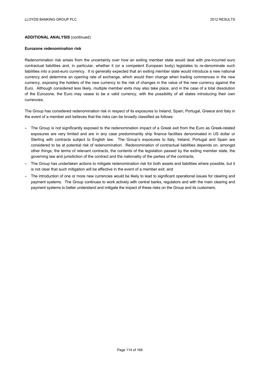#### **Eurozone redenomination risk**

Redenomination risk arises from the uncertainty over how an exiting member state would deal with pre-incurred euro contractual liabilities and, in particular, whether it (or a competent European body) legislates to re-denominate such liabilities into a post-euro currency. It is generally expected that an exiting member state would introduce a new national currency and determine an opening rate of exchange, which would then change when trading commences in the new currency, exposing the holders of the new currency to the risk of changes in the value of the new currency against the Euro. Although considered less likely, multiple member exits may also take place, and in the case of a total dissolution of the Eurozone, the Euro may cease to be a valid currency, with the possibility of all states introducing their own currencies.

The Group has considered redenomination risk in respect of its exposures to Ireland, Spain, Portugal, Greece and Italy in the event of a member exit believes that the risks can be broadly classified as follows:

- The Group is not significantly exposed to the redenomination impact of a Greek exit from the Euro as Greek-related exposures are very limited and are in any case predominantly ship finance facilities denominated in US dollar or Sterling with contracts subject to English law. The Group's exposures to Italy, Ireland, Portugal and Spain are considered to be at potential risk of redenomination. Redenomination of contractual liabilities depends on, amongst other things, the terms of relevant contracts, the contents of the legislation passed by the exiting member state, the governing law and jurisdiction of the contract and the nationality of the parties of the contracts;
- The Group has undertaken actions to mitigate redenomination risk for both assets and liabilities where possible, but it is not clear that such mitigation will be effective in the event of a member exit; and
- The introduction of one or more new currencies would be likely to lead to significant operational issues for clearing and payment systems. The Group continues to work actively with central banks, regulators and with the main clearing and payment systems to better understand and mitigate the impact of these risks on the Group and its customers.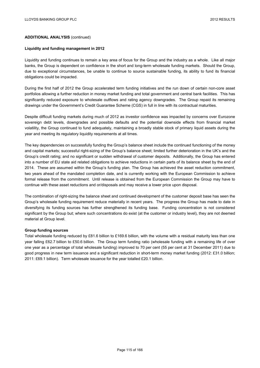#### **Liquidity and funding management in 2012**

Liquidity and funding continues to remain a key area of focus for the Group and the industry as a whole. Like all major banks, the Group is dependent on confidence in the short and long-term wholesale funding markets. Should the Group, due to exceptional circumstances, be unable to continue to source sustainable funding, its ability to fund its financial obligations could be impacted.

During the first half of 2012 the Group accelerated term funding initiatives and the run down of certain non-core asset portfolios allowing a further reduction in money market funding and total government and central bank facilities. This has significantly reduced exposure to wholesale outflows and rating agency downgrades. The Group repaid its remaining drawings under the Government's Credit Guarantee Scheme (CGS) in full in line with its contractual maturities.

Despite difficult funding markets during much of 2012 as investor confidence was impacted by concerns over Eurozone sovereign debt levels, downgrades and possible defaults and the potential downside effects from financial market volatility, the Group continued to fund adequately, maintaining a broadly stable stock of primary liquid assets during the year and meeting its regulatory liquidity requirements at all times.

The key dependencies on successfully funding the Group's balance sheet include the continued functioning of the money and capital markets; successful right-sizing of the Group's balance sheet; limited further deterioration in the UK's and the Group's credit rating; and no significant or sudden withdrawal of customer deposits. Additionally, the Group has entered into a number of EU state aid related obligations to achieve reductions in certain parts of its balance sheet by the end of 2014. These are assumed within the Group's funding plan. The Group has achieved the asset reduction commitment, two years ahead of the mandated completion date, and is currently working with the European Commission to achieve formal release from the commitment. Until release is obtained from the European Commission the Group may have to continue with these asset reductions and or/disposals and may receive a lower price upon disposal.

The combination of right-sizing the balance sheet and continued development of the customer deposit base has seen the Group's wholesale funding requirement reduce materially in recent years. The progress the Group has made to date in diversifying its funding sources has further strengthened its funding base. Funding concentration is not considered significant by the Group but; where such concentrations do exist (at the customer or industry level), they are not deemed material at Group level.

#### **Group funding sources**

Total wholesale funding reduced by £81.6 billion to £169.6 billion, with the volume with a residual maturity less than one year falling £62.7 billion to £50.6 billion. The Group term funding ratio (wholesale funding with a remaining life of over one year as a percentage of total wholesale funding) improved to 70 per cent (55 per cent at 31 December 2011) due to good progress in new term issuance and a significant reduction in short-term money market funding (2012: £31.0 billion; 2011: £69.1 billion). Term wholesale issuance for the year totalled £20.1 billion.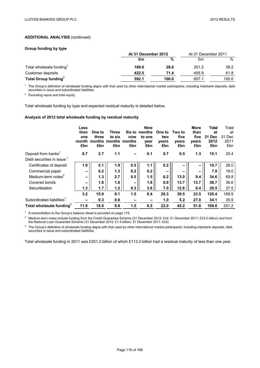#### **Group funding by type**

|                         | At 31 December 2012 | At 31 December 2011 |       |       |
|-------------------------|---------------------|---------------------|-------|-------|
|                         | £m                  | %                   | £m    | %     |
| Total wholesale funding | 169.6               | 28.6                | 251.2 | 38.2  |
| Customer deposits       | 422.5               | 71.4                | 405.9 | 61.8  |
| Total Group funding $2$ | 592.1               | 100.0               | 657.1 | 100.0 |

 $1$  The Group's definition of wholesale funding aligns with that used by other international market participants; including interbank deposits, debt securities in issue and subordinated liabilities.

<sup>2</sup> Excluding repos and total equity.

Total wholesale funding by type and expected residual maturity is detailed below.

## **Analysis of 2012 total wholesale funding by residual maturity**

|                                      | Less<br>than<br>one<br>month<br>£bn | One to<br>three<br>£bn | Three<br>to six<br>months months months<br>£bn | Six to<br>nine<br>£bn | <b>Nine</b><br>months<br>to one<br>vear<br>£bn | One to<br>two<br>vears<br>£bn | Two to<br>five<br>vears<br>£bn | <b>More</b><br>than<br>five<br>vears<br>£bn | Total<br>at<br>31 Dec<br>2012<br>£bn | Total<br>at<br>31 Dec<br>2011<br>£bn |
|--------------------------------------|-------------------------------------|------------------------|------------------------------------------------|-----------------------|------------------------------------------------|-------------------------------|--------------------------------|---------------------------------------------|--------------------------------------|--------------------------------------|
| Deposit from banks <sup>1</sup>      | 8.7                                 | 2.7                    | 1.1                                            |                       | 0.1                                            | 0.7                           | 0.5                            | 1.3                                         | 15.1                                 | 25.4                                 |
| Debt securities in issue:            |                                     |                        |                                                |                       |                                                |                               |                                |                                             |                                      |                                      |
| Certificates of deposit              | 1.9                                 | 5.1                    | 1.9                                            | 0.5                   | 1.1                                            | 0.2                           |                                |                                             | 10.7                                 | 28.0                                 |
| Commercial paper                     | -                                   | 6.2                    | 1.3                                            | 0.2                   | 0.2                                            | $\overline{\phantom{a}}$      | -                              | -                                           | 7.9                                  | 18.0                                 |
| Medium-term notes <sup>2</sup>       | $\qquad \qquad$                     | 1.3                    | 2.7                                            | 0.5                   | 1.5                                            | 6.2                           | 13.0                           | 9.4                                         | 34.6                                 | 69.8                                 |
| Covered bonds                        |                                     | 1.6                    | 1.0                                            | -                     | 1.8                                            | 6.9                           | 13.7                           | 13.7                                        | 38.7                                 | 36.6                                 |
| Securitisation                       | 1.3                                 | 1.7                    | 1.2                                            | 0.3                   | 3.8                                            | 7.0                           | 12.8                           | 0.4                                         | 28.5                                 | 37.5                                 |
|                                      | 3.2                                 | 15.9                   | 8.1                                            | 1.5                   | 8.4                                            | 20.3                          | 39.5                           | 23.5                                        | 120.4                                | 189.9                                |
| Subordinated liabilities             | -                                   | 0.3                    | 0.6                                            |                       |                                                | 1.0                           | 5.2                            | 27.0                                        | 34.1                                 | 35.9                                 |
| Total wholesale funding <sup>3</sup> | 11.9                                | 18.9                   | 9.8                                            | 1.5                   | 8.5                                            | 22.0                          | 45.2                           | 51.8                                        | 169.6                                | 251.2                                |

<sup>1</sup> A reconciliation to the Group's balance sheet is provided on page 119.

<sup>2</sup> Medium-term notes include funding from the Credit Guarantee Scheme (31 December 2012: £nil; 31 December 2011: £23.5 billion) and from the National Loan Guarantee Scheme (31 December 2012: £1.4 billion; 31 December 2011: £nil).

 $3$  The Group's definition of wholesale funding aligns with that used by other international market participants; including interbank deposits, debt securities in issue and subordinated liabilities.

Total wholesale funding in 2011 was £251.2 billion of which £113.3 billion had a residual maturity of less than one year.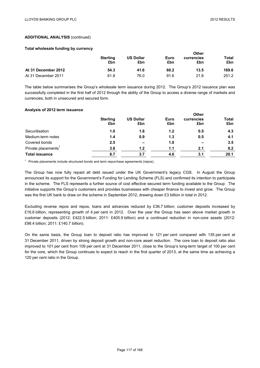**Other** 

### **ADDITIONAL ANALYSIS** (continued)

#### **Total wholesale funding by currency**

|                     | <b>Sterling</b><br>£bn | <b>US Dollar</b><br>£bn | Euro<br>£bn | Otner<br>currencies<br>£bn | Total<br>£bn |
|---------------------|------------------------|-------------------------|-------------|----------------------------|--------------|
| At 31 December 2012 | 54.3                   | 41.6                    | 60.2        | 13.5                       | 169.6        |
| At 31 December 2011 | 61.8                   | 76.0                    | 91.6        | 21.8                       | 251.2        |

The table below summarises the Group's wholesale term issuance during 2012. The Group's 2012 issuance plan was successfully completed in the first half of 2012 through the ability of the Group to access a diverse range of markets and currencies, both in unsecured and secured form.

#### **Analysis of 2012 term issuance**

|                                 | <b>Sterling</b><br>£bn | <b>US Dollar</b><br>£bn | Euro<br>£bn | <b>Other</b><br>currencies<br>£bn | <b>Total</b><br>£bn |
|---------------------------------|------------------------|-------------------------|-------------|-----------------------------------|---------------------|
| Securitisation                  | 1.0                    | 1.6                     | 1.2         | 0.5                               | 4.3                 |
| Medium-term notes               | 1.4                    | 0.9                     | 1.3         | 0.5                               | 4.1                 |
| Covered bonds                   | 2.5                    | $\qquad \qquad$         | 1.0         | $\overline{\phantom{a}}$          | 3.5                 |
| Private placements <sup>1</sup> | 3.8                    | 1.2                     | 1.1         | 2.1                               | 8.2                 |
| <b>Total issuance</b>           | 8.7                    | 3.7                     | 4.6         | 3.1                               | 20.1                |

 $1$  Private placements include structured bonds and term repurchase agreements (repos).

The Group has now fully repaid all debt issued under the UK Government's legacy CGS. In August the Group announced its support for the Government's Funding for Lending Scheme (FLS) and confirmed its intention to participate in the scheme. The FLS represents a further source of cost effective secured term funding available to the Group. The initiative supports the Group's customers and provides businesses with cheaper finance to invest and grow. The Group was the first UK bank to draw on the scheme in September 2012, drawing down £3 billion in total in 2012.

Excluding reverse repos and repos, loans and advances reduced by £36.7 billion; customer deposits increased by £16.6 billion, representing growth of 4 per cent in 2012. Over the year the Group has seen above market growth in customer deposits (2012: £422.5 billion; 2011: £405.9 billion) and a continued reduction in non-core assets (2012: £98.4 billion; 2011: £140.7 billion).

On the same basis, the Group loan to deposit ratio has improved to 121 per cent compared with 135 per cent at 31 December 2011, driven by strong deposit growth and non-core asset reduction. The core loan to deposit ratio also improved to 101 per cent from 109 per cent at 31 December 2011, close to the Group's long-term target of 100 per cent for the core, which the Group continues to expect to reach in the first quarter of 2013, at the same time as achieving a 120 per cent ratio in the Group.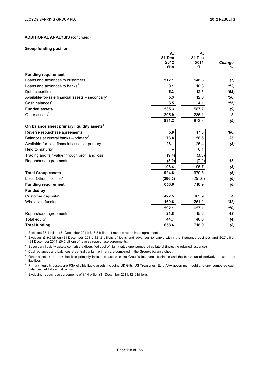At

**At**

## **ADDITIONAL ANALYSIS** (continued)

### **Group funding position**

|                                                                | Aτ      | Aι      |        |
|----------------------------------------------------------------|---------|---------|--------|
|                                                                | 31 Dec  | 31 Dec  |        |
|                                                                | 2012    | 2011    | Change |
|                                                                | £bn     | £bn     | ℅      |
| <b>Funding requirement</b>                                     |         |         |        |
| Loans and advances to customers <sup>1</sup>                   | 512.1   | 548.8   | (7)    |
| Loans and advances to banks <sup>2</sup>                       | 9.1     | 10.3    | (12)   |
| Debt securities                                                | 5.3     | 12.5    | (58)   |
| Available-for-sale financial assets $-$ secondary <sup>3</sup> | 5.3     | 12.0    | (56)   |
| Cash balances <sup>4</sup>                                     | 3.5     | 4.1     | (15)   |
| <b>Funded assets</b>                                           | 535.3   | 587.7   | (9)    |
| Other assets <sup>5</sup>                                      | 295.9   | 286.1   | 3      |
|                                                                | 831.2   | 873.8   | (5)    |
| On balance sheet primary liquidity assets <sup>6</sup>         |         |         |        |
| Reverse repurchase agreements                                  | 5.8     | 17.3    | (66)   |
| Balances at central banks – primary <sup>4</sup>               | 76.8    | 56.6    | 36     |
| Available-for-sale financial assets - primary                  | 26.1    | 25.4    | (3)    |
| Held to maturity                                               |         | 8.1     |        |
| Trading and fair value through profit and loss                 | (9.4)   | (3.5)   |        |
| Repurchase agreements                                          | (5.9)   | (7.2)   | 18     |
|                                                                | 93.4    | 96.7    | $(3)$  |
| <b>Total Group assets</b>                                      | 924.6   | 970.5   | (5)    |
| Less: Other liabilities <sup>5</sup>                           | (266.0) | (251.6) | (6)    |
| <b>Funding requirement</b>                                     | 658.6   | 718.9   | (8)    |
| <b>Funded by</b>                                               |         |         |        |
| Customer deposits <sup>7</sup>                                 | 422.5   | 405.9   | 4      |
| Wholesale funding                                              | 169.6   | 251.2   | (32)   |
|                                                                | 592.1   | 657.1   | (10)   |
| Repurchase agreements                                          | 21.8    | 15.2    | 43     |
| <b>Total equity</b>                                            | 44.7    | 46.6    | (4)    |
| <b>Total funding</b>                                           | 658.6   | 718.9   | (8)    |

<sup>1</sup> Excludes £5.1 billion (31 December 2011: £16.8 billion) of reverse repurchase agreements.

<sup>2</sup> Excludes £19.6 billion (31 December 2011: £21.8 billion) of loans and advances to banks within the Insurance business and £0.7 billion (31 December 2011: £0.5 billion) of reverse repurchase agreements.

<sup>3</sup> Secondary liquidity assets comprise a diversified pool of highly rated unencumbered collateral (including retained issuance).

<sup>4</sup> Cash balances and balances at central banks – primary are combined in the Group's balance sheet.

<sup>5</sup> Other assets and other liabilities primarily include balances in the Group's Insurance business and the fair value of derivative assets and liabilities.

<sup>6</sup> Primary liquidity assets are FSA eligible liquid assets including UK Gilts, US Treasuries, Euro AAA government debt and unencumbered cash balances held at central banks.

<sup>7</sup> Excluding repurchase agreements of £4.4 billion (31 December 2011: £8.0 billion).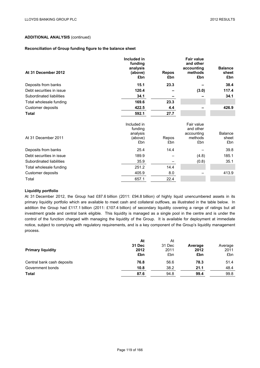### **Reconciliation of Group funding figure to the balance sheet**

| At 31 December 2012      | Included in<br>funding<br>analysis<br>(above)<br>£bn | <b>Repos</b><br>£bn | <b>Fair value</b><br>and other<br>accounting<br>methods<br>£bn | <b>Balance</b><br>sheet<br>£bn |
|--------------------------|------------------------------------------------------|---------------------|----------------------------------------------------------------|--------------------------------|
| Deposits from banks      | 15.1                                                 | 23.3                |                                                                | 38.4                           |
| Debt securities in issue | 120.4                                                |                     | (3.0)                                                          | 117.4                          |
| Subordinated liabilities | 34.1                                                 |                     |                                                                | 34.1                           |
| Total wholesale funding  | 169.6                                                | 23.3                |                                                                |                                |
| Customer deposits        | 422.5                                                | 4.4                 |                                                                | 426.9                          |
| <b>Total</b>             | 592.1                                                | 27.7                |                                                                |                                |
| At 31 December 2011      | Included in<br>funding<br>analysis<br>(above)<br>£bn | Repos<br>£bn        | Fair value<br>and other<br>accounting<br>methods<br>£bn        | <b>Balance</b><br>sheet<br>£bn |
| Deposits from banks      | 25.4                                                 | 14.4                |                                                                | 39.8                           |
| Debt securities in issue | 189.9                                                |                     | (4.8)                                                          | 185.1                          |
| Subordinated liabilities | 35.9                                                 |                     | (0.8)                                                          | 35.1                           |
| Total wholesale funding  | 251.2                                                | 14.4                |                                                                |                                |
| Customer deposits        | 405.9                                                | 8.0                 |                                                                | 413.9                          |
| Total                    | 657.1                                                | 22.4                |                                                                |                                |

## **Liquidity portfolio**

At 31 December 2012, the Group had £87.6 billion (2011: £94.8 billion) of highly liquid unencumbered assets in its primary liquidity portfolio which are available to meet cash and collateral outflows, as illustrated in the table below. In addition the Group had £117.1 billion (2011: £107.4 billion) of secondary liquidity covering a range of ratings but all investment grade and central bank eligible. This liquidity is managed as a single pool in the centre and is under the control of the function charged with managing the liquidity of the Group. It is available for deployment at immediate notice, subject to complying with regulatory requirements, and is a key component of the Group's liquidity management process.

|                            | At     | At     |         |         |
|----------------------------|--------|--------|---------|---------|
|                            | 31 Dec | 31 Dec | Average | Average |
| <b>Primary liquidity</b>   | 2012   | 2011   | 2012    | 2011    |
|                            | £bn    | £bn    | £bn     | £bn     |
| Central bank cash deposits | 76.8   | 56.6   | 78.3    | 51.4    |
| Government bonds           | 10.8   | 38.2   | 21.1    | 48.4    |
| <b>Total</b>               | 87.6   | 94.8   | 99.4    | 99.8    |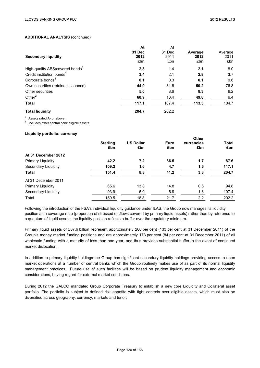|                                             | At     | At     |         |         |
|---------------------------------------------|--------|--------|---------|---------|
|                                             | 31 Dec | 31 Dec | Average | Average |
| <b>Secondary liquidity</b>                  | 2012   | 2011   | 2012    | 2011    |
|                                             | £bn    | £bn    | £bn     | £bn     |
| High-quality ABS/covered bonds <sup>1</sup> | 2.8    | 1.4    | 2.1     | 8.0     |
| Credit institution bonds <sup>1</sup>       | 3.4    | 2.1    | 2.8     | 3.7     |
| Corporate bonds <sup>1</sup>                | 0.1    | 0.3    | 0.1     | 0.6     |
| Own securities (retained issuance)          | 44.9   | 81.6   | 50.2    | 76.8    |
| Other securities                            | 5.0    | 8.6    | 8.3     | 9.2     |
| Other $2$                                   | 60.9   | 13.4   | 49.8    | 6.4     |
| <b>Total</b>                                | 117.1  | 107.4  | 113.3   | 104.7   |
| <b>Total liquidity</b>                      | 204.7  | 202.2  |         |         |

<sup>1</sup> Assets rated A- or above.<br><sup>2</sup> Includes other central bank eligible assets.

#### **Liquidity portfolio: currency**

| <b>US Dollar</b><br>Euro<br><b>Sterling</b><br>currencies<br>£bn<br>£bn<br>£bn<br>£bn | <b>Total</b><br>£bn |
|---------------------------------------------------------------------------------------|---------------------|
|                                                                                       |                     |
|                                                                                       |                     |
| At 31 December 2012                                                                   |                     |
| 7.2<br>1.7<br><b>Primary Liquidity</b><br>42.2<br>36.5                                | 87.6                |
| 109.2<br>1.6<br>Secondary Liquidity<br>4.7<br>1.6                                     | 117.1               |
| <b>Total</b><br>8.8<br>151.4<br>41.2<br>3.3                                           | 204.7               |
| At 31 December 2011                                                                   |                     |
| 13.8<br><b>Primary Liquidity</b><br>65.6<br>14.8<br>0.6                               | 94.8                |
| Secondary Liquidity<br>5.0<br>6.9<br>93.9<br>1.6                                      | 107.4               |
| Total<br>18.8<br>2.2<br>159.5<br>21.7                                                 | 202.2               |

Following the introduction of the FSA's individual liquidity guidance under ILAS, the Group now manages its liquidity position as a coverage ratio (proportion of stressed outflows covered by primary liquid assets) rather than by reference to a quantum of liquid assets; the liquidity position reflects a buffer over the regulatory minimum.

Primary liquid assets of £87.6 billion represent approximately 260 per cent (133 per cent at 31 December 2011) of the Group's money market funding positions and are approximately 173 per cent (84 per cent at 31 December 2011) of all wholesale funding with a maturity of less than one year, and thus provides substantial buffer in the event of continued market dislocation.

In addition to primary liquidity holdings the Group has significant secondary liquidity holdings providing access to open market operations at a number of central banks which the Group routinely makes use of as part of its normal liquidity management practices. Future use of such facilities will be based on prudent liquidity management and economic considerations, having regard for external market conditions.

During 2012 the GALCO mandated Group Corporate Treasury to establish a new core Liquidity and Collateral asset portfolio. The portfolio is subject to defined risk appetite with tight controls over eligible assets, which must also be diversified across geography, currency, markets and tenor.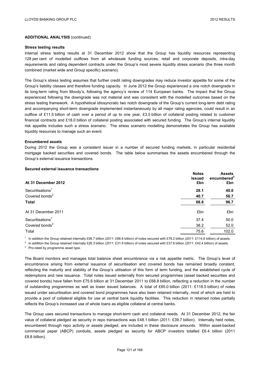#### **Stress testing results**

Internal stress testing results at 31 December 2012 show that the Group has liquidity resources representing 128 per cent of modelled outflows from all wholesale funding sources, retail and corporate deposits, intra-day requirements and rating dependent contracts under the Group's most severe liquidity stress scenario (the three month combined (market wide and Group specific) scenario).

The Group's stress testing assumes that further credit rating downgrades may reduce investor appetite for some of the Group's liability classes and therefore funding capacity. In June 2012 the Group experienced a one notch downgrade in its long-term rating from Moody's, following the agency's review of 114 European banks. The impact that the Group experienced following the downgrade was not material and was consistent with the modelled outcomes based on the stress testing framework. A hypothetical idiosyncratic two notch downgrade of the Group's current long-term debt rating and accompanying short-term downgrade implemented instantaneously by all major rating agencies, could result in an outflow of £11.5 billion of cash over a period of up to one year, £3.5 billion of collateral posting related to customer financial contracts and £18.0 billion of collateral posting associated with secured funding. The Group's internal liquidity risk appetite includes such a stress scenario. The stress scenario modelling demonstrates the Group has available liquidity resources to manage such an event.

#### **Encumbered assets**

During 2012 the Group was a consistent issuer in a number of secured funding markets, in particular residential mortgage backed securities and covered bonds. The table below summarises the assets encumbered through the Group's external issuance transactions.

#### **Secured external issuance transactions**

| At 31 December 2012          | <b>Notes</b><br>issued<br>£bn | <b>Assets</b><br>encumbered <sup>3</sup><br>£bn |
|------------------------------|-------------------------------|-------------------------------------------------|
| Securitisations <sup>1</sup> | 28.1                          | 40.0                                            |
| Covered bonds <sup>2</sup>   | 40.7                          | 56.7                                            |
| <b>Total</b>                 | 68.8                          | 96.7                                            |
| At 31 December 2011          | £bn                           | £bn                                             |
| Securitisations <sup>1</sup> | 37.4                          | 50.0                                            |
| Covered bonds <sup>2</sup>   | 38.2                          | 52.0                                            |
| Total                        | 75.6                          | 102.0                                           |

<sup>1</sup> In addition the Group retained internally £58.7 billion (2011: £86.6 billion) of notes secured with £78.2 billion (2011: £114.6 billion) of assets.<br><sup>2</sup> In addition the Group retained internally £26.3 billion (2011: £3

The Board monitors and manages total balance sheet encumbrance via a risk appetite metric. The Group's level of encumbrance arising from external issuance of securitisation and covered bonds has remained broadly constant, reflecting the maturity and stability of the Group's utilisation of this form of term funding, and the established cycle of redemptions and new issuance. Total notes issued externally from secured programmes (asset backed securities and covered bonds) have fallen from £75.6 billion at 31 December 2011 to £68.8 billion, reflecting a reduction in the number of outstanding programmes as well as lower issued balances. A total of £85.0 billion (2011: £118.5 billion) of notes issued under securitisation and covered bond programmes have also been retained internally, most of which are held to provide a pool of collateral eligible for use at central bank liquidity facilities. This reduction in retained notes partially reflects the Group's increased use of whole loans as eligible collateral at central banks.

The Group uses secured transactions to manage short-term cash and collateral needs. At 31 December 2012, the fair value of collateral pledged as security in repo transactions was £48.1 billion (2011: £39.7 billion). Internally held notes, encumbered through repo activity or assets pledged, are included in these disclosure amounts. Within asset-backed commercial paper (ABCP) conduits, assets pledged as security for ABCP investors totalled £6.4 billion (2011 £8.8 billion).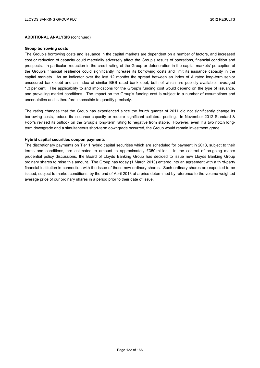#### **Group borrowing costs**

The Group's borrowing costs and issuance in the capital markets are dependent on a number of factors, and increased cost or reduction of capacity could materially adversely affect the Group's results of operations, financial condition and prospects. In particular, reduction in the credit rating of the Group or deterioration in the capital markets' perception of the Group's financial resilience could significantly increase its borrowing costs and limit its issuance capacity in the capital markets. As an indicator over the last 12 months the spread between an index of A rated long-term senior unsecured bank debt and an index of similar BBB rated bank debt, both of which are publicly available, averaged 1.3 per cent. The applicability to and implications for the Group's funding cost would depend on the type of issuance, and prevailing market conditions. The impact on the Group's funding cost is subject to a number of assumptions and uncertainties and is therefore impossible to quantify precisely.

The rating changes that the Group has experienced since the fourth quarter of 2011 did not significantly change its borrowing costs, reduce its issuance capacity or require significant collateral posting. In November 2012 Standard & Poor's revised its outlook on the Group's long-term rating to negative from stable. However, even if a two notch longterm downgrade and a simultaneous short-term downgrade occurred, the Group would remain investment grade.

#### **Hybrid capital securities coupon payments**

The discretionary payments on Tier 1 hybrid capital securities which are scheduled for payment in 2013, subject to their terms and conditions, are estimated to amount to approximately £350 million. In the context of on-going macro prudential policy discussions, the Board of Lloyds Banking Group has decided to issue new Lloyds Banking Group ordinary shares to raise this amount. The Group has today (1 March 2013) entered into an agreement with a third-party financial institution in connection with the issue of these new ordinary shares. Such ordinary shares are expected to be issued, subject to market conditions, by the end of April 2013 at a price determined by reference to the volume weighted average price of our ordinary shares in a period prior to their date of issue.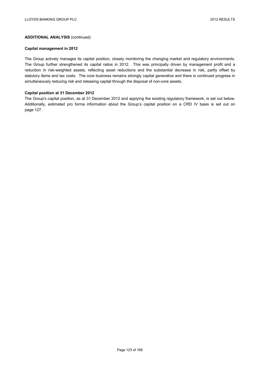### **Capital management in 2012**

The Group actively manages its capital position, closely monitoring the changing market and regulatory environments. The Group further strengthened its capital ratios in 2012. This was principally driven by management profit and a reduction in risk-weighted assets, reflecting asset reductions and the substantial decrease in risk, partly offset by statutory items and tax costs. The core business remains strongly capital generative and there is continued progress in simultaneously reducing risk and releasing capital through the disposal of non-core assets.

#### **Capital position at 31 December 2012**

The Group's capital position, as at 31 December 2012 and applying the existing regulatory framework, is set out below. Additionally, estimated pro forma information about the Group's capital position on a CRD IV basis is set out on page 127.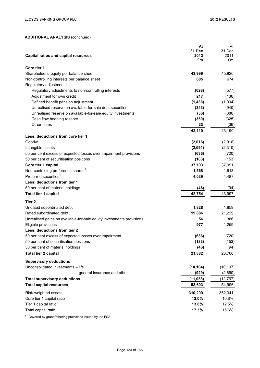|                                                                      | At            | At         |
|----------------------------------------------------------------------|---------------|------------|
|                                                                      | <b>31 Dec</b> | 31 Dec     |
| <b>Capital ratios and capital resources</b>                          | 2012<br>£m    | 2011<br>£m |
|                                                                      |               |            |
| Core tier 1                                                          |               |            |
| Shareholders' equity per balance sheet                               | 43,999        | 45,920     |
| Non-controlling interests per balance sheet                          | 685           | 674        |
| Regulatory adjustments:                                              |               |            |
| Regulatory adjustments to non-controlling interests                  | (628)         | (577)      |
| Adjustment for own credit                                            | 217           | (136)      |
| Defined benefit pension adjustment                                   | (1, 438)      | (1,004)    |
| Unrealised reserve on available-for-sale debt securities             | (343)         | (940)      |
| Unrealised reserve on available-for-sale equity investments          | (56)          | (386)      |
| Cash flow hedging reserve                                            | (350)         | (325)      |
| Other items                                                          | 33            | (36)       |
|                                                                      | 42,119        | 43,190     |
| Less: deductions from core tier 1                                    |               |            |
| Goodwill                                                             | (2,016)       | (2,016)    |
| Intangible assets                                                    | (2,091)       | (2,310)    |
| 50 per cent excess of expected losses over impairment provisions     | (636)         | (720)      |
| 50 per cent of securitisation positions                              | (183)         | (153)      |
| Core tier 1 capital                                                  | 37,193        | 37,991     |
| Non-controlling preference shares <sup>1</sup>                       | 1,568         | 1,613      |
| Preferred securities <sup>1</sup>                                    | 4,039         | 4,487      |
| Less: deductions from tier 1                                         |               |            |
| 50 per cent of material holdings                                     | (46)          | (94)       |
| Total tier 1 capital                                                 | 42,754        | 43,997     |
| Tier 2                                                               |               |            |
| Undated subordinated debt                                            | 1,828         | 1,859      |
| Dated subordinated debt                                              | 19,886        | 21,229     |
| Unrealised gains on available-for-sale equity investments provisions | 56            | 386        |
| Eligible provisions                                                  | 977           | 1,259      |
| Less: deductions from tier 2                                         |               |            |
| 50 per cent excess of expected losses over impairment                | (636)         | (720)      |
| 50 per cent of securitisation positions                              | (183)         | (153)      |
| 50 per cent of material holdings                                     | (46)          | (94)       |
| <b>Total tier 2 capital</b>                                          | 21,882        | 23,766     |
|                                                                      |               |            |
| <b>Supervisory deductions</b>                                        |               |            |
| Unconsolidated investments - life                                    | (10, 104)     | (10, 107)  |
| - general insurance and other                                        | (929)         | (2,660)    |
| <b>Total supervisory deductions</b>                                  | (11, 033)     | (12, 767)  |
| <b>Total capital resources</b>                                       | 53,603        | 54,996     |
| Risk-weighted assets                                                 | 310,299       | 352,341    |
| Core tier 1 capital ratio                                            | 12.0%         | 10.8%      |
| Tier 1 capital ratio                                                 | 13.8%         | 12.5%      |
| Total capital ratio                                                  | 17.3%         | 15.6%      |
|                                                                      |               |            |

 $1$  Covered by grandfathering provisions issued by the FSA.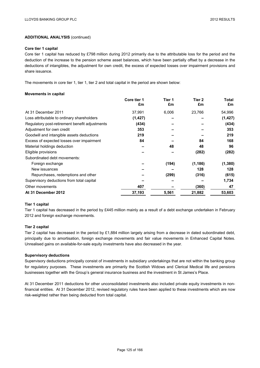#### **Core tier 1 capital**

Core tier 1 capital has reduced by £798 million during 2012 primarily due to the attributable loss for the period and the deduction of the increase to the pension scheme asset balances, which have been partially offset by a decrease in the deductions of intangibles, the adjustment for own credit, the excess of expected losses over impairment provisions and share issuance.

The movements in core tier 1, tier 1, tier 2 and total capital in the period are shown below:

#### **Movements in capital**

|                                                | Core tier 1<br>£m | Tier 1<br>£m | Tier 2<br>£m | Total<br>£m |
|------------------------------------------------|-------------------|--------------|--------------|-------------|
| At 31 December 2011                            | 37,991            | 6,006        | 23,766       | 54,996      |
| Loss attributable to ordinary shareholders     | (1, 427)          |              |              | (1, 427)    |
| Regulatory post-retirement benefit adjustments | (434)             |              |              | (434)       |
| Adjustment for own credit                      | 353               |              |              | 353         |
| Goodwill and intangible assets deductions      | 219               |              |              | 219         |
| Excess of expected losses over impairment      | 84                |              | 84           | 168         |
| Material holdings deduction                    |                   | 48           | 48           | 96          |
| Eligible provisions                            |                   |              | (282)        | (282)       |
| Subordinated debt movements:                   |                   |              |              |             |
| Foreign exchange                               |                   | (194)        | (1, 186)     | (1,380)     |
| New issuances                                  |                   |              | 128          | 128         |
| Repurchases, redemptions and other             |                   | (299)        | (316)        | (615)       |
| Supervisory deductions from total capital      |                   |              |              | 1,734       |
| Other movements                                | 407               |              | (360)        | 47          |
| At 31 December 2012                            | 37,193            | 5,561        | 21,882       | 53,603      |

#### **Tier 1 capital**

Tier 1 capital has decreased in the period by £445 million mainly as a result of a debt exchange undertaken in February 2012 and foreign exchange movements.

### **Tier 2 capital**

Tier 2 capital has decreased in the period by £1,884 million largely arising from a decrease in dated subordinated debt, principally due to amortisation, foreign exchange movements and fair value movements in Enhanced Capital Notes. Unrealised gains on available-for-sale equity investments have also decreased in the year.

### **Supervisory deductions**

Supervisory deductions principally consist of investments in subsidiary undertakings that are not within the banking group for regulatory purposes. These investments are primarily the Scottish Widows and Clerical Medical life and pensions businesses together with the Group's general insurance business and the investment in St James's Place.

At 31 December 2011 deductions for other unconsolidated investments also included private equity investments in nonfinancial entities. At 31 December 2012, revised regulatory rules have been applied to these investments which are now risk-weighted rather than being deducted from total capital.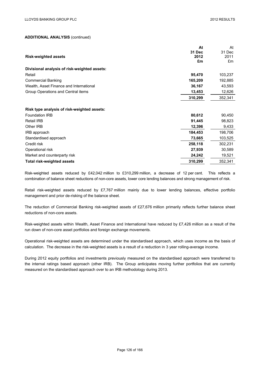|                                              | At      | At      |
|----------------------------------------------|---------|---------|
|                                              | 31 Dec  | 31 Dec  |
| <b>Risk-weighted assets</b>                  | 2012    | 2011    |
|                                              | £m      | £m      |
| Divisional analysis of risk-weighted assets: |         |         |
| Retail                                       | 95,470  | 103,237 |
| <b>Commercial Banking</b>                    | 165,209 | 192,885 |
| Wealth, Asset Finance and International      | 36,167  | 43,593  |
| Group Operations and Central items           | 13,453  | 12,626  |
|                                              | 310,299 | 352,341 |
|                                              |         |         |
| Risk type analysis of risk-weighted assets:  |         |         |
| <b>Foundation IRB</b>                        | 80,612  | 90,450  |
| Retail IRB                                   | 91,445  | 98,823  |
| Other IRB                                    | 12,396  | 9,433   |
| IRB approach                                 | 184,453 | 198,706 |
| Standardised approach                        | 73,665  | 103,525 |
| Credit risk                                  | 258,118 | 302,231 |
| Operational risk                             | 27,939  | 30,589  |
| Market and counterparty risk                 | 24,242  | 19,521  |
| Total risk-weighted assets                   | 310,299 | 352,341 |

Risk-weighted assets reduced by £42,042 million to £310,299 million, a decrease of 12 per cent. This reflects a combination of balance sheet reductions of non-core assets, lower core lending balances and strong management of risk.

Retail risk-weighted assets reduced by £7,767 million mainly due to lower lending balances, effective portfolio management and prior de-risking of the balance sheet.

The reduction of Commercial Banking risk-weighted assets of £27,676 million primarily reflects further balance sheet reductions of non-core assets.

Risk-weighted assets within Wealth, Asset Finance and International have reduced by £7,426 million as a result of the run down of non-core asset portfolios and foreign exchange movements.

Operational risk-weighted assets are determined under the standardised approach, which uses income as the basis of calculation. The decrease in the risk-weighted assets is a result of a reduction in 3 year rolling-average income.

During 2012 equity portfolios and investments previously measured on the standardised approach were transferred to the internal ratings based approach (other IRB). The Group anticipates moving further portfolios that are currently measured on the standardised approach over to an IRB methodology during 2013.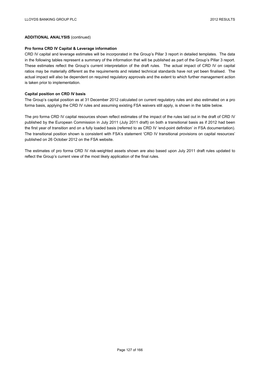#### **Pro forma CRD IV Capital & Leverage information**

CRD IV capital and leverage estimates will be incorporated in the Group's Pillar 3 report in detailed templates. The data in the following tables represent a summary of the information that will be published as part of the Group's Pillar 3 report. These estimates reflect the Group's current interpretation of the draft rules. The actual impact of CRD IV on capital ratios may be materially different as the requirements and related technical standards have not yet been finalised. The actual impact will also be dependent on required regulatory approvals and the extent to which further management action is taken prior to implementation.

#### **Capital position on CRD IV basis**

The Group's capital position as at 31 December 2012 calculated on current regulatory rules and also estimated on a pro forma basis, applying the CRD IV rules and assuming existing FSA waivers still apply, is shown in the table below.

The pro forma CRD IV capital resources shown reflect estimates of the impact of the rules laid out in the draft of CRD IV published by the European Commission in July 2011 (July 2011 draft) on both a transitional basis as if 2012 had been the first year of transition and on a fully loaded basis (referred to as CRD IV 'end-point definition' in FSA documentation). The transitional position shown is consistent with FSA's statement 'CRD IV transitional provisions on capital resources' published on 26 October 2012 on the FSA website.

The estimates of pro forma CRD IV risk-weighted assets shown are also based upon July 2011 draft rules updated to reflect the Group's current view of the most likely application of the final rules.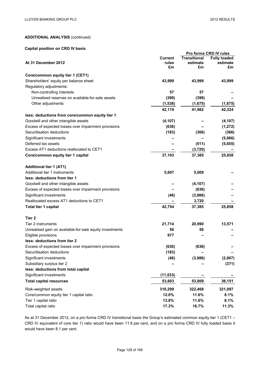## **Capital position on CRD IV basis**

|                                                          |           |                     | Pro forma CRD IV rules |
|----------------------------------------------------------|-----------|---------------------|------------------------|
|                                                          | Current   | <b>Transitional</b> | <b>Fully loaded</b>    |
| At 31 December 2012                                      | rules     | estimate            | estimate               |
|                                                          | £m        | £m                  | £m                     |
| Core/common equity tier 1 (CET1)                         |           |                     |                        |
| Shareholders' equity per balance sheet                   | 43,999    | 43,999              | 43,999                 |
| Regulatory adjustments:                                  |           |                     |                        |
| Non-controlling interests                                | 57        | 57                  |                        |
| Unrealised reserves on available-for-sale assets         | (399)     | (399)               |                        |
| Other adjustments                                        | (1,538)   | (1,675)             | (1,675)                |
|                                                          | 42,119    | 41,982              | 42,324                 |
| less: deductions from core/common equity tier 1          |           |                     |                        |
| Goodwill and other intangible assets                     | (4, 107)  |                     | (4, 107)               |
| Excess of expected losses over impairment provisions     | (636)     |                     | (1, 272)               |
| Securitisation deductions                                | (183)     | (366)               | (366)                  |
| Significant investments                                  |           |                     | (5,066)                |
| Deferred tax assets                                      |           | (511)               | (5,655)                |
| Excess AT1 deductions reallocated to CET1                |           | (3,720)             |                        |
| Core/common equity tier 1 capital                        | 37,193    | 37,385              | 25,858                 |
| <b>Additional tier 1 (AT1)</b>                           |           |                     |                        |
| Additional tier 1 instruments                            | 5,607     | 5,009               |                        |
| less: deductions from tier 1                             |           |                     |                        |
| Goodwill and other intangible assets                     |           | (4, 107)            |                        |
| Excess of expected losses over impairment provisions     |           | (636)               |                        |
| Significant investments                                  | (46)      | (3,986)             |                        |
| Reallocated excess AT1 deductions to CET1                |           | 3,720               |                        |
| Total tier 1 capital                                     | 42,754    | 37,385              | 25,858                 |
| Tier <sub>2</sub>                                        |           |                     |                        |
| Tier 2 instruments                                       | 21,714    | 20,990              | 13,571                 |
| Unrealised gain on available-for-sale equity investments | 56        | 56                  |                        |
| Eligible provisions                                      | 977       |                     |                        |
| less: deductions from tier 2                             |           |                     |                        |
| Excess of expected losses over impairment provisions     | (636)     | (636)               |                        |
| Securitisation deductions                                | (183)     |                     |                        |
| Significant investments                                  | (46)      | (3,986)             | (2,907)                |
| Subsidiary surplus tier 2                                |           |                     | (371)                  |
| less: deductions from total capital                      |           |                     |                        |
| Significant investments                                  | (11, 033) |                     |                        |
| <b>Total capital resources</b>                           | 53,603    | 53,809              | 36,151                 |
| Risk-weighted assets                                     | 310,299   | 322,468             | 321,097                |
| Core/common equity tier 1 capital ratio                  | 12.0%     | 11.6%               | 8.1%                   |
| Tier 1 capital ratio                                     | 13.8%     | 11.6%               | 8.1%                   |
| Total capital ratio                                      | 17.3%     | 16.7%               | 11.3%                  |

As at 31 December 2012, on a pro forma CRD IV transitional basis the Group's estimated common equity tier 1 (CET1 – CRD IV equivalent of core tier 1) ratio would have been 11.6 per cent, and on a pro forma CRD IV fully loaded basis it would have been 8.1 per cent.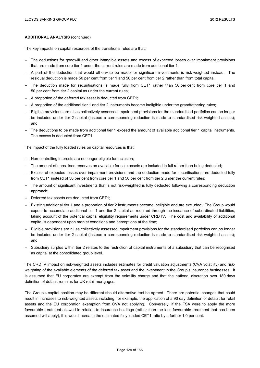The key impacts on capital resources of the transitional rules are that:

- The deductions for goodwill and other intangible assets and excess of expected losses over impairment provisions that are made from core tier 1 under the current rules are made from additional tier 1;
- A part of the deduction that would otherwise be made for significant investments is risk-weighted instead. The residual deduction is made 50 per cent from tier 1 and 50 per cent from tier 2 rather than from total capital;
- The deduction made for securitisations is made fully from CET1 rather than 50 per cent from core tier 1 and 50 per cent from tier 2 capital as under the current rules;
- A proportion of the deferred tax asset is deducted from CET1;
- A proportion of the additional tier 1 and tier 2 instruments become ineligible under the grandfathering rules;
- Eligible provisions are nil as collectively assessed impairment provisions for the standardised portfolios can no longer be included under tier 2 capital (instead a corresponding reduction is made to standardised risk-weighted assets); and
- The deductions to be made from additional tier 1 exceed the amount of available additional tier 1 capital instruments. The excess is deducted from CET1.

The impact of the fully loaded rules on capital resources is that:

- Non-controlling interests are no longer eligible for inclusion;
- The amount of unrealised reserves on available for sale assets are included in full rather than being deducted;
- Excess of expected losses over impairment provisions and the deduction made for securitisations are deducted fully from CET1 instead of 50 per cent from core tier 1 and 50 per cent from tier 2 under the current rules;
- The amount of significant investments that is not risk-weighted is fully deducted following a corresponding deduction approach;
- Deferred tax assets are deducted from CET1;
- Existing additional tier 1 and a proportion of tier 2 instruments become ineligible and are excluded. The Group would expect to accumulate additional tier 1 and tier 2 capital as required through the issuance of subordinated liabilities, taking account of the potential capital eligibility requirements under CRD IV. The cost and availability of additional capital is dependent upon market conditions and perceptions at the time;
- Eligible provisions are nil as collectively assessed impairment provisions for the standardised portfolios can no longer be included under tier 2 capital (instead a corresponding reduction is made to standardised risk-weighted assets); and
- Subsidiary surplus within tier 2 relates to the restriction of capital instruments of a subsidiary that can be recognised as capital at the consolidated group level.

The CRD IV impact on risk-weighted assets includes estimates for credit valuation adjustments (CVA volatility) and riskweighting of the available elements of the deferred tax asset and the investment in the Group's insurance businesses. It is assumed that EU corporates are exempt from the volatility charge and that the national discretion over 180 days definition of default remains for UK retail mortgages.

The Group's capital position may be different should alternative text be agreed. There are potential changes that could result in increases to risk-weighted assets including, for example, the application of a 90 day definition of default for retail assets and the EU corporation exemption from CVA not applying. Conversely, if the FSA were to apply the more favourable treatment allowed in relation to insurance holdings (rather than the less favourable treatment that has been assumed will apply), this would increase the estimated fully loaded CET1 ratio by a further 1.0 per cent.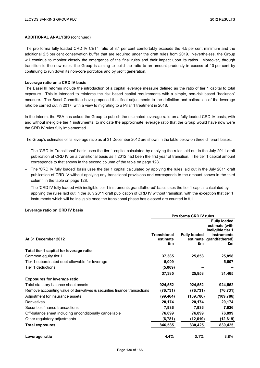The pro forma fully loaded CRD IV CET1 ratio of 8.1 per cent comfortably exceeds the 4.5 per cent minimum and the additional 2.5 per cent conservation buffer that are required under the draft rules from 2019. Nevertheless, the Group will continue to monitor closely the emergence of the final rules and their impact upon its ratios. Moreover, through transition to the new rules, the Group is aiming to build the ratio to an amount prudently in excess of 10 per cent by continuing to run down its non-core portfolios and by profit generation.

#### **Leverage ratio on a CRD IV basis**

The Basel III reforms include the introduction of a capital leverage measure defined as the ratio of tier 1 capital to total exposure. This is intended to reinforce the risk based capital requirements with a simple, non-risk based "backstop" measure. The Basel Committee have proposed that final adjustments to the definition and calibration of the leverage ratio be carried out in 2017, with a view to migrating to a Pillar 1 treatment in 2018.

In the interim, the FSA has asked the Group to publish the estimated leverage ratio on a fully loaded CRD IV basis, with and without ineligible tier 1 instruments, to indicate the approximate leverage ratio that the Group would have now were the CRD IV rules fully implemented.

The Group's estimates of its leverage ratio as at 31 December 2012 are shown in the table below on three different bases:

- The 'CRD IV Transitional' basis uses the tier 1 capital calculated by applying the rules laid out in the July 2011 draft publication of CRD IV on a transitional basis as if 2012 had been the first year of transition. The tier 1 capital amount corresponds to that shown in the second column of the table on page 128.
- The 'CRD IV fully loaded' basis uses the tier 1 capital calculated by applying the rules laid out in the July 2011 draft publication of CRD IV without applying any transitional provisions and corresponds to the amount shown in the third column in the table on page 128.
- The 'CRD IV fully loaded with ineligible tier 1 instruments grandfathered' basis uses the tier 1 capital calculated by applying the rules laid out in the July 2011 draft publication of CRD IV without transition, with the exception that tier 1 instruments which will be ineligible once the transitional phase has elapsed are counted in full.

#### **Leverage ratio on CRD IV basis**

|                                                                          | Pro forma CRD IV rules          |                     |                                                                                                             |  |
|--------------------------------------------------------------------------|---------------------------------|---------------------|-------------------------------------------------------------------------------------------------------------|--|
| At 31 December 2012                                                      | <b>Transitional</b><br>estimate | <b>Fully loaded</b> | <b>Fully loaded</b><br>estimate (with<br>ineligible tier 1<br><b>instruments</b><br>estimate grandfathered) |  |
|                                                                          | £m                              | £m                  | £m                                                                                                          |  |
| Total tier 1 capital for leverage ratio                                  |                                 |                     |                                                                                                             |  |
| Common equity tier 1                                                     | 37,385                          | 25,858              | 25,858                                                                                                      |  |
| Tier 1 subordinated debt allowable for leverage                          | 5,009                           |                     | 5,607                                                                                                       |  |
| Tier 1 deductions                                                        | (5,009)                         |                     |                                                                                                             |  |
|                                                                          | 37,385                          | 25,858              | 31,465                                                                                                      |  |
| <b>Exposures for leverage ratio</b>                                      |                                 |                     |                                                                                                             |  |
| Total statutory balance sheet assets                                     | 924,552                         | 924,552             | 924,552                                                                                                     |  |
| Remove accounting value of derivatives & securities finance transactions | (76, 731)                       | (76, 731)           | (76, 731)                                                                                                   |  |
| Adjustment for insurance assets                                          | (99, 464)                       | (109, 786)          | (109, 786)                                                                                                  |  |
| Derivatives                                                              | 20,174                          | 20,174              | 20,174                                                                                                      |  |
| Securities finance transactions                                          | 7,936                           | 7,936               | 7,936                                                                                                       |  |
| Off-balance sheet including unconditionally cancellable                  | 76,899                          | 76,899              | 76,899                                                                                                      |  |
| Other regulatory adjustments                                             | (6, 781)                        | (12, 619)           | (12,619)                                                                                                    |  |
| <b>Total exposures</b>                                                   | 846,585                         | 830,425             | 830,425                                                                                                     |  |
| Leverage ratio                                                           | 4.4%                            | 3.1%                | 3.8%                                                                                                        |  |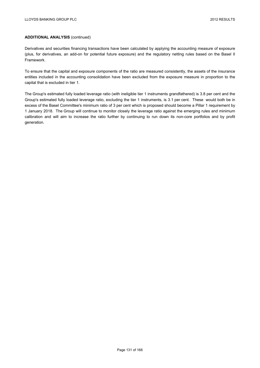Derivatives and securities financing transactions have been calculated by applying the accounting measure of exposure (plus, for derivatives, an add-on for potential future exposure) and the regulatory netting rules based on the Basel II Framework.

To ensure that the capital and exposure components of the ratio are measured consistently, the assets of the insurance entities included in the accounting consolidation have been excluded from the exposure measure in proportion to the capital that is excluded in tier 1.

The Group's estimated fully loaded leverage ratio (with ineligible tier 1 instruments grandfathered) is 3.8 per cent and the Group's estimated fully loaded leverage ratio, excluding the tier 1 instruments, is 3.1 per cent. These would both be in excess of the Basel Committee's minimum ratio of 3 per cent which is proposed should become a Pillar 1 requirement by 1 January 2018. The Group will continue to monitor closely the leverage ratio against the emerging rules and minimum calibration and will aim to increase the ratio further by continuing to run down its non-core portfolios and by profit generation.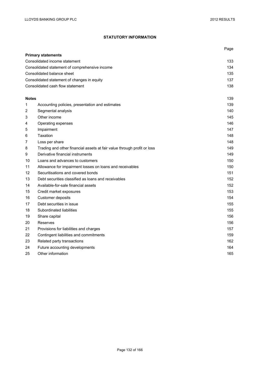# **STATUTORY INFORMATION**

|              |                                                                         | Page |
|--------------|-------------------------------------------------------------------------|------|
|              | <b>Primary statements</b>                                               |      |
|              | Consolidated income statement                                           | 133  |
|              | Consolidated statement of comprehensive income                          | 134  |
|              | Consolidated balance sheet                                              | 135  |
|              | Consolidated statement of changes in equity                             | 137  |
|              | Consolidated cash flow statement                                        | 138  |
| <b>Notes</b> |                                                                         | 139  |
| 1            | Accounting policies, presentation and estimates                         | 139  |
| 2            | Segmental analysis                                                      | 140  |
| 3            | Other income                                                            | 145  |
| 4            | Operating expenses                                                      | 146  |
| 5            | Impairment                                                              | 147  |
| 6            | Taxation                                                                | 148  |
| 7            | Loss per share                                                          | 148  |
| 8            | Trading and other financial assets at fair value through profit or loss | 149  |
| 9            | Derivative financial instruments                                        | 149  |
| 10           | Loans and advances to customers                                         | 150  |
| 11           | Allowance for impairment losses on loans and receivables                | 150  |
| 12           | Securitisations and covered bonds                                       | 151  |
| 13           | Debt securities classified as loans and receivables                     | 152  |
| 14           | Available-for-sale financial assets                                     | 152  |
| 15           | Credit market exposures                                                 | 153  |
| 16           | Customer deposits                                                       | 154  |
| 17           | Debt securities in issue                                                | 155  |
| 18           | Subordinated liabilities                                                | 155  |
| 19           | Share capital                                                           | 156  |
| 20           | Reserves                                                                | 156  |
| 21           | Provisions for liabilities and charges                                  | 157  |
| 22           | Contingent liabilities and commitments                                  | 159  |
| 23           | Related party transactions                                              | 162  |
| 24           | Future accounting developments                                          | 164  |
| 25           | Other information                                                       | 165  |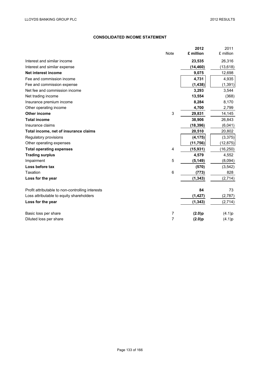## **CONSOLIDATED INCOME STATEMENT**

|                                                  | <b>Note</b>               | 2012<br>£ million | 2011<br>£ million |
|--------------------------------------------------|---------------------------|-------------------|-------------------|
| Interest and similar income                      |                           | 23,535            | 26,316            |
| Interest and similar expense                     |                           | (14, 460)         | (13, 618)         |
| Net interest income                              |                           | 9,075             | 12,698            |
| Fee and commission income                        |                           | 4,731             | 4,935             |
| Fee and commission expense                       |                           | (1, 438)          | (1, 391)          |
| Net fee and commission income                    |                           | 3,293             | 3,544             |
| Net trading income                               |                           | 13,554            | (368)             |
| Insurance premium income                         |                           | 8,284             | 8,170             |
| Other operating income                           |                           | 4,700             | 2,799             |
| <b>Other income</b>                              | $\ensuremath{\mathsf{3}}$ | 29,831            | 14,145            |
| <b>Total income</b>                              |                           | 38,906            | 26,843            |
| Insurance claims                                 |                           | (18, 396)         | (6,041)           |
| Total income, net of insurance claims            |                           | 20,510            | 20,802            |
| Regulatory provisions                            |                           | (4, 175)          | (3, 375)          |
| Other operating expenses                         |                           | (11, 756)         | (12, 875)         |
| <b>Total operating expenses</b>                  | 4                         | (15, 931)         | (16, 250)         |
| <b>Trading surplus</b>                           |                           | 4,579             | 4,552             |
| Impairment                                       | 5                         | (5, 149)          | (8,094)           |
| Loss before tax                                  |                           | (570)             | (3, 542)          |
| Taxation                                         | 6                         | (773)             | 828               |
| Loss for the year                                |                           | (1, 343)          | (2,714)           |
| Profit attributable to non-controlling interests |                           | 84                | 73                |
| Loss attributable to equity shareholders         |                           | (1, 427)          | (2,787)           |
| Loss for the year                                |                           | (1, 343)          | (2,714)           |
| Basic loss per share                             | 7                         | (2.0)p            | (4.1)p            |
| Diluted loss per share                           | $\overline{7}$            | (2.0)p            | (4.1)p            |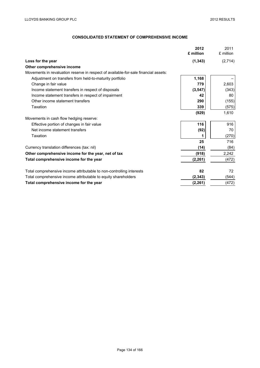# **CONSOLIDATED STATEMENT OF COMPREHENSIVE INCOME**

|                                                                                     | 2012<br>£ million | 2011<br>£ million |
|-------------------------------------------------------------------------------------|-------------------|-------------------|
| Loss for the year                                                                   | (1, 343)          | (2,714)           |
| Other comprehensive income                                                          |                   |                   |
| Movements in revaluation reserve in respect of available-for-sale financial assets: |                   |                   |
| Adjustment on transfers from held-to-maturity portfolio                             | 1,168             |                   |
| Change in fair value                                                                | 779               | 2,603             |
| Income statement transfers in respect of disposals                                  | (3, 547)          | (343)             |
| Income statement transfers in respect of impairment                                 | 42                | 80                |
| Other income statement transfers                                                    | 290               | (155)             |
| Taxation                                                                            | 339               | (575)             |
|                                                                                     | (929)             | 1,610             |
| Movements in cash flow hedging reserve:                                             |                   |                   |
| Effective portion of changes in fair value                                          | 116               | 916               |
| Net income statement transfers                                                      | (92)              | 70                |
| Taxation                                                                            |                   | (270)             |
|                                                                                     | 25                | 716               |
| Currency translation differences (tax: nil)                                         | (14)              | (84)              |
| Other comprehensive income for the year, net of tax                                 | (918)             | 2,242             |
| Total comprehensive income for the year                                             | (2, 261)          | (472)             |
| Total comprehensive income attributable to non-controlling interests                | 82                | 72                |
| Total comprehensive income attributable to equity shareholders                      | (2, 343)          | (544)             |
| Total comprehensive income for the year                                             | (2, 261)          | (472)             |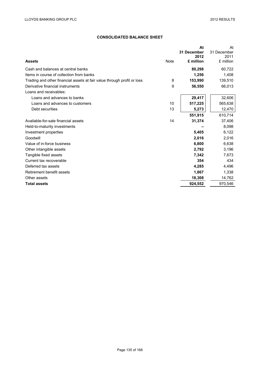## **CONSOLIDATED BALANCE SHEET**

| Note<br><b>Assets</b>                                                   |    | At<br>31 December<br>2012<br>£ million | At<br>31 December<br>2011<br>£ million |
|-------------------------------------------------------------------------|----|----------------------------------------|----------------------------------------|
| Cash and balances at central banks                                      |    | 80,298                                 | 60,722                                 |
| Items in course of collection from banks                                |    | 1,256                                  | 1,408                                  |
| Trading and other financial assets at fair value through profit or loss | 8  | 153,990                                | 139,510                                |
| Derivative financial instruments                                        | 9  | 56,550                                 | 66,013                                 |
| Loans and receivables:                                                  |    |                                        |                                        |
| Loans and advances to banks                                             |    | 29,417                                 | 32,606                                 |
| Loans and advances to customers                                         | 10 | 517,225                                | 565,638                                |
| Debt securities                                                         | 13 | 5,273                                  | 12,470                                 |
|                                                                         |    | 551,915                                | 610,714                                |
| Available-for-sale financial assets                                     | 14 | 31,374                                 | 37,406                                 |
| Held-to-maturity investments                                            |    |                                        | 8.098                                  |
| Investment properties                                                   |    | 5,405                                  | 6,122                                  |
| Goodwill                                                                |    | 2,016                                  | 2,016                                  |
| Value of in-force business                                              |    | 6,800                                  | 6,638                                  |
| Other intangible assets                                                 |    | 2,792                                  | 3,196                                  |
| Tangible fixed assets                                                   |    | 7,342                                  | 7,673                                  |
| Current tax recoverable                                                 |    | 354                                    | 434                                    |
| Deferred tax assets                                                     |    | 4,285                                  | 4,496                                  |
| Retirement benefit assets                                               |    | 1,867                                  | 1,338                                  |
| Other assets                                                            |    | 18,308                                 | 14,762                                 |
| <b>Total assets</b>                                                     |    | 924,552                                | 970,546                                |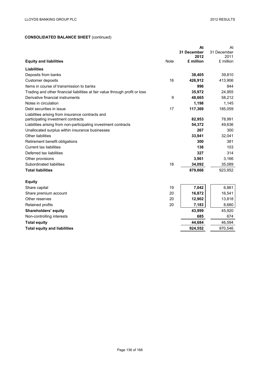# **CONSOLIDATED BALANCE SHEET** (continued)

|                                                                              |      | At          | At          |
|------------------------------------------------------------------------------|------|-------------|-------------|
|                                                                              |      | 31 December | 31 December |
|                                                                              |      | 2012        | 2011        |
| <b>Equity and liabilities</b>                                                | Note | £ million   | £ million   |
| <b>Liabilities</b>                                                           |      |             |             |
| Deposits from banks                                                          |      | 38,405      | 39,810      |
| Customer deposits                                                            | 16   | 426,912     | 413,906     |
| Items in course of transmission to banks                                     |      | 996         | 844         |
| Trading and other financial liabilities at fair value through profit or loss |      | 35,972      | 24,955      |
| Derivative financial instruments                                             | 9    | 48,665      | 58,212      |
| Notes in circulation                                                         |      | 1,198       | 1,145       |
| Debt securities in issue                                                     | 17   | 117,369     | 185,059     |
| Liabilities arising from insurance contracts and                             |      |             |             |
| participating investment contracts                                           |      | 82,953      | 78,991      |
| Liabilities arising from non-participating investment contracts              |      | 54,372      | 49,636      |
| Unallocated surplus within insurance businesses                              |      | 267         | 300         |
| Other liabilities                                                            |      | 33,941      | 32,041      |
| Retirement benefit obligations                                               |      | 300         | 381         |
| <b>Current tax liabilities</b>                                               |      | 138         | 103         |
| Deferred tax liabilities                                                     |      | 327         | 314         |
| Other provisions                                                             |      | 3,961       | 3,166       |
| Subordinated liabilities                                                     | 18   | 34,092      | 35,089      |
| <b>Total liabilities</b>                                                     |      | 879,868     | 923,952     |
| <b>Equity</b>                                                                |      |             |             |
| Share capital                                                                | 19   | 7,042       | 6,881       |
| Share premium account                                                        | 20   | 16,872      | 16,541      |
| Other reserves                                                               | 20   | 12,902      | 13,818      |
| Retained profits                                                             | 20   | 7,183       | 8,680       |
| Shareholders' equity                                                         |      | 43,999      | 45,920      |
| Non-controlling interests                                                    |      | 685         | 674         |
| <b>Total equity</b>                                                          |      | 44,684      | 46,594      |
| <b>Total equity and liabilities</b>                                          |      | 924,552     | 970,546     |
|                                                                              |      |             |             |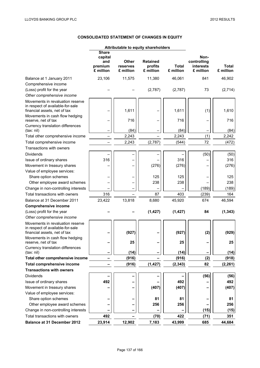# **CONSOLIDATED STATEMENT OF CHANGES IN EQUITY**

|                                                                                                      | Attributable to equity shareholders                    |                                |                                         |                           |                                               |                           |
|------------------------------------------------------------------------------------------------------|--------------------------------------------------------|--------------------------------|-----------------------------------------|---------------------------|-----------------------------------------------|---------------------------|
|                                                                                                      | <b>Share</b><br>capital<br>and<br>premium<br>£ million | Other<br>reserves<br>£ million | <b>Retained</b><br>profits<br>£ million | <b>Total</b><br>£ million | Non-<br>controlling<br>interests<br>£ million | <b>Total</b><br>£ million |
| Balance at 1 January 2011                                                                            | 23,106                                                 | 11,575                         | 11,380                                  | 46,061                    | 841                                           | 46,902                    |
| Comprehensive income                                                                                 |                                                        |                                |                                         |                           |                                               |                           |
| (Loss) profit for the year                                                                           |                                                        |                                | (2,787)                                 | (2,787)                   | 73                                            | (2,714)                   |
| Other comprehensive income                                                                           |                                                        |                                |                                         |                           |                                               |                           |
| Movements in revaluation reserve<br>in respect of available-for-sale<br>financial assets, net of tax |                                                        | 1,611                          |                                         | 1,611                     | (1)                                           | 1,610                     |
| Movements in cash flow hedging<br>reserve, net of tax                                                |                                                        | 716                            |                                         | 716                       |                                               | 716                       |
| Currency translation differences<br>(tax: nil)                                                       |                                                        | (84)                           |                                         | (84)                      |                                               | (84)                      |
| Total other comprehensive income                                                                     |                                                        | 2,243                          |                                         | 2,243                     | (1)                                           | 2,242                     |
| Total comprehensive income                                                                           |                                                        | 2,243                          | (2,787)                                 | (544)                     | 72                                            | (472)                     |
| Transactions with owners                                                                             |                                                        |                                |                                         |                           |                                               |                           |
| <b>Dividends</b>                                                                                     |                                                        |                                |                                         |                           | (50)                                          | (50)                      |
| Issue of ordinary shares                                                                             | 316                                                    |                                |                                         | 316                       |                                               | 316                       |
| Movement in treasury shares                                                                          |                                                        |                                | (276)                                   | (276)                     |                                               | (276)                     |
| Value of employee services:                                                                          |                                                        |                                |                                         |                           |                                               |                           |
| Share option schemes                                                                                 |                                                        |                                | 125                                     | 125                       |                                               | 125                       |
| Other employee award schemes                                                                         |                                                        |                                | 238                                     | 238                       |                                               | 238                       |
| Change in non-controlling interests                                                                  |                                                        |                                |                                         |                           | (189)                                         | (189)                     |
| Total transactions with owners                                                                       | 316                                                    |                                | 87                                      | 403                       | (239)                                         | 164                       |
| Balance at 31 December 2011                                                                          | 23,422                                                 | 13,818                         | 8,680                                   | 45,920                    | 674                                           | 46,594                    |
| <b>Comprehensive income</b>                                                                          |                                                        |                                |                                         |                           |                                               |                           |
| (Loss) profit for the year                                                                           |                                                        |                                | (1, 427)                                | (1, 427)                  | 84                                            | (1, 343)                  |
| Other comprehensive income                                                                           |                                                        |                                |                                         |                           |                                               |                           |
| Movements in revaluation reserve<br>in respect of available-for-sale<br>financial assets, net of tax |                                                        | (927)                          |                                         | (927)                     | (2)                                           | (929)                     |
| Movements in cash flow hedging<br>reserve, net of tax                                                |                                                        | 25                             |                                         | 25                        |                                               | 25                        |
| Currency translation differences<br>(tax: nil)                                                       |                                                        | (14)                           |                                         | (14)                      |                                               | (14)                      |
| Total other comprehensive income                                                                     |                                                        | (916)                          |                                         | (916)                     | (2)                                           | (918)                     |
| Total comprehensive income                                                                           |                                                        | (916)                          | (1, 427)                                | (2, 343)                  | 82                                            | (2, 261)                  |
| <b>Transactions with owners</b>                                                                      |                                                        |                                |                                         |                           |                                               |                           |
| <b>Dividends</b>                                                                                     |                                                        |                                |                                         |                           | (56)                                          | (56)                      |
| Issue of ordinary shares                                                                             | 492                                                    |                                |                                         | 492                       |                                               | 492                       |
| Movement in treasury shares                                                                          |                                                        |                                | (407)                                   | (407)                     |                                               | (407)                     |
| Value of employee services:                                                                          |                                                        |                                |                                         |                           |                                               |                           |
| Share option schemes                                                                                 |                                                        |                                | 81                                      | 81                        |                                               | 81                        |
| Other employee award schemes                                                                         |                                                        |                                | 256                                     | 256                       |                                               | 256                       |
| Change in non-controlling interests                                                                  |                                                        |                                |                                         |                           | (15)                                          | (15)                      |
| Total transactions with owners                                                                       | 492                                                    |                                | (70)                                    | 422                       | (71)                                          | 351                       |
| Balance at 31 December 2012                                                                          | 23,914                                                 | 12,902                         | 7,183                                   | 43,999                    | 685                                           | 44,684                    |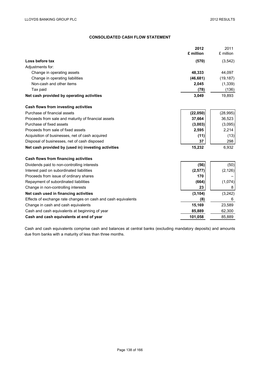# **CONSOLIDATED CASH FLOW STATEMENT**

|                                                               | 2012      | 2011      |
|---------------------------------------------------------------|-----------|-----------|
|                                                               | £ million | £ million |
| Loss before tax                                               | (570)     | (3, 542)  |
| Adjustments for:                                              |           |           |
| Change in operating assets                                    | 48,333    | 44,097    |
| Change in operating liabilities                               | (46, 681) | (19, 187) |
| Non-cash and other items                                      | 2,045     | (1, 339)  |
| Tax paid                                                      | (78)      | (136)     |
| Net cash provided by operating activities                     | 3,049     | 19,893    |
| Cash flows from investing activities                          |           |           |
| Purchase of financial assets                                  | (22, 050) | (28, 995) |
| Proceeds from sale and maturity of financial assets           | 37,664    | 36,523    |
| Purchase of fixed assets                                      | (3,003)   | (3,095)   |
| Proceeds from sale of fixed assets                            | 2,595     | 2,214     |
| Acquisition of businesses, net of cash acquired               | (11)      | (13)      |
| Disposal of businesses, net of cash disposed                  | 37        | 298       |
| Net cash provided by (used in) investing activities           | 15,232    | 6,932     |
| Cash flows from financing activities                          |           |           |
| Dividends paid to non-controlling interests                   | (56)      | (50)      |
| Interest paid on subordinated liabilities                     | (2, 577)  | (2, 126)  |
| Proceeds from issue of ordinary shares                        | 170       |           |
| Repayment of subordinated liabilities                         | (664)     | (1,074)   |
| Change in non-controlling interests                           | 23        | 8         |
| Net cash used in financing activities                         | (3, 104)  | (3, 242)  |
| Effects of exchange rate changes on cash and cash equivalents | (8)       | 6         |
| Change in cash and cash equivalents                           | 15,169    | 23,589    |
| Cash and cash equivalents at beginning of year                | 85,889    | 62,300    |
| Cash and cash equivalents at end of year                      | 101,058   | 85,889    |

Cash and cash equivalents comprise cash and balances at central banks (excluding mandatory deposits) and amounts due from banks with a maturity of less than three months.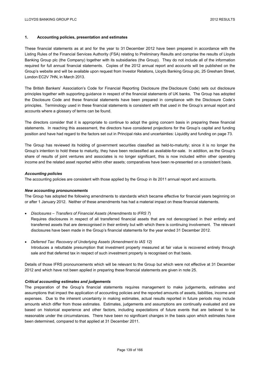### **1. Accounting policies, presentation and estimates**

These financial statements as at and for the year to 31 December 2012 have been prepared in accordance with the Listing Rules of the Financial Services Authority (FSA) relating to Preliminary Results and comprise the results of Lloyds Banking Group plc (the Company) together with its subsidiaries (the Group). They do not include all of the information required for full annual financial statements. Copies of the 2012 annual report and accounts will be published on the Group's website and will be available upon request from Investor Relations, Lloyds Banking Group plc, 25 Gresham Street, London EC2V 7HN, in March 2013.

The British Bankers' Association's Code for Financial Reporting Disclosure (the Disclosure Code) sets out disclosure principles together with supporting guidance in respect of the financial statements of UK banks. The Group has adopted the Disclosure Code and these financial statements have been prepared in compliance with the Disclosure Code's principles. Terminology used in these financial statements is consistent with that used in the Group's annual report and accounts where a glossary of terms can be found.

The directors consider that it is appropriate to continue to adopt the going concern basis in preparing these financial statements. In reaching this assessment, the directors have considered projections for the Group's capital and funding position and have had regard to the factors set out in Principal risks and uncertainties: Liquidity and funding on page 73.

The Group has reviewed its holding of government securities classified as held-to-maturity; since it is no longer the Group's intention to hold these to maturity, they have been reclassified as available-for-sale. In addition, as the Group's share of results of joint ventures and associates is no longer significant, this is now included within other operating income and the related asset reported within other assets; comparatives have been re-presented on a consistent basis.

#### *Accounting policies*

The accounting policies are consistent with those applied by the Group in its 2011 annual report and accounts.

#### *New accounting pronouncements*

The Group has adopted the following amendments to standards which became effective for financial years beginning on or after 1 January 2012. Neither of these amendments has had a material impact on these financial statements.

*Disclosures – Transfers of Financial Assets (Amendments to IFRS 7*)

 Requires disclosures in respect of all transferred financial assets that are not derecognised in their entirety and transferred assets that are derecognised in their entirety but with which there is continuing involvement. The relevant disclosures have been made in the Group's financial statements for the year ended 31 December 2012.

 *Deferred Tax: Recovery of Underlying Assets (Amendment to IAS 12)*  Introduces a rebuttable presumption that investment property measured at fair value is recovered entirely through sale and that deferred tax in respect of such investment property is recognised on that basis.

Details of those IFRS pronouncements which will be relevant to the Group but which were not effective at 31 December 2012 and which have not been applied in preparing these financial statements are given in note 25.

#### *Critical accounting estimates and judgements*

The preparation of the Group's financial statements requires management to make judgements, estimates and assumptions that impact the application of accounting policies and the reported amounts of assets, liabilities, income and expenses. Due to the inherent uncertainty in making estimates, actual results reported in future periods may include amounts which differ from those estimates. Estimates, judgements and assumptions are continually evaluated and are based on historical experience and other factors, including expectations of future events that are believed to be reasonable under the circumstances. There have been no significant changes in the basis upon which estimates have been determined, compared to that applied at 31 December 2011.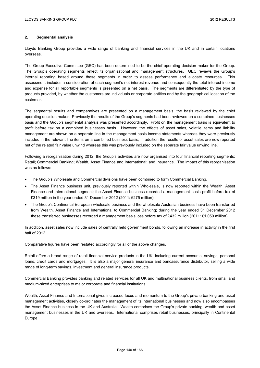## **2. Segmental analysis**

Lloyds Banking Group provides a wide range of banking and financial services in the UK and in certain locations overseas.

The Group Executive Committee (GEC) has been determined to be the chief operating decision maker for the Group. The Group's operating segments reflect its organisational and management structures. GEC reviews the Group's internal reporting based around these segments in order to assess performance and allocate resources. This assessment includes a consideration of each segment's net interest revenue and consequently the total interest income and expense for all reportable segments is presented on a net basis. The segments are differentiated by the type of products provided, by whether the customers are individuals or corporate entities and by the geographical location of the customer.

The segmental results and comparatives are presented on a management basis, the basis reviewed by the chief operating decision maker. Previously the results of the Group's segments had been reviewed on a combined businesses basis and the Group's segmental analysis was presented accordingly. Profit on the management basis is equivalent to profit before tax on a combined businesses basis. However, the effects of asset sales, volatile items and liability management are shown on a separate line in the management basis income statements whereas they were previously included in the relevant line items on a combined business basis; in addition the results of asset sales are now reported net of the related fair value unwind whereas this was previously included on the separate fair value unwind line.

Following a reorganisation during 2012, the Group's activities are now organised into four financial reporting segments: Retail; Commercial Banking; Wealth, Asset Finance and International; and Insurance. The impact of this reorganisation was as follows:

- The Group's Wholesale and Commercial divisions have been combined to form Commercial Banking.
- The Asset Finance business unit, previously reported within Wholesale, is now reported within the Wealth, Asset Finance and International segment; the Asset Finance business recorded a management basis profit before tax of £319 million in the year ended 31 December 2012 (2011: £275 million).
- The Group's Continental European wholesale business and the wholesale Australian business have been transferred from Wealth, Asset Finance and International to Commercial Banking; during the year ended 31 December 2012 these transferred businesses recorded a management basis loss before tax of £432 million (2011: £1,050 million).

In addition, asset sales now include sales of centrally held government bonds, following an increase in activity in the first half of 2012.

Comparative figures have been restated accordingly for all of the above changes.

Retail offers a broad range of retail financial service products in the UK, including current accounts, savings, personal loans, credit cards and mortgages. It is also a major general insurance and bancassurance distributor, selling a wide range of long-term savings, investment and general insurance products.

Commercial Banking provides banking and related services for all UK and multinational business clients, from small and medium-sized enterprises to major corporate and financial institutions.

Wealth, Asset Finance and International gives increased focus and momentum to the Group's private banking and asset management activities, closely co-ordinates the management of its international businesses and now also encompasses the Asset Finance business in the UK and Australia. Wealth comprises the Group's private banking, wealth and asset management businesses in the UK and overseas. International comprises retail businesses, principally in Continental Europe.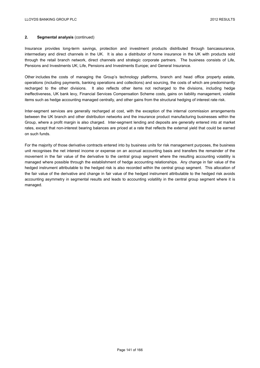### **2. Segmental analysis** (continued)

Insurance provides long-term savings, protection and investment products distributed through bancassurance, intermediary and direct channels in the UK. It is also a distributor of home insurance in the UK with products sold through the retail branch network, direct channels and strategic corporate partners. The business consists of Life, Pensions and Investments UK; Life, Pensions and Investments Europe; and General Insurance.

Other includes the costs of managing the Group's technology platforms, branch and head office property estate, operations (including payments, banking operations and collections) and sourcing, the costs of which are predominantly recharged to the other divisions. It also reflects other items not recharged to the divisions, including hedge ineffectiveness, UK bank levy, Financial Services Compensation Scheme costs, gains on liability management, volatile items such as hedge accounting managed centrally, and other gains from the structural hedging of interest rate risk.

Inter-segment services are generally recharged at cost, with the exception of the internal commission arrangements between the UK branch and other distribution networks and the insurance product manufacturing businesses within the Group, where a profit margin is also charged. Inter-segment lending and deposits are generally entered into at market rates, except that non-interest bearing balances are priced at a rate that reflects the external yield that could be earned on such funds.

For the majority of those derivative contracts entered into by business units for risk management purposes, the business unit recognises the net interest income or expense on an accrual accounting basis and transfers the remainder of the movement in the fair value of the derivative to the central group segment where the resulting accounting volatility is managed where possible through the establishment of hedge accounting relationships. Any change in fair value of the hedged instrument attributable to the hedged risk is also recorded within the central group segment. This allocation of the fair value of the derivative and change in fair value of the hedged instrument attributable to the hedged risk avoids accounting asymmetry in segmental results and leads to accounting volatility in the central group segment where it is managed.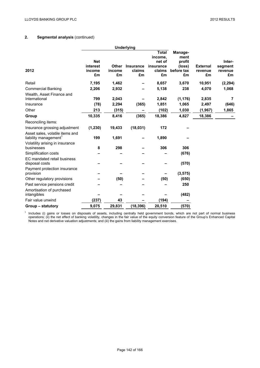# **2. Segmental analysis** (continued)

|                                                                      |                        |              | <b>Underlying</b> |                     |                      |                 |                    |
|----------------------------------------------------------------------|------------------------|--------------|-------------------|---------------------|----------------------|-----------------|--------------------|
|                                                                      |                        |              |                   | <b>Total</b>        | Manage-              |                 |                    |
|                                                                      |                        |              |                   | income,             | ment                 |                 |                    |
|                                                                      | <b>Net</b><br>interest | <b>Other</b> | <b>Insurance</b>  | net of<br>insurance | profit               | <b>External</b> | Inter-             |
| 2012                                                                 | income                 | income       | claims            | claims              | (loss)<br>before tax | revenue         | segment<br>revenue |
|                                                                      | £m                     | £m           | £m                | £m                  | £m                   | £m              | £m                 |
| Retail                                                               | 7,195                  | 1,462        |                   | 8,657               | 3,670                | 10,951          | (2, 294)           |
| <b>Commercial Banking</b>                                            | 2,206                  | 2,932        |                   | 5,138               | 238                  | 4,070           | 1,068              |
| Wealth, Asset Finance and<br>International                           | 799                    | 2,043        |                   | 2,842               | (1, 176)             | 2,835           | 7                  |
| Insurance                                                            | (78)                   | 2,294        | (365)             | 1,851               | 1,065                | 2,497           | (646)              |
| Other                                                                | 213                    | (315)        |                   | (102)               | 1,030                | (1, 967)        | 1,865              |
| Group                                                                | 10,335                 | 8,416        | (365)             | 18,386              | 4,827                | 18,386          |                    |
| Reconciling items:                                                   |                        |              |                   |                     |                      |                 |                    |
| Insurance grossing adjustment                                        | (1, 230)               | 19,433       | (18, 031)         | 172                 |                      |                 |                    |
| Asset sales, volatile items and<br>liability management <sup>1</sup> | 199                    | 1,691        |                   | 1,890               |                      |                 |                    |
| Volatility arising in insurance                                      |                        |              |                   |                     |                      |                 |                    |
| businesses                                                           | 8                      | 298          |                   | 306                 | 306                  |                 |                    |
| Simplification costs                                                 |                        |              |                   |                     | (676)                |                 |                    |
| EC mandated retail business<br>disposal costs                        |                        |              |                   |                     | (570)                |                 |                    |
| Payment protection insurance<br>provision                            |                        |              |                   |                     | (3, 575)             |                 |                    |
| Other regulatory provisions                                          |                        | (50)         |                   | (50)                | (650)                |                 |                    |
| Past service pensions credit                                         |                        |              |                   |                     | 250                  |                 |                    |
| Amortisation of purchased<br>intangibles                             |                        |              |                   |                     | (482)                |                 |                    |
| Fair value unwind                                                    | (237)                  | 43           |                   | (194)               |                      |                 |                    |
| Group – statutory                                                    | 9,075                  | 29,831       | (18, 396)         | 20,510              | (570)                |                 |                    |
|                                                                      |                        |              |                   |                     |                      |                 |                    |

 $<sup>1</sup>$  Includes (i) gains or losses on disposals of assets, including centrally held government bonds, which are not part of normal business</sup> operations; (ii) the net effect of banking volatility, changes in the fair value of the equity conversion feature of the Group's Enhanced Capital Notes and net derivative valuation adjustments; and (iii) the gains from liability management exercises.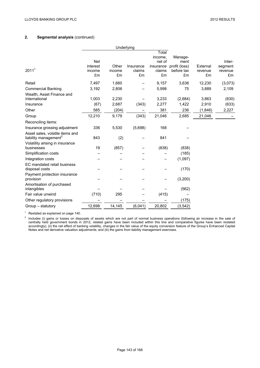# **2. Segmental analysis** (continued)

|                                                                      |                          | Underlying            |                           |                           |                                   |                           |                          |
|----------------------------------------------------------------------|--------------------------|-----------------------|---------------------------|---------------------------|-----------------------------------|---------------------------|--------------------------|
|                                                                      |                          |                       |                           | Total                     |                                   |                           |                          |
|                                                                      |                          |                       |                           | income,                   | Manage-                           |                           |                          |
|                                                                      | <b>Net</b>               |                       |                           | net of                    | ment                              |                           | Inter-                   |
| 2011 <sup>1</sup>                                                    | interest<br>income<br>£m | Other<br>income<br>£m | Insurance<br>claims<br>£m | insurance<br>claims<br>£m | profit (loss)<br>before tax<br>£m | External<br>revenue<br>£m | segment<br>revenue<br>£m |
| Retail                                                               | 7,497                    | 1,660                 |                           | 9,157                     | 3,636                             | 12,230                    | (3,073)                  |
| <b>Commercial Banking</b>                                            | 3,192                    | 2,806                 |                           | 5,998                     | 75                                | 3,889                     | 2,109                    |
| Wealth, Asset Finance and<br>International                           | 1,003                    | 2,230                 |                           | 3,233                     | (2,684)                           | 3,863                     | (630)                    |
| Insurance                                                            | (67)                     | 2,687                 | (343)                     | 2,277                     | 1,422                             | 2,910                     | (633)                    |
| Other                                                                | 585                      | (204)                 |                           | 381                       | 236                               | (1,846)                   | 2,227                    |
| Group                                                                | 12,210                   | 9,179                 | (343)                     | 21,046                    | 2,685                             | 21,046                    |                          |
| Reconciling items:                                                   |                          |                       |                           |                           |                                   |                           |                          |
| Insurance grossing adjustment                                        | 336                      | 5,530                 | (5,698)                   | 168                       |                                   |                           |                          |
| Asset sales, volatile items and<br>liability management <sup>2</sup> | 843                      | (2)                   |                           | 841                       |                                   |                           |                          |
| Volatility arising in insurance<br>businesses                        | 19                       | (857)                 |                           | (838)                     | (838)                             |                           |                          |
| Simplification costs                                                 |                          |                       |                           |                           | (185)                             |                           |                          |
| Integration costs                                                    |                          |                       |                           |                           | (1,097)                           |                           |                          |
| EC mandated retail business                                          |                          |                       |                           |                           |                                   |                           |                          |
| disposal costs                                                       |                          |                       |                           |                           | (170)                             |                           |                          |
| Payment protection insurance<br>provision                            |                          |                       |                           |                           | (3,200)                           |                           |                          |
| Amortisation of purchased<br>intangibles                             |                          |                       |                           |                           | (562)                             |                           |                          |
| Fair value unwind                                                    | (710)                    | 295                   |                           | (415)                     |                                   |                           |                          |
| Other regulatory provisions                                          |                          |                       |                           |                           | (175)                             |                           |                          |
| Group – statutory                                                    | 12,698                   | 14,145                | (6,041)                   | 20,802                    | (3, 542)                          |                           |                          |
|                                                                      |                          |                       |                           |                           |                                   |                           |                          |

<sup>1</sup> Restated as explained on page 140.

<sup>2</sup> Includes (i) gains or losses on disposals of assets which are not part of normal business operations (following an increase in the sale of centrally held government bonds in 2012, related gains have been included within this line and comparative figures have been restated accordingly); (ii) the net effect of banking volatility, changes in the fair value of the equity conversion feature of the Group's Enhanced Capital Notes and net derivative valuation adjustments; and (iii) the gains from liability management exercises.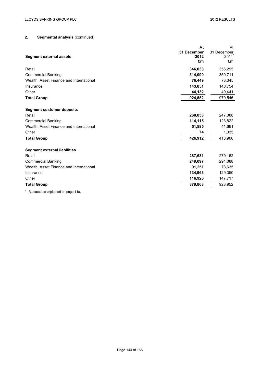# **2. Segmental analysis** (continued)

|                                         | At          | At                |
|-----------------------------------------|-------------|-------------------|
|                                         | 31 December | 31 December       |
| <b>Segment external assets</b>          | 2012        | 2011 <sup>1</sup> |
|                                         | £m          | £m                |
| Retail                                  | 346,030     | 356,295           |
| <b>Commercial Banking</b>               | 314,090     | 350,711           |
| Wealth, Asset Finance and International | 76,449      | 73,345            |
| Insurance                               | 143,851     | 140,754           |
| Other                                   | 44,132      | 49,441            |
| <b>Total Group</b>                      | 924,552     | 970,546           |
| <b>Segment customer deposits</b>        |             |                   |
| Retail                                  | 260,838     | 247,088           |
| <b>Commercial Banking</b>               | 114,115     | 123,822           |
| Wealth, Asset Finance and International | 51,885      | 41,661            |
| Other                                   | 74          | 1,335             |
| <b>Total Group</b>                      | 426,912     | 413,906           |
| <b>Segment external liabilities</b>     |             |                   |
| Retail                                  | 287,631     | 279,162           |
| <b>Commercial Banking</b>               | 249,097     | 294,088           |
| Wealth, Asset Finance and International | 91,251      | 73,635            |
| Insurance                               | 134,963     | 129,350           |
| Other                                   | 116,926     | 147,717           |
| <b>Total Group</b>                      | 879,868     | 923,952           |
|                                         |             |                   |

<sup>1</sup> Restated as explained on page 140.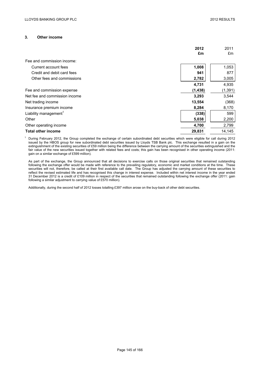### **3. Other income**

|                                   | 2012<br>£m | 2011<br>£m |
|-----------------------------------|------------|------------|
|                                   |            |            |
| Fee and commission income:        |            |            |
| Current account fees              | 1,008      | 1,053      |
| Credit and debit card fees        | 941        | 877        |
| Other fees and commissions        | 2,782      | 3,005      |
|                                   | 4,731      | 4,935      |
| Fee and commission expense        | (1,438)    | (1, 391)   |
| Net fee and commission income     | 3,293      | 3,544      |
| Net trading income                | 13,554     | (368)      |
| Insurance premium income          | 8,284      | 8,170      |
| Liability management <sup>1</sup> | (338)      | 599        |
| Other                             | 5,038      | 2,200      |
| Other operating income            | 4,700      | 2,799      |
| <b>Total other income</b>         | 29,831     | 14,145     |

 $1$  During February 2012, the Group completed the exchange of certain subordinated debt securities which were eligible for call during 2012 issued by the HBOS group for new subordinated debt securities issued by Lloyds TSB Bank plc. This exchange resulted in a gain on the extinguishment of the existing securities of £59 million being the difference between the carrying amount of the securities extinguished and the fair value of the new securities issued together with related fees and costs; this gain has been recognised in other operating income (2011: gain on a similar exchange of £599 million).

As part of the exchange, the Group announced that all decisions to exercise calls on those original securities that remained outstanding following the exchange offer would be made with reference to the prevailing regulatory, economic and market conditions at the time. These securities will not, therefore, be called at their first available call date. The Group has adjusted the carrying amount of these securities to reflect the revised estimated life and has recognised this change in interest expense. Included within net interest income in the year ended 31 December 2012 is a credit of £109 million in respect of the securities that remained outstanding following the exchange offer (2011: gain following a similar adjustment to carrying value of £570 million).

Additionally, during the second half of 2012 losses totalling £397 million arose on the buy-back of other debt securities.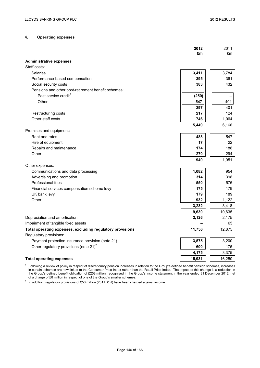## **4. Operating expenses**

|                                                           | 2012<br>£m   | 2011<br>£m |
|-----------------------------------------------------------|--------------|------------|
|                                                           |              |            |
| <b>Administrative expenses</b><br>Staff costs:            |              |            |
| Salaries                                                  |              | 3,784      |
|                                                           | 3,411<br>395 | 361        |
| Performance-based compensation                            |              |            |
| Social security costs                                     | 383          | 432        |
| Pensions and other post-retirement benefit schemes:       |              |            |
| Past service credit <sup>1</sup>                          | (250)        |            |
| Other                                                     | 547          | 401        |
|                                                           | 297          | 401        |
| Restructuring costs                                       | 217          | 124        |
| Other staff costs                                         | 746          | 1,064      |
|                                                           | 5,449        | 6,166      |
| Premises and equipment:                                   |              |            |
| Rent and rates                                            | 488          | 547        |
| Hire of equipment                                         | 17           | 22         |
| Repairs and maintenance                                   | 174          | 188        |
| Other                                                     | 270          | 294        |
|                                                           | 949          | 1,051      |
| Other expenses:                                           |              |            |
| Communications and data processing                        | 1,082        | 954        |
| Advertising and promotion                                 | 314          | 398        |
| Professional fees                                         | 550          | 576        |
| Financial services compensation scheme levy               | 175          | 179        |
| UK bank levy                                              | 179          | 189        |
| Other                                                     | 932          | 1,122      |
|                                                           | 3,232        | 3,418      |
|                                                           | 9,630        | 10,635     |
| Depreciation and amortisation                             | 2,126        | 2,175      |
| Impairment of tangible fixed assets                       |              | 65         |
| Total operating expenses, excluding regulatory provisions | 11,756       | 12,875     |
| Regulatory provisions:                                    |              |            |
| Payment protection insurance provision (note 21)          | 3,575        | 3,200      |
| Other regulatory provisions (note $21$ ) <sup>2</sup>     | 600          | 175        |
|                                                           | 4,175        | 3,375      |
| <b>Total operating expenses</b>                           | 15,931       | 16,250     |
|                                                           |              |            |

 $1$  Following a review of policy in respect of discretionary pension increases in relation to the Group's defined benefit pension schemes, increases in certain schemes are now linked to the Consumer Price Index rather than the Retail Price Index. The impact of this change is a reduction in the Group's defined benefit obligation of £258 million, recognised in the Group's income statement in the year ended 31 December 2012, net of a charge of £8 million in respect of one of the Group's smaller schemes.

<sup>2</sup> In addition, regulatory provisions of £50 million (2011: £nil) have been charged against income.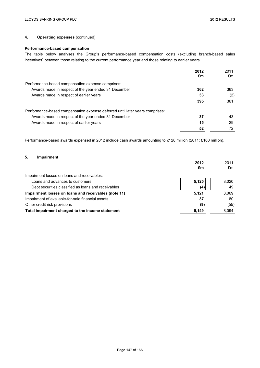## **4. Operating expenses** (continued)

## **Performance-based compensation**

The table below analyses the Group's performance-based compensation costs (excluding branch-based sales incentives) between those relating to the current performance year and those relating to earlier years.

|                                                                              | 2012 | 2011 |
|------------------------------------------------------------------------------|------|------|
|                                                                              | £m   | £m   |
| Performance-based compensation expense comprises:                            |      |      |
| Awards made in respect of the year ended 31 December                         | 362  | 363  |
| Awards made in respect of earlier years                                      | 33   | (2)  |
|                                                                              | 395  | 361  |
| Performance-based compensation expense deferred until later years comprises: |      |      |
| Awards made in respect of the year ended 31 December                         | 37   | 43   |
| Awards made in respect of earlier years                                      | 15   | 29   |
|                                                                              | 52   |      |

Performance-based awards expensed in 2012 include cash awards amounting to £128 million (2011: £160 million).

## **5. Impairment**

|                                                      | 2012<br>£m | 2011<br>£m |
|------------------------------------------------------|------------|------------|
| Impairment losses on loans and receivables:          |            |            |
| Loans and advances to customers                      | 5,125      | 8,020      |
| Debt securities classified as loans and receivables  | (4)        | 49         |
| Impairment losses on loans and receivables (note 11) | 5.121      | 8.069      |
| Impairment of available-for-sale financial assets    | 37         | 80         |
| Other credit risk provisions                         | (9)        | (55)       |
| Total impairment charged to the income statement     | 5,149      | 8,094      |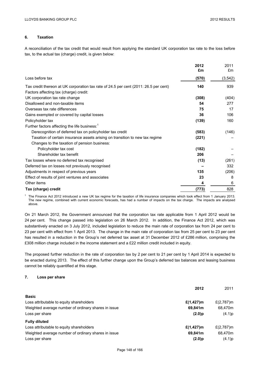## **6. Taxation**

A reconciliation of the tax credit that would result from applying the standard UK corporation tax rate to the loss before tax, to the actual tax (charge) credit, is given below:

|                                                                                                                                | 2012<br>£m | 2011<br>£m |
|--------------------------------------------------------------------------------------------------------------------------------|------------|------------|
| Loss before tax                                                                                                                | (570)      | (3, 542)   |
| Tax credit thereon at UK corporation tax rate of 24.5 per cent (2011: 26.5 per cent)<br>Factors affecting tax (charge) credit: | 140        | 939        |
| UK corporation tax rate change                                                                                                 | (308)      | (404)      |
| Disallowed and non-taxable items                                                                                               | 54         | 277        |
| Overseas tax rate differences                                                                                                  | 75         | 17         |
| Gains exempted or covered by capital losses                                                                                    | 36         | 106        |
| Policyholder tax                                                                                                               | (139)      | 160        |
| Further factors affecting the life business: <sup>1</sup>                                                                      |            |            |
| Derecognition of deferred tax on policyholder tax credit                                                                       | (583)      | (146)      |
| Taxation of certain insurance assets arising on transition to new tax regime                                                   | (221)      |            |
| Changes to the taxation of pension business:                                                                                   |            |            |
| Policyholder tax cost                                                                                                          | (182)      |            |
| Shareholder tax benefit                                                                                                        | 206        |            |
| Tax losses where no deferred tax recognised                                                                                    | (13)       | (261)      |
| Deferred tax on losses not previously recognised                                                                               |            | 332        |
| Adjustments in respect of previous years                                                                                       | 135        | (206)      |
| Effect of results of joint ventures and associates                                                                             | 23         | 8          |
| Other items                                                                                                                    | 4          | 6          |
| Tax (charge) credit                                                                                                            | (773)      | 828        |

<sup>1</sup> The Finance Act 2012 introduced a new UK tax regime for the taxation of life insurance companies which took effect from 1 January 2013. The new regime, combined with current economic forecasts, has had a number of impacts on the tax charge. The impacts are analysed above.

On 21 March 2012, the Government announced that the corporation tax rate applicable from 1 April 2012 would be 24 per cent. This change passed into legislation on 26 March 2012. In addition, the Finance Act 2012, which was substantively enacted on 3 July 2012, included legislation to reduce the main rate of corporation tax from 24 per cent to 23 per cent with effect from 1 April 2013. The change in the main rate of corporation tax from 25 per cent to 23 per cent has resulted in a reduction in the Group's net deferred tax asset at 31 December 2012 of £286 million, comprising the £308 million charge included in the income statement and a £22 million credit included in equity.

The proposed further reduction in the rate of corporation tax by 2 per cent to 21 per cent by 1 April 2014 is expected to be enacted during 2013. The effect of this further change upon the Group's deferred tax balances and leasing business cannot be reliably quantified at this stage.

### **7. Loss per share**

|                                                     | 2012           | 2011          |
|-----------------------------------------------------|----------------|---------------|
| <b>Basic</b>                                        |                |               |
| Loss attributable to equity shareholders            | £ $(1, 427)$ m | £ $(2,787)$ m |
| Weighted average number of ordinary shares in issue | 69,841m        | 68.470m       |
| Loss per share                                      | $(2.0)$ p      | (4.1)p        |
| <b>Fully diluted</b>                                |                |               |
| Loss attributable to equity shareholders            | £ $(1, 427)$ m | £ $(2,787)$ m |
| Weighted average number of ordinary shares in issue | 69,841m        | 68,470m       |
| Loss per share                                      | $(2.0)$ p      | (4.1)p        |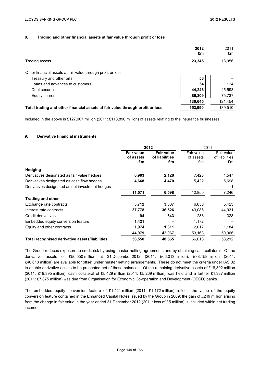## **8. Trading and other financial assets at fair value through profit or loss**

|                                                                               | 2012<br>£m | 2011<br>£m |
|-------------------------------------------------------------------------------|------------|------------|
| Trading assets                                                                | 23,345     | 18,056     |
| Other financial assets at fair value through profit or loss:                  |            |            |
| Treasury and other bills                                                      | 56         |            |
| Loans and advances to customers                                               | 34         | 124        |
| Debt securities                                                               | 44,246     | 45,593     |
| Equity shares                                                                 | 86,309     | 75,737     |
|                                                                               | 130,645    | 121,454    |
| Total trading and other financial assets at fair value through profit or loss | 153,990    | 139,510    |

Included in the above is £127,907 million (2011: £118,890 million) of assets relating to the insurance businesses.

### **9. Derivative financial instruments**

|                                                 |                                | 2012                                | 2011                    |                              |
|-------------------------------------------------|--------------------------------|-------------------------------------|-------------------------|------------------------------|
|                                                 | <b>Fair value</b><br>of assets | <b>Fair value</b><br>of liabilities | Fair value<br>of assets | Fair value<br>of liabilities |
|                                                 | £m                             | £m                                  | £m                      | £m                           |
| Hedging                                         |                                |                                     |                         |                              |
| Derivatives designated as fair value hedges     | 6,903                          | 2,128                               | 7,428                   | 1,547                        |
| Derivatives designated as cash flow hedges      | 4,668                          | 4,470                               | 5,422                   | 5,698                        |
| Derivatives designated as net investment hedges |                                |                                     |                         |                              |
|                                                 | 11,571                         | 6,598                               | 12,850                  | 7,246                        |
| <b>Trading and other</b>                        |                                |                                     |                         |                              |
| Exchange rate contracts                         | 3,712                          | 3,887                               | 6,650                   | 5,423                        |
| Interest rate contracts                         | 37,778                         | 36,526                              | 43,086                  | 44,031                       |
| Credit derivatives                              | 94                             | 343                                 | 238                     | 328                          |
| Embedded equity conversion feature              | 1,421                          |                                     | 1,172                   |                              |
| Equity and other contracts                      | 1,974                          | 1,311                               | 2,017                   | 1,184                        |
|                                                 | 44,979                         | 42,067                              | 53,163                  | 50,966                       |
| Total recognised derivative assets/liabilities  | 56,550                         | 48,665                              | 66,013                  | 58,212                       |

The Group reduces exposure to credit risk by using master netting agreements and by obtaining cash collateral. Of the derivative assets of £56,550 million at 31 December 2012 (2011: £66,013 million), £38,158 million (2011: £46,618 million) are available for offset under master netting arrangements. These do not meet the criteria under IAS 32 to enable derivative assets to be presented net of these balances. Of the remaining derivative assets of £18,392 million (2011: £19,395 million), cash collateral of £5,429 million (2011: £5,269 million) was held and a further £1,387 million (2011: £7,875 million) was due from Organisation for Economic Co-operation and Development (OECD) banks.

The embedded equity conversion feature of £1,421 million (2011: £1,172 million) reflects the value of the equity conversion feature contained in the Enhanced Capital Notes issued by the Group in 2009; the gain of £249 million arising from the change in fair value in the year ended 31 December 2012 (2011: loss of £5 million) is included within net trading income.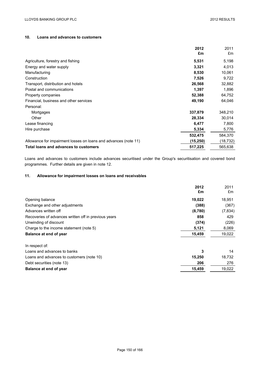## **10. Loans and advances to customers**

|                                                                 | 2012      | 2011     |
|-----------------------------------------------------------------|-----------|----------|
|                                                                 | £m        | £m       |
| Agriculture, forestry and fishing                               | 5,531     | 5,198    |
| Energy and water supply                                         | 3,321     | 4,013    |
| Manufacturing                                                   | 8,530     | 10,061   |
| Construction                                                    | 7,526     | 9,722    |
| Transport, distribution and hotels                              | 26,568    | 32,882   |
| Postal and communications                                       | 1,397     | 1,896    |
| Property companies                                              | 52,388    | 64,752   |
| Financial, business and other services                          | 49,190    | 64,046   |
| Personal:                                                       |           |          |
| Mortgages                                                       | 337,879   | 348,210  |
| Other                                                           | 28,334    | 30,014   |
| Lease financing                                                 | 6,477     | 7,800    |
| Hire purchase                                                   | 5,334     | 5,776    |
|                                                                 | 532,475   | 584,370  |
| Allowance for impairment losses on loans and advances (note 11) | (15, 250) | (18,732) |
| Total loans and advances to customers                           | 517,225   | 565,638  |

Loans and advances to customers include advances securitised under the Group's securitisation and covered bond programmes. Further details are given in note 12.

## **11. Allowance for impairment losses on loans and receivables**

|                                                      | 2012<br>£m | 2011<br>£m |
|------------------------------------------------------|------------|------------|
|                                                      |            |            |
| Opening balance                                      | 19,022     | 18,951     |
| Exchange and other adjustments                       | (388)      | (367)      |
| Advances written off                                 | (8,780)    | (7, 834)   |
| Recoveries of advances written off in previous years | 858        | 429        |
| Unwinding of discount                                | (374)      | (226)      |
| Charge to the income statement (note 5)              | 5,121      | 8,069      |
| Balance at end of year                               | 15,459     | 19,022     |
| In respect of:                                       |            |            |
| Loans and advances to banks                          | 3          | 14         |
| Loans and advances to customers (note 10)            | 15,250     | 18,732     |
| Debt securities (note 13)                            | 206        | 276        |
| Balance at end of year                               | 15,459     | 19,022     |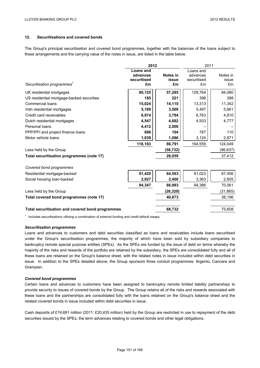## **12. Securitisations and covered bonds**

The Group's principal securitisation and covered bond programmes, together with the balances of the loans subject to these arrangements and the carrying value of the notes in issue, are listed in the table below.

|                                                  | 2012                                       |                         |                                            | 2011                    |  |
|--------------------------------------------------|--------------------------------------------|-------------------------|--------------------------------------------|-------------------------|--|
| Securitisation programmes                        | Loans and<br>advances<br>securitised<br>£m | Notes in<br>issue<br>£m | Loans and<br>advances<br>securitised<br>£m | Notes in<br>issue<br>£m |  |
| UK residential mortgages                         | 80,125                                     | 57,285                  | 129,764                                    | 94,080                  |  |
| US residential mortgage-backed securities        | 185                                        | 221                     | 398                                        | 398                     |  |
| Commercial loans                                 | 15,024                                     | 14,110                  | 13,313                                     | 11,342                  |  |
| Irish residential mortgages                      | 5,189                                      | 3,509                   | 5,497                                      | 5,661                   |  |
| Credit card receivables                          | 6,974                                      | 3,794                   | 6,763                                      | 4,810                   |  |
| Dutch residential mortgages                      | 4,547                                      | 4,682                   | 4,933                                      | 4,777                   |  |
| Personal loans                                   | 4,412                                      | 2,000                   |                                            |                         |  |
| PPP/PFI and project finance loans                | 688                                        | 104                     | 767                                        | 110                     |  |
| Motor vehicle loans                              | 1,039                                      | 1,086                   | 3,124                                      | 2,871                   |  |
|                                                  | 118,183                                    | 86,791                  | 164,559                                    | 124,049                 |  |
| Less held by the Group                           |                                            | (58, 732)               |                                            | (86, 637)               |  |
| Total securitisation programmes (note 17)        |                                            | 28,059                  |                                            | 37,412                  |  |
| Covered bond programmes                          |                                            |                         |                                            |                         |  |
| Residential mortgage-backed                      | 91,420                                     | 64,593                  | 91,023                                     | 67,456                  |  |
| Social housing loan-backed                       | 2,927                                      | 2,400                   | 3,363                                      | 2,605                   |  |
|                                                  | 94,347                                     | 66,993                  | 94,386                                     | 70,061                  |  |
| Less held by the Group                           |                                            | (26, 320)               |                                            | (31, 865)               |  |
| Total covered bond programmes (note 17)          |                                            | 40,673                  |                                            | 38,196                  |  |
| Total securitisation and covered bond programmes |                                            | 68,732                  |                                            | 75,608                  |  |

 $1$  Includes securitisations utilising a combination of external funding and credit default swaps.

#### *Securitisation programmes*

Loans and advances to customers and debt securities classified as loans and receivables include loans securitised under the Group's securitisation programmes, the majority of which have been sold by subsidiary companies to bankruptcy remote special purpose entities (SPEs). As the SPEs are funded by the issue of debt on terms whereby the majority of the risks and rewards of the portfolio are retained by the subsidiary, the SPEs are consolidated fully and all of these loans are retained on the Group's balance sheet, with the related notes in issue included within debt securities in issue. In addition to the SPEs detailed above, the Group sponsors three conduit programmes: Argento, Cancara and Grampian.

#### *Covered bond programmes*

Certain loans and advances to customers have been assigned to bankruptcy remote limited liability partnerships to provide security to issues of covered bonds by the Group. The Group retains all of the risks and rewards associated with these loans and the partnerships are consolidated fully with the loans retained on the Group's balance sheet and the related covered bonds in issue included within debt securities in issue.

Cash deposits of £19,691 million (2011: £20,435 million) held by the Group are restricted in use to repayment of the debt securities issued by the SPEs, the term advances relating to covered bonds and other legal obligations.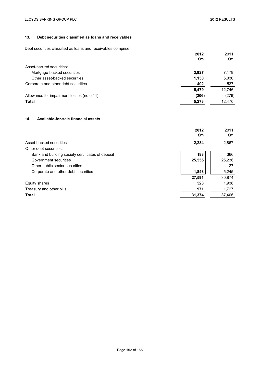## **13. Debt securities classified as loans and receivables**

Debt securities classified as loans and receivables comprise:

|                                           | 2012<br>£m | 2011<br>£m |
|-------------------------------------------|------------|------------|
| Asset-backed securities:                  |            |            |
| Mortgage-backed securities                | 3.927      | 7,179      |
| Other asset-backed securities             | 1,150      | 5,030      |
| Corporate and other debt securities       | 402        | 537        |
|                                           | 5,479      | 12,746     |
| Allowance for impairment losses (note 11) | (206)      | (276)      |
| <b>Total</b>                              | 5,273      | 12,470     |

## **14. Available-for-sale financial assets**

|                                                   | 2012<br>£m | 2011<br>£m |
|---------------------------------------------------|------------|------------|
| Asset-backed securities                           | 2,284      | 2,867      |
| Other debt securities:                            |            |            |
| Bank and building society certificates of deposit | 188        | 366        |
| Government securities                             | 25,555     | 25,236     |
| Other public sector securities                    |            | 27         |
| Corporate and other debt securities               | 1,848      | 5,245      |
|                                                   | 27,591     | 30,874     |
| Equity shares                                     | 528        | 1.938      |
| Treasury and other bills                          | 971        | 1,727      |
| <b>Total</b>                                      | 31,374     | 37,406     |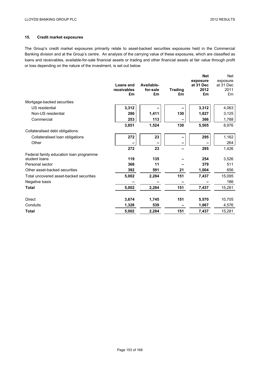# **15. Credit market exposures**

The Group's credit market exposures primarily relate to asset-backed securities exposures held in the Commercial Banking division and at the Group's centre. An analysis of the carrying value of these exposures, which are classified as loans and receivables, available-for-sale financial assets or trading and other financial assets at fair value through profit or loss depending on the nature of the investment, is set out below.

|                                                                               | 4,063<br>3,125 |
|-------------------------------------------------------------------------------|----------------|
| Mortgage-backed securities                                                    |                |
| 3,312<br>US residential<br>3,312                                              |                |
| Non-US residential<br>286<br>130<br>1,411<br>1,827                            |                |
| 253<br>113<br>Commercial<br>366                                               | 1,788          |
| 130<br>3,851<br>1,524<br>5,505                                                | 8,976          |
| Collateralised debt obligations:                                              |                |
| 272<br>23<br>295<br>Collateralised loan obligations                           | 1,162          |
| Other                                                                         | 264            |
| 23<br>272<br>295                                                              | 1,426          |
| Federal family education loan programme<br>119<br>student loans<br>135<br>254 | 3,526          |
| Personal sector<br>368<br>11<br>379                                           | 511            |
| Other asset-backed securities<br>392<br>591<br>21<br>1,004                    | 656            |
| 5,002<br>2,284<br>151<br>Total uncovered asset-backed securities<br>7,437     | 15,095         |
| Negative basis                                                                | 186            |
| <b>Total</b><br>5,002<br>2,284<br>151<br>7,437                                | 15,281         |
| 151<br><b>Direct</b><br>3,674<br>1,745<br>5,570                               | 10,705         |
| 539<br>Conduits<br>1,328<br>1,867                                             | 4,576          |
| 151<br><b>Total</b><br>5,002<br>2,284<br>7,437                                | 15,281         |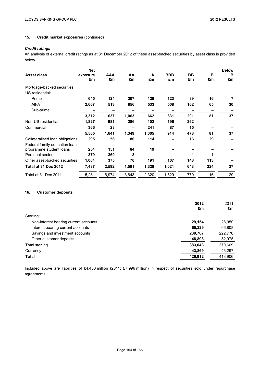# **15. Credit market exposures** (continued)

## *Credit ratings*

An analysis of external credit ratings as at 31 December 2012 of these asset-backed securities by asset class is provided below.

| <b>Asset class</b>              | <b>Net</b><br>exposure<br>£m | AAA<br>£m | AA<br>£m | A<br>£m | <b>BBB</b><br>£m | <b>BB</b><br>£m | в<br>£m | <b>Below</b><br>в<br>£m |
|---------------------------------|------------------------------|-----------|----------|---------|------------------|-----------------|---------|-------------------------|
| Mortgage-backed securities      |                              |           |          |         |                  |                 |         |                         |
| US residential:                 |                              |           |          |         |                  |                 |         |                         |
| Prime                           | 645                          | 124       | 207      | 129     | 123              | 39              | 16      |                         |
| Alt-A                           | 2,667                        | 513       | 856      | 533     | 508              | 162             | 65      | 30                      |
| Sub-prime                       |                              |           |          |         |                  |                 |         |                         |
|                                 | 3,312                        | 637       | 1,063    | 662     | 631              | 201             | 81      | 37                      |
| Non-US residential              | 1,827                        | 981       | 286      | 102     | 196              | 262             |         |                         |
| Commercial                      | 366                          | 23        |          | 241     | 87               | 15              |         |                         |
|                                 | 5,505                        | 1,641     | 1,349    | 1,005   | 914              | 478             | 81      | 37                      |
| Collateralised loan obligations | 295                          | 56        | 80       | 114     |                  | 16              | 29      |                         |
| Federal family education loan   |                              |           |          |         |                  |                 |         |                         |
| programme student loans         | 254                          | 151       | 84       | 19      |                  |                 |         |                         |
| Personal sector                 | 379                          | 369       | 8        |         |                  | 1               |         |                         |
| Other asset-backed securities   | 1,004                        | 375       | 70       | 191     | 107              | 148             | 113     |                         |
| Total at 31 Dec 2012            | 7,437                        | 2,592     | 1,591    | 1,329   | 1,021            | 643             | 224     | 37                      |
| Total at 31 Dec 2011            | 15,281                       | 6,974     | 3,643    | 2,320   | 1,529            | 770             | 16      | 29                      |

## **16. Customer deposits**

| 2012   | 2011                                |
|--------|-------------------------------------|
|        | £m                                  |
|        |                                     |
| 29,154 | 28,050                              |
| 65,229 | 66,808                              |
|        | 222,776                             |
| 48,893 | 52,975                              |
|        | 370,609                             |
| 43,869 | 43,297                              |
|        | 413,906                             |
|        | £m<br>239,767<br>383,043<br>426,912 |

Included above are liabilities of £4,433 million (2011: £7,996 million) in respect of securities sold under repurchase agreements.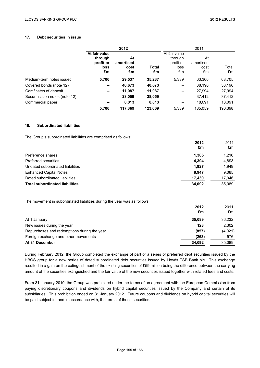## **17. Debt securities in issue**

|                                | 2012                                                |                               |             |                                                     | 2011                          |             |
|--------------------------------|-----------------------------------------------------|-------------------------------|-------------|-----------------------------------------------------|-------------------------------|-------------|
|                                | At fair value<br>through<br>profit or<br>loss<br>£m | At<br>amortised<br>cost<br>£m | Total<br>£m | At fair value<br>through<br>profit or<br>loss<br>£m | At<br>amortised<br>cost<br>£m | Total<br>£m |
| Medium-term notes issued       | 5,700                                               | 29,537                        | 35,237      | 5.339                                               | 63,366                        | 68,705      |
| Covered bonds (note 12)        | $\overline{\phantom{0}}$                            | 40,673                        | 40,673      |                                                     | 38.196                        | 38,196      |
| Certificates of deposit        | $\overline{\phantom{0}}$                            | 11,087                        | 11,087      |                                                     | 27,994                        | 27,994      |
| Securitisation notes (note 12) | -                                                   | 28,059                        | 28,059      |                                                     | 37.412                        | 37,412      |
| Commercial paper               |                                                     | 8,013                         | 8,013       |                                                     | 18,091                        | 18,091      |
|                                | 5,700                                               | 117.369                       | 123,069     | 5.339                                               | 185,059                       | 190,398     |

### **18. Subordinated liabilities**

The Group's subordinated liabilities are comprised as follows:

|                                       | 2012   | 2011   |
|---------------------------------------|--------|--------|
|                                       | £m     | £m     |
| Preference shares                     | 1.385  | 1.216  |
| Preferred securities                  | 4,394  | 4,893  |
| Undated subordinated liabilities      | 1.927  | 1.949  |
| <b>Enhanced Capital Notes</b>         | 8.947  | 9.085  |
| Dated subordinated liabilities        | 17.439 | 17,946 |
| <b>Total subordinated liabilities</b> | 34.092 | 35.089 |

The movement in subordinated liabilities during the year was as follows:

|                                             | 2012   |         |
|---------------------------------------------|--------|---------|
|                                             | £m     | £m      |
| At 1 January                                | 35.089 | 36,232  |
| New issues during the year                  | 128    | 2,302   |
| Repurchases and redemptions during the year | (857)  | (4,021) |
| Foreign exchange and other movements        | (268)  | 576     |
| At 31 December                              | 34.092 | 35,089  |

During February 2012, the Group completed the exchange of part of a series of preferred debt securities issued by the HBOS group for a new series of dated subordinated debt securities issued by Lloyds TSB Bank plc. This exchange resulted in a gain on the extinguishment of the existing securities of £59 million being the difference between the carrying amount of the securities extinguished and the fair value of the new securities issued together with related fees and costs.

From 31 January 2010, the Group was prohibited under the terms of an agreement with the European Commission from paying discretionary coupons and dividends on hybrid capital securities issued by the Company and certain of its subsidiaries. This prohibition ended on 31 January 2012. Future coupons and dividends on hybrid capital securities will be paid subject to, and in accordance with, the terms of those securities.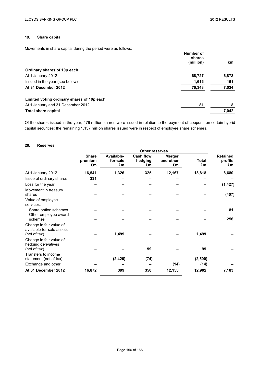# **19. Share capital**

Movements in share capital during the period were as follows:

|                                            | Number of<br>shares |       |
|--------------------------------------------|---------------------|-------|
|                                            | (million)           | £m    |
| Ordinary shares of 10p each                |                     |       |
| At 1 January 2012                          | 68,727              | 6,873 |
| Issued in the year (see below)             | 1,616               | 161   |
| At 31 December 2012                        | 70,343              | 7,034 |
| Limited voting ordinary shares of 10p each |                     |       |
| At 1 January and 31 December 2012          | 81                  | 8     |
| <b>Total share capital</b>                 |                     | 7,042 |

Of the shares issued in the year, 479 million shares were issued in relation to the payment of coupons on certain hybrid capital securities; the remaining 1,137 million shares issued were in respect of employee share schemes.

## **20. Reserves**

|                                                                      |              |            | <b>Other reserves</b> |               |              |                 |
|----------------------------------------------------------------------|--------------|------------|-----------------------|---------------|--------------|-----------------|
|                                                                      | <b>Share</b> | Available- | <b>Cash flow</b>      | <b>Merger</b> |              | <b>Retained</b> |
|                                                                      | premium      | for-sale   | hedging               | and other     | <b>Total</b> | profits         |
|                                                                      | £m           | £m         | £m                    | £m            | £m           | £m              |
| At 1 January 2012                                                    | 16,541       | 1,326      | 325                   | 12,167        | 13,818       | 8,680           |
| Issue of ordinary shares                                             | 331          |            |                       |               |              |                 |
| Loss for the year                                                    |              |            |                       |               |              | (1, 427)        |
| Movement in treasury<br>shares                                       |              |            |                       |               |              | (407)           |
| Value of employee<br>services:                                       |              |            |                       |               |              |                 |
| Share option schemes                                                 |              |            |                       |               |              | 81              |
| Other employee award<br>schemes                                      |              |            |                       |               |              | 256             |
| Change in fair value of<br>available-for-sale assets<br>(net of tax) |              | 1,499      |                       |               | 1,499        |                 |
| Change in fair value of<br>hedging derivatives<br>(net of tax)       |              |            | 99                    |               | 99           |                 |
| Transfers to income<br>statement (net of tax)                        |              | (2, 426)   | (74)                  |               | (2,500)      |                 |
| Exchange and other                                                   |              |            |                       | (14)          | (14)         |                 |
| At 31 December 2012                                                  | 16,872       | 399        | 350                   | 12,153        | 12,902       | 7,183           |
|                                                                      |              |            |                       |               |              |                 |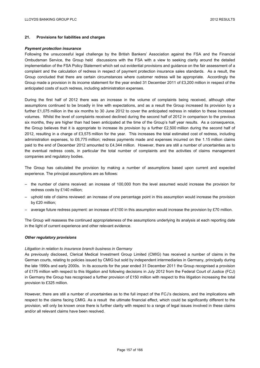## **21. Provisions for liabilities and charges**

#### *Payment protection insurance*

Following the unsuccessful legal challenge by the British Bankers' Association against the FSA and the Financial Ombudsman Service, the Group held discussions with the FSA with a view to seeking clarity around the detailed implementation of the FSA Policy Statement which set out evidential provisions and guidance on the fair assessment of a complaint and the calculation of redress in respect of payment protection insurance sales standards. As a result, the Group concluded that there are certain circumstances where customer redress will be appropriate. Accordingly the Group made a provision in its income statement for the year ended 31 December 2011 of £3,200 million in respect of the anticipated costs of such redress, including administration expenses.

During the first half of 2012 there was an increase in the volume of complaints being received, although other assumptions continued to be broadly in line with expectations, and as a result the Group increased its provision by a further £1,075 million in the six months to 30 June 2012 to cover the anticipated redress in relation to these increased volumes. Whilst the level of complaints received declined during the second half of 2012 in comparison to the previous six months, they are higher than had been anticipated at the time of the Group's half year results. As a consequence, the Group believes that it is appropriate to increase its provision by a further £2,500 million during the second half of 2012, resulting in a charge of £3,575 million for the year. This increases the total estimated cost of redress, including administration expenses, to £6,775 million; redress payments made and expenses incurred on the 1.15 million claims paid to the end of December 2012 amounted to £4,344 million. However, there are still a number of uncertainties as to the eventual redress costs, in particular the total number of complaints and the activities of claims management companies and regulatory bodies.

The Group has calculated the provision by making a number of assumptions based upon current and expected experience. The principal assumptions are as follows:

- the number of claims received: an increase of 100,000 from the level assumed would increase the provision for redress costs by £140 million;
- uphold rate of claims reviewed: an increase of one percentage point in this assumption would increase the provision by £20 million;
- $-$  average future redress payment: an increase of £100 in this assumption would increase the provision by £70 million.

The Group will reassess the continued appropriateness of the assumptions underlying its analysis at each reporting date in the light of current experience and other relevant evidence.

#### *Other regulatory provisions*

#### *Litigation in relation to insurance branch business in Germany*

As previously disclosed, Clerical Medical Investment Group Limited (CMIG) has received a number of claims in the German courts, relating to policies issued by CMIG but sold by independent intermediaries in Germany, principally during the late 1990s and early 2000s. In its accounts for the year ended 31 December 2011 the Group recognised a provision of £175 million with respect to this litigation and following decisions in July 2012 from the Federal Court of Justice (FCJ) in Germany the Group has recognised a further provision of £150 million with respect to this litigation increasing the total provision to £325 million.

However, there are still a number of uncertainties as to the full impact of the FCJ's decisions, and the implications with respect to the claims facing CMIG. As a result the ultimate financial effect, which could be significantly different to the provision, will only be known once there is further clarity with respect to a range of legal issues involved in these claims and/or all relevant claims have been resolved.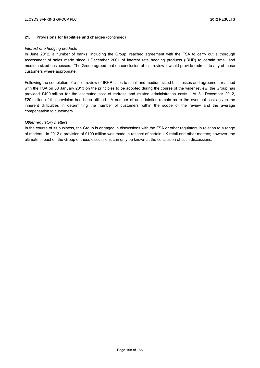### **21. Provisions for liabilities and charges** (continued)

#### *Interest rate hedging products*

In June 2012, a number of banks, including the Group, reached agreement with the FSA to carry out a thorough assessment of sales made since 1 December 2001 of interest rate hedging products (IRHP) to certain small and medium-sized businesses. The Group agreed that on conclusion of this review it would provide redress to any of these customers where appropriate.

Following the completion of a pilot review of IRHP sales to small and medium-sized businesses and agreement reached with the FSA on 30 January 2013 on the principles to be adopted during the course of the wider review, the Group has provided £400 million for the estimated cost of redress and related administration costs. At 31 December 2012, £20 million of the provision had been utilised. A number of uncertainties remain as to the eventual costs given the inherent difficulties in determining the number of customers within the scope of the review and the average compensation to customers.

#### *Other regulatory matters*

In the course of its business, the Group is engaged in discussions with the FSA or other regulators in relation to a range of matters. In 2012 a provision of £100 million was made in respect of certain UK retail and other matters; however, the ultimate impact on the Group of these discussions can only be known at the conclusion of such discussions.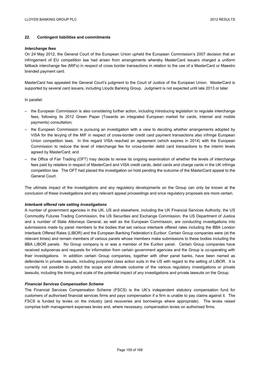## **22. Contingent liabilities and commitments**

#### *Interchange fees*

On 24 May 2012, the General Court of the European Union upheld the European Commission's 2007 decision that an infringement of EU competition law had arisen from arrangements whereby MasterCard issuers charged a uniform fallback interchange fee (MIFs) in respect of cross border transactions in relation to the use of a MasterCard or Maestro branded payment card.

MasterCard has appealed the General Court's judgment to the Court of Justice of the European Union. MasterCard is supported by several card issuers, including Lloyds Banking Group. Judgment is not expected until late 2013 or later.

#### In parallel:

- the European Commission is also considering further action, including introducing legislation to regulate interchange fees, following its 2012 Green Paper (Towards an integrated European market for cards, internet and mobile payments) consultation;
- the European Commission is pursuing an investigation with a view to deciding whether arrangements adopted by VISA for the levying of the MIF in respect of cross-border credit card payment transactions also infringe European Union competition laws. In this regard VISA reached an agreement (which expires in 2014) with the European Commission to reduce the level of interchange fee for cross-border debit card transactions to the interim levels agreed by MasterCard; and
- the Office of Fair Trading (OFT) may decide to renew its ongoing examination of whether the levels of interchange fees paid by retailers in respect of MasterCard and VISA credit cards, debit cards and charge cards in the UK infringe competition law. The OFT had placed the investigation on hold pending the outcome of the MasterCard appeal to the General Court.

The ultimate impact of the investigations and any regulatory developments on the Group can only be known at the conclusion of these investigations and any relevant appeal proceedings and once regulatory proposals are more certain.

#### *Interbank offered rate setting investigations*

A number of government agencies in the UK, US and elsewhere, including the UK Financial Services Authority, the US Commodity Futures Trading Commission, the US Securities and Exchange Commission, the US Department of Justice and a number of State Attorneys General, as well as the European Commission, are conducting investigations into submissions made by panel members to the bodies that set various interbank offered rates including the BBA London Interbank Offered Rates (LIBOR) and the European Banking Federation's Euribor. Certain Group companies were (at the relevant times) and remain members of various panels whose members make submissions to these bodies including the BBA LIBOR panels. No Group company is or was a member of the Euribor panel. Certain Group companies have received subpoenas and requests for information from certain government agencies and the Group is co-operating with their investigations. In addition certain Group companies, together with other panel banks, have been named as defendants in private lawsuits, including purported class action suits in the US with regard to the setting of LIBOR. It is currently not possible to predict the scope and ultimate outcome of the various regulatory investigations or private lawsuits, including the timing and scale of the potential impact of any investigations and private lawsuits on the Group.

#### *Financial Services Compensation Scheme*

The Financial Services Compensation Scheme (FSCS) is the UK's independent statutory compensation fund for customers of authorised financial services firms and pays compensation if a firm is unable to pay claims against it. The FSCS is funded by levies on the industry (and recoveries and borrowings where appropriate). The levies raised comprise both management expenses levies and, where necessary, compensation levies on authorised firms.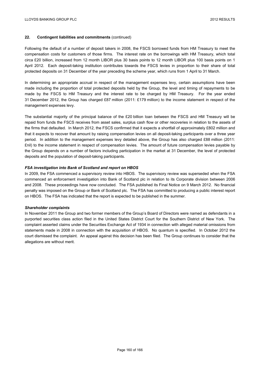### **22. Contingent liabilities and commitments** (continued)

Following the default of a number of deposit takers in 2008, the FSCS borrowed funds from HM Treasury to meet the compensation costs for customers of those firms. The interest rate on the borrowings with HM Treasury, which total circa £20 billion, increased from 12 month LIBOR plus 30 basis points to 12 month LIBOR plus 100 basis points on 1 April 2012. Each deposit-taking institution contributes towards the FSCS levies in proportion to their share of total protected deposits on 31 December of the year preceding the scheme year, which runs from 1 April to 31 March.

In determining an appropriate accrual in respect of the management expenses levy, certain assumptions have been made including the proportion of total protected deposits held by the Group, the level and timing of repayments to be made by the FSCS to HM Treasury and the interest rate to be charged by HM Treasury. For the year ended 31 December 2012, the Group has charged £87 million (2011: £179 million) to the income statement in respect of the management expenses levy.

The substantial majority of the principal balance of the £20 billion loan between the FSCS and HM Treasury will be repaid from funds the FSCS receives from asset sales, surplus cash flow or other recoveries in relation to the assets of the firms that defaulted. In March 2012, the FSCS confirmed that it expects a shortfall of approximately £802 million and that it expects to recover that amount by raising compensation levies on all deposit-taking participants over a three year period. In addition to the management expenses levy detailed above, the Group has also charged £88 million (2011: £nil) to the income statement in respect of compensation levies. The amount of future compensation levies payable by the Group depends on a number of factors including participation in the market at 31 December, the level of protected deposits and the population of deposit-taking participants.

### *FSA investigation into Bank of Scotland and report on HBOS*

In 2009, the FSA commenced a supervisory review into HBOS. The supervisory review was superseded when the FSA commenced an enforcement investigation into Bank of Scotland plc in relation to its Corporate division between 2006 and 2008. These proceedings have now concluded. The FSA published its Final Notice on 9 March 2012. No financial penalty was imposed on the Group or Bank of Scotland plc. The FSA has committed to producing a public interest report on HBOS. The FSA has indicated that the report is expected to be published in the summer.

#### *Shareholder complaints*

In November 2011 the Group and two former members of the Group's Board of Directors were named as defendants in a purported securities class action filed in the United States District Court for the Southern District of New York. The complaint asserted claims under the Securities Exchange Act of 1934 in connection with alleged material omissions from statements made in 2008 in connection with the acquisition of HBOS. No quantum is specified. In October 2012 the court dismissed the complaint. An appeal against this decision has been filed. The Group continues to consider that the allegations are without merit.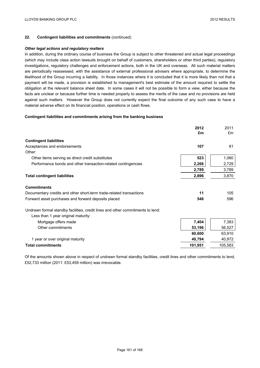## **22. Contingent liabilities and commitments** (continued)

#### *Other legal actions and regulatory matters*

In addition, during the ordinary course of business the Group is subject to other threatened and actual legal proceedings (which may include class action lawsuits brought on behalf of customers, shareholders or other third parties), regulatory investigations, regulatory challenges and enforcement actions, both in the UK and overseas. All such material matters are periodically reassessed, with the assistance of external professional advisers where appropriate, to determine the likelihood of the Group incurring a liability. In those instances where it is concluded that it is more likely than not that a payment will be made, a provision is established to management's best estimate of the amount required to settle the obligation at the relevant balance sheet date. In some cases it will not be possible to form a view, either because the facts are unclear or because further time is needed properly to assess the merits of the case and no provisions are held against such matters. However the Group does not currently expect the final outcome of any such case to have a material adverse effect on its financial position, operations or cash flows.

### **Contingent liabilities and commitments arising from the banking business**

|                                                                                | 2012    | 2011    |
|--------------------------------------------------------------------------------|---------|---------|
|                                                                                | £m      | £m      |
| <b>Contingent liabilities</b>                                                  |         |         |
| Acceptances and endorsements                                                   | 107     | 81      |
| Other:                                                                         |         |         |
| Other items serving as direct credit substitutes                               | 523     | 1,060   |
| Performance bonds and other transaction-related contingencies                  | 2,266   | 2,729   |
|                                                                                | 2,789   | 3,789   |
| <b>Total contingent liabilities</b>                                            | 2,896   | 3,870   |
| <b>Commitments</b>                                                             |         |         |
| Documentary credits and other short-term trade-related transactions            | 11      | 105     |
| Forward asset purchases and forward deposits placed                            | 546     | 596     |
| Undrawn formal standby facilities, credit lines and other commitments to lend: |         |         |
| Less than 1 year original maturity:                                            |         |         |
| Mortgage offers made                                                           | 7,404   | 7,383   |
| Other commitments                                                              | 53,196  | 56,527  |
|                                                                                | 60,600  | 63,910  |
| 1 year or over original maturity                                               | 40,794  | 40,972  |
| <b>Total commitments</b>                                                       | 101,951 | 105,583 |

Of the amounts shown above in respect of undrawn formal standby facilities, credit lines and other commitments to lend, £52,733 million (2011: £53,459 million) was irrevocable.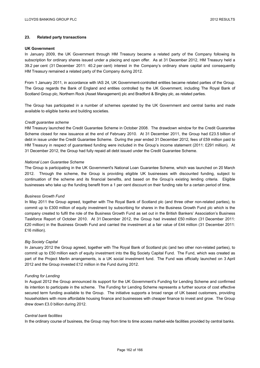### **23. Related party transactions**

#### **UK Government**

In January 2009, the UK Government through HM Treasury became a related party of the Company following its subscription for ordinary shares issued under a placing and open offer. As at 31 December 2012, HM Treasury held a 39.2 per cent (31 December 2011: 40.2 per cent) interest in the Company's ordinary share capital and consequently HM Treasury remained a related party of the Company during 2012.

From 1 January 2011, in accordance with IAS 24, UK Government-controlled entities became related parties of the Group. The Group regards the Bank of England and entities controlled by the UK Government, including The Royal Bank of Scotland Group plc, Northern Rock (Asset Management) plc and Bradford & Bingley plc, as related parties.

The Group has participated in a number of schemes operated by the UK Government and central banks and made available to eligible banks and building societies.

#### *Credit guarantee scheme*

HM Treasury launched the Credit Guarantee Scheme in October 2008. The drawdown window for the Credit Guarantee Scheme closed for new issuance at the end of February 2010. At 31 December 2011, the Group had £23.5 billion of debt in issue under the Credit Guarantee Scheme. During the year ended 31 December 2012, fees of £59 million paid to HM Treasury in respect of guaranteed funding were included in the Group's income statement (2011: £291 million). At 31 December 2012, the Group had fully repaid all debt issued under the Credit Guarantee Scheme.

#### *National Loan Guarantee Scheme*

The Group is participating in the UK Government's National Loan Guarantee Scheme, which was launched on 20 March 2012. Through the scheme, the Group is providing eligible UK businesses with discounted funding, subject to continuation of the scheme and its financial benefits, and based on the Group's existing lending criteria. Eligible businesses who take up the funding benefit from a 1 per cent discount on their funding rate for a certain period of time.

#### *Business Growth Fund*

In May 2011 the Group agreed, together with The Royal Bank of Scotland plc (and three other non-related parties), to commit up to £300 million of equity investment by subscribing for shares in the Business Growth Fund plc which is the company created to fulfil the role of the Business Growth Fund as set out in the British Bankers' Association's Business Taskforce Report of October 2010. At 31 December 2012, the Group had invested £50 million (31 December 2011: £20 million) in the Business Growth Fund and carried the investment at a fair value of £44 million (31 December 2011: £16 million).

#### *Big Society Capital*

In January 2012 the Group agreed, together with The Royal Bank of Scotland plc (and two other non-related parties), to commit up to £50 million each of equity investment into the Big Society Capital Fund. The Fund, which was created as part of the Project Merlin arrangements, is a UK social investment fund. The Fund was officially launched on 3 April 2012 and the Group invested £12 million in the Fund during 2012.

#### *Funding for Lending*

In August 2012 the Group announced its support for the UK Government's Funding for Lending Scheme and confirmed its intention to participate in the scheme. The Funding for Lending Scheme represents a further source of cost effective secured term funding available to the Group. The initiative supports a broad range of UK based customers, providing householders with more affordable housing finance and businesses with cheaper finance to invest and grow. The Group drew down £3.0 billion during 2012.

#### *Central bank facilities*

In the ordinary course of business, the Group may from time to time access market-wide facilities provided by central banks.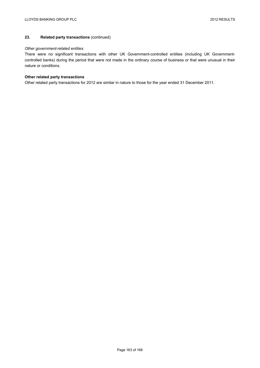## **23. Related party transactions** (continued)

### *Other government-related entities*

There were no significant transactions with other UK Government-controlled entities (including UK Governmentcontrolled banks) during the period that were not made in the ordinary course of business or that were unusual in their nature or conditions.

### **Other related party transactions**

Other related party transactions for 2012 are similar in nature to those for the year ended 31 December 2011.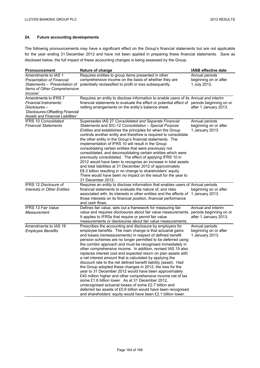# **24. Future accounting developments**

The following pronouncements may have a significant effect on the Group's financial statements but are not applicable for the year ending 31 December 2012 and have not been applied in preparing these financial statements. Save as disclosed below, the full impact of these accounting changes is being assessed by the Group.

| <b>Pronouncement</b>                                                                                                                       | Nature of change                                                                                                                                                                                                                                                                                                                                                                                                                                                                                                                                                                                                                                                                                                                                                                                                                                                                                                                                                                                                            | IASB effective date                                        |
|--------------------------------------------------------------------------------------------------------------------------------------------|-----------------------------------------------------------------------------------------------------------------------------------------------------------------------------------------------------------------------------------------------------------------------------------------------------------------------------------------------------------------------------------------------------------------------------------------------------------------------------------------------------------------------------------------------------------------------------------------------------------------------------------------------------------------------------------------------------------------------------------------------------------------------------------------------------------------------------------------------------------------------------------------------------------------------------------------------------------------------------------------------------------------------------|------------------------------------------------------------|
| Amendments to IAS 1<br><b>Presentation of Financial</b><br>Statements - 'Presentation of<br><b>Items of Other Comprehensive</b><br>Income' | Requires entities to group items presented in other<br>comprehensive income on the basis of whether they are<br>potentially reclassified to profit or loss subsequently.                                                                                                                                                                                                                                                                                                                                                                                                                                                                                                                                                                                                                                                                                                                                                                                                                                                    | Annual periods<br>beginning on or after<br>1 July 2012.    |
| Amendments to IFRS 7<br>Financial Instruments:<br>Disclosures –<br>'Disclosures-Offsetting Financial<br>Assets and Financial Liabilities'  | Requires an entity to disclose information to enable users of its Annual and interim<br>financial statements to evaluate the effect or potential effect of periods beginning on or<br>netting arrangements on the entity's balance sheet.                                                                                                                                                                                                                                                                                                                                                                                                                                                                                                                                                                                                                                                                                                                                                                                   | after 1 January 2013.                                      |
| IFRS 10 Consolidated<br><b>Financial Statements</b>                                                                                        | Supersedes IAS 27 Consolidated and Separate Financial<br>Statements and SIC-12 Consolidation - Special Purpose<br><i>Entities</i> and establishes the principles for when the Group<br>controls another entity and therefore is required to consolidate<br>the other entity in the Group's financial statements. The<br>implementation of IFRS 10 will result in the Group<br>consolidating certain entities that were previously not<br>consolidated, and deconsolidating certain entities which were<br>previously consolidated. The effect of applying IFRS 10 in<br>2012 would have been to recognise an increase in total assets<br>and total liabilities at 31 December 2012 of approximately<br>£8.3 billion resulting in no change to shareholders' equity.<br>There would have been no impact on the result for the year to<br>31 December 2012.                                                                                                                                                                   | Annual periods<br>beginning on or after<br>1 January 2013. |
| <b>IFRS 12 Disclosure of</b><br>Interests in Other Entities                                                                                | Requires an entity to disclose information that enables users of Annual periods<br>financial statements to evaluate the nature of, and risks<br>associated with, its interests in other entities and the effects of 1 January 2013.<br>those interests on its financial position, financial performance<br>and cash flows.                                                                                                                                                                                                                                                                                                                                                                                                                                                                                                                                                                                                                                                                                                  | beginning on or after                                      |
| <b>IFRS 13 Fair Value</b><br>Measurement                                                                                                   | Defines fair value, sets out a framework for measuring fair<br>value and requires disclosures about fair value measurements. periods beginning on or<br>It applies to IFRSs that require or permit fair value<br>measurements or disclosures about fair value measurements.                                                                                                                                                                                                                                                                                                                                                                                                                                                                                                                                                                                                                                                                                                                                                 | Annual and interim<br>after 1 January 2013.                |
| Amendments to IAS 19<br><b>Employee Benefits</b>                                                                                           | Prescribes the accounting and disclosure by employers for<br>employee benefits. The main change is that actuarial gains<br>and losses (remeasurements) in respect of defined benefit<br>pension schemes are no longer permitted to be deferred using<br>the corridor approach and must be recognised immediately in<br>other comprehensive income. In addition, revised IAS 19 also<br>replaces interest cost and expected return on plan assets with<br>a net interest amount that is calculated by applying the<br>discount rate to the net defined benefit liability (asset). Had<br>the Group adopted these changes in 2012, the loss for the<br>year to 31 December 2012 would have been approximately<br>£40 million higher and other comprehensive income net of tax<br>some £1.6 billion lower. As at 31 December 2012,<br>unrecognised actuarial losses of some £2.7 billion and<br>deferred tax assets of £0.6 billion would have been recognised<br>and shareholders' equity would have been £2.1 billion lower. | Annual periods<br>beginning on or after<br>1 January 2013. |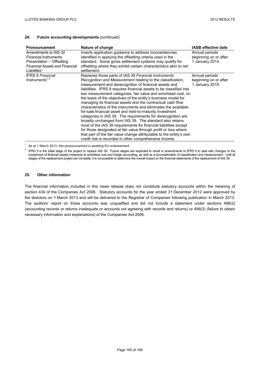### **24. Future accounting developments** (continued)

| <b>Pronouncement</b>                  | Nature of change                                                    | <b>IASB effective date</b> |
|---------------------------------------|---------------------------------------------------------------------|----------------------------|
| Amendments to IAS 32                  | Inserts application guidance to address inconsistencies             | Annual periods             |
| Financial Instruments:                | identified in applying the offsetting criteria used in the          | beginning on or after      |
| Presentation - 'Offsetting            | standard. Some gross settlement systems may qualify for             | 1 January 2014.            |
| <b>Financial Assets and Financial</b> | offsetting where they exhibit certain characteristics akin to net   |                            |
| Liabilities'                          | settlement.                                                         |                            |
| <b>IFRS 9 Financial</b>               | Replaces those parts of IAS 39 Financial Instruments:               | Annual periods             |
| Instruments <sup>1,2</sup>            | Recognition and Measurement relating to the classification,         | beginning on or after      |
|                                       | measurement and derecognition of financial assets and               | 1 January 2015.            |
|                                       | liabilities. IFRS 9 requires financial assets to be classified into |                            |
|                                       | two measurement categories, fair value and amortised cost, on       |                            |
|                                       | the basis of the objectives of the entity's business model for      |                            |
|                                       | managing its financial assets and the contractual cash flow         |                            |
|                                       | characteristics of the instruments and eliminates the available-    |                            |
|                                       | for-sale financial asset and held-to-maturity investment            |                            |
|                                       | categories in IAS 39. The requirements for derecognition are        |                            |
|                                       | broadly unchanged from IAS 39. The standard also retains            |                            |
|                                       | most of the IAS 39 requirements for financial liabilities except    |                            |
|                                       | for those designated at fair value through profit or loss where     |                            |
|                                       | that part of the fair value change attributable to the entity's own |                            |
|                                       | credit risk is recorded in other comprehensive income.              |                            |

 $1$  As at 1 March 2013, this pronouncement is awaiting EU endorsement.

<sup>2</sup> IFRS 9 is the initial stage of the project to replace IAS 39. Future stages are expected to result in amendments to IFRS 9 to deal with changes to the impairment of financial assets measured at amortised cost and hedge accounting, as well as a reconsideration of classification and measurement. Until all stages of the replacement project are complete, it is not possible to determine the overall impact on the financial statements of the replacement of IAS 39.

## **25. Other information**

The financial information included in this news release does not constitute statutory accounts within the meaning of section 434 of the Companies Act 2006. Statutory accounts for the year ended 31 December 2012 were approved by the directors on 1 March 2013 and will be delivered to the Registrar of Companies following publication in March 2013. The auditors' report on those accounts was unqualified and did not include a statement under sections 498(2) (accounting records or returns inadequate or accounts not agreeing with records and returns) or 498(3) (failure to obtain necessary information and explanations) of the Companies Act 2006.